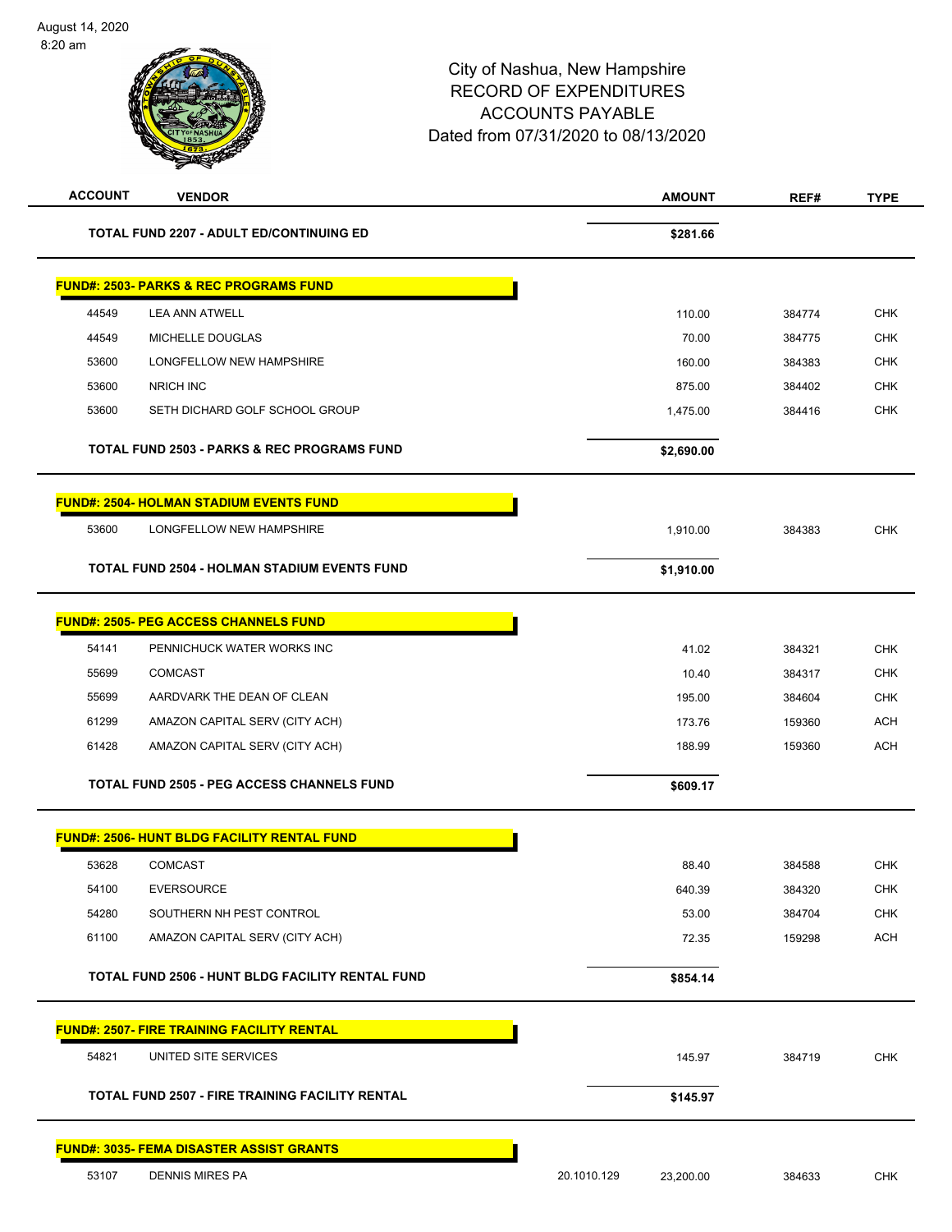| <b>ACCOUNT</b> | <b>VENDOR</b>                                          |             | <b>AMOUNT</b> | REF#   | <b>TYPE</b> |
|----------------|--------------------------------------------------------|-------------|---------------|--------|-------------|
|                | <b>TOTAL FUND 2207 - ADULT ED/CONTINUING ED</b>        |             | \$281.66      |        |             |
|                | <b>FUND#: 2503- PARKS &amp; REC PROGRAMS FUND</b>      |             |               |        |             |
| 44549          | <b>LEA ANN ATWELL</b>                                  |             | 110.00        | 384774 | <b>CHK</b>  |
| 44549          | MICHELLE DOUGLAS                                       |             | 70.00         | 384775 | <b>CHK</b>  |
| 53600          | LONGFELLOW NEW HAMPSHIRE                               |             | 160.00        | 384383 | <b>CHK</b>  |
| 53600          | <b>NRICH INC</b>                                       |             | 875.00        | 384402 | <b>CHK</b>  |
| 53600          | SETH DICHARD GOLF SCHOOL GROUP                         |             | 1,475.00      | 384416 | <b>CHK</b>  |
|                | <b>TOTAL FUND 2503 - PARKS &amp; REC PROGRAMS FUND</b> |             | \$2,690.00    |        |             |
|                | <b>FUND#: 2504- HOLMAN STADIUM EVENTS FUND</b>         |             |               |        |             |
| 53600          | LONGFELLOW NEW HAMPSHIRE                               |             | 1,910.00      | 384383 | CHK         |
|                | <b>TOTAL FUND 2504 - HOLMAN STADIUM EVENTS FUND</b>    |             | \$1,910.00    |        |             |
|                | <b>FUND#: 2505- PEG ACCESS CHANNELS FUND</b>           |             |               |        |             |
| 54141          | PENNICHUCK WATER WORKS INC                             |             | 41.02         | 384321 | <b>CHK</b>  |
| 55699          | <b>COMCAST</b>                                         |             | 10.40         | 384317 | <b>CHK</b>  |
| 55699          | AARDVARK THE DEAN OF CLEAN                             |             | 195.00        | 384604 | <b>CHK</b>  |
| 61299          | AMAZON CAPITAL SERV (CITY ACH)                         |             | 173.76        | 159360 | <b>ACH</b>  |
| 61428          | AMAZON CAPITAL SERV (CITY ACH)                         |             | 188.99        | 159360 | <b>ACH</b>  |
|                | <b>TOTAL FUND 2505 - PEG ACCESS CHANNELS FUND</b>      |             | \$609.17      |        |             |
|                | <b>FUND#: 2506- HUNT BLDG FACILITY RENTAL FUND</b>     |             |               |        |             |
| 53628          | <b>COMCAST</b>                                         |             | 88.40         | 384588 | <b>CHK</b>  |
| 54100          | <b>EVERSOURCE</b>                                      |             | 640.39        | 384320 | <b>CHK</b>  |
| 54280          | SOUTHERN NH PEST CONTROL                               |             | 53.00         | 384704 | <b>CHK</b>  |
| 61100          | AMAZON CAPITAL SERV (CITY ACH)                         |             | 72.35         | 159298 | <b>ACH</b>  |
|                | TOTAL FUND 2506 - HUNT BLDG FACILITY RENTAL FUND       |             | \$854.14      |        |             |
|                | <b>FUND#: 2507- FIRE TRAINING FACILITY RENTAL</b>      |             |               |        |             |
| 54821          | UNITED SITE SERVICES                                   |             | 145.97        | 384719 | <b>CHK</b>  |
|                | <b>TOTAL FUND 2507 - FIRE TRAINING FACILITY RENTAL</b> |             | \$145.97      |        |             |
|                | <b>FUND#: 3035- FEMA DISASTER ASSIST GRANTS</b>        |             |               |        |             |
| 53107          | <b>DENNIS MIRES PA</b>                                 | 20.1010.129 | 23,200.00     | 384633 | <b>CHK</b>  |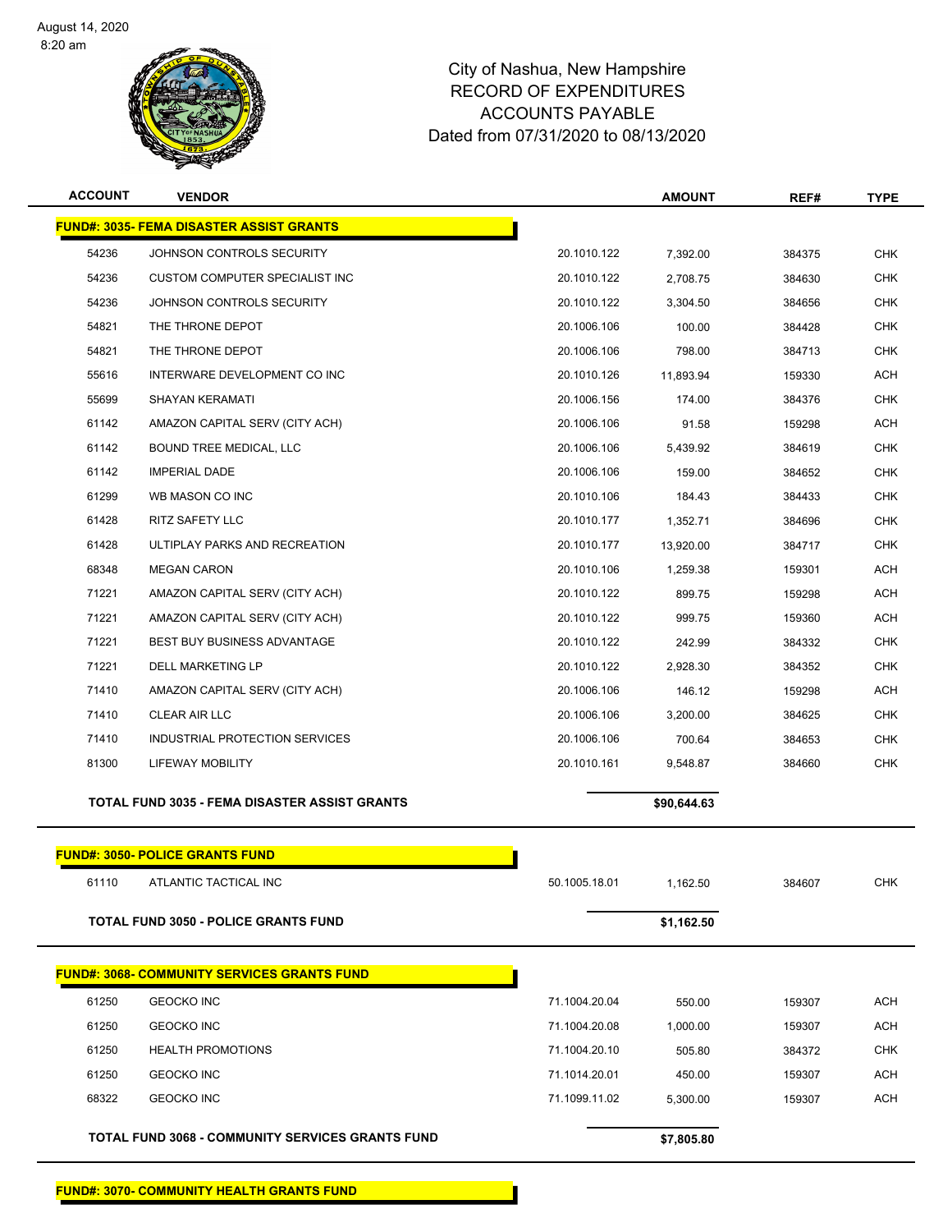

| <b>ACCOUNT</b> | <b>VENDOR</b>                                           |               | <b>AMOUNT</b> | REF#   | <b>TYPE</b> |
|----------------|---------------------------------------------------------|---------------|---------------|--------|-------------|
|                | <u> FUND#: 3035- FEMA DISASTER ASSIST GRANTS</u>        |               |               |        |             |
| 54236          | JOHNSON CONTROLS SECURITY                               | 20.1010.122   | 7,392.00      | 384375 | <b>CHK</b>  |
| 54236          | CUSTOM COMPUTER SPECIALIST INC                          | 20.1010.122   | 2,708.75      | 384630 | <b>CHK</b>  |
| 54236          | JOHNSON CONTROLS SECURITY                               | 20.1010.122   | 3,304.50      | 384656 | CHK         |
| 54821          | THE THRONE DEPOT                                        | 20.1006.106   | 100.00        | 384428 | <b>CHK</b>  |
| 54821          | THE THRONE DEPOT                                        | 20.1006.106   | 798.00        | 384713 | <b>CHK</b>  |
| 55616          | INTERWARE DEVELOPMENT CO INC                            | 20.1010.126   | 11,893.94     | 159330 | <b>ACH</b>  |
| 55699          | <b>SHAYAN KERAMATI</b>                                  | 20.1006.156   | 174.00        | 384376 | <b>CHK</b>  |
| 61142          | AMAZON CAPITAL SERV (CITY ACH)                          | 20.1006.106   | 91.58         | 159298 | <b>ACH</b>  |
| 61142          | BOUND TREE MEDICAL, LLC                                 | 20.1006.106   | 5,439.92      | 384619 | <b>CHK</b>  |
| 61142          | <b>IMPERIAL DADE</b>                                    | 20.1006.106   | 159.00        | 384652 | <b>CHK</b>  |
| 61299          | WB MASON CO INC                                         | 20.1010.106   | 184.43        | 384433 | <b>CHK</b>  |
| 61428          | <b>RITZ SAFETY LLC</b>                                  | 20.1010.177   | 1,352.71      | 384696 | <b>CHK</b>  |
| 61428          | ULTIPLAY PARKS AND RECREATION                           | 20.1010.177   | 13,920.00     | 384717 | CHK         |
| 68348          | <b>MEGAN CARON</b>                                      | 20.1010.106   | 1,259.38      | 159301 | <b>ACH</b>  |
| 71221          | AMAZON CAPITAL SERV (CITY ACH)                          | 20.1010.122   | 899.75        | 159298 | ACH         |
| 71221          | AMAZON CAPITAL SERV (CITY ACH)                          | 20.1010.122   | 999.75        | 159360 | <b>ACH</b>  |
| 71221          | <b>BEST BUY BUSINESS ADVANTAGE</b>                      | 20.1010.122   | 242.99        | 384332 | <b>CHK</b>  |
| 71221          | DELL MARKETING LP                                       | 20.1010.122   | 2,928.30      | 384352 | CHK         |
| 71410          | AMAZON CAPITAL SERV (CITY ACH)                          | 20.1006.106   | 146.12        | 159298 | <b>ACH</b>  |
| 71410          | <b>CLEAR AIR LLC</b>                                    | 20.1006.106   | 3,200.00      | 384625 | <b>CHK</b>  |
| 71410          | INDUSTRIAL PROTECTION SERVICES                          | 20.1006.106   | 700.64        | 384653 | <b>CHK</b>  |
| 81300          | <b>LIFEWAY MOBILITY</b>                                 | 20.1010.161   | 9,548.87      | 384660 | <b>CHK</b>  |
|                | <b>TOTAL FUND 3035 - FEMA DISASTER ASSIST GRANTS</b>    |               | \$90,644.63   |        |             |
|                | <b>FUND#: 3050- POLICE GRANTS FUND</b>                  |               |               |        |             |
| 61110          | ATLANTIC TACTICAL INC                                   | 50.1005.18.01 | 1,162.50      | 384607 | CHK         |
|                | <b>TOTAL FUND 3050 - POLICE GRANTS FUND</b>             |               | \$1,162.50    |        |             |
|                | <b>FUND#: 3068- COMMUNITY SERVICES GRANTS FUND</b>      |               |               |        |             |
| 61250          | <b>GEOCKO INC</b>                                       | 71.1004.20.04 | 550.00        | 159307 | ACH         |
| 61250          | <b>GEOCKO INC</b>                                       | 71.1004.20.08 | 1,000.00      | 159307 | <b>ACH</b>  |
| 61250          | <b>HEALTH PROMOTIONS</b>                                | 71.1004.20.10 | 505.80        | 384372 | <b>CHK</b>  |
| 61250          | <b>GEOCKO INC</b>                                       | 71.1014.20.01 | 450.00        | 159307 | ACH         |
| 68322          | <b>GEOCKO INC</b>                                       | 71.1099.11.02 | 5,300.00      | 159307 | <b>ACH</b>  |
|                |                                                         |               |               |        |             |
|                | <b>TOTAL FUND 3068 - COMMUNITY SERVICES GRANTS FUND</b> |               | \$7,805.80    |        |             |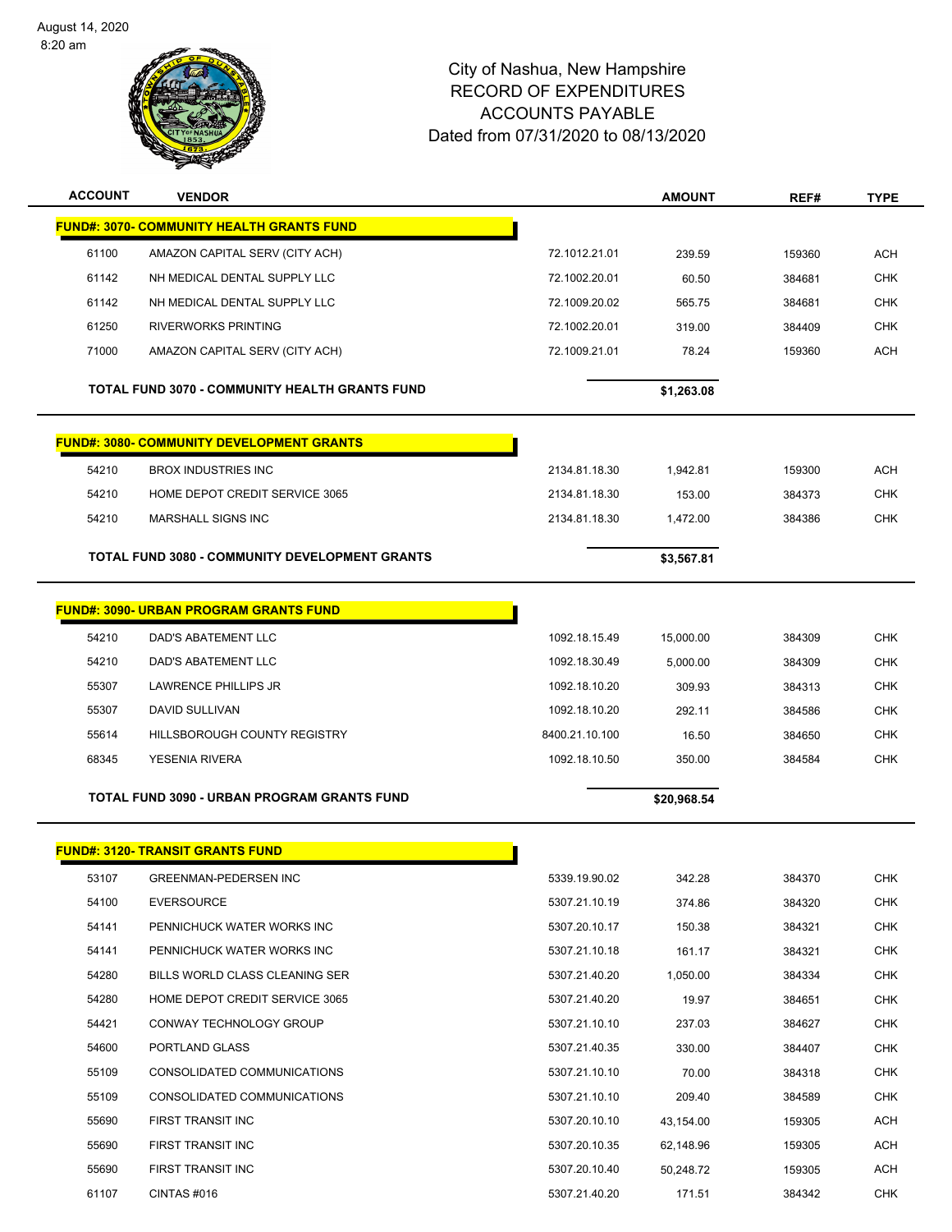

| <b>ACCOUNT</b> | <b>VENDOR</b>                                         |                | <b>AMOUNT</b> | REF#   | <b>TYPE</b> |
|----------------|-------------------------------------------------------|----------------|---------------|--------|-------------|
|                | <b>FUND#: 3070- COMMUNITY HEALTH GRANTS FUND</b>      |                |               |        |             |
| 61100          | AMAZON CAPITAL SERV (CITY ACH)                        | 72.1012.21.01  | 239.59        | 159360 | <b>ACH</b>  |
| 61142          | NH MEDICAL DENTAL SUPPLY LLC                          | 72.1002.20.01  | 60.50         | 384681 | <b>CHK</b>  |
| 61142          | NH MEDICAL DENTAL SUPPLY LLC                          | 72.1009.20.02  | 565.75        | 384681 | CHK         |
| 61250          | <b>RIVERWORKS PRINTING</b>                            | 72.1002.20.01  | 319.00        | 384409 | <b>CHK</b>  |
| 71000          | AMAZON CAPITAL SERV (CITY ACH)                        | 72.1009.21.01  | 78.24         | 159360 | <b>ACH</b>  |
|                | <b>TOTAL FUND 3070 - COMMUNITY HEALTH GRANTS FUND</b> |                | \$1,263.08    |        |             |
|                |                                                       |                |               |        |             |
|                | <b>FUND#: 3080- COMMUNITY DEVELOPMENT GRANTS</b>      |                |               |        |             |
| 54210          | <b>BROX INDUSTRIES INC</b>                            | 2134.81.18.30  | 1,942.81      | 159300 | ACH         |
| 54210          | HOME DEPOT CREDIT SERVICE 3065                        | 2134.81.18.30  | 153.00        | 384373 | <b>CHK</b>  |
| 54210          | <b>MARSHALL SIGNS INC</b>                             | 2134.81.18.30  | 1,472.00      | 384386 | <b>CHK</b>  |
|                | <b>TOTAL FUND 3080 - COMMUNITY DEVELOPMENT GRANTS</b> |                | \$3,567.81    |        |             |
|                |                                                       |                |               |        |             |
|                | <b>FUND#: 3090- URBAN PROGRAM GRANTS FUND</b>         |                |               |        |             |
| 54210          | DAD'S ABATEMENT LLC                                   | 1092.18.15.49  | 15,000.00     | 384309 | <b>CHK</b>  |
| 54210          | DAD'S ABATEMENT LLC                                   | 1092.18.30.49  | 5,000.00      | 384309 | <b>CHK</b>  |
| 55307          | LAWRENCE PHILLIPS JR                                  | 1092.18.10.20  | 309.93        | 384313 | <b>CHK</b>  |
| 55307          | DAVID SULLIVAN                                        | 1092.18.10.20  | 292.11        | 384586 | CHK         |
| 55614          | <b>HILLSBOROUGH COUNTY REGISTRY</b>                   | 8400.21.10.100 | 16.50         | 384650 | <b>CHK</b>  |
| 68345          | <b>YESENIA RIVERA</b>                                 | 1092.18.10.50  | 350.00        | 384584 | <b>CHK</b>  |
|                | <b>TOTAL FUND 3090 - URBAN PROGRAM GRANTS FUND</b>    |                | \$20,968.54   |        |             |
|                |                                                       |                |               |        |             |
|                | <b>FUND#: 3120- TRANSIT GRANTS FUND</b>               |                |               |        |             |
| 53107          | <b>GREENMAN-PEDERSEN INC</b>                          | 5339.19.90.02  | 342.28        | 384370 | <b>CHK</b>  |
| 54100          | <b>EVERSOURCE</b>                                     | 5307.21.10.19  | 374.86        | 384320 | <b>CHK</b>  |
| 54141          | PENNICHUCK WATER WORKS INC                            | 5307.20.10.17  | 150.38        | 384321 | <b>CHK</b>  |
| 54141          | PENNICHUCK WATER WORKS INC                            | 5307.21.10.18  | 161.17        | 384321 | <b>CHK</b>  |
| 54280          | BILLS WORLD CLASS CLEANING SER                        | 5307.21.40.20  | 1,050.00      | 384334 | <b>CHK</b>  |
| 54280          | HOME DEPOT CREDIT SERVICE 3065                        | 5307.21.40.20  | 19.97         | 384651 | CHK         |
| 54421          | CONWAY TECHNOLOGY GROUP                               | 5307.21.10.10  | 237.03        | 384627 | <b>CHK</b>  |
| 54600          | PORTLAND GLASS                                        | 5307.21.40.35  | 330.00        | 384407 | <b>CHK</b>  |
| 55109          | CONSOLIDATED COMMUNICATIONS                           | 5307.21.10.10  | 70.00         | 384318 | CHK         |
| 55109          | CONSOLIDATED COMMUNICATIONS                           | 5307.21.10.10  | 209.40        | 384589 | <b>CHK</b>  |
| 55690          | FIRST TRANSIT INC                                     | 5307.20.10.10  | 43,154.00     | 159305 | <b>ACH</b>  |
| 55690          | FIRST TRANSIT INC                                     | 5307.20.10.35  | 62,148.96     | 159305 | ACH         |
| 55690          | FIRST TRANSIT INC                                     | 5307.20.10.40  | 50,248.72     | 159305 | ACH         |
| 61107          | CINTAS#016                                            | 5307.21.40.20  | 171.51        | 384342 | <b>CHK</b>  |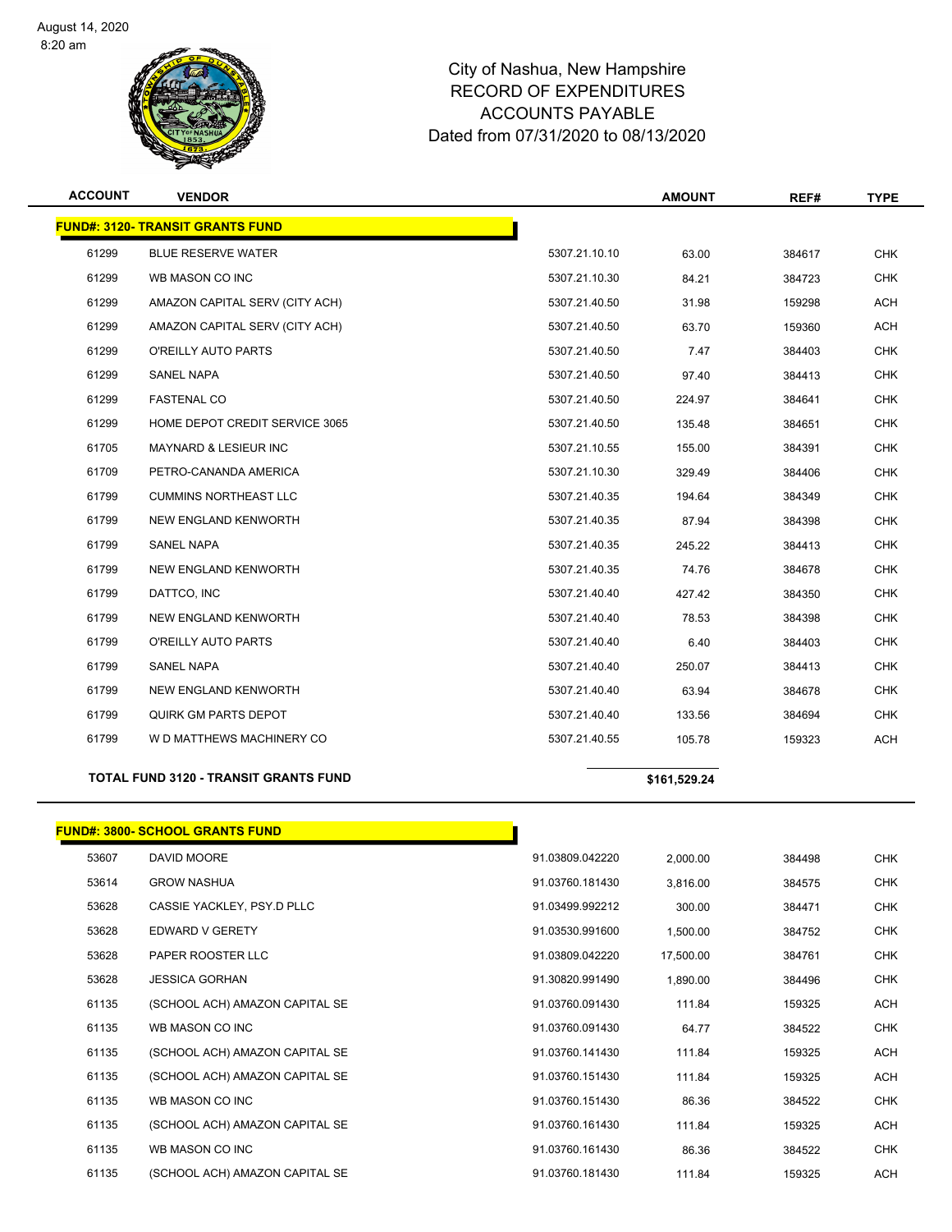

| <b>ACCOUNT</b> | <b>VENDOR</b>                                |               | <b>AMOUNT</b> | REF#   | <b>TYPE</b> |
|----------------|----------------------------------------------|---------------|---------------|--------|-------------|
|                | <b>FUND#: 3120- TRANSIT GRANTS FUND</b>      |               |               |        |             |
| 61299          | <b>BLUE RESERVE WATER</b>                    | 5307.21.10.10 | 63.00         | 384617 | <b>CHK</b>  |
| 61299          | WB MASON CO INC                              | 5307.21.10.30 | 84.21         | 384723 | <b>CHK</b>  |
| 61299          | AMAZON CAPITAL SERV (CITY ACH)               | 5307.21.40.50 | 31.98         | 159298 | <b>ACH</b>  |
| 61299          | AMAZON CAPITAL SERV (CITY ACH)               | 5307.21.40.50 | 63.70         | 159360 | <b>ACH</b>  |
| 61299          | O'REILLY AUTO PARTS                          | 5307.21.40.50 | 7.47          | 384403 | <b>CHK</b>  |
| 61299          | <b>SANEL NAPA</b>                            | 5307.21.40.50 | 97.40         | 384413 | <b>CHK</b>  |
| 61299          | <b>FASTENAL CO</b>                           | 5307.21.40.50 | 224.97        | 384641 | <b>CHK</b>  |
| 61299          | HOME DEPOT CREDIT SERVICE 3065               | 5307.21.40.50 | 135.48        | 384651 | <b>CHK</b>  |
| 61705          | <b>MAYNARD &amp; LESIEUR INC</b>             | 5307.21.10.55 | 155.00        | 384391 | <b>CHK</b>  |
| 61709          | PETRO-CANANDA AMERICA                        | 5307.21.10.30 | 329.49        | 384406 | <b>CHK</b>  |
| 61799          | <b>CUMMINS NORTHEAST LLC</b>                 | 5307.21.40.35 | 194.64        | 384349 | <b>CHK</b>  |
| 61799          | NEW ENGLAND KENWORTH                         | 5307.21.40.35 | 87.94         | 384398 | <b>CHK</b>  |
| 61799          | <b>SANEL NAPA</b>                            | 5307.21.40.35 | 245.22        | 384413 | <b>CHK</b>  |
| 61799          | NEW ENGLAND KENWORTH                         | 5307.21.40.35 | 74.76         | 384678 | <b>CHK</b>  |
| 61799          | DATTCO, INC                                  | 5307.21.40.40 | 427.42        | 384350 | <b>CHK</b>  |
| 61799          | <b>NEW ENGLAND KENWORTH</b>                  | 5307.21.40.40 | 78.53         | 384398 | <b>CHK</b>  |
| 61799          | O'REILLY AUTO PARTS                          | 5307.21.40.40 | 6.40          | 384403 | <b>CHK</b>  |
| 61799          | <b>SANEL NAPA</b>                            | 5307.21.40.40 | 250.07        | 384413 | <b>CHK</b>  |
| 61799          | NEW ENGLAND KENWORTH                         | 5307.21.40.40 | 63.94         | 384678 | <b>CHK</b>  |
| 61799          | QUIRK GM PARTS DEPOT                         | 5307.21.40.40 | 133.56        | 384694 | <b>CHK</b>  |
| 61799          | W D MATTHEWS MACHINERY CO                    | 5307.21.40.55 | 105.78        | 159323 | <b>ACH</b>  |
|                | <b>TOTAL FUND 3120 - TRANSIT GRANTS FUND</b> |               | \$161,529.24  |        |             |

|       | <b>FUND#: 3800- SCHOOL GRANTS FUND</b> |                 |           |        |            |
|-------|----------------------------------------|-----------------|-----------|--------|------------|
| 53607 | DAVID MOORE                            | 91.03809.042220 | 2,000.00  | 384498 | <b>CHK</b> |
| 53614 | <b>GROW NASHUA</b>                     | 91.03760.181430 | 3,816.00  | 384575 | <b>CHK</b> |
| 53628 | CASSIE YACKLEY, PSY.D PLLC             | 91.03499.992212 | 300.00    | 384471 | <b>CHK</b> |
| 53628 | EDWARD V GERETY                        | 91.03530.991600 | 1,500.00  | 384752 | <b>CHK</b> |
| 53628 | PAPER ROOSTER LLC                      | 91.03809.042220 | 17,500.00 | 384761 | <b>CHK</b> |
| 53628 | <b>JESSICA GORHAN</b>                  | 91.30820.991490 | 1,890.00  | 384496 | <b>CHK</b> |
| 61135 | (SCHOOL ACH) AMAZON CAPITAL SE         | 91.03760.091430 | 111.84    | 159325 | <b>ACH</b> |
| 61135 | WB MASON CO INC                        | 91.03760.091430 | 64.77     | 384522 | <b>CHK</b> |
| 61135 | (SCHOOL ACH) AMAZON CAPITAL SE         | 91.03760.141430 | 111.84    | 159325 | <b>ACH</b> |
| 61135 | (SCHOOL ACH) AMAZON CAPITAL SE         | 91.03760.151430 | 111.84    | 159325 | <b>ACH</b> |
| 61135 | WB MASON CO INC                        | 91.03760.151430 | 86.36     | 384522 | <b>CHK</b> |
| 61135 | (SCHOOL ACH) AMAZON CAPITAL SE         | 91.03760.161430 | 111.84    | 159325 | <b>ACH</b> |
| 61135 | WB MASON CO INC                        | 91.03760.161430 | 86.36     | 384522 | <b>CHK</b> |
| 61135 | (SCHOOL ACH) AMAZON CAPITAL SE         | 91.03760.181430 | 111.84    | 159325 | <b>ACH</b> |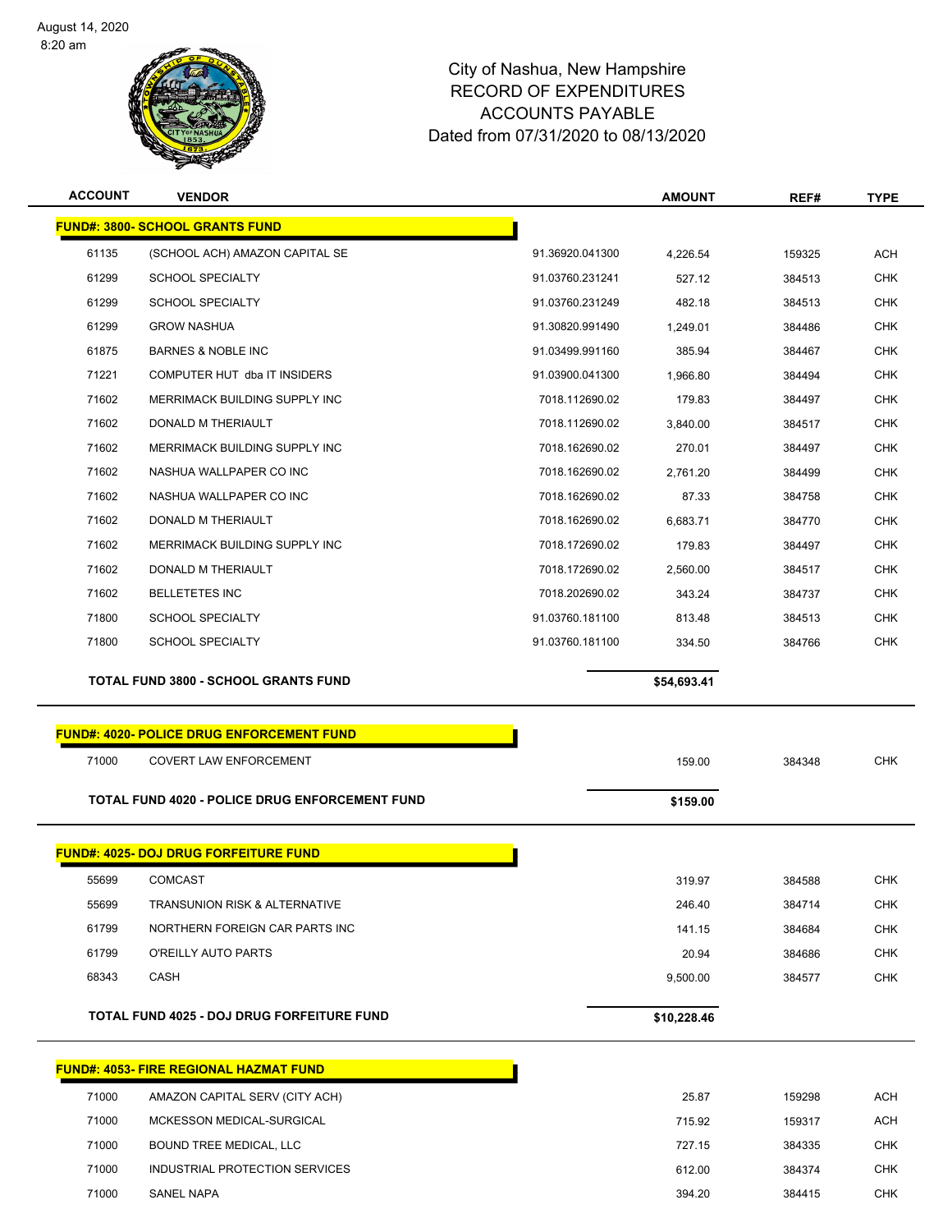

#### Page 25 of 83

#### City of Nashua, New Hampshire RECORD OF EXPENDITURES ACCOUNTS PAYABLE Dated from 07/31/2020 to 08/13/2020

| <b>ACCOUNT</b> | <b>VENDOR</b>                                     |                 | <b>AMOUNT</b> | REF#   | <b>TYPE</b> |
|----------------|---------------------------------------------------|-----------------|---------------|--------|-------------|
|                | <b>FUND#: 3800- SCHOOL GRANTS FUND</b>            |                 |               |        |             |
| 61135          | (SCHOOL ACH) AMAZON CAPITAL SE                    | 91.36920.041300 | 4,226.54      | 159325 | <b>ACH</b>  |
| 61299          | <b>SCHOOL SPECIALTY</b>                           | 91.03760.231241 | 527.12        | 384513 | <b>CHK</b>  |
| 61299          | <b>SCHOOL SPECIALTY</b>                           | 91.03760.231249 | 482.18        | 384513 | <b>CHK</b>  |
| 61299          | <b>GROW NASHUA</b>                                | 91.30820.991490 | 1,249.01      | 384486 | <b>CHK</b>  |
| 61875          | <b>BARNES &amp; NOBLE INC</b>                     | 91.03499.991160 | 385.94        | 384467 | <b>CHK</b>  |
| 71221          | COMPUTER HUT dba IT INSIDERS                      | 91.03900.041300 | 1,966.80      | 384494 | <b>CHK</b>  |
| 71602          | MERRIMACK BUILDING SUPPLY INC                     | 7018.112690.02  | 179.83        | 384497 | <b>CHK</b>  |
| 71602          | DONALD M THERIAULT                                | 7018.112690.02  | 3,840.00      | 384517 | <b>CHK</b>  |
| 71602          | MERRIMACK BUILDING SUPPLY INC                     | 7018.162690.02  | 270.01        | 384497 | <b>CHK</b>  |
| 71602          | NASHUA WALLPAPER CO INC                           | 7018.162690.02  | 2,761.20      | 384499 | <b>CHK</b>  |
| 71602          | NASHUA WALLPAPER CO INC                           | 7018.162690.02  | 87.33         | 384758 | <b>CHK</b>  |
| 71602          | DONALD M THERIAULT                                | 7018.162690.02  | 6,683.71      | 384770 | <b>CHK</b>  |
| 71602          | MERRIMACK BUILDING SUPPLY INC                     | 7018.172690.02  | 179.83        | 384497 | <b>CHK</b>  |
| 71602          | DONALD M THERIAULT                                | 7018.172690.02  | 2,560.00      | 384517 | <b>CHK</b>  |
| 71602          | <b>BELLETETES INC</b>                             | 7018.202690.02  | 343.24        | 384737 | <b>CHK</b>  |
| 71800          | <b>SCHOOL SPECIALTY</b>                           | 91.03760.181100 | 813.48        | 384513 | <b>CHK</b>  |
| 71800          | <b>SCHOOL SPECIALTY</b>                           | 91.03760.181100 | 334.50        | 384766 | <b>CHK</b>  |
|                | <b>TOTAL FUND 3800 - SCHOOL GRANTS FUND</b>       |                 | \$54,693.41   |        |             |
|                | <b>FUND#: 4020- POLICE DRUG ENFORCEMENT FUND</b>  |                 |               |        |             |
| 71000          | <b>COVERT LAW ENFORCEMENT</b>                     |                 | 159.00        | 384348 | <b>CHK</b>  |
|                | TOTAL FUND 4020 - POLICE DRUG ENFORCEMENT FUND    |                 | \$159.00      |        |             |
|                | <b>FUND#: 4025- DOJ DRUG FORFEITURE FUND</b>      |                 |               |        |             |
| 55699          | COMCAST                                           |                 | 319.97        | 384588 | CHK         |
| 55699          | <b>TRANSUNION RISK &amp; ALTERNATIVE</b>          |                 | 246.40        | 384714 | <b>CHK</b>  |
| 61799          | NORTHERN FOREIGN CAR PARTS INC                    |                 | 141.15        | 384684 | CHK         |
| 61799          | O'REILLY AUTO PARTS                               |                 | 20.94         | 384686 | <b>CHK</b>  |
| 68343          | CASH                                              |                 | 9,500.00      | 384577 | <b>CHK</b>  |
|                | <b>TOTAL FUND 4025 - DOJ DRUG FORFEITURE FUND</b> |                 | \$10,228.46   |        |             |
|                | <u>FUND#: 4053- FIRE REGIONAL HAZMAT FUND</u>     |                 |               |        |             |
| 71000          | AMAZON CAPITAL SERV (CITY ACH)                    |                 | 25.87         | 159298 | <b>ACH</b>  |
| 71000          | MCKESSON MEDICAL-SURGICAL                         |                 | 715.92        | 159317 | <b>ACH</b>  |
| 71000          | BOUND TREE MEDICAL, LLC                           |                 | 727.15        | 384335 | <b>CHK</b>  |
| 71000          | INDUSTRIAL PROTECTION SERVICES                    |                 | 612.00        | 384374 | <b>CHK</b>  |

SANEL NAPA 394.20 384415 CHK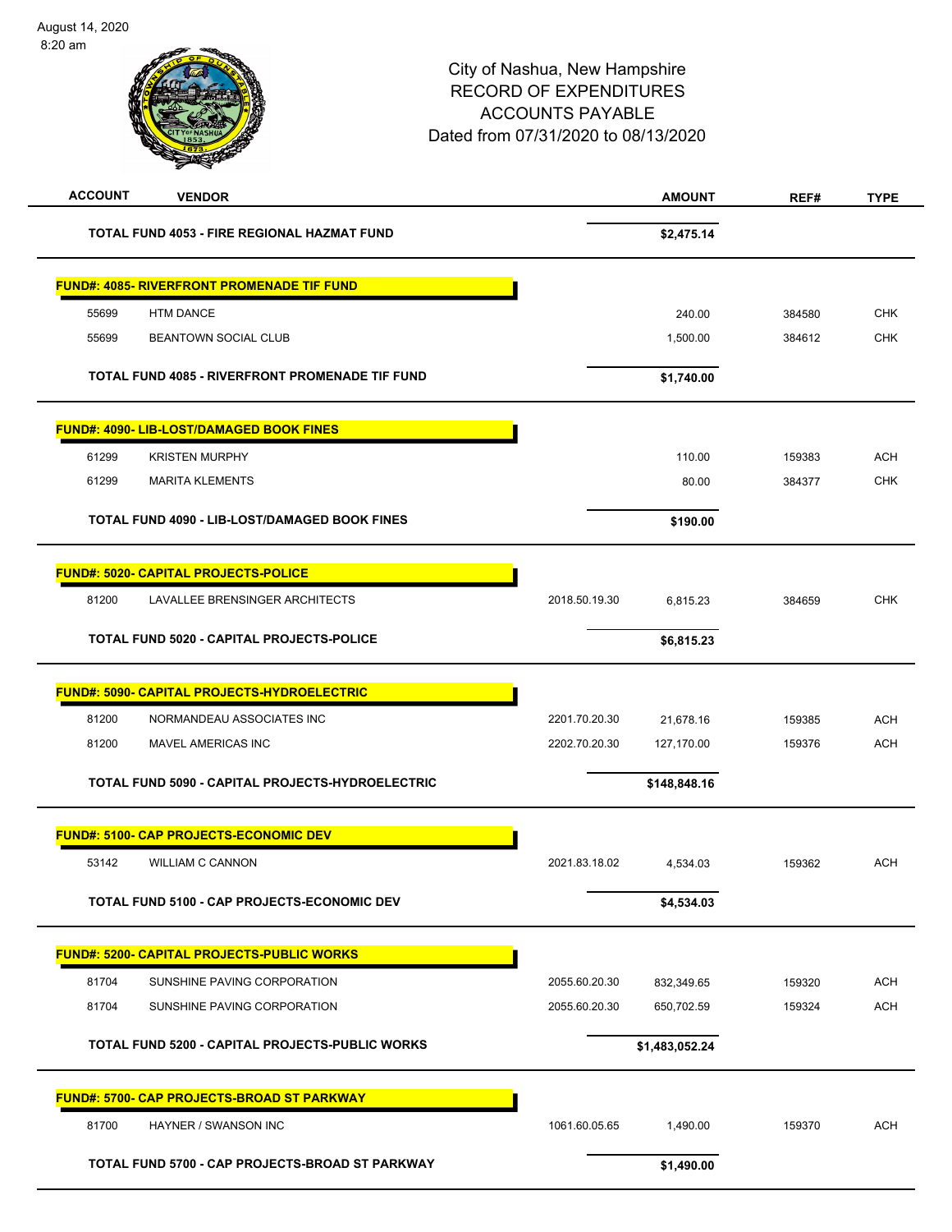| <b>ACCOUNT</b><br><b>VENDOR</b>                        |               | <b>AMOUNT</b>  | REF#   | <b>TYPE</b> |
|--------------------------------------------------------|---------------|----------------|--------|-------------|
| <b>TOTAL FUND 4053 - FIRE REGIONAL HAZMAT FUND</b>     |               | \$2,475.14     |        |             |
| <b>FUND#: 4085- RIVERFRONT PROMENADE TIF FUND</b>      |               |                |        |             |
| 55699<br><b>HTM DANCE</b>                              |               | 240.00         | 384580 | <b>CHK</b>  |
| <b>BEANTOWN SOCIAL CLUB</b><br>55699                   |               | 1,500.00       | 384612 | <b>CHK</b>  |
| <b>TOTAL FUND 4085 - RIVERFRONT PROMENADE TIF FUND</b> |               | \$1,740.00     |        |             |
| <b>FUND#: 4090- LIB-LOST/DAMAGED BOOK FINES</b>        |               |                |        |             |
| 61299<br><b>KRISTEN MURPHY</b>                         |               | 110.00         | 159383 | <b>ACH</b>  |
| 61299<br><b>MARITA KLEMENTS</b>                        |               | 80.00          | 384377 | <b>CHK</b>  |
| TOTAL FUND 4090 - LIB-LOST/DAMAGED BOOK FINES          |               | \$190.00       |        |             |
| FUND#: 5020- CAPITAL PROJECTS-POLICE                   |               |                |        |             |
| 81200<br>LAVALLEE BRENSINGER ARCHITECTS                | 2018.50.19.30 | 6,815.23       | 384659 | <b>CHK</b>  |
| TOTAL FUND 5020 - CAPITAL PROJECTS-POLICE              |               | \$6,815.23     |        |             |
| FUND#: 5090- CAPITAL PROJECTS-HYDROELECTRIC            |               |                |        |             |
| 81200<br>NORMANDEAU ASSOCIATES INC                     | 2201.70.20.30 | 21,678.16      | 159385 | <b>ACH</b>  |
| 81200<br>MAVEL AMERICAS INC                            | 2202.70.20.30 | 127,170.00     | 159376 | <b>ACH</b>  |
| TOTAL FUND 5090 - CAPITAL PROJECTS-HYDROELECTRIC       |               | \$148,848.16   |        |             |
| <b>FUND#: 5100- CAP PROJECTS-ECONOMIC DEV</b>          |               |                |        |             |
| 53142<br><b>WILLIAM C CANNON</b>                       | 2021.83.18.02 | 4,534.03       | 159362 | <b>ACH</b>  |
| <b>TOTAL FUND 5100 - CAP PROJECTS-ECONOMIC DEV</b>     |               | \$4,534.03     |        |             |
| FUND#: 5200- CAPITAL PROJECTS-PUBLIC WORKS             |               |                |        |             |
| 81704<br>SUNSHINE PAVING CORPORATION                   | 2055.60.20.30 | 832,349.65     | 159320 | <b>ACH</b>  |
| 81704<br>SUNSHINE PAVING CORPORATION                   | 2055.60.20.30 | 650,702.59     | 159324 | <b>ACH</b>  |
| TOTAL FUND 5200 - CAPITAL PROJECTS-PUBLIC WORKS        |               | \$1,483,052.24 |        |             |
| <b>FUND#: 5700- CAP PROJECTS-BROAD ST PARKWAY</b>      |               |                |        |             |
| 81700<br>HAYNER / SWANSON INC                          | 1061.60.05.65 | 1,490.00       | 159370 | <b>ACH</b>  |
| TOTAL FUND 5700 - CAP PROJECTS-BROAD ST PARKWAY        |               | \$1,490.00     |        |             |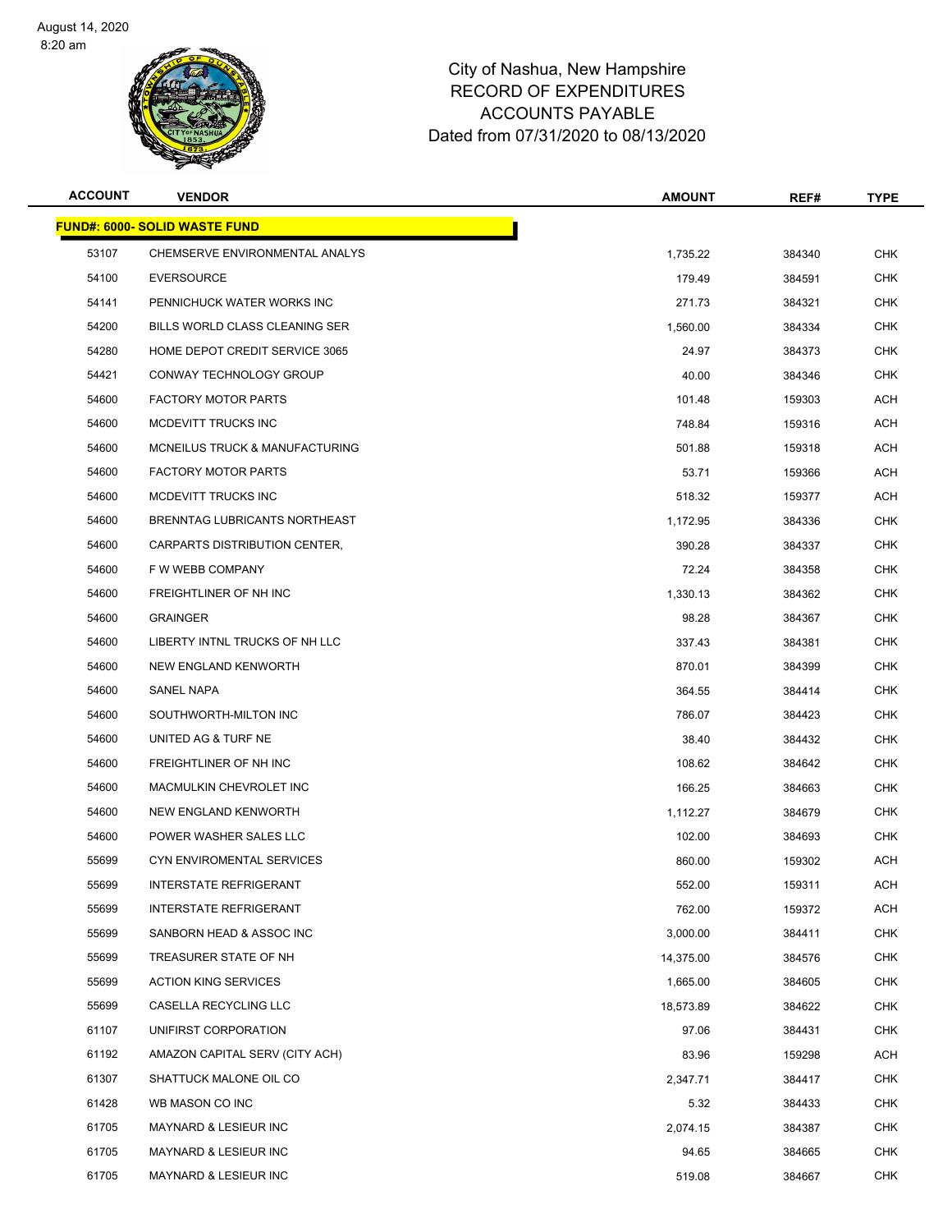

| <b>ACCOUNT</b> | <b>VENDOR</b>                        | <b>AMOUNT</b> | REF#   | <b>TYPE</b> |
|----------------|--------------------------------------|---------------|--------|-------------|
|                | <b>FUND#: 6000- SOLID WASTE FUND</b> |               |        |             |
| 53107          | CHEMSERVE ENVIRONMENTAL ANALYS       | 1,735.22      | 384340 | <b>CHK</b>  |
| 54100          | <b>EVERSOURCE</b>                    | 179.49        | 384591 | CHK         |
| 54141          | PENNICHUCK WATER WORKS INC           | 271.73        | 384321 | <b>CHK</b>  |
| 54200          | BILLS WORLD CLASS CLEANING SER       | 1,560.00      | 384334 | <b>CHK</b>  |
| 54280          | HOME DEPOT CREDIT SERVICE 3065       | 24.97         | 384373 | CHK         |
| 54421          | CONWAY TECHNOLOGY GROUP              | 40.00         | 384346 | CHK         |
| 54600          | <b>FACTORY MOTOR PARTS</b>           | 101.48        | 159303 | ACH         |
| 54600          | MCDEVITT TRUCKS INC                  | 748.84        | 159316 | ACH         |
| 54600          | MCNEILUS TRUCK & MANUFACTURING       | 501.88        | 159318 | ACH         |
| 54600          | <b>FACTORY MOTOR PARTS</b>           | 53.71         | 159366 | ACH         |
| 54600          | MCDEVITT TRUCKS INC                  | 518.32        | 159377 | ACH         |
| 54600          | BRENNTAG LUBRICANTS NORTHEAST        | 1,172.95      | 384336 | CHK         |
| 54600          | CARPARTS DISTRIBUTION CENTER,        | 390.28        | 384337 | CHK         |
| 54600          | F W WEBB COMPANY                     | 72.24         | 384358 | <b>CHK</b>  |
| 54600          | FREIGHTLINER OF NH INC               | 1,330.13      | 384362 | CHK         |
| 54600          | <b>GRAINGER</b>                      | 98.28         | 384367 | CHK         |
| 54600          | LIBERTY INTNL TRUCKS OF NH LLC       | 337.43        | 384381 | CHK         |
| 54600          | NEW ENGLAND KENWORTH                 | 870.01        | 384399 | CHK         |
| 54600          | SANEL NAPA                           | 364.55        | 384414 | <b>CHK</b>  |
| 54600          | SOUTHWORTH-MILTON INC                | 786.07        | 384423 | CHK         |
| 54600          | UNITED AG & TURF NE                  | 38.40         | 384432 | CHK         |
| 54600          | FREIGHTLINER OF NH INC               | 108.62        | 384642 | CHK         |
| 54600          | MACMULKIN CHEVROLET INC              | 166.25        | 384663 | <b>CHK</b>  |
| 54600          | NEW ENGLAND KENWORTH                 | 1,112.27      | 384679 | <b>CHK</b>  |
| 54600          | POWER WASHER SALES LLC               | 102.00        | 384693 | CHK         |
| 55699          | CYN ENVIROMENTAL SERVICES            | 860.00        | 159302 | ACH         |
| 55699          | INTERSTATE REFRIGERANT               | 552.00        | 159311 | <b>ACH</b>  |
| 55699          | <b>INTERSTATE REFRIGERANT</b>        | 762.00        | 159372 | ACH         |
| 55699          | SANBORN HEAD & ASSOC INC             | 3,000.00      | 384411 | <b>CHK</b>  |
| 55699          | TREASURER STATE OF NH                | 14,375.00     | 384576 | <b>CHK</b>  |
| 55699          | <b>ACTION KING SERVICES</b>          | 1,665.00      | 384605 | <b>CHK</b>  |
| 55699          | CASELLA RECYCLING LLC                | 18,573.89     | 384622 | <b>CHK</b>  |
| 61107          | UNIFIRST CORPORATION                 | 97.06         | 384431 | <b>CHK</b>  |
| 61192          | AMAZON CAPITAL SERV (CITY ACH)       | 83.96         | 159298 | <b>ACH</b>  |
| 61307          | SHATTUCK MALONE OIL CO               | 2,347.71      | 384417 | <b>CHK</b>  |
| 61428          | WB MASON CO INC                      | 5.32          | 384433 | <b>CHK</b>  |
| 61705          | MAYNARD & LESIEUR INC                | 2,074.15      | 384387 | CHK         |
| 61705          | MAYNARD & LESIEUR INC                | 94.65         | 384665 | <b>CHK</b>  |
| 61705          | <b>MAYNARD &amp; LESIEUR INC</b>     | 519.08        | 384667 | <b>CHK</b>  |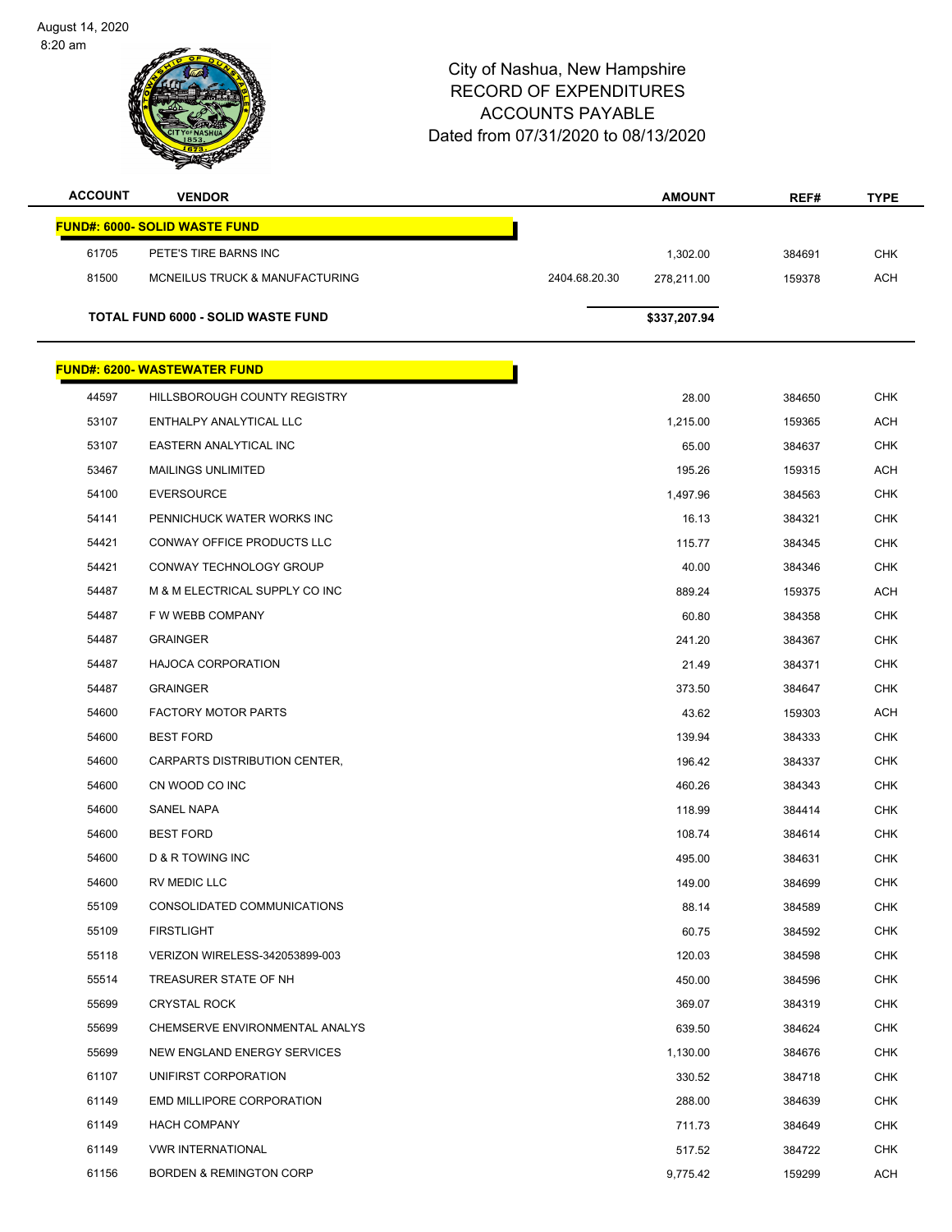

| <b>ACCOUNT</b> | <b>VENDOR</b>                        |               | <b>AMOUNT</b> | REF#   | <b>TYPE</b> |
|----------------|--------------------------------------|---------------|---------------|--------|-------------|
|                | <b>FUND#: 6000- SOLID WASTE FUND</b> |               |               |        |             |
| 61705          | PETE'S TIRE BARNS INC                |               | 1,302.00      | 384691 | <b>CHK</b>  |
| 81500          | MCNEILUS TRUCK & MANUFACTURING       | 2404.68.20.30 | 278,211.00    | 159378 | <b>ACH</b>  |
|                |                                      |               |               |        |             |
|                | TOTAL FUND 6000 - SOLID WASTE FUND   |               | \$337,207.94  |        |             |
|                | <u> FUND#: 6200- WASTEWATER FUND</u> |               |               |        |             |
| 44597          | HILLSBOROUGH COUNTY REGISTRY         |               | 28.00         | 384650 | <b>CHK</b>  |
| 53107          | ENTHALPY ANALYTICAL LLC              |               | 1,215.00      | 159365 | <b>ACH</b>  |
| 53107          | EASTERN ANALYTICAL INC               |               | 65.00         | 384637 | <b>CHK</b>  |
| 53467          | <b>MAILINGS UNLIMITED</b>            |               | 195.26        | 159315 | <b>ACH</b>  |
| 54100          | <b>EVERSOURCE</b>                    |               | 1,497.96      | 384563 | <b>CHK</b>  |
| 54141          | PENNICHUCK WATER WORKS INC           |               | 16.13         | 384321 | <b>CHK</b>  |
| 54421          | <b>CONWAY OFFICE PRODUCTS LLC</b>    |               | 115.77        | 384345 | <b>CHK</b>  |
| 54421          | CONWAY TECHNOLOGY GROUP              |               | 40.00         | 384346 | <b>CHK</b>  |
| 54487          | M & M ELECTRICAL SUPPLY CO INC       |               | 889.24        | 159375 | <b>ACH</b>  |
| 54487          | F W WEBB COMPANY                     |               | 60.80         | 384358 | CHK         |
| 54487          | <b>GRAINGER</b>                      |               | 241.20        | 384367 | <b>CHK</b>  |
| 54487          | <b>HAJOCA CORPORATION</b>            |               | 21.49         | 384371 | <b>CHK</b>  |
| 54487          | <b>GRAINGER</b>                      |               | 373.50        | 384647 | CHK         |
| 54600          | <b>FACTORY MOTOR PARTS</b>           |               | 43.62         | 159303 | <b>ACH</b>  |
| 54600          | <b>BEST FORD</b>                     |               | 139.94        | 384333 | <b>CHK</b>  |
| 54600          | CARPARTS DISTRIBUTION CENTER,        |               | 196.42        | 384337 | <b>CHK</b>  |
| 54600          | CN WOOD CO INC                       |               | 460.26        | 384343 | <b>CHK</b>  |
| 54600          | SANEL NAPA                           |               | 118.99        | 384414 | CHK         |
| 54600          | <b>BEST FORD</b>                     |               | 108.74        | 384614 | <b>CHK</b>  |
| 54600          | <b>D &amp; R TOWING INC</b>          |               | 495.00        | 384631 | <b>CHK</b>  |
| 54600          | RV MEDIC LLC                         |               | 149.00        | 384699 | CHK         |
| 55109          | CONSOLIDATED COMMUNICATIONS          |               | 88.14         | 384589 | <b>CHK</b>  |
| 55109          | <b>FIRSTLIGHT</b>                    |               | 60.75         | 384592 | <b>CHK</b>  |
| 55118          | VERIZON WIRELESS-342053899-003       |               | 120.03        | 384598 | <b>CHK</b>  |
| 55514          | TREASURER STATE OF NH                |               | 450.00        | 384596 | CHK         |
| 55699          | <b>CRYSTAL ROCK</b>                  |               | 369.07        | 384319 | <b>CHK</b>  |
| 55699          | CHEMSERVE ENVIRONMENTAL ANALYS       |               | 639.50        | 384624 | <b>CHK</b>  |
| 55699          | NEW ENGLAND ENERGY SERVICES          |               | 1,130.00      | 384676 | CHK         |
| 61107          | UNIFIRST CORPORATION                 |               | 330.52        | 384718 | <b>CHK</b>  |
| 61149          | EMD MILLIPORE CORPORATION            |               | 288.00        | 384639 | CHK         |
| 61149          | <b>HACH COMPANY</b>                  |               | 711.73        | 384649 | CHK         |
| 61149          | <b>VWR INTERNATIONAL</b>             |               | 517.52        | 384722 | <b>CHK</b>  |
| 61156          | <b>BORDEN &amp; REMINGTON CORP</b>   |               | 9,775.42      | 159299 | ACH         |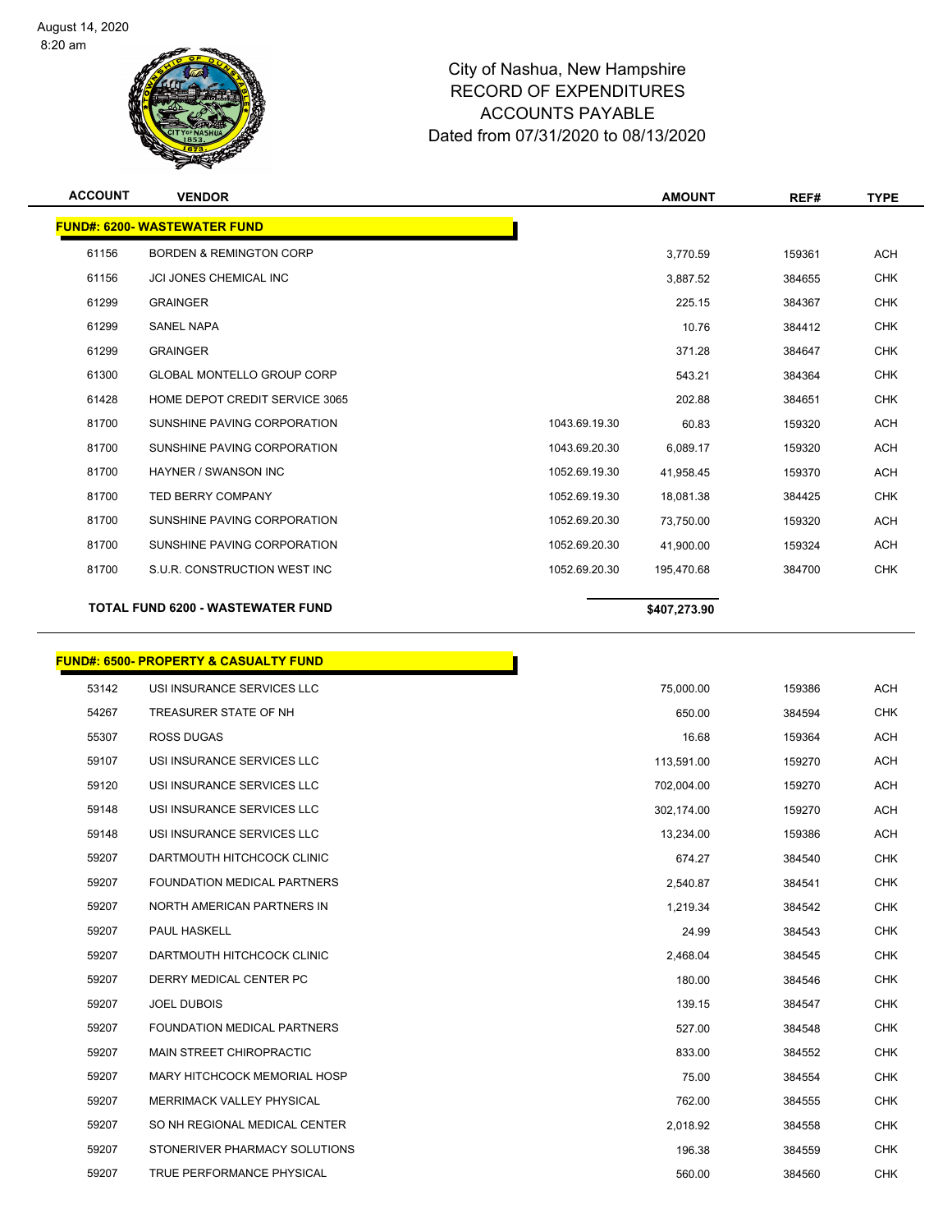

| <b>ACCOUNT</b> | <b>VENDOR</b>                            |               | <b>AMOUNT</b> | REF#   | <b>TYPE</b> |
|----------------|------------------------------------------|---------------|---------------|--------|-------------|
|                | <b>FUND#: 6200- WASTEWATER FUND</b>      |               |               |        |             |
| 61156          | <b>BORDEN &amp; REMINGTON CORP</b>       |               | 3,770.59      | 159361 | <b>ACH</b>  |
| 61156          | <b>JCI JONES CHEMICAL INC</b>            |               | 3,887.52      | 384655 | <b>CHK</b>  |
| 61299          | <b>GRAINGER</b>                          |               | 225.15        | 384367 | <b>CHK</b>  |
| 61299          | <b>SANEL NAPA</b>                        |               | 10.76         | 384412 | <b>CHK</b>  |
| 61299          | <b>GRAINGER</b>                          |               | 371.28        | 384647 | <b>CHK</b>  |
| 61300          | <b>GLOBAL MONTELLO GROUP CORP</b>        |               | 543.21        | 384364 | <b>CHK</b>  |
| 61428          | HOME DEPOT CREDIT SERVICE 3065           |               | 202.88        | 384651 | <b>CHK</b>  |
| 81700          | SUNSHINE PAVING CORPORATION              | 1043.69.19.30 | 60.83         | 159320 | <b>ACH</b>  |
| 81700          | SUNSHINE PAVING CORPORATION              | 1043.69.20.30 | 6,089.17      | 159320 | <b>ACH</b>  |
| 81700          | <b>HAYNER / SWANSON INC</b>              | 1052.69.19.30 | 41,958.45     | 159370 | <b>ACH</b>  |
| 81700          | <b>TED BERRY COMPANY</b>                 | 1052.69.19.30 | 18,081.38     | 384425 | <b>CHK</b>  |
| 81700          | SUNSHINE PAVING CORPORATION              | 1052.69.20.30 | 73,750.00     | 159320 | <b>ACH</b>  |
| 81700          | SUNSHINE PAVING CORPORATION              | 1052.69.20.30 | 41,900.00     | 159324 | <b>ACH</b>  |
| 81700          | S.U.R. CONSTRUCTION WEST INC             | 1052.69.20.30 | 195,470.68    | 384700 | <b>CHK</b>  |
|                | <b>TOTAL FUND 6200 - WASTEWATER FUND</b> |               | \$407,273.90  |        |             |

# **FUND#: 6500- PROPERTY & CASUALTY FUND**

|       | <u> JND#: 6500- PROPERTY &amp; CASUALTY FUND</u> |            |        |            |
|-------|--------------------------------------------------|------------|--------|------------|
| 53142 | USI INSURANCE SERVICES LLC                       | 75,000.00  | 159386 | <b>ACH</b> |
| 54267 | TREASURER STATE OF NH                            | 650.00     | 384594 | <b>CHK</b> |
| 55307 | <b>ROSS DUGAS</b>                                | 16.68      | 159364 | <b>ACH</b> |
| 59107 | USI INSURANCE SERVICES LLC                       | 113,591.00 | 159270 | <b>ACH</b> |
| 59120 | USI INSURANCE SERVICES LLC                       | 702,004.00 | 159270 | <b>ACH</b> |
| 59148 | USI INSURANCE SERVICES LLC                       | 302,174.00 | 159270 | <b>ACH</b> |
| 59148 | USI INSURANCE SERVICES LLC                       | 13,234.00  | 159386 | <b>ACH</b> |
| 59207 | DARTMOUTH HITCHCOCK CLINIC                       | 674.27     | 384540 | <b>CHK</b> |
| 59207 | <b>FOUNDATION MEDICAL PARTNERS</b>               | 2,540.87   | 384541 | <b>CHK</b> |
| 59207 | NORTH AMERICAN PARTNERS IN                       | 1,219.34   | 384542 | <b>CHK</b> |
| 59207 | PAUL HASKELL                                     | 24.99      | 384543 | <b>CHK</b> |
| 59207 | DARTMOUTH HITCHCOCK CLINIC                       | 2,468.04   | 384545 | <b>CHK</b> |
| 59207 | DERRY MEDICAL CENTER PC                          | 180.00     | 384546 | <b>CHK</b> |
| 59207 | JOEL DUBOIS                                      | 139.15     | 384547 | <b>CHK</b> |
| 59207 | FOUNDATION MEDICAL PARTNERS                      | 527.00     | 384548 | <b>CHK</b> |
| 59207 | MAIN STREET CHIROPRACTIC                         | 833.00     | 384552 | <b>CHK</b> |
| 59207 | <b>MARY HITCHCOCK MEMORIAL HOSP</b>              | 75.00      | 384554 | <b>CHK</b> |
| 59207 | MERRIMACK VALLEY PHYSICAL                        | 762.00     | 384555 | <b>CHK</b> |
| 59207 | SO NH REGIONAL MEDICAL CENTER                    | 2,018.92   | 384558 | <b>CHK</b> |
| 59207 | STONERIVER PHARMACY SOLUTIONS                    | 196.38     | 384559 | <b>CHK</b> |
| 59207 | TRUE PERFORMANCE PHYSICAL                        | 560.00     | 384560 | <b>CHK</b> |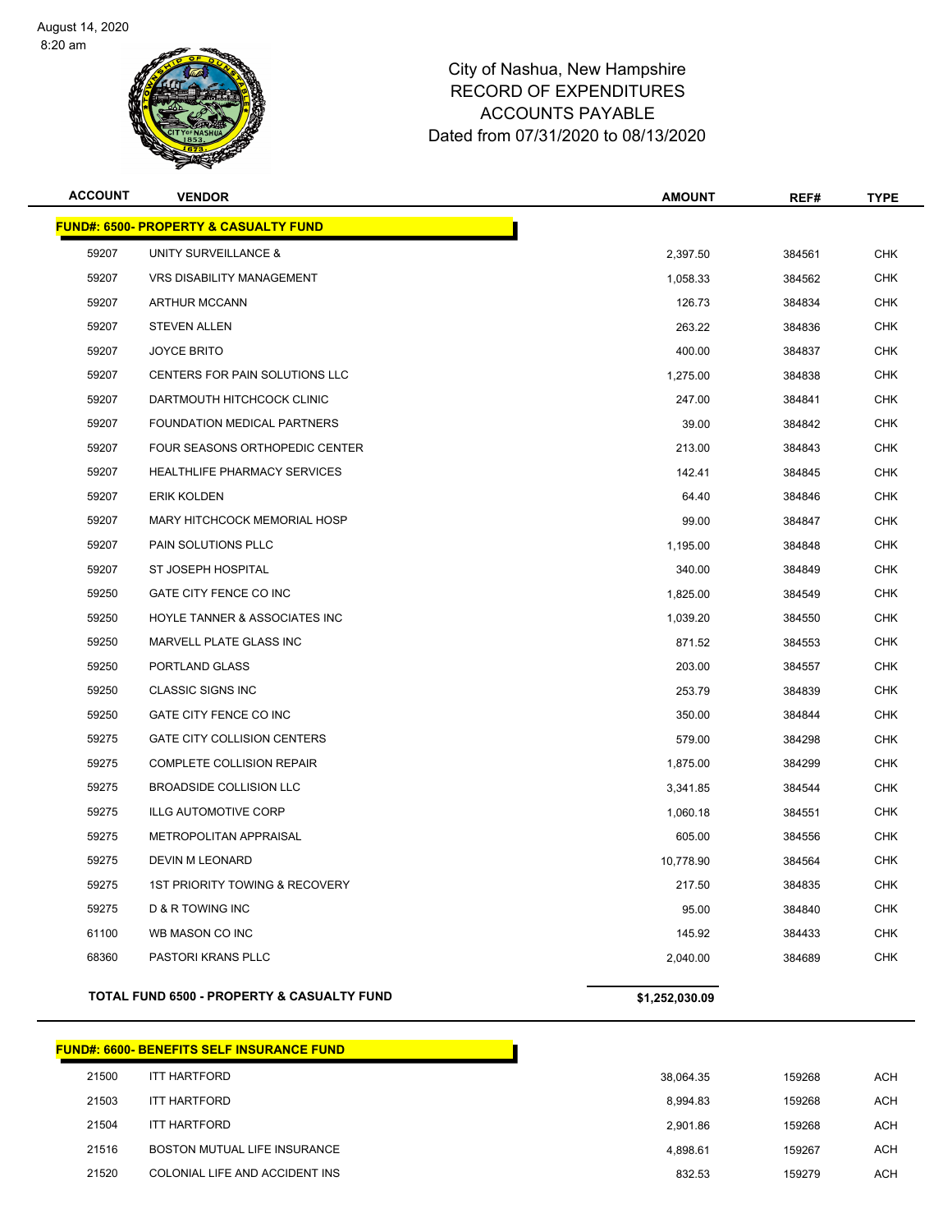

|                | <b>CITYOF NASHUA</b><br>m                        | Dated from 07/31/2020 to 08/13/2020 |        |             |  |
|----------------|--------------------------------------------------|-------------------------------------|--------|-------------|--|
| <b>ACCOUNT</b> | <b>VENDOR</b>                                    | <b>AMOUNT</b>                       | REF#   | <b>TYPE</b> |  |
|                | <b>FUND#: 6500- PROPERTY &amp; CASUALTY FUND</b> |                                     |        |             |  |
| 59207          | UNITY SURVEILLANCE &                             | 2,397.50                            | 384561 | <b>CHK</b>  |  |
| 59207          | <b>VRS DISABILITY MANAGEMENT</b>                 | 1,058.33                            | 384562 | CHK         |  |
| 59207          | <b>ARTHUR MCCANN</b>                             | 126.73                              | 384834 | <b>CHK</b>  |  |
| 59207          | <b>STEVEN ALLEN</b>                              | 263.22                              | 384836 | <b>CHK</b>  |  |
| 59207          | <b>JOYCE BRITO</b>                               | 400.00                              | 384837 | <b>CHK</b>  |  |
| 59207          | CENTERS FOR PAIN SOLUTIONS LLC                   | 1,275.00                            | 384838 | <b>CHK</b>  |  |
| 59207          | DARTMOUTH HITCHCOCK CLINIC                       | 247.00                              | 384841 | <b>CHK</b>  |  |
| 59207          | FOUNDATION MEDICAL PARTNERS                      | 39.00                               | 384842 | <b>CHK</b>  |  |

|       | <b>TOTAL FUND 6500 - PROPERTY &amp; CASUALTY FUND</b> | \$1,252,030.09 |        |            |
|-------|-------------------------------------------------------|----------------|--------|------------|
| 68360 | PASTORI KRANS PLLC                                    | 2,040.00       | 384689 | <b>CHK</b> |
| 61100 | WB MASON CO INC                                       | 145.92         | 384433 | <b>CHK</b> |
| 59275 | D & R TOWING INC                                      | 95.00          | 384840 | <b>CHK</b> |
| 59275 | <b>1ST PRIORITY TOWING &amp; RECOVERY</b>             | 217.50         | 384835 | <b>CHK</b> |
| 59275 | DEVIN M LEONARD                                       | 10,778.90      | 384564 | <b>CHK</b> |
| 59275 | METROPOLITAN APPRAISAL                                | 605.00         | 384556 | <b>CHK</b> |
| 59275 | <b>ILLG AUTOMOTIVE CORP</b>                           | 1,060.18       | 384551 | <b>CHK</b> |
| 59275 | BROADSIDE COLLISION LLC                               | 3,341.85       | 384544 | <b>CHK</b> |
| 59275 | COMPLETE COLLISION REPAIR                             | 1,875.00       | 384299 | <b>CHK</b> |
| 59275 | <b>GATE CITY COLLISION CENTERS</b>                    | 579.00         | 384298 | <b>CHK</b> |
| 59250 | GATE CITY FENCE CO INC                                | 350.00         | 384844 | <b>CHK</b> |
| 59250 | <b>CLASSIC SIGNS INC</b>                              | 253.79         | 384839 | <b>CHK</b> |
| 59250 | PORTLAND GLASS                                        | 203.00         | 384557 | <b>CHK</b> |
| 59250 | MARVELL PLATE GLASS INC                               | 871.52         | 384553 | <b>CHK</b> |
| 59250 | <b>HOYLE TANNER &amp; ASSOCIATES INC</b>              | 1,039.20       | 384550 | <b>CHK</b> |
| 59250 | GATE CITY FENCE CO INC                                | 1,825.00       | 384549 | <b>CHK</b> |
| 59207 | ST JOSEPH HOSPITAL                                    | 340.00         | 384849 | <b>CHK</b> |
| 59207 | PAIN SOLUTIONS PLLC                                   | 1,195.00       | 384848 | <b>CHK</b> |
| 59207 | <b>MARY HITCHCOCK MEMORIAL HOSP</b>                   | 99.00          | 384847 | <b>CHK</b> |
| 59207 | <b>ERIK KOLDEN</b>                                    | 64.40          | 384846 | <b>CHK</b> |
| 59207 | <b>HEALTHLIFE PHARMACY SERVICES</b>                   | 142.41         | 384845 | <b>CHK</b> |
| 59207 | <b>FOUR SEASONS ORTHOPEDIC CENTER</b>                 | 213.00         | 384843 | <b>CHK</b> |
| 59207 | FOUNDATION MEDICAL PARTNERS                           | 39.00          | 384842 | <b>CHK</b> |
| 59207 | DARTMOUTH HITCHCOCK CLINIC                            | 247.00         | 384841 | <b>CHK</b> |

|       | FUND#: 6600- BENEFITS SELF INSURANCE FUND_ |           |        |            |
|-------|--------------------------------------------|-----------|--------|------------|
| 21500 | <b>ITT HARTFORD</b>                        | 38.064.35 | 159268 | <b>ACH</b> |
| 21503 | <b>ITT HARTFORD</b>                        | 8.994.83  | 159268 | <b>ACH</b> |
| 21504 | <b>ITT HARTFORD</b>                        | 2.901.86  | 159268 | <b>ACH</b> |
| 21516 | BOSTON MUTUAL LIFE INSURANCE               | 4.898.61  | 159267 | <b>ACH</b> |
| 21520 | COLONIAL LIFE AND ACCIDENT INS             | 832.53    | 159279 | <b>ACH</b> |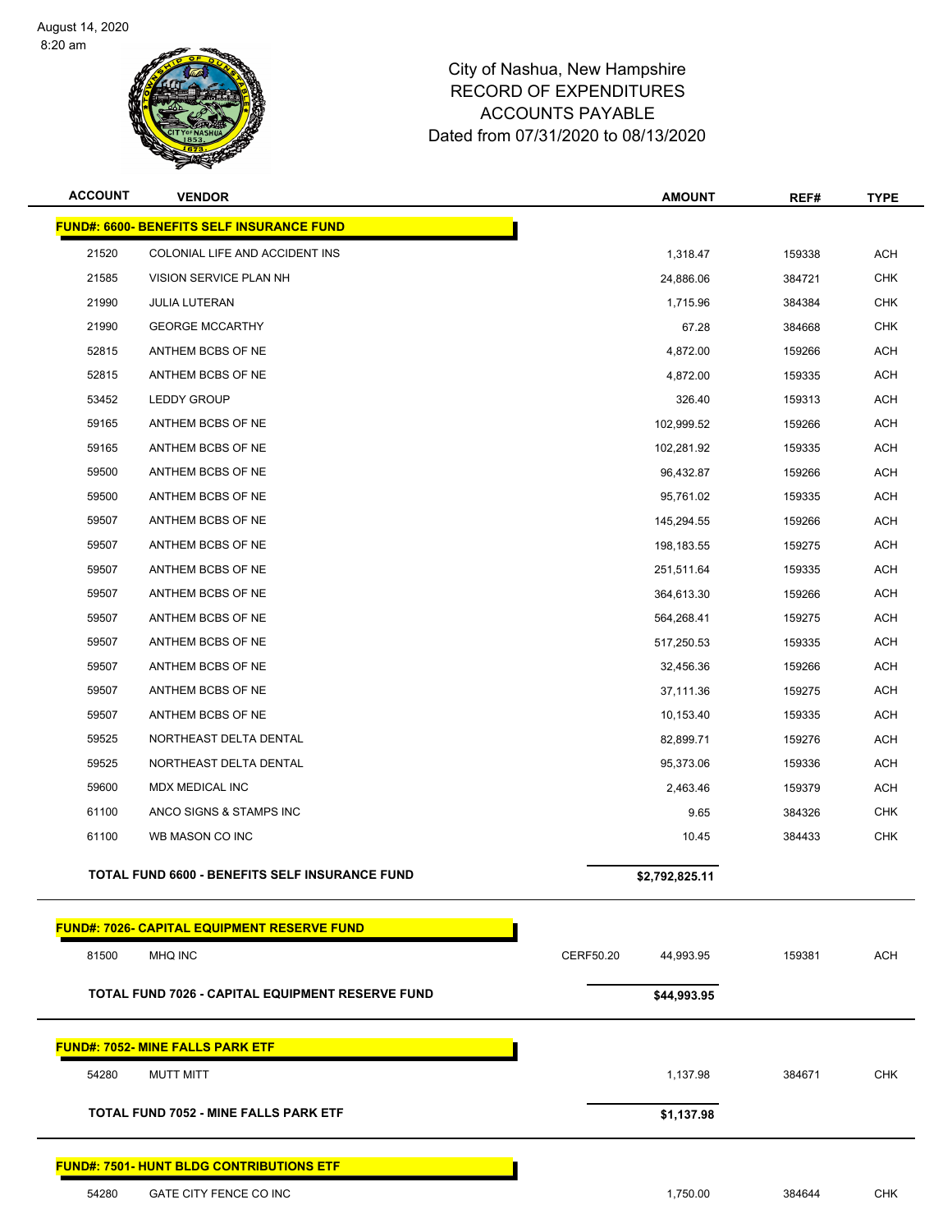

| <b>ACCOUNT</b> | <b>VENDOR</b>                                    | <b>AMOUNT</b>          | REF#   | <b>TYPE</b> |
|----------------|--------------------------------------------------|------------------------|--------|-------------|
|                | FUND#: 6600- BENEFITS SELF INSURANCE FUND        |                        |        |             |
| 21520          | COLONIAL LIFE AND ACCIDENT INS                   | 1,318.47               | 159338 | <b>ACH</b>  |
| 21585          | VISION SERVICE PLAN NH                           | 24,886.06              | 384721 | <b>CHK</b>  |
| 21990          | <b>JULIA LUTERAN</b>                             | 1,715.96               | 384384 | <b>CHK</b>  |
| 21990          | <b>GEORGE MCCARTHY</b>                           | 67.28                  | 384668 | <b>CHK</b>  |
| 52815          | ANTHEM BCBS OF NE                                | 4,872.00               | 159266 | <b>ACH</b>  |
| 52815          | ANTHEM BCBS OF NE                                | 4,872.00               | 159335 | <b>ACH</b>  |
| 53452          | <b>LEDDY GROUP</b>                               | 326.40                 | 159313 | <b>ACH</b>  |
| 59165          | ANTHEM BCBS OF NE                                | 102,999.52             | 159266 | <b>ACH</b>  |
| 59165          | ANTHEM BCBS OF NE                                | 102,281.92             | 159335 | <b>ACH</b>  |
| 59500          | ANTHEM BCBS OF NE                                | 96,432.87              | 159266 | <b>ACH</b>  |
| 59500          | ANTHEM BCBS OF NE                                | 95,761.02              | 159335 | <b>ACH</b>  |
| 59507          | ANTHEM BCBS OF NE                                | 145,294.55             | 159266 | <b>ACH</b>  |
| 59507          | ANTHEM BCBS OF NE                                | 198,183.55             | 159275 | <b>ACH</b>  |
| 59507          | ANTHEM BCBS OF NE                                | 251,511.64             | 159335 | <b>ACH</b>  |
| 59507          | ANTHEM BCBS OF NE                                | 364,613.30             | 159266 | <b>ACH</b>  |
| 59507          | ANTHEM BCBS OF NE                                | 564,268.41             | 159275 | <b>ACH</b>  |
| 59507          | ANTHEM BCBS OF NE                                | 517,250.53             | 159335 | <b>ACH</b>  |
| 59507          | ANTHEM BCBS OF NE                                | 32,456.36              | 159266 | <b>ACH</b>  |
| 59507          | ANTHEM BCBS OF NE                                | 37,111.36              | 159275 | <b>ACH</b>  |
| 59507          | ANTHEM BCBS OF NE                                | 10,153.40              | 159335 | <b>ACH</b>  |
| 59525          | NORTHEAST DELTA DENTAL                           | 82,899.71              | 159276 | <b>ACH</b>  |
| 59525          | NORTHEAST DELTA DENTAL                           | 95,373.06              | 159336 | <b>ACH</b>  |
| 59600          | MDX MEDICAL INC                                  | 2,463.46               | 159379 | <b>ACH</b>  |
| 61100          | ANCO SIGNS & STAMPS INC                          | 9.65                   | 384326 | <b>CHK</b>  |
| 61100          | WB MASON CO INC                                  | 10.45                  | 384433 | <b>CHK</b>  |
|                | TOTAL FUND 6600 - BENEFITS SELF INSURANCE FUND   | \$2,792,825.11         |        |             |
|                | FUND#: 7026- CAPITAL EQUIPMENT RESERVE FUND      |                        |        |             |
| 81500          | MHQ INC                                          | CERF50.20<br>44,993.95 | 159381 | <b>ACH</b>  |
|                | TOTAL FUND 7026 - CAPITAL EQUIPMENT RESERVE FUND | \$44,993.95            |        |             |
|                |                                                  |                        |        |             |
|                | <b>FUND#: 7052- MINE FALLS PARK ETF</b>          |                        |        |             |
| 54280          | <b>MUTT MITT</b>                                 | 1,137.98               | 384671 | <b>CHK</b>  |
|                | <b>TOTAL FUND 7052 - MINE FALLS PARK ETF</b>     | \$1,137.98             |        |             |
|                | <b>FUND#: 7501- HUNT BLDG CONTRIBUTIONS ETF</b>  |                        |        |             |
| 54280          | GATE CITY FENCE CO INC                           | 1,750.00               | 384644 | <b>CHK</b>  |
|                |                                                  |                        |        |             |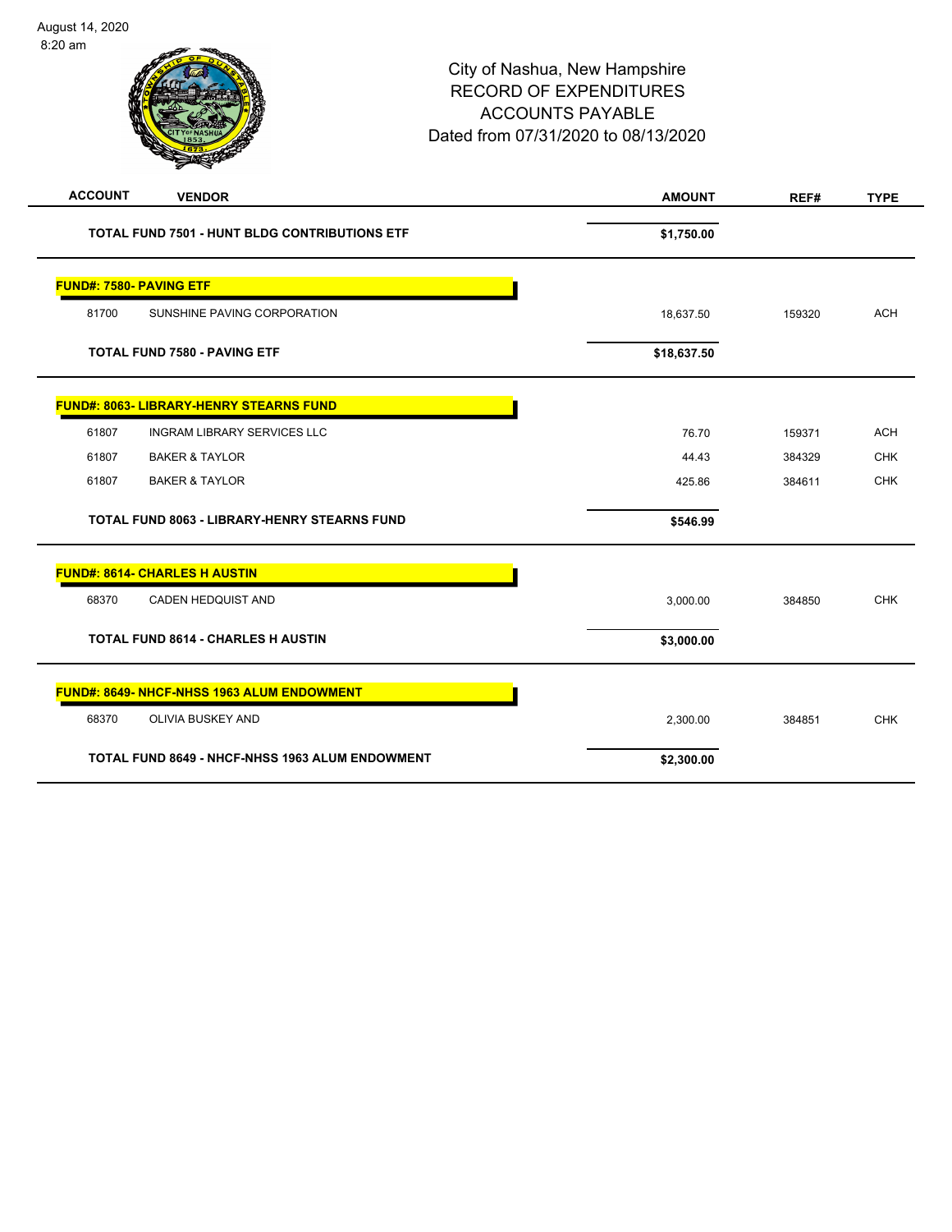| <b>ACCOUNT</b><br><b>VENDOR</b>                        | <b>AMOUNT</b> | REF#   | <b>TYPE</b> |
|--------------------------------------------------------|---------------|--------|-------------|
| <b>TOTAL FUND 7501 - HUNT BLDG CONTRIBUTIONS ETF</b>   | \$1,750.00    |        |             |
| <b>FUND#: 7580- PAVING ETF</b>                         |               |        |             |
| 81700<br>SUNSHINE PAVING CORPORATION                   | 18,637.50     | 159320 | <b>ACH</b>  |
| <b>TOTAL FUND 7580 - PAVING ETF</b>                    | \$18,637.50   |        |             |
| <b>FUND#: 8063- LIBRARY-HENRY STEARNS FUND</b>         |               |        |             |
| 61807<br><b>INGRAM LIBRARY SERVICES LLC</b>            | 76.70         | 159371 | <b>ACH</b>  |
| 61807<br><b>BAKER &amp; TAYLOR</b>                     | 44.43         | 384329 | <b>CHK</b>  |
| 61807<br><b>BAKER &amp; TAYLOR</b>                     | 425.86        | 384611 | <b>CHK</b>  |
| <b>TOTAL FUND 8063 - LIBRARY-HENRY STEARNS FUND</b>    | \$546.99      |        |             |
| <b>FUND#: 8614- CHARLES H AUSTIN</b>                   |               |        |             |
| 68370<br>CADEN HEDQUIST AND                            | 3,000.00      | 384850 | <b>CHK</b>  |
| <b>TOTAL FUND 8614 - CHARLES H AUSTIN</b>              | \$3,000.00    |        |             |
| FUND#: 8649- NHCF-NHSS 1963 ALUM ENDOWMENT             |               |        |             |
| 68370<br><b>OLIVIA BUSKEY AND</b>                      | 2,300.00      | 384851 | <b>CHK</b>  |
| <b>TOTAL FUND 8649 - NHCF-NHSS 1963 ALUM ENDOWMENT</b> | \$2,300.00    |        |             |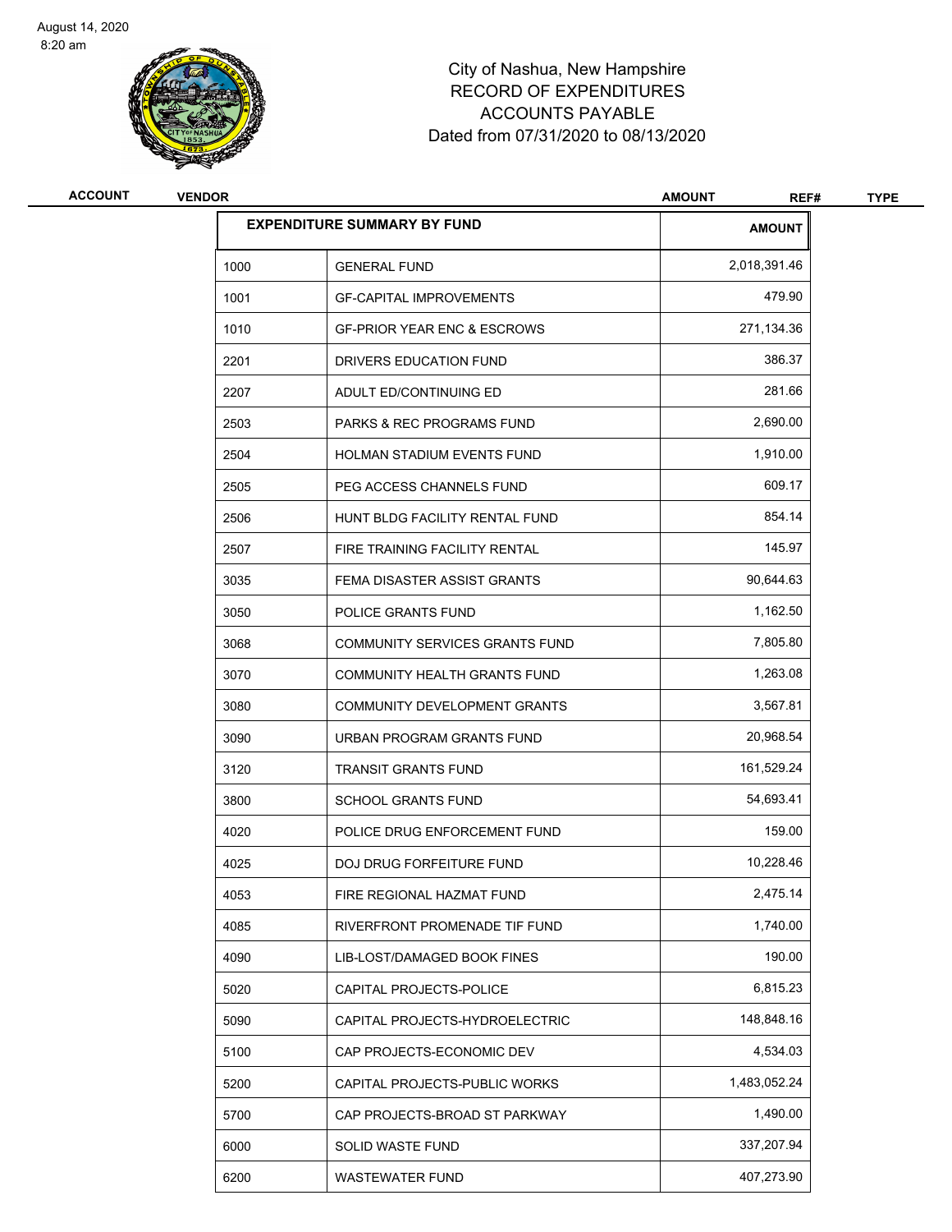

| <b>ACCOUNT</b> | <b>VENDOR</b> |                                        | <b>AMOUNT</b><br>REF# | <b>TYPE</b> |
|----------------|---------------|----------------------------------------|-----------------------|-------------|
|                |               | <b>EXPENDITURE SUMMARY BY FUND</b>     | <b>AMOUNT</b>         |             |
|                | 1000          | <b>GENERAL FUND</b>                    | 2,018,391.46          |             |
|                | 1001          | <b>GF-CAPITAL IMPROVEMENTS</b>         | 479.90                |             |
|                | 1010          | <b>GF-PRIOR YEAR ENC &amp; ESCROWS</b> | 271,134.36            |             |
|                | 2201          | DRIVERS EDUCATION FUND                 | 386.37                |             |
|                | 2207          | ADULT ED/CONTINUING ED                 | 281.66                |             |
|                | 2503          | <b>PARKS &amp; REC PROGRAMS FUND</b>   | 2,690.00              |             |
|                | 2504          | HOLMAN STADIUM EVENTS FUND             | 1,910.00              |             |
|                | 2505          | PEG ACCESS CHANNELS FUND               | 609.17                |             |
|                | 2506          | HUNT BLDG FACILITY RENTAL FUND         | 854.14                |             |
|                | 2507          | FIRE TRAINING FACILITY RENTAL          | 145.97                |             |
|                | 3035          | FEMA DISASTER ASSIST GRANTS            | 90,644.63             |             |
|                | 3050          | POLICE GRANTS FUND                     | 1,162.50              |             |
|                | 3068          | COMMUNITY SERVICES GRANTS FUND         | 7,805.80              |             |
|                | 3070          | COMMUNITY HEALTH GRANTS FUND           | 1,263.08              |             |
|                | 3080          | COMMUNITY DEVELOPMENT GRANTS           | 3,567.81              |             |
|                | 3090          | URBAN PROGRAM GRANTS FUND              | 20,968.54             |             |
|                | 3120          | <b>TRANSIT GRANTS FUND</b>             | 161,529.24            |             |
|                | 3800          | <b>SCHOOL GRANTS FUND</b>              | 54,693.41             |             |
|                | 4020          | POLICE DRUG ENFORCEMENT FUND           | 159.00                |             |
|                | 4025          | DOJ DRUG FORFEITURE FUND               | 10,228.46             |             |
|                | 4053          | FIRE REGIONAL HAZMAT FUND              | 2,475.14              |             |
|                | 4085          | RIVERFRONT PROMENADE TIF FUND          | 1,740.00              |             |
|                | 4090          | LIB-LOST/DAMAGED BOOK FINES            | 190.00                |             |
|                | 5020          | CAPITAL PROJECTS-POLICE                | 6,815.23              |             |
|                | 5090          | CAPITAL PROJECTS-HYDROELECTRIC         | 148,848.16            |             |
|                | 5100          | CAP PROJECTS-ECONOMIC DEV              | 4,534.03              |             |
|                | 5200          | CAPITAL PROJECTS-PUBLIC WORKS          | 1,483,052.24          |             |
|                | 5700          | CAP PROJECTS-BROAD ST PARKWAY          | 1,490.00              |             |
|                | 6000          | SOLID WASTE FUND                       | 337,207.94            |             |
|                | 6200          | WASTEWATER FUND                        | 407,273.90            |             |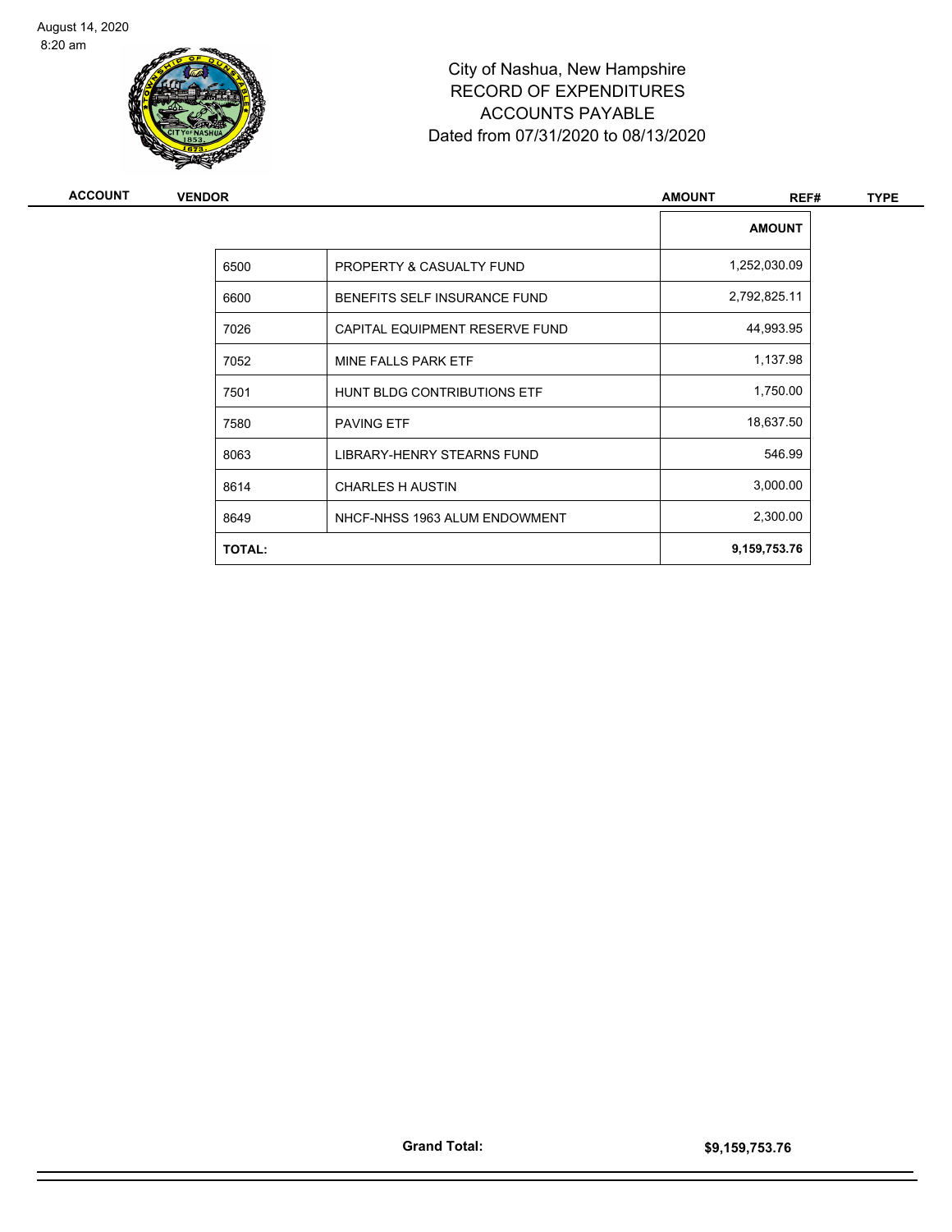

| ACCOUNT | <b>VENDOR</b> |                                | <b>AMOUNT</b><br>REF# | <b>TYPE</b> |
|---------|---------------|--------------------------------|-----------------------|-------------|
|         |               |                                | <b>AMOUNT</b>         |             |
|         | 6500          | PROPERTY & CASUALTY FUND       | 1,252,030.09          |             |
|         | 6600          | BENEFITS SELF INSURANCE FUND   | 2,792,825.11          |             |
|         | 7026          | CAPITAL EQUIPMENT RESERVE FUND | 44,993.95             |             |
|         | 7052          | MINE FALLS PARK ETF            | 1,137.98              |             |
|         | 7501          | HUNT BLDG CONTRIBUTIONS ETF    | 1,750.00              |             |
|         | 7580          | <b>PAVING ETF</b>              | 18,637.50             |             |
|         | 8063          | LIBRARY-HENRY STEARNS FUND     | 546.99                |             |
|         | 8614          | <b>CHARLES H AUSTIN</b>        | 3,000.00              |             |
|         | 8649          | NHCF-NHSS 1963 ALUM ENDOWMENT  | 2,300.00              |             |
|         | <b>TOTAL:</b> |                                | 9,159,753.76          |             |
|         |               |                                |                       |             |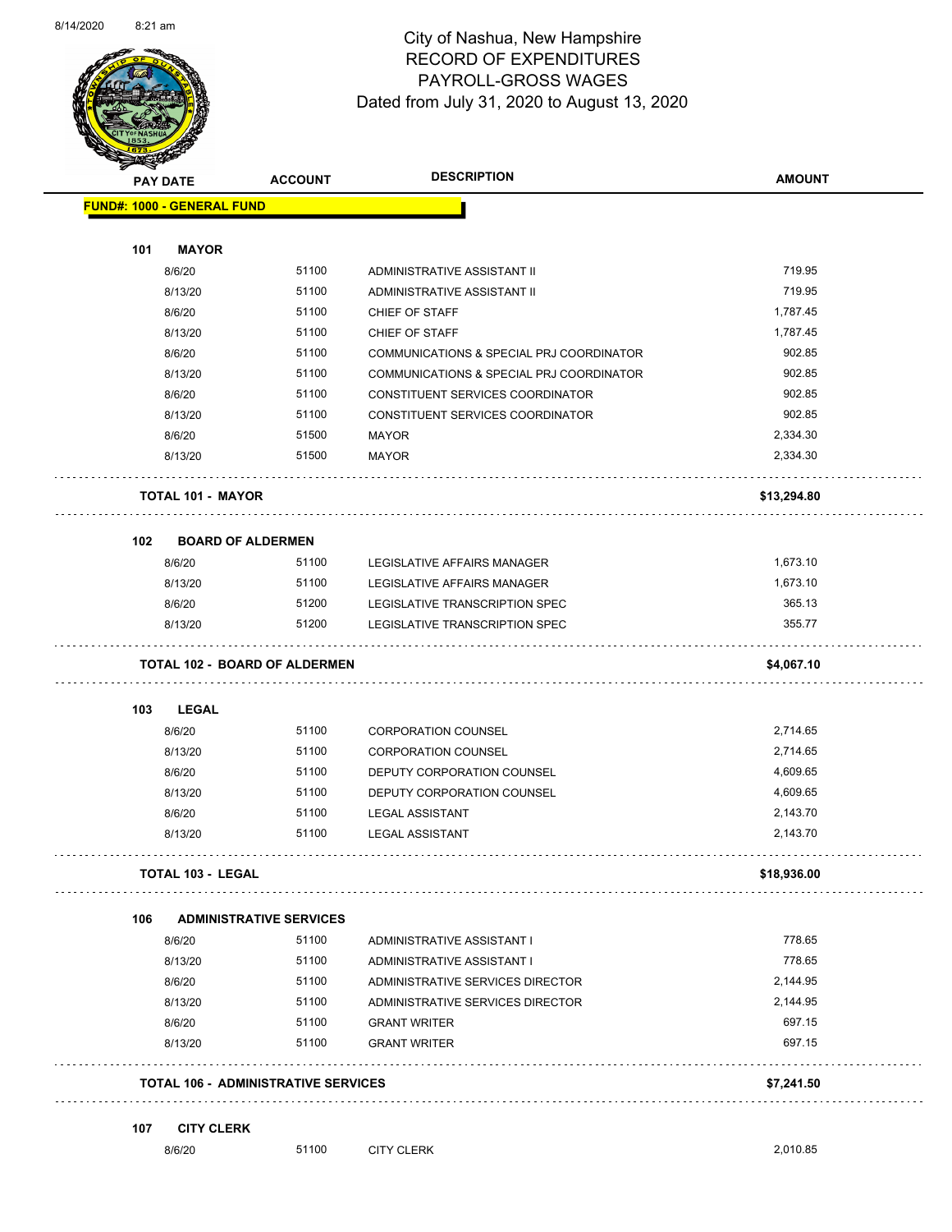

#### City of Nashua, New Hampshire RECORD OF EXPENDITURES PAYROLL-GROSS WAGES Dated from July 31, 2020 to August 13, 2020

Page 35 of 83

|     | <b>PAY DATE</b>                   | <b>ACCOUNT</b>                             | <b>DESCRIPTION</b>                       | <b>AMOUNT</b> |
|-----|-----------------------------------|--------------------------------------------|------------------------------------------|---------------|
|     | <b>FUND#: 1000 - GENERAL FUND</b> |                                            |                                          |               |
| 101 | <b>MAYOR</b>                      |                                            |                                          |               |
|     | 8/6/20                            | 51100                                      | ADMINISTRATIVE ASSISTANT II              | 719.95        |
|     | 8/13/20                           | 51100                                      | ADMINISTRATIVE ASSISTANT II              | 719.95        |
|     | 8/6/20                            | 51100                                      | CHIEF OF STAFF                           | 1,787.45      |
|     | 8/13/20                           | 51100                                      | <b>CHIEF OF STAFF</b>                    | 1,787.45      |
|     | 8/6/20                            | 51100                                      | COMMUNICATIONS & SPECIAL PRJ COORDINATOR | 902.85        |
|     | 8/13/20                           | 51100                                      | COMMUNICATIONS & SPECIAL PRJ COORDINATOR | 902.85        |
|     | 8/6/20                            | 51100                                      | CONSTITUENT SERVICES COORDINATOR         | 902.85        |
|     | 8/13/20                           | 51100                                      | CONSTITUENT SERVICES COORDINATOR         | 902.85        |
|     |                                   | 51500                                      |                                          |               |
|     | 8/6/20                            |                                            | <b>MAYOR</b>                             | 2,334.30      |
|     | 8/13/20                           | 51500                                      | <b>MAYOR</b>                             | 2,334.30      |
|     | <b>TOTAL 101 - MAYOR</b>          |                                            |                                          | \$13,294.80   |
| 102 |                                   | <b>BOARD OF ALDERMEN</b>                   |                                          |               |
|     | 8/6/20                            | 51100                                      | LEGISLATIVE AFFAIRS MANAGER              | 1,673.10      |
|     | 8/13/20                           | 51100                                      | LEGISLATIVE AFFAIRS MANAGER              | 1,673.10      |
|     | 8/6/20                            | 51200                                      | LEGISLATIVE TRANSCRIPTION SPEC           | 365.13        |
|     | 8/13/20                           | 51200                                      | LEGISLATIVE TRANSCRIPTION SPEC           | 355.77        |
|     |                                   | TOTAL 102 - BOARD OF ALDERMEN              |                                          | \$4,067.10    |
|     |                                   |                                            |                                          |               |
| 103 | <b>LEGAL</b>                      |                                            |                                          |               |
|     | 8/6/20                            | 51100                                      | <b>CORPORATION COUNSEL</b>               | 2,714.65      |
|     | 8/13/20                           | 51100                                      | <b>CORPORATION COUNSEL</b>               | 2,714.65      |
|     | 8/6/20                            | 51100                                      | DEPUTY CORPORATION COUNSEL               | 4,609.65      |
|     | 8/13/20                           | 51100                                      | DEPUTY CORPORATION COUNSEL               | 4,609.65      |
|     | 8/6/20                            | 51100                                      | <b>LEGAL ASSISTANT</b>                   | 2,143.70      |
|     | 8/13/20                           | 51100                                      | <b>LEGAL ASSISTANT</b>                   | 2,143.70      |
|     | <b>TOTAL 103 - LEGAL</b>          |                                            |                                          | \$18,936.00   |
| 106 |                                   | <b>ADMINISTRATIVE SERVICES</b>             |                                          |               |
|     | 8/6/20                            | 51100                                      | ADMINISTRATIVE ASSISTANT I               | 778.65        |
|     | 8/13/20                           | 51100                                      | ADMINISTRATIVE ASSISTANT I               | 778.65        |
|     | 8/6/20                            | 51100                                      | ADMINISTRATIVE SERVICES DIRECTOR         | 2,144.95      |
|     | 8/13/20                           | 51100                                      | ADMINISTRATIVE SERVICES DIRECTOR         | 2,144.95      |
|     | 8/6/20                            | 51100                                      | <b>GRANT WRITER</b>                      | 697.15        |
|     | 8/13/20                           | 51100                                      | <b>GRANT WRITER</b>                      | 697.15        |
|     |                                   | <b>TOTAL 106 - ADMINISTRATIVE SERVICES</b> |                                          | \$7,241.50    |
|     |                                   |                                            |                                          |               |
| 107 | <b>CITY CLERK</b><br>8/6/20       | 51100                                      | <b>CITY CLERK</b>                        | 2,010.85      |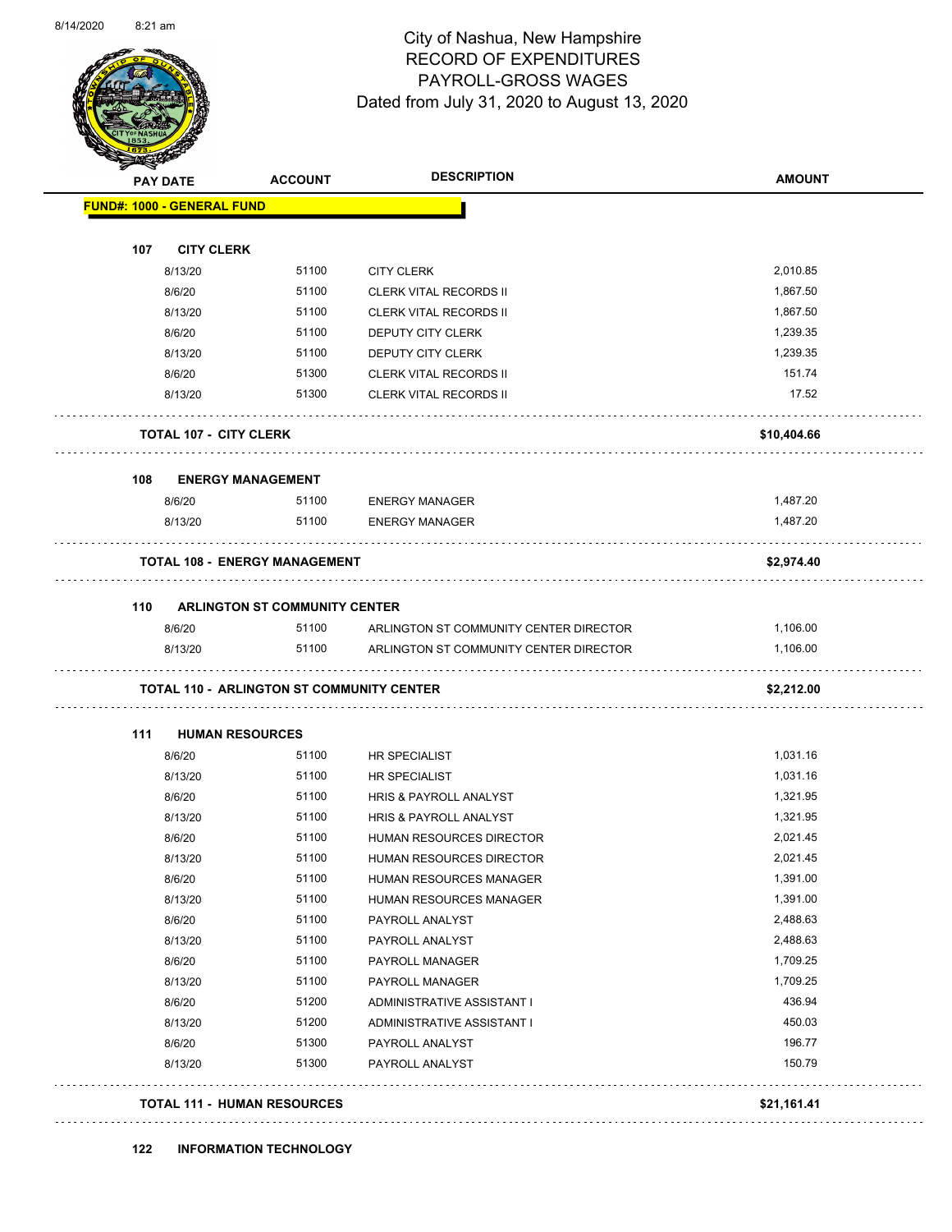#### City of Nashua, New Hampshire RECORD OF EXPENDITURES PAYROLL-GROSS WAGES Dated from July 31, 2020 to August 13, 2020

Page 36 of 83

| <b>FUND#: 1000 - GENERAL FUND</b><br>107<br><b>CITY CLERK</b><br>2,010.85<br>51100<br>8/13/20<br><b>CITY CLERK</b><br>51100<br>1,867.50<br>8/6/20<br><b>CLERK VITAL RECORDS II</b><br>8/13/20<br>51100<br>1,867.50<br><b>CLERK VITAL RECORDS II</b><br>8/6/20<br>1,239.35<br>51100<br>DEPUTY CITY CLERK<br>1,239.35<br>8/13/20<br>51100<br><b>DEPUTY CITY CLERK</b><br>151.74<br>51300<br>8/6/20<br><b>CLERK VITAL RECORDS II</b><br>51300<br>17.52<br>8/13/20<br><b>CLERK VITAL RECORDS II</b><br><b>TOTAL 107 - CITY CLERK</b><br>\$10,404.66<br>108<br><b>ENERGY MANAGEMENT</b><br>51100<br>1,487.20<br>8/6/20<br><b>ENERGY MANAGER</b><br>1,487.20<br>8/13/20<br>51100<br><b>ENERGY MANAGER</b><br><b>TOTAL 108 - ENERGY MANAGEMENT</b><br>\$2,974.40<br>110<br><b>ARLINGTON ST COMMUNITY CENTER</b><br>8/6/20<br>51100<br>1,106.00<br>ARLINGTON ST COMMUNITY CENTER DIRECTOR<br>51100<br>1,106.00<br>8/13/20<br>ARLINGTON ST COMMUNITY CENTER DIRECTOR<br>TOTAL 110 - ARLINGTON ST COMMUNITY CENTER<br>\$2,212.00<br><b>HUMAN RESOURCES</b><br>111<br>51100<br>1,031.16<br>8/6/20<br><b>HR SPECIALIST</b><br>1,031.16<br>8/13/20<br>51100<br>HR SPECIALIST<br>51100<br>1,321.95<br>8/6/20<br>HRIS & PAYROLL ANALYST<br>1,321.95<br>8/13/20<br>51100<br>HRIS & PAYROLL ANALYST<br>8/6/20<br>51100<br>HUMAN RESOURCES DIRECTOR<br>2,021.45<br>2,021.45<br>51100<br>8/13/20<br>HUMAN RESOURCES DIRECTOR<br>51100<br>1,391.00<br>8/6/20<br>HUMAN RESOURCES MANAGER<br>51100<br>1,391.00<br>8/13/20<br>HUMAN RESOURCES MANAGER<br>8/6/20<br>51100<br>2,488.63<br>PAYROLL ANALYST<br>2,488.63<br>8/13/20<br>51100<br>PAYROLL ANALYST<br>51100<br>1,709.25<br>8/6/20<br>PAYROLL MANAGER<br>1,709.25<br>51100<br>8/13/20<br>PAYROLL MANAGER<br>436.94<br>51200<br>8/6/20<br>ADMINISTRATIVE ASSISTANT I<br>450.03<br>8/13/20<br>51200<br>ADMINISTRATIVE ASSISTANT I<br>196.77<br>8/6/20<br>51300<br>PAYROLL ANALYST<br>51300<br>150.79<br>8/13/20<br>PAYROLL ANALYST | <b>PAY DATE</b> | <b>ACCOUNT</b> | <b>DESCRIPTION</b> | <b>AMOUNT</b> |
|------------------------------------------------------------------------------------------------------------------------------------------------------------------------------------------------------------------------------------------------------------------------------------------------------------------------------------------------------------------------------------------------------------------------------------------------------------------------------------------------------------------------------------------------------------------------------------------------------------------------------------------------------------------------------------------------------------------------------------------------------------------------------------------------------------------------------------------------------------------------------------------------------------------------------------------------------------------------------------------------------------------------------------------------------------------------------------------------------------------------------------------------------------------------------------------------------------------------------------------------------------------------------------------------------------------------------------------------------------------------------------------------------------------------------------------------------------------------------------------------------------------------------------------------------------------------------------------------------------------------------------------------------------------------------------------------------------------------------------------------------------------------------------------------------------------------------------------------------------------------------------------------------------------------------------------------------------------|-----------------|----------------|--------------------|---------------|
|                                                                                                                                                                                                                                                                                                                                                                                                                                                                                                                                                                                                                                                                                                                                                                                                                                                                                                                                                                                                                                                                                                                                                                                                                                                                                                                                                                                                                                                                                                                                                                                                                                                                                                                                                                                                                                                                                                                                                                  |                 |                |                    |               |
|                                                                                                                                                                                                                                                                                                                                                                                                                                                                                                                                                                                                                                                                                                                                                                                                                                                                                                                                                                                                                                                                                                                                                                                                                                                                                                                                                                                                                                                                                                                                                                                                                                                                                                                                                                                                                                                                                                                                                                  |                 |                |                    |               |
|                                                                                                                                                                                                                                                                                                                                                                                                                                                                                                                                                                                                                                                                                                                                                                                                                                                                                                                                                                                                                                                                                                                                                                                                                                                                                                                                                                                                                                                                                                                                                                                                                                                                                                                                                                                                                                                                                                                                                                  |                 |                |                    |               |
|                                                                                                                                                                                                                                                                                                                                                                                                                                                                                                                                                                                                                                                                                                                                                                                                                                                                                                                                                                                                                                                                                                                                                                                                                                                                                                                                                                                                                                                                                                                                                                                                                                                                                                                                                                                                                                                                                                                                                                  |                 |                |                    |               |
|                                                                                                                                                                                                                                                                                                                                                                                                                                                                                                                                                                                                                                                                                                                                                                                                                                                                                                                                                                                                                                                                                                                                                                                                                                                                                                                                                                                                                                                                                                                                                                                                                                                                                                                                                                                                                                                                                                                                                                  |                 |                |                    |               |
|                                                                                                                                                                                                                                                                                                                                                                                                                                                                                                                                                                                                                                                                                                                                                                                                                                                                                                                                                                                                                                                                                                                                                                                                                                                                                                                                                                                                                                                                                                                                                                                                                                                                                                                                                                                                                                                                                                                                                                  |                 |                |                    |               |
|                                                                                                                                                                                                                                                                                                                                                                                                                                                                                                                                                                                                                                                                                                                                                                                                                                                                                                                                                                                                                                                                                                                                                                                                                                                                                                                                                                                                                                                                                                                                                                                                                                                                                                                                                                                                                                                                                                                                                                  |                 |                |                    |               |
|                                                                                                                                                                                                                                                                                                                                                                                                                                                                                                                                                                                                                                                                                                                                                                                                                                                                                                                                                                                                                                                                                                                                                                                                                                                                                                                                                                                                                                                                                                                                                                                                                                                                                                                                                                                                                                                                                                                                                                  |                 |                |                    |               |
|                                                                                                                                                                                                                                                                                                                                                                                                                                                                                                                                                                                                                                                                                                                                                                                                                                                                                                                                                                                                                                                                                                                                                                                                                                                                                                                                                                                                                                                                                                                                                                                                                                                                                                                                                                                                                                                                                                                                                                  |                 |                |                    |               |
|                                                                                                                                                                                                                                                                                                                                                                                                                                                                                                                                                                                                                                                                                                                                                                                                                                                                                                                                                                                                                                                                                                                                                                                                                                                                                                                                                                                                                                                                                                                                                                                                                                                                                                                                                                                                                                                                                                                                                                  |                 |                |                    |               |
|                                                                                                                                                                                                                                                                                                                                                                                                                                                                                                                                                                                                                                                                                                                                                                                                                                                                                                                                                                                                                                                                                                                                                                                                                                                                                                                                                                                                                                                                                                                                                                                                                                                                                                                                                                                                                                                                                                                                                                  |                 |                |                    |               |
|                                                                                                                                                                                                                                                                                                                                                                                                                                                                                                                                                                                                                                                                                                                                                                                                                                                                                                                                                                                                                                                                                                                                                                                                                                                                                                                                                                                                                                                                                                                                                                                                                                                                                                                                                                                                                                                                                                                                                                  |                 |                |                    |               |
|                                                                                                                                                                                                                                                                                                                                                                                                                                                                                                                                                                                                                                                                                                                                                                                                                                                                                                                                                                                                                                                                                                                                                                                                                                                                                                                                                                                                                                                                                                                                                                                                                                                                                                                                                                                                                                                                                                                                                                  |                 |                |                    |               |
|                                                                                                                                                                                                                                                                                                                                                                                                                                                                                                                                                                                                                                                                                                                                                                                                                                                                                                                                                                                                                                                                                                                                                                                                                                                                                                                                                                                                                                                                                                                                                                                                                                                                                                                                                                                                                                                                                                                                                                  |                 |                |                    |               |
|                                                                                                                                                                                                                                                                                                                                                                                                                                                                                                                                                                                                                                                                                                                                                                                                                                                                                                                                                                                                                                                                                                                                                                                                                                                                                                                                                                                                                                                                                                                                                                                                                                                                                                                                                                                                                                                                                                                                                                  |                 |                |                    |               |
|                                                                                                                                                                                                                                                                                                                                                                                                                                                                                                                                                                                                                                                                                                                                                                                                                                                                                                                                                                                                                                                                                                                                                                                                                                                                                                                                                                                                                                                                                                                                                                                                                                                                                                                                                                                                                                                                                                                                                                  |                 |                |                    |               |
|                                                                                                                                                                                                                                                                                                                                                                                                                                                                                                                                                                                                                                                                                                                                                                                                                                                                                                                                                                                                                                                                                                                                                                                                                                                                                                                                                                                                                                                                                                                                                                                                                                                                                                                                                                                                                                                                                                                                                                  |                 |                |                    |               |
|                                                                                                                                                                                                                                                                                                                                                                                                                                                                                                                                                                                                                                                                                                                                                                                                                                                                                                                                                                                                                                                                                                                                                                                                                                                                                                                                                                                                                                                                                                                                                                                                                                                                                                                                                                                                                                                                                                                                                                  |                 |                |                    |               |
|                                                                                                                                                                                                                                                                                                                                                                                                                                                                                                                                                                                                                                                                                                                                                                                                                                                                                                                                                                                                                                                                                                                                                                                                                                                                                                                                                                                                                                                                                                                                                                                                                                                                                                                                                                                                                                                                                                                                                                  |                 |                |                    |               |
|                                                                                                                                                                                                                                                                                                                                                                                                                                                                                                                                                                                                                                                                                                                                                                                                                                                                                                                                                                                                                                                                                                                                                                                                                                                                                                                                                                                                                                                                                                                                                                                                                                                                                                                                                                                                                                                                                                                                                                  |                 |                |                    |               |
|                                                                                                                                                                                                                                                                                                                                                                                                                                                                                                                                                                                                                                                                                                                                                                                                                                                                                                                                                                                                                                                                                                                                                                                                                                                                                                                                                                                                                                                                                                                                                                                                                                                                                                                                                                                                                                                                                                                                                                  |                 |                |                    |               |
|                                                                                                                                                                                                                                                                                                                                                                                                                                                                                                                                                                                                                                                                                                                                                                                                                                                                                                                                                                                                                                                                                                                                                                                                                                                                                                                                                                                                                                                                                                                                                                                                                                                                                                                                                                                                                                                                                                                                                                  |                 |                |                    |               |
|                                                                                                                                                                                                                                                                                                                                                                                                                                                                                                                                                                                                                                                                                                                                                                                                                                                                                                                                                                                                                                                                                                                                                                                                                                                                                                                                                                                                                                                                                                                                                                                                                                                                                                                                                                                                                                                                                                                                                                  |                 |                |                    |               |
|                                                                                                                                                                                                                                                                                                                                                                                                                                                                                                                                                                                                                                                                                                                                                                                                                                                                                                                                                                                                                                                                                                                                                                                                                                                                                                                                                                                                                                                                                                                                                                                                                                                                                                                                                                                                                                                                                                                                                                  |                 |                |                    |               |
|                                                                                                                                                                                                                                                                                                                                                                                                                                                                                                                                                                                                                                                                                                                                                                                                                                                                                                                                                                                                                                                                                                                                                                                                                                                                                                                                                                                                                                                                                                                                                                                                                                                                                                                                                                                                                                                                                                                                                                  |                 |                |                    |               |
|                                                                                                                                                                                                                                                                                                                                                                                                                                                                                                                                                                                                                                                                                                                                                                                                                                                                                                                                                                                                                                                                                                                                                                                                                                                                                                                                                                                                                                                                                                                                                                                                                                                                                                                                                                                                                                                                                                                                                                  |                 |                |                    |               |
|                                                                                                                                                                                                                                                                                                                                                                                                                                                                                                                                                                                                                                                                                                                                                                                                                                                                                                                                                                                                                                                                                                                                                                                                                                                                                                                                                                                                                                                                                                                                                                                                                                                                                                                                                                                                                                                                                                                                                                  |                 |                |                    |               |
|                                                                                                                                                                                                                                                                                                                                                                                                                                                                                                                                                                                                                                                                                                                                                                                                                                                                                                                                                                                                                                                                                                                                                                                                                                                                                                                                                                                                                                                                                                                                                                                                                                                                                                                                                                                                                                                                                                                                                                  |                 |                |                    |               |
|                                                                                                                                                                                                                                                                                                                                                                                                                                                                                                                                                                                                                                                                                                                                                                                                                                                                                                                                                                                                                                                                                                                                                                                                                                                                                                                                                                                                                                                                                                                                                                                                                                                                                                                                                                                                                                                                                                                                                                  |                 |                |                    |               |
|                                                                                                                                                                                                                                                                                                                                                                                                                                                                                                                                                                                                                                                                                                                                                                                                                                                                                                                                                                                                                                                                                                                                                                                                                                                                                                                                                                                                                                                                                                                                                                                                                                                                                                                                                                                                                                                                                                                                                                  |                 |                |                    |               |
|                                                                                                                                                                                                                                                                                                                                                                                                                                                                                                                                                                                                                                                                                                                                                                                                                                                                                                                                                                                                                                                                                                                                                                                                                                                                                                                                                                                                                                                                                                                                                                                                                                                                                                                                                                                                                                                                                                                                                                  |                 |                |                    |               |
|                                                                                                                                                                                                                                                                                                                                                                                                                                                                                                                                                                                                                                                                                                                                                                                                                                                                                                                                                                                                                                                                                                                                                                                                                                                                                                                                                                                                                                                                                                                                                                                                                                                                                                                                                                                                                                                                                                                                                                  |                 |                |                    |               |
|                                                                                                                                                                                                                                                                                                                                                                                                                                                                                                                                                                                                                                                                                                                                                                                                                                                                                                                                                                                                                                                                                                                                                                                                                                                                                                                                                                                                                                                                                                                                                                                                                                                                                                                                                                                                                                                                                                                                                                  |                 |                |                    |               |
|                                                                                                                                                                                                                                                                                                                                                                                                                                                                                                                                                                                                                                                                                                                                                                                                                                                                                                                                                                                                                                                                                                                                                                                                                                                                                                                                                                                                                                                                                                                                                                                                                                                                                                                                                                                                                                                                                                                                                                  |                 |                |                    |               |
|                                                                                                                                                                                                                                                                                                                                                                                                                                                                                                                                                                                                                                                                                                                                                                                                                                                                                                                                                                                                                                                                                                                                                                                                                                                                                                                                                                                                                                                                                                                                                                                                                                                                                                                                                                                                                                                                                                                                                                  |                 |                |                    |               |
| <b>TOTAL 111 - HUMAN RESOURCES</b><br>\$21,161.41                                                                                                                                                                                                                                                                                                                                                                                                                                                                                                                                                                                                                                                                                                                                                                                                                                                                                                                                                                                                                                                                                                                                                                                                                                                                                                                                                                                                                                                                                                                                                                                                                                                                                                                                                                                                                                                                                                                |                 |                |                    |               |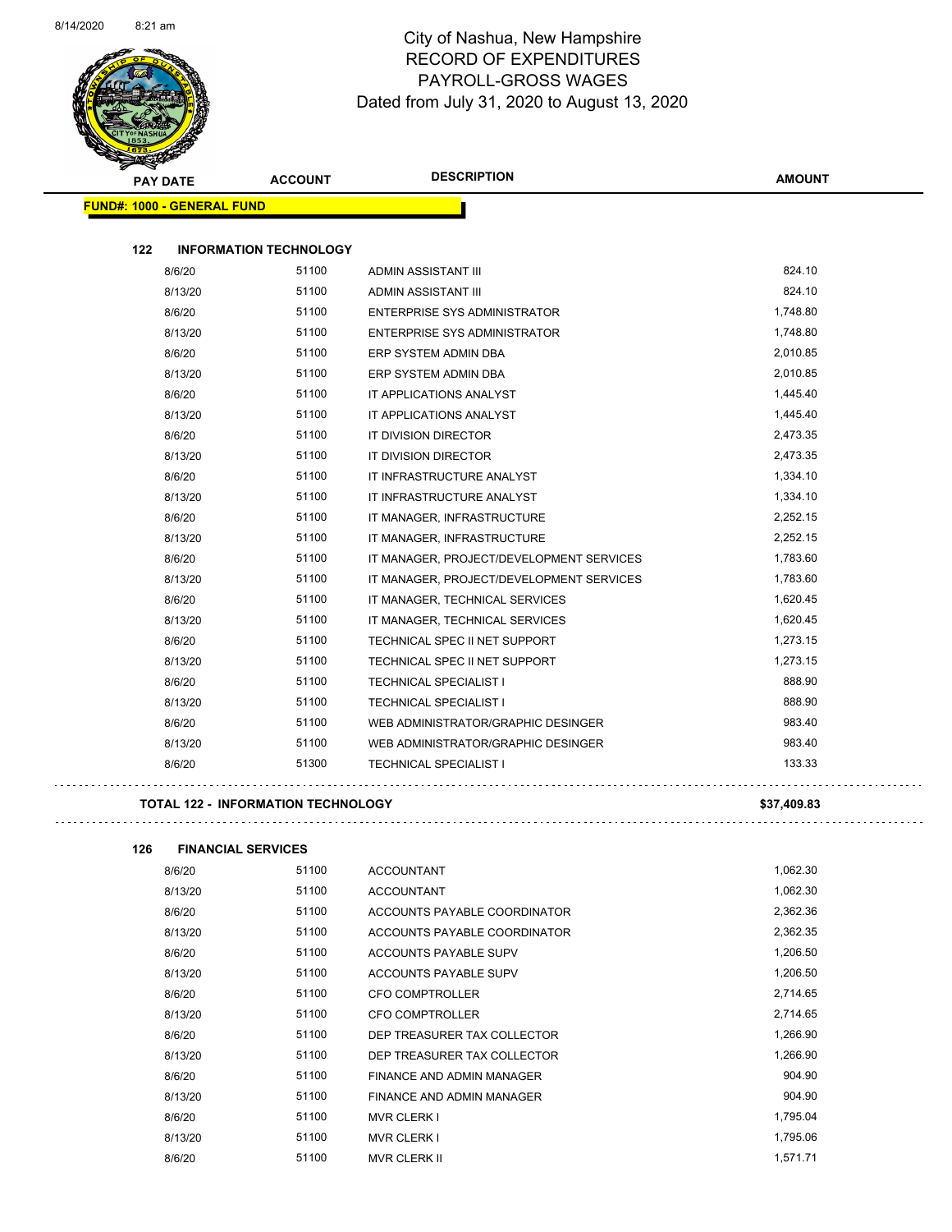

| PAY DATE                          | <b>ACCOUNT</b>                | <b>DESCRIPTION</b>                       | <b>AMOUNT</b> |
|-----------------------------------|-------------------------------|------------------------------------------|---------------|
| <b>FUND#: 1000 - GENERAL FUND</b> |                               |                                          |               |
| 122                               | <b>INFORMATION TECHNOLOGY</b> |                                          |               |
| 8/6/20                            | 51100                         | ADMIN ASSISTANT III                      | 824.10        |
| 8/13/20                           | 51100                         | ADMIN ASSISTANT III                      | 824.10        |
| 8/6/20                            | 51100                         | <b>ENTERPRISE SYS ADMINISTRATOR</b>      | 1,748.80      |
| 8/13/20                           | 51100                         | ENTERPRISE SYS ADMINISTRATOR             | 1,748.80      |
| 8/6/20                            | 51100                         | ERP SYSTEM ADMIN DBA                     | 2,010.85      |
| 8/13/20                           | 51100                         | ERP SYSTEM ADMIN DBA                     | 2,010.85      |
| 8/6/20                            | 51100                         | IT APPLICATIONS ANALYST                  | 1,445.40      |
| 8/13/20                           | 51100                         | IT APPLICATIONS ANALYST                  | 1,445.40      |
| 8/6/20                            | 51100                         | IT DIVISION DIRECTOR                     | 2,473.35      |
| 8/13/20                           | 51100                         | IT DIVISION DIRECTOR                     | 2,473.35      |
| 8/6/20                            | 51100                         | IT INFRASTRUCTURE ANALYST                | 1,334.10      |
| 8/13/20                           | 51100                         | IT INFRASTRUCTURE ANALYST                | 1,334.10      |
| 8/6/20                            | 51100                         | IT MANAGER, INFRASTRUCTURE               | 2,252.15      |
| 8/13/20                           | 51100                         | IT MANAGER, INFRASTRUCTURE               | 2,252.15      |
| 8/6/20                            | 51100                         | IT MANAGER, PROJECT/DEVELOPMENT SERVICES | 1,783.60      |
| 8/13/20                           | 51100                         | IT MANAGER, PROJECT/DEVELOPMENT SERVICES | 1,783.60      |
| 8/6/20                            | 51100                         | IT MANAGER, TECHNICAL SERVICES           | 1,620.45      |
| 8/13/20                           | 51100                         | IT MANAGER, TECHNICAL SERVICES           | 1,620.45      |
| 8/6/20                            | 51100                         | TECHNICAL SPEC II NET SUPPORT            | 1,273.15      |
| 8/13/20                           | 51100                         | TECHNICAL SPEC II NET SUPPORT            | 1,273.15      |
| 8/6/20                            | 51100                         | TECHNICAL SPECIALIST I                   | 888.90        |
| 8/13/20                           | 51100                         | <b>TECHNICAL SPECIALIST I</b>            | 888.90        |
| 8/6/20                            | 51100                         | WEB ADMINISTRATOR/GRAPHIC DESINGER       | 983.40        |
| 8/13/20                           | 51100                         | WEB ADMINISTRATOR/GRAPHIC DESINGER       | 983.40        |
| 8/6/20                            | 51300                         | <b>TECHNICAL SPECIALIST I</b>            | 133.33        |

#### **TOTAL 122 - INFORMATION TECHNOLOGY \$37,409.83**

| 126 | <b>FINANCIAL SERVICES</b> |       |                              |          |
|-----|---------------------------|-------|------------------------------|----------|
|     | 8/6/20                    | 51100 | <b>ACCOUNTANT</b>            | 1,062.30 |
|     | 8/13/20                   | 51100 | <b>ACCOUNTANT</b>            | 1,062.30 |
|     | 8/6/20                    | 51100 | ACCOUNTS PAYABLE COORDINATOR | 2,362.36 |
|     | 8/13/20                   | 51100 | ACCOUNTS PAYABLE COORDINATOR | 2,362.35 |
|     | 8/6/20                    | 51100 | ACCOUNTS PAYABLE SUPV        | 1,206.50 |
|     | 8/13/20                   | 51100 | <b>ACCOUNTS PAYABLE SUPV</b> | 1,206.50 |
|     | 8/6/20                    | 51100 | <b>CFO COMPTROLLER</b>       | 2,714.65 |
|     | 8/13/20                   | 51100 | <b>CFO COMPTROLLER</b>       | 2,714.65 |
|     | 8/6/20                    | 51100 | DEP TREASURER TAX COLLECTOR  | 1,266.90 |
|     | 8/13/20                   | 51100 | DEP TREASURER TAX COLLECTOR  | 1,266.90 |
|     | 8/6/20                    | 51100 | FINANCE AND ADMIN MANAGER    | 904.90   |
|     | 8/13/20                   | 51100 | FINANCE AND ADMIN MANAGER    | 904.90   |
|     | 8/6/20                    | 51100 | <b>MVR CLERK I</b>           | 1,795.04 |
|     | 8/13/20                   | 51100 | <b>MVR CLERK I</b>           | 1,795.06 |
|     | 8/6/20                    | 51100 | <b>MVR CLERK II</b>          | 1,571.71 |
|     |                           |       |                              |          |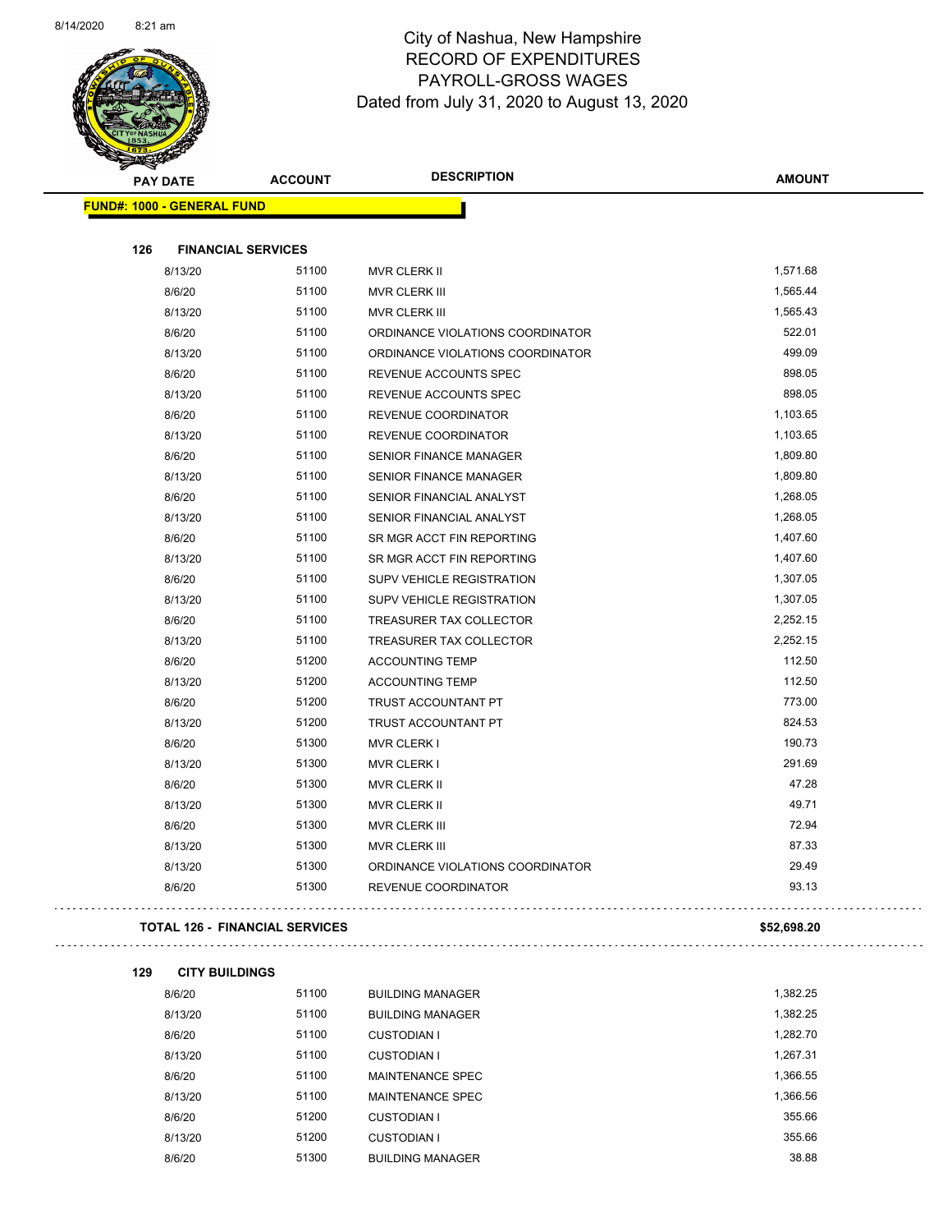$\overline{\phantom{0}}$ 



#### City of Nashua, New Hampshire RECORD OF EXPENDITURES PAYROLL-GROSS WAGES Dated from July 31, 2020 to August 13, 2020

| <b>PAY DATE</b>                   | <b>ACCOUNT</b>                        | <b>DESCRIPTION</b>               | <b>AMOUNT</b>      |
|-----------------------------------|---------------------------------------|----------------------------------|--------------------|
| <b>FUND#: 1000 - GENERAL FUND</b> |                                       |                                  |                    |
|                                   |                                       |                                  |                    |
| 126                               | <b>FINANCIAL SERVICES</b>             |                                  |                    |
| 8/13/20                           | 51100                                 | MVR CLERK II                     | 1,571.68           |
| 8/6/20                            | 51100                                 | MVR CLERK III                    | 1,565.44           |
| 8/13/20                           | 51100                                 | <b>MVR CLERK III</b>             | 1,565.43<br>522.01 |
| 8/6/20                            | 51100                                 | ORDINANCE VIOLATIONS COORDINATOR | 499.09             |
| 8/13/20                           | 51100                                 | ORDINANCE VIOLATIONS COORDINATOR | 898.05             |
| 8/6/20                            | 51100<br>51100                        | REVENUE ACCOUNTS SPEC            | 898.05             |
| 8/13/20                           |                                       | REVENUE ACCOUNTS SPEC            |                    |
| 8/6/20                            | 51100                                 | REVENUE COORDINATOR              | 1,103.65           |
| 8/13/20                           | 51100                                 | REVENUE COORDINATOR              | 1,103.65           |
| 8/6/20                            | 51100                                 | <b>SENIOR FINANCE MANAGER</b>    | 1,809.80           |
| 8/13/20                           | 51100                                 | <b>SENIOR FINANCE MANAGER</b>    | 1,809.80           |
| 8/6/20                            | 51100                                 | SENIOR FINANCIAL ANALYST         | 1,268.05           |
| 8/13/20                           | 51100                                 | SENIOR FINANCIAL ANALYST         | 1,268.05           |
| 8/6/20                            | 51100                                 | SR MGR ACCT FIN REPORTING        | 1,407.60           |
| 8/13/20                           | 51100                                 | SR MGR ACCT FIN REPORTING        | 1,407.60           |
| 8/6/20                            | 51100                                 | SUPV VEHICLE REGISTRATION        | 1,307.05           |
| 8/13/20                           | 51100                                 | SUPV VEHICLE REGISTRATION        | 1,307.05           |
| 8/6/20                            | 51100                                 | TREASURER TAX COLLECTOR          | 2,252.15           |
| 8/13/20                           | 51100                                 | TREASURER TAX COLLECTOR          | 2,252.15           |
| 8/6/20                            | 51200                                 | <b>ACCOUNTING TEMP</b>           | 112.50             |
| 8/13/20                           | 51200                                 | <b>ACCOUNTING TEMP</b>           | 112.50             |
| 8/6/20                            | 51200                                 | TRUST ACCOUNTANT PT              | 773.00             |
| 8/13/20                           | 51200                                 | TRUST ACCOUNTANT PT              | 824.53             |
| 8/6/20                            | 51300                                 | <b>MVR CLERK I</b>               | 190.73             |
| 8/13/20                           | 51300                                 | <b>MVR CLERK I</b>               | 291.69             |
| 8/6/20                            | 51300                                 | MVR CLERK II                     | 47.28              |
| 8/13/20                           | 51300                                 | MVR CLERK II                     | 49.71              |
| 8/6/20                            | 51300                                 | MVR CLERK III                    | 72.94              |
| 8/13/20                           | 51300                                 | MVR CLERK III                    | 87.33              |
| 8/13/20                           | 51300                                 | ORDINANCE VIOLATIONS COORDINATOR | 29.49              |
| 8/6/20                            | 51300                                 | REVENUE COORDINATOR              | 93.13              |
|                                   | <b>TOTAL 126 - FINANCIAL SERVICES</b> |                                  | \$52,698.20        |
| 129<br><b>CITY BUILDINGS</b>      |                                       |                                  |                    |
| 8/6/20                            | 51100                                 | <b>BUILDING MANAGER</b>          | 1,382.25           |
| 8/13/20                           | 51100                                 | <b>BUILDING MANAGER</b>          | 1,382.25           |
| 8/6/20                            | 51100                                 | <b>CUSTODIAN I</b>               | 1,282.70           |
| 8/13/20                           | 51100                                 | <b>CUSTODIAN I</b>               | 1,267.31           |
| 8/6/20                            | 51100                                 | MAINTENANCE SPEC                 | 1,366.55           |
| 8/13/20                           | 51100                                 | MAINTENANCE SPEC                 | 1,366.56           |
| 8/6/20                            | 51200                                 | <b>CUSTODIAN I</b>               | 355.66             |
|                                   |                                       |                                  |                    |

8/13/20 51200 CUSTODIAN I 355.66 8/6/20 51300 BUILDING MANAGER 38.88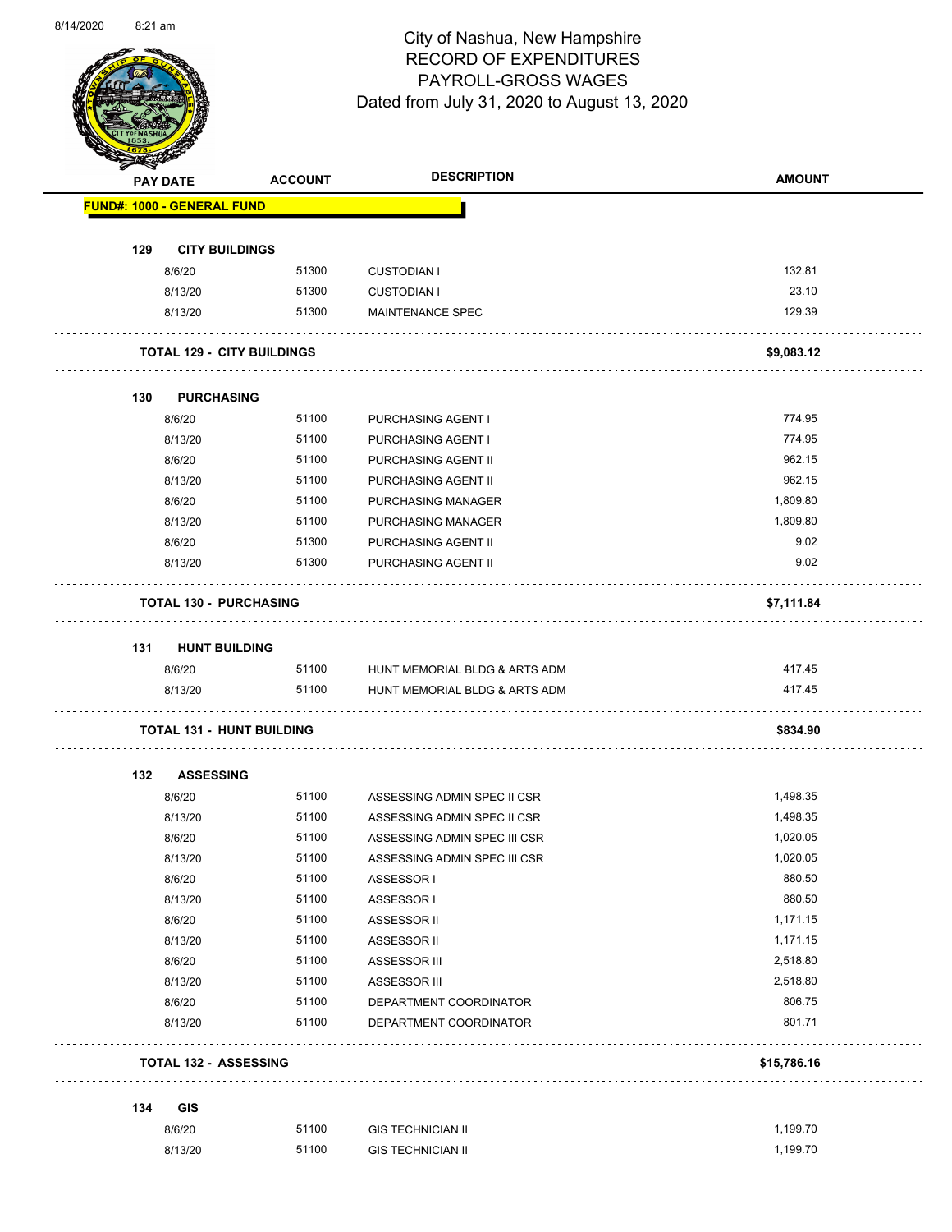

Page 39 of 83

|     | <b>PAY DATE</b>                   | <b>ACCOUNT</b> | <b>DESCRIPTION</b>            | <b>AMOUNT</b> |
|-----|-----------------------------------|----------------|-------------------------------|---------------|
|     | <b>FUND#: 1000 - GENERAL FUND</b> |                |                               |               |
| 129 | <b>CITY BUILDINGS</b>             |                |                               |               |
|     | 8/6/20                            | 51300          | <b>CUSTODIAN I</b>            | 132.81        |
|     | 8/13/20                           | 51300          | <b>CUSTODIAN I</b>            | 23.10         |
|     | 8/13/20                           | 51300          | <b>MAINTENANCE SPEC</b>       | 129.39        |
|     |                                   |                |                               |               |
|     | <b>TOTAL 129 - CITY BUILDINGS</b> |                |                               | \$9,083.12    |
| 130 | <b>PURCHASING</b>                 |                |                               |               |
|     | 8/6/20                            | 51100          | PURCHASING AGENT I            | 774.95        |
|     | 8/13/20                           | 51100          | PURCHASING AGENT I            | 774.95        |
|     | 8/6/20                            | 51100          | PURCHASING AGENT II           | 962.15        |
|     | 8/13/20                           | 51100          | PURCHASING AGENT II           | 962.15        |
|     | 8/6/20                            | 51100          | <b>PURCHASING MANAGER</b>     | 1,809.80      |
|     | 8/13/20                           | 51100          | PURCHASING MANAGER            | 1,809.80      |
|     | 8/6/20                            | 51300          | PURCHASING AGENT II           | 9.02          |
|     | 8/13/20                           | 51300          | PURCHASING AGENT II           | 9.02          |
|     |                                   |                |                               |               |
|     | <b>TOTAL 130 - PURCHASING</b>     |                |                               | \$7,111.84    |
| 131 | <b>HUNT BUILDING</b>              |                |                               |               |
|     | 8/6/20                            | 51100          | HUNT MEMORIAL BLDG & ARTS ADM | 417.45        |
|     | 8/13/20                           | 51100          | HUNT MEMORIAL BLDG & ARTS ADM | 417.45        |
|     | <b>TOTAL 131 - HUNT BUILDING</b>  |                |                               | \$834.90      |
|     |                                   |                |                               |               |
| 132 | <b>ASSESSING</b><br>8/6/20        | 51100          |                               | 1,498.35      |
|     |                                   |                | ASSESSING ADMIN SPEC II CSR   |               |
|     | 8/13/20                           | 51100          | ASSESSING ADMIN SPEC II CSR   | 1,498.35      |
|     | 8/6/20                            | 51100          | ASSESSING ADMIN SPEC III CSR  | 1,020.05      |
|     | 8/13/20                           | 51100          | ASSESSING ADMIN SPEC III CSR  | 1,020.05      |
|     | 8/6/20                            | 51100          | ASSESSOR I                    | 880.50        |
|     | 8/13/20                           | 51100          | ASSESSOR I                    | 880.50        |
|     | 8/6/20                            | 51100          | ASSESSOR II                   | 1,171.15      |
|     | 8/13/20                           | 51100          | <b>ASSESSOR II</b>            | 1,171.15      |
|     | 8/6/20                            | 51100          | ASSESSOR III                  | 2,518.80      |
|     | 8/13/20                           | 51100          | ASSESSOR III                  | 2,518.80      |
|     | 8/6/20                            | 51100          | DEPARTMENT COORDINATOR        | 806.75        |
|     | 8/13/20                           | 51100          | DEPARTMENT COORDINATOR        | 801.71        |
|     | <b>TOTAL 132 - ASSESSING</b>      |                |                               | \$15,786.16   |
| 134 | <b>GIS</b>                        |                |                               |               |
|     | 8/6/20                            | 51100          | <b>GIS TECHNICIAN II</b>      | 1,199.70      |
|     |                                   |                |                               |               |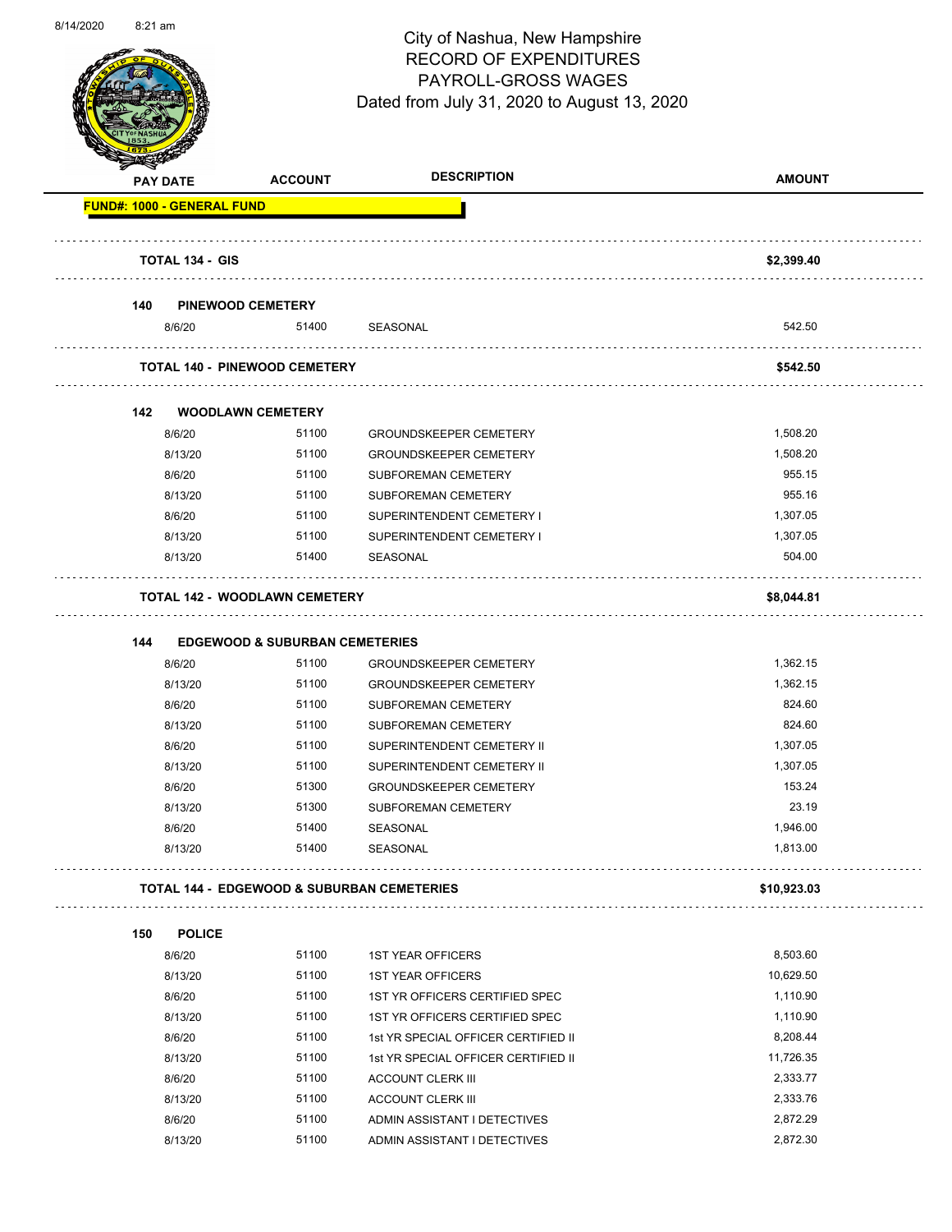

Page 40 of 83

|     | <b>PAY DATE</b>                   | <b>ACCOUNT</b>                            | <b>DESCRIPTION</b>                                       | <b>AMOUNT</b>        |
|-----|-----------------------------------|-------------------------------------------|----------------------------------------------------------|----------------------|
|     | <b>FUND#: 1000 - GENERAL FUND</b> |                                           |                                                          |                      |
|     | <b>TOTAL 134 - GIS</b>            |                                           |                                                          | \$2,399.40           |
|     |                                   |                                           |                                                          |                      |
| 140 |                                   | <b>PINEWOOD CEMETERY</b>                  |                                                          |                      |
|     | 8/6/20                            | 51400                                     | SEASONAL                                                 | 542.50               |
|     |                                   | <b>TOTAL 140 - PINEWOOD CEMETERY</b>      |                                                          | \$542.50             |
|     |                                   |                                           |                                                          |                      |
| 142 |                                   | <b>WOODLAWN CEMETERY</b>                  |                                                          |                      |
|     | 8/6/20                            | 51100                                     | <b>GROUNDSKEEPER CEMETERY</b>                            | 1,508.20             |
|     | 8/13/20                           | 51100                                     | <b>GROUNDSKEEPER CEMETERY</b>                            | 1,508.20             |
|     | 8/6/20                            | 51100                                     | SUBFOREMAN CEMETERY                                      | 955.15               |
|     | 8/13/20                           | 51100                                     | SUBFOREMAN CEMETERY                                      | 955.16               |
|     | 8/6/20                            | 51100                                     | SUPERINTENDENT CEMETERY I                                | 1,307.05             |
|     | 8/13/20                           | 51100                                     | SUPERINTENDENT CEMETERY I                                | 1,307.05             |
|     | 8/13/20                           | 51400                                     | <b>SEASONAL</b>                                          | 504.00               |
|     |                                   | <b>TOTAL 142 - WOODLAWN CEMETERY</b>      |                                                          | \$8,044.81           |
|     |                                   |                                           |                                                          |                      |
| 144 |                                   | <b>EDGEWOOD &amp; SUBURBAN CEMETERIES</b> |                                                          |                      |
|     |                                   |                                           |                                                          |                      |
|     | 8/6/20                            | 51100                                     | <b>GROUNDSKEEPER CEMETERY</b>                            | 1,362.15             |
|     | 8/13/20                           | 51100                                     | <b>GROUNDSKEEPER CEMETERY</b>                            | 1,362.15             |
|     | 8/6/20                            | 51100                                     | <b>SUBFOREMAN CEMETERY</b>                               | 824.60               |
|     | 8/13/20                           | 51100                                     | SUBFOREMAN CEMETERY                                      | 824.60               |
|     | 8/6/20                            | 51100                                     | SUPERINTENDENT CEMETERY II                               | 1,307.05             |
|     | 8/13/20                           | 51100                                     | SUPERINTENDENT CEMETERY II                               | 1,307.05             |
|     | 8/6/20                            | 51300                                     | <b>GROUNDSKEEPER CEMETERY</b>                            | 153.24               |
|     | 8/13/20                           | 51300                                     | SUBFOREMAN CEMETERY                                      | 23.19                |
|     | 8/6/20                            | 51400                                     | SEASONAL                                                 | 1,946.00             |
|     | 8/13/20                           | 51400                                     | SEASONAL                                                 | 1,813.00             |
|     |                                   |                                           | <b>TOTAL 144 - EDGEWOOD &amp; SUBURBAN CEMETERIES</b>    | \$10,923.03          |
| 150 | <b>POLICE</b>                     |                                           |                                                          |                      |
|     | 8/6/20                            | 51100                                     | <b>1ST YEAR OFFICERS</b>                                 | 8,503.60             |
|     | 8/13/20                           | 51100                                     | <b>1ST YEAR OFFICERS</b>                                 | 10,629.50            |
|     | 8/6/20                            | 51100                                     | 1ST YR OFFICERS CERTIFIED SPEC                           | 1,110.90             |
|     | 8/13/20                           | 51100                                     | 1ST YR OFFICERS CERTIFIED SPEC                           | 1,110.90             |
|     | 8/6/20                            | 51100                                     | 1st YR SPECIAL OFFICER CERTIFIED II                      | 8,208.44             |
|     |                                   | 51100                                     |                                                          | 11,726.35            |
|     | 8/13/20<br>8/6/20                 | 51100                                     | 1st YR SPECIAL OFFICER CERTIFIED II                      | 2,333.77             |
|     |                                   |                                           | <b>ACCOUNT CLERK III</b>                                 |                      |
|     | 8/13/20<br>8/6/20                 | 51100<br>51100                            | <b>ACCOUNT CLERK III</b><br>ADMIN ASSISTANT I DETECTIVES | 2,333.76<br>2,872.29 |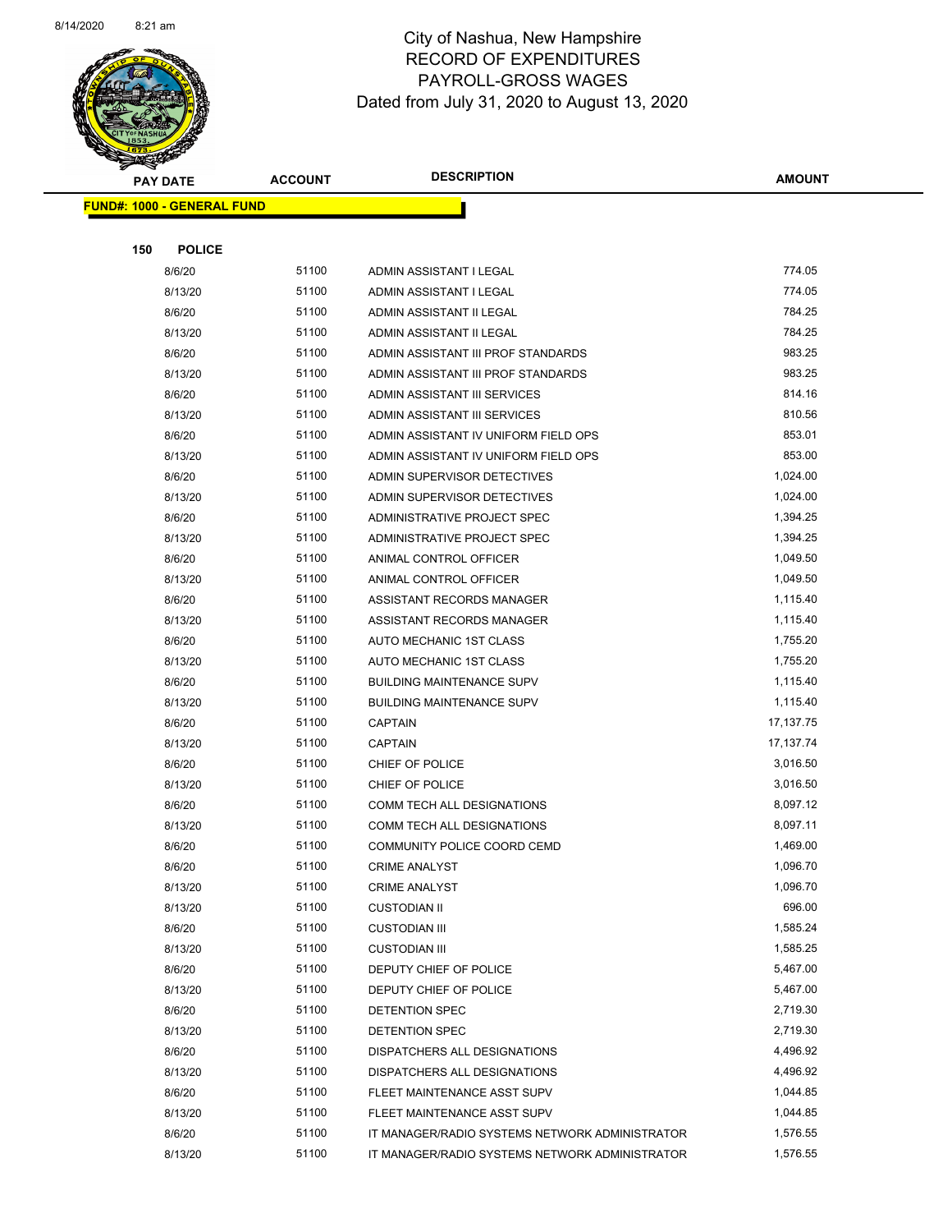

| <b>PAY DATE</b>                   | <b>ACCOUNT</b> | <b>DESCRIPTION</b>                             | <b>AMOUNT</b> |
|-----------------------------------|----------------|------------------------------------------------|---------------|
| <b>FUND#: 1000 - GENERAL FUND</b> |                |                                                |               |
|                                   |                |                                                |               |
| 150<br><b>POLICE</b>              |                |                                                |               |
| 8/6/20                            | 51100          | ADMIN ASSISTANT I LEGAL                        | 774.05        |
| 8/13/20                           | 51100          | ADMIN ASSISTANT I LEGAL                        | 774.05        |
| 8/6/20                            | 51100          | ADMIN ASSISTANT II LEGAL                       | 784.25        |
| 8/13/20                           | 51100          | ADMIN ASSISTANT II LEGAL                       | 784.25        |
| 8/6/20                            | 51100          | ADMIN ASSISTANT III PROF STANDARDS             | 983.25        |
| 8/13/20                           | 51100          | ADMIN ASSISTANT III PROF STANDARDS             | 983.25        |
| 8/6/20                            | 51100          | ADMIN ASSISTANT III SERVICES                   | 814.16        |
| 8/13/20                           | 51100          | ADMIN ASSISTANT III SERVICES                   | 810.56        |
| 8/6/20                            | 51100          | ADMIN ASSISTANT IV UNIFORM FIELD OPS           | 853.01        |
| 8/13/20                           | 51100          | ADMIN ASSISTANT IV UNIFORM FIELD OPS           | 853.00        |
| 8/6/20                            | 51100          | ADMIN SUPERVISOR DETECTIVES                    | 1,024.00      |
| 8/13/20                           | 51100          | ADMIN SUPERVISOR DETECTIVES                    | 1,024.00      |
| 8/6/20                            | 51100          | ADMINISTRATIVE PROJECT SPEC                    | 1,394.25      |
| 8/13/20                           | 51100          | ADMINISTRATIVE PROJECT SPEC                    | 1,394.25      |
| 8/6/20                            | 51100          | ANIMAL CONTROL OFFICER                         | 1,049.50      |
| 8/13/20                           | 51100          | ANIMAL CONTROL OFFICER                         | 1,049.50      |
| 8/6/20                            | 51100          | ASSISTANT RECORDS MANAGER                      | 1,115.40      |
| 8/13/20                           | 51100          | ASSISTANT RECORDS MANAGER                      | 1,115.40      |
| 8/6/20                            | 51100          | AUTO MECHANIC 1ST CLASS                        | 1,755.20      |
| 8/13/20                           | 51100          | AUTO MECHANIC 1ST CLASS                        | 1,755.20      |
| 8/6/20                            | 51100          | <b>BUILDING MAINTENANCE SUPV</b>               | 1,115.40      |
| 8/13/20                           | 51100          | <b>BUILDING MAINTENANCE SUPV</b>               | 1,115.40      |
| 8/6/20                            | 51100          | <b>CAPTAIN</b>                                 | 17, 137. 75   |
| 8/13/20                           | 51100          | <b>CAPTAIN</b>                                 | 17, 137. 74   |
| 8/6/20                            | 51100          | CHIEF OF POLICE                                | 3,016.50      |
| 8/13/20                           | 51100          | CHIEF OF POLICE                                | 3,016.50      |
| 8/6/20                            | 51100          | COMM TECH ALL DESIGNATIONS                     | 8,097.12      |
| 8/13/20                           | 51100          | <b>COMM TECH ALL DESIGNATIONS</b>              | 8,097.11      |
| 8/6/20                            | 51100          | COMMUNITY POLICE COORD CEMD                    | 1,469.00      |
| 8/6/20                            | 51100          | CRIME ANALYST                                  | 1,096.70      |
| 8/13/20                           | 51100          | <b>CRIME ANALYST</b>                           | 1,096.70      |
| 8/13/20                           | 51100          | <b>CUSTODIAN II</b>                            | 696.00        |
| 8/6/20                            | 51100          | <b>CUSTODIAN III</b>                           | 1,585.24      |
| 8/13/20                           | 51100          | <b>CUSTODIAN III</b>                           | 1,585.25      |
| 8/6/20                            | 51100          | DEPUTY CHIEF OF POLICE                         | 5,467.00      |
| 8/13/20                           | 51100          | DEPUTY CHIEF OF POLICE                         | 5,467.00      |
| 8/6/20                            | 51100          | <b>DETENTION SPEC</b>                          | 2,719.30      |
| 8/13/20                           | 51100          | DETENTION SPEC                                 | 2,719.30      |
| 8/6/20                            | 51100          | DISPATCHERS ALL DESIGNATIONS                   | 4,496.92      |
| 8/13/20                           | 51100          | DISPATCHERS ALL DESIGNATIONS                   | 4,496.92      |
| 8/6/20                            | 51100          | FLEET MAINTENANCE ASST SUPV                    | 1,044.85      |
| 8/13/20                           | 51100          | FLEET MAINTENANCE ASST SUPV                    | 1,044.85      |
| 8/6/20                            | 51100          | IT MANAGER/RADIO SYSTEMS NETWORK ADMINISTRATOR | 1,576.55      |
| 8/13/20                           | 51100          | IT MANAGER/RADIO SYSTEMS NETWORK ADMINISTRATOR | 1,576.55      |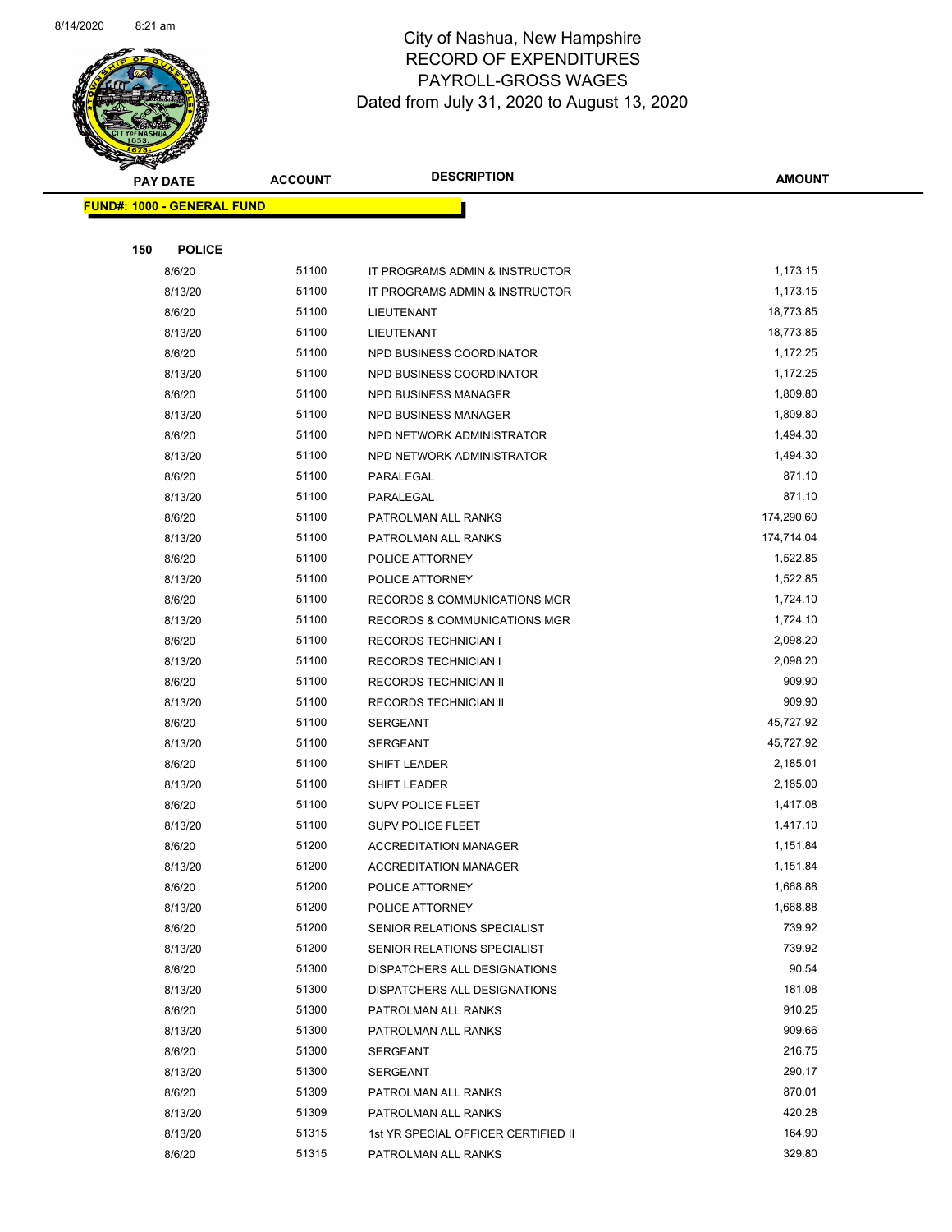

Page 42 of 83

| <b>STATE CARD</b>                 |                |                                         |               |
|-----------------------------------|----------------|-----------------------------------------|---------------|
| <b>PAY DATE</b>                   | <b>ACCOUNT</b> | <b>DESCRIPTION</b>                      | <b>AMOUNT</b> |
| <b>FUND#: 1000 - GENERAL FUND</b> |                |                                         |               |
|                                   |                |                                         |               |
| 150<br><b>POLICE</b>              |                |                                         |               |
| 8/6/20                            | 51100          | IT PROGRAMS ADMIN & INSTRUCTOR          | 1,173.15      |
| 8/13/20                           | 51100          | IT PROGRAMS ADMIN & INSTRUCTOR          | 1,173.15      |
| 8/6/20                            | 51100          | LIEUTENANT                              | 18,773.85     |
| 8/13/20                           | 51100          | LIEUTENANT                              | 18,773.85     |
| 8/6/20                            | 51100          | NPD BUSINESS COORDINATOR                | 1,172.25      |
| 8/13/20                           | 51100          | NPD BUSINESS COORDINATOR                | 1,172.25      |
| 8/6/20                            | 51100          | <b>NPD BUSINESS MANAGER</b>             | 1,809.80      |
| 8/13/20                           | 51100          | <b>NPD BUSINESS MANAGER</b>             | 1,809.80      |
| 8/6/20                            | 51100          | NPD NETWORK ADMINISTRATOR               | 1,494.30      |
| 8/13/20                           | 51100          | NPD NETWORK ADMINISTRATOR               | 1,494.30      |
| 8/6/20                            | 51100          | PARALEGAL                               | 871.10        |
| 8/13/20                           | 51100          | PARALEGAL                               | 871.10        |
| 8/6/20                            | 51100          | PATROLMAN ALL RANKS                     | 174,290.60    |
| 8/13/20                           | 51100          | PATROLMAN ALL RANKS                     | 174,714.04    |
| 8/6/20                            | 51100          | POLICE ATTORNEY                         | 1,522.85      |
| 8/13/20                           | 51100          | POLICE ATTORNEY                         | 1,522.85      |
| 8/6/20                            | 51100          | <b>RECORDS &amp; COMMUNICATIONS MGR</b> | 1,724.10      |
| 8/13/20                           | 51100          | <b>RECORDS &amp; COMMUNICATIONS MGR</b> | 1,724.10      |
| 8/6/20                            | 51100          | <b>RECORDS TECHNICIAN I</b>             | 2,098.20      |
| 8/13/20                           | 51100          | <b>RECORDS TECHNICIAN I</b>             | 2,098.20      |
| 8/6/20                            | 51100          | <b>RECORDS TECHNICIAN II</b>            | 909.90        |
| 8/13/20                           | 51100          | RECORDS TECHNICIAN II                   | 909.90        |
| 8/6/20                            | 51100          | <b>SERGEANT</b>                         | 45,727.92     |
| 8/13/20                           | 51100          | <b>SERGEANT</b>                         | 45,727.92     |
| 8/6/20                            | 51100          | SHIFT LEADER                            | 2,185.01      |
| 8/13/20                           | 51100          | SHIFT LEADER                            | 2,185.00      |
| 8/6/20                            | 51100          | <b>SUPV POLICE FLEET</b>                | 1,417.08      |
| 8/13/20                           | 51100          | <b>SUPV POLICE FLEET</b>                | 1,417.10      |
| 8/6/20                            | 51200          | <b>ACCREDITATION MANAGER</b>            | 1,151.84      |
| 8/13/20                           | 51200          | <b>ACCREDITATION MANAGER</b>            | 1,151.84      |
| 8/6/20                            | 51200          | POLICE ATTORNEY                         | 1,668.88      |
| 8/13/20                           | 51200          | POLICE ATTORNEY                         | 1,668.88      |
| 8/6/20                            | 51200          | SENIOR RELATIONS SPECIALIST             | 739.92        |
| 8/13/20                           | 51200          | SENIOR RELATIONS SPECIALIST             | 739.92        |
| 8/6/20                            | 51300          | DISPATCHERS ALL DESIGNATIONS            | 90.54         |
| 8/13/20                           | 51300          | DISPATCHERS ALL DESIGNATIONS            | 181.08        |
| 8/6/20                            | 51300          | PATROLMAN ALL RANKS                     | 910.25        |
| 8/13/20                           | 51300          | PATROLMAN ALL RANKS                     | 909.66        |
| 8/6/20                            | 51300          | SERGEANT                                | 216.75        |
| 8/13/20                           | 51300          | <b>SERGEANT</b>                         | 290.17        |
| 8/6/20                            | 51309          | PATROLMAN ALL RANKS                     | 870.01        |
| 8/13/20                           | 51309          | PATROLMAN ALL RANKS                     | 420.28        |
| 8/13/20                           | 51315          | 1st YR SPECIAL OFFICER CERTIFIED II     | 164.90        |
| 8/6/20                            | 51315          | PATROLMAN ALL RANKS                     | 329.80        |
|                                   |                |                                         |               |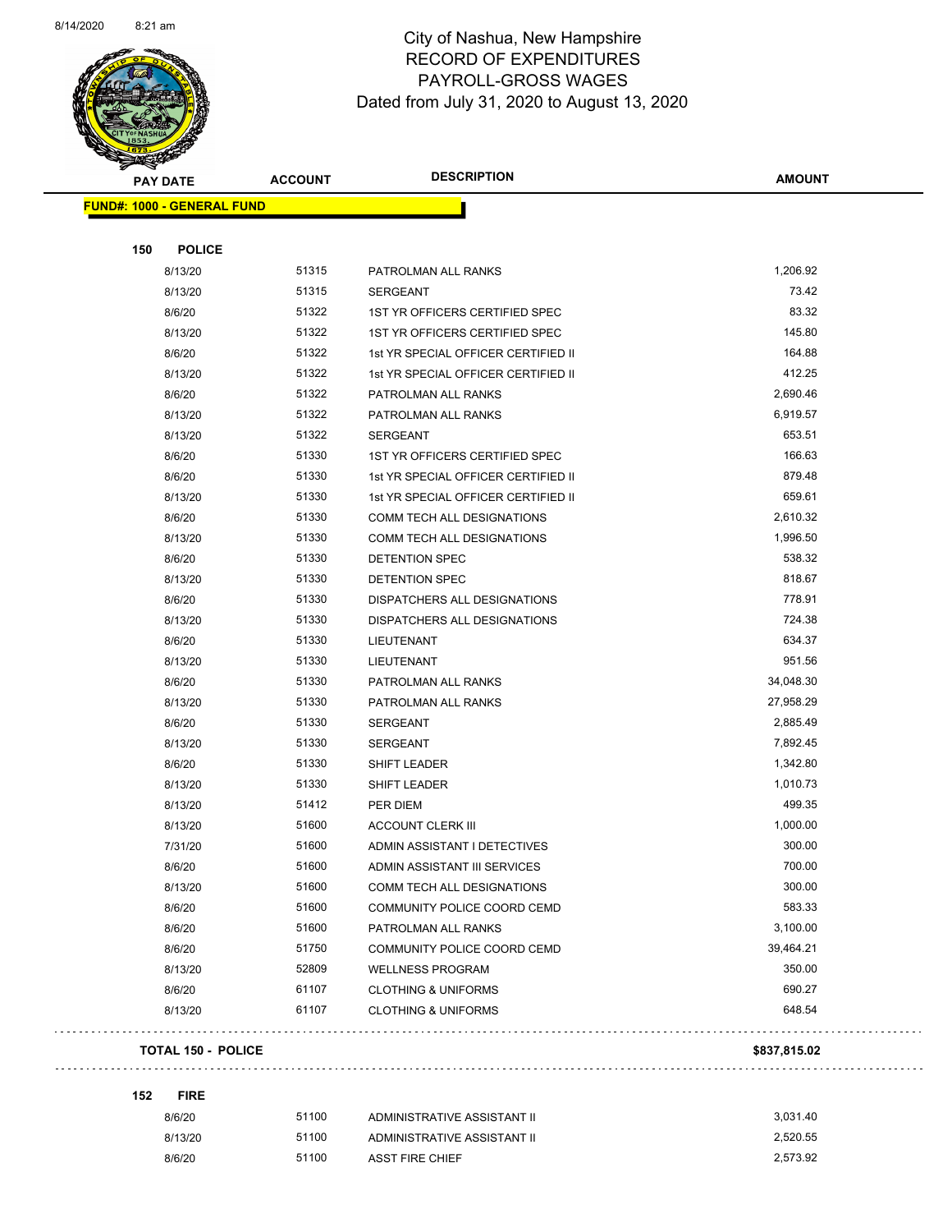$\overline{\phantom{0}}$ 



#### City of Nashua, New Hampshire RECORD OF EXPENDITURES PAYROLL-GROSS WAGES Dated from July 31, 2020 to August 13, 2020

Page 43 of 83

| <b>PAY DATE</b>                   | <b>ACCOUNT</b> | <b>DESCRIPTION</b>                  | <b>AMOUNT</b> |
|-----------------------------------|----------------|-------------------------------------|---------------|
| <b>FUND#: 1000 - GENERAL FUND</b> |                |                                     |               |
| <b>POLICE</b><br>150              |                |                                     |               |
| 8/13/20                           | 51315          | PATROLMAN ALL RANKS                 | 1,206.92      |
| 8/13/20                           | 51315          | <b>SERGEANT</b>                     | 73.42         |
| 8/6/20                            | 51322          | 1ST YR OFFICERS CERTIFIED SPEC      | 83.32         |
| 8/13/20                           | 51322          | 1ST YR OFFICERS CERTIFIED SPEC      | 145.80        |
| 8/6/20                            | 51322          | 1st YR SPECIAL OFFICER CERTIFIED II | 164.88        |
| 8/13/20                           | 51322          | 1st YR SPECIAL OFFICER CERTIFIED II | 412.25        |
| 8/6/20                            | 51322          | PATROLMAN ALL RANKS                 | 2,690.46      |
| 8/13/20                           | 51322          | PATROLMAN ALL RANKS                 | 6,919.57      |
| 8/13/20                           | 51322          | <b>SERGEANT</b>                     | 653.51        |
| 8/6/20                            | 51330          | 1ST YR OFFICERS CERTIFIED SPEC      | 166.63        |
| 8/6/20                            | 51330          | 1st YR SPECIAL OFFICER CERTIFIED II | 879.48        |
| 8/13/20                           | 51330          | 1st YR SPECIAL OFFICER CERTIFIED II | 659.61        |
| 8/6/20                            | 51330          | <b>COMM TECH ALL DESIGNATIONS</b>   | 2,610.32      |
| 8/13/20                           | 51330          | <b>COMM TECH ALL DESIGNATIONS</b>   | 1,996.50      |
| 8/6/20                            | 51330          | DETENTION SPEC                      | 538.32        |
| 8/13/20                           | 51330          | DETENTION SPEC                      | 818.67        |
| 8/6/20                            | 51330          | <b>DISPATCHERS ALL DESIGNATIONS</b> | 778.91        |
| 8/13/20                           | 51330          | DISPATCHERS ALL DESIGNATIONS        | 724.38        |
| 8/6/20                            | 51330          | LIEUTENANT                          | 634.37        |
| 8/13/20                           | 51330          | LIEUTENANT                          | 951.56        |
| 8/6/20                            | 51330          | PATROLMAN ALL RANKS                 | 34,048.30     |
| 8/13/20                           | 51330          | PATROLMAN ALL RANKS                 | 27,958.29     |
| 8/6/20                            | 51330          | <b>SERGEANT</b>                     | 2,885.49      |
| 8/13/20                           | 51330          | <b>SERGEANT</b>                     | 7,892.45      |
| 8/6/20                            | 51330          | SHIFT LEADER                        | 1,342.80      |
| 8/13/20                           | 51330          | <b>SHIFT LEADER</b>                 | 1,010.73      |
| 8/13/20                           | 51412          | PER DIEM                            | 499.35        |
| 8/13/20                           | 51600          | <b>ACCOUNT CLERK III</b>            | 1,000.00      |
| 7/31/20                           | 51600          | ADMIN ASSISTANT I DETECTIVES        | 300.00        |
| 8/6/20                            | 51600          | ADMIN ASSISTANT III SERVICES        | 700.00        |
| 8/13/20                           | 51600          | COMM TECH ALL DESIGNATIONS          | 300.00        |
| 8/6/20                            | 51600          | COMMUNITY POLICE COORD CEMD         | 583.33        |
| 8/6/20                            | 51600          | PATROLMAN ALL RANKS                 | 3,100.00      |
| 8/6/20                            | 51750          | COMMUNITY POLICE COORD CEMD         | 39,464.21     |
| 8/13/20                           | 52809          | <b>WELLNESS PROGRAM</b>             | 350.00        |
| 8/6/20                            | 61107          | <b>CLOTHING &amp; UNIFORMS</b>      | 690.27        |
| 8/13/20                           | 61107          | <b>CLOTHING &amp; UNIFORMS</b>      | 648.54        |
| <b>TOTAL 150 - POLICE</b>         |                |                                     | \$837,815.02  |

| 8/6/20  | 51100 | ADMINISTRATIVE ASSISTANT II | 3.031.40 |
|---------|-------|-----------------------------|----------|
| 8/13/20 | 51100 | ADMINISTRATIVE ASSISTANT II | 2.520.55 |
| 8/6/20  | 51100 | ASST FIRE CHIEF             | 2.573.92 |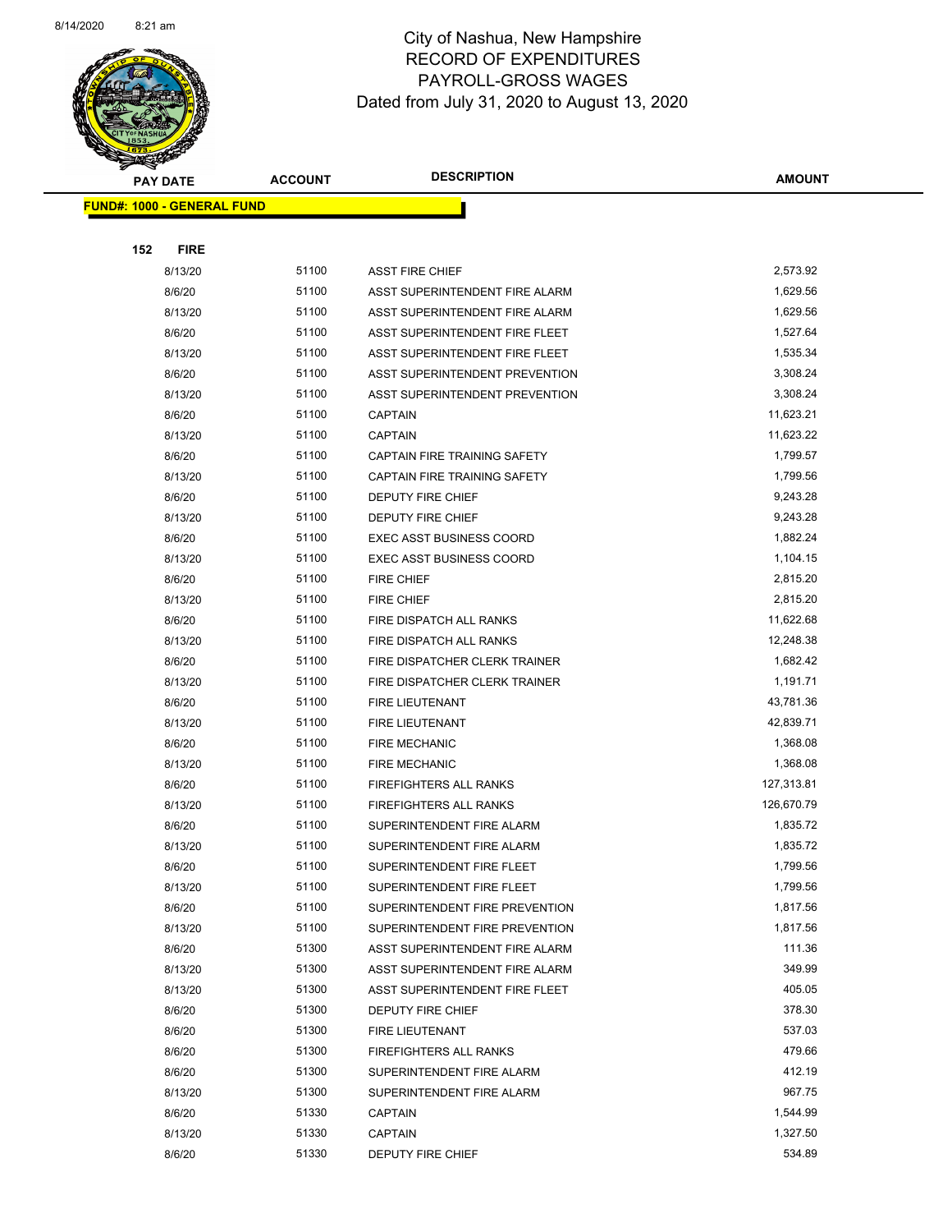

| B.                                | <b>PAY DATE</b> | <b>ACCOUNT</b> | <b>DESCRIPTION</b>              | <b>AMOUNT</b> |
|-----------------------------------|-----------------|----------------|---------------------------------|---------------|
| <b>FUND#: 1000 - GENERAL FUND</b> |                 |                |                                 |               |
|                                   |                 |                |                                 |               |
| 152                               | <b>FIRE</b>     |                |                                 |               |
|                                   | 8/13/20         | 51100          | <b>ASST FIRE CHIEF</b>          | 2,573.92      |
|                                   | 8/6/20          | 51100          | ASST SUPERINTENDENT FIRE ALARM  | 1,629.56      |
|                                   | 8/13/20         | 51100          | ASST SUPERINTENDENT FIRE ALARM  | 1,629.56      |
|                                   | 8/6/20          | 51100          | ASST SUPERINTENDENT FIRE FLEET  | 1,527.64      |
|                                   | 8/13/20         | 51100          | ASST SUPERINTENDENT FIRE FLEET  | 1,535.34      |
|                                   | 8/6/20          | 51100          | ASST SUPERINTENDENT PREVENTION  | 3,308.24      |
|                                   | 8/13/20         | 51100          | ASST SUPERINTENDENT PREVENTION  | 3,308.24      |
|                                   | 8/6/20          | 51100          | CAPTAIN                         | 11,623.21     |
|                                   | 8/13/20         | 51100          | <b>CAPTAIN</b>                  | 11,623.22     |
|                                   | 8/6/20          | 51100          | CAPTAIN FIRE TRAINING SAFETY    | 1,799.57      |
|                                   | 8/13/20         | 51100          | CAPTAIN FIRE TRAINING SAFETY    | 1,799.56      |
|                                   | 8/6/20          | 51100          | DEPUTY FIRE CHIEF               | 9,243.28      |
|                                   | 8/13/20         | 51100          | DEPUTY FIRE CHIEF               | 9,243.28      |
|                                   | 8/6/20          | 51100          | <b>EXEC ASST BUSINESS COORD</b> | 1,882.24      |
|                                   | 8/13/20         | 51100          | <b>EXEC ASST BUSINESS COORD</b> | 1,104.15      |
|                                   | 8/6/20          | 51100          | FIRE CHIEF                      | 2,815.20      |
|                                   | 8/13/20         | 51100          | FIRE CHIEF                      | 2,815.20      |
|                                   | 8/6/20          | 51100          | FIRE DISPATCH ALL RANKS         | 11,622.68     |
|                                   | 8/13/20         | 51100          | FIRE DISPATCH ALL RANKS         | 12,248.38     |
|                                   | 8/6/20          | 51100          | FIRE DISPATCHER CLERK TRAINER   | 1,682.42      |
|                                   | 8/13/20         | 51100          | FIRE DISPATCHER CLERK TRAINER   | 1,191.71      |
|                                   | 8/6/20          | 51100          | FIRE LIEUTENANT                 | 43,781.36     |
|                                   | 8/13/20         | 51100          | FIRE LIEUTENANT                 | 42,839.71     |
|                                   | 8/6/20          | 51100          | <b>FIRE MECHANIC</b>            | 1,368.08      |
|                                   | 8/13/20         | 51100          | <b>FIRE MECHANIC</b>            | 1,368.08      |
|                                   | 8/6/20          | 51100          | <b>FIREFIGHTERS ALL RANKS</b>   | 127,313.81    |
|                                   | 8/13/20         | 51100          | <b>FIREFIGHTERS ALL RANKS</b>   | 126,670.79    |
|                                   | 8/6/20          | 51100          | SUPERINTENDENT FIRE ALARM       | 1,835.72      |
|                                   | 8/13/20         | 51100          | SUPERINTENDENT FIRE ALARM       | 1,835.72      |
|                                   | 8/6/20          | 51100          | SUPERINTENDENT FIRE FLEET       | 1,799.56      |
|                                   | 8/13/20         | 51100          | SUPERINTENDENT FIRE FLEET       | 1,799.56      |
|                                   | 8/6/20          | 51100          | SUPERINTENDENT FIRE PREVENTION  | 1,817.56      |
|                                   | 8/13/20         | 51100          | SUPERINTENDENT FIRE PREVENTION  | 1,817.56      |
|                                   | 8/6/20          | 51300          | ASST SUPERINTENDENT FIRE ALARM  | 111.36        |
|                                   | 8/13/20         | 51300          | ASST SUPERINTENDENT FIRE ALARM  | 349.99        |
|                                   | 8/13/20         | 51300          | ASST SUPERINTENDENT FIRE FLEET  | 405.05        |
|                                   | 8/6/20          | 51300          | <b>DEPUTY FIRE CHIEF</b>        | 378.30        |
|                                   | 8/6/20          | 51300          | FIRE LIEUTENANT                 | 537.03        |
|                                   | 8/6/20          | 51300          | <b>FIREFIGHTERS ALL RANKS</b>   | 479.66        |
|                                   | 8/6/20          | 51300          | SUPERINTENDENT FIRE ALARM       | 412.19        |
|                                   | 8/13/20         | 51300          | SUPERINTENDENT FIRE ALARM       | 967.75        |
|                                   | 8/6/20          | 51330          | <b>CAPTAIN</b>                  | 1,544.99      |
|                                   | 8/13/20         | 51330          | CAPTAIN                         | 1,327.50      |
|                                   | 8/6/20          | 51330          | DEPUTY FIRE CHIEF               | 534.89        |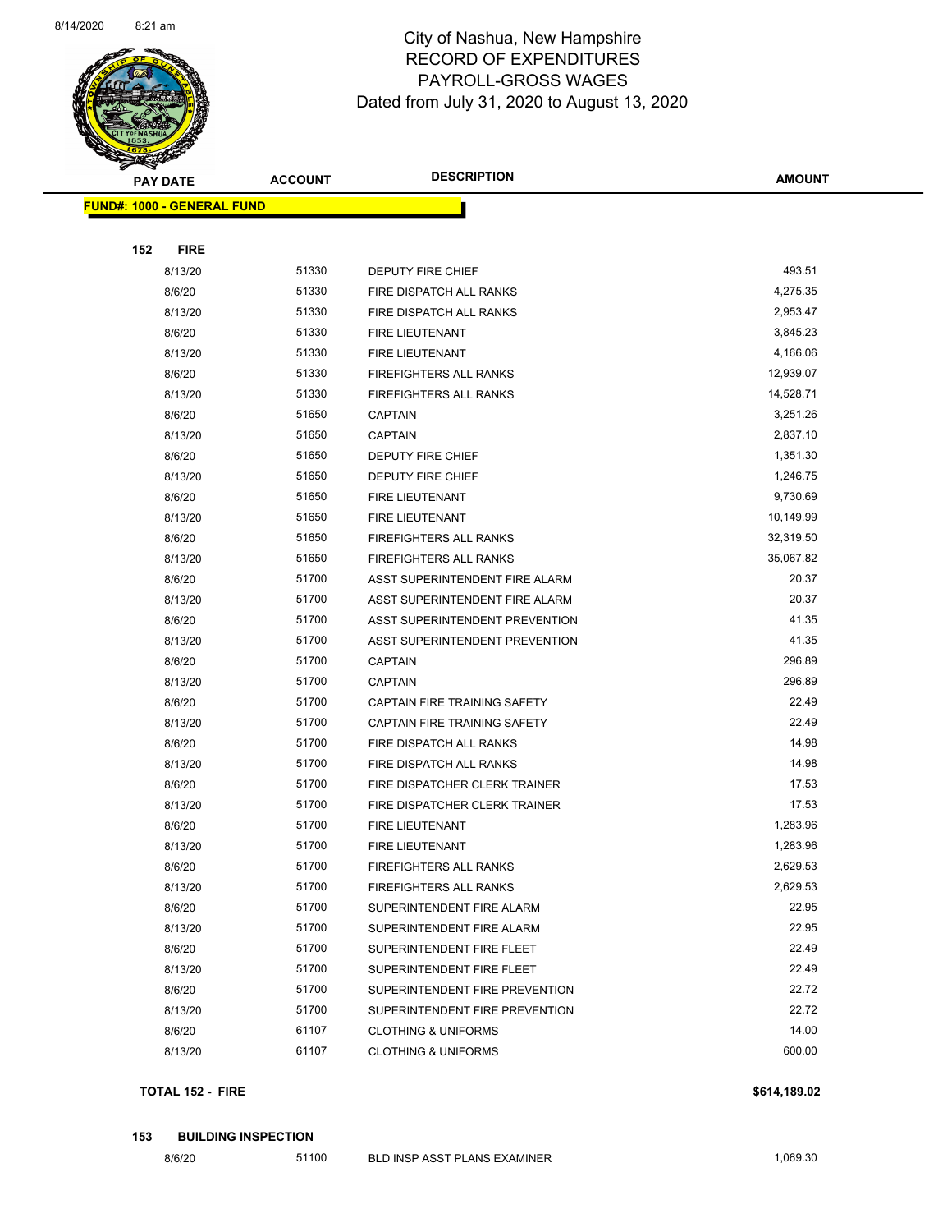

Page 45 of 83

| <b>STARTING CARDS</b>             |                |                                |               |
|-----------------------------------|----------------|--------------------------------|---------------|
| <b>PAY DATE</b>                   | <b>ACCOUNT</b> | <b>DESCRIPTION</b>             | <b>AMOUNT</b> |
| <b>FUND#: 1000 - GENERAL FUND</b> |                |                                |               |
|                                   |                |                                |               |
| 152<br><b>FIRE</b>                |                |                                |               |
| 8/13/20                           | 51330          | DEPUTY FIRE CHIEF              | 493.51        |
| 8/6/20                            | 51330          | FIRE DISPATCH ALL RANKS        | 4,275.35      |
| 8/13/20                           | 51330          | FIRE DISPATCH ALL RANKS        | 2,953.47      |
| 8/6/20                            | 51330          | FIRE LIEUTENANT                | 3,845.23      |
| 8/13/20                           | 51330          | <b>FIRE LIEUTENANT</b>         | 4,166.06      |
| 8/6/20                            | 51330          | <b>FIREFIGHTERS ALL RANKS</b>  | 12,939.07     |
| 8/13/20                           | 51330          | <b>FIREFIGHTERS ALL RANKS</b>  | 14,528.71     |
| 8/6/20                            | 51650          | <b>CAPTAIN</b>                 | 3,251.26      |
| 8/13/20                           | 51650          | <b>CAPTAIN</b>                 | 2,837.10      |
| 8/6/20                            | 51650          | DEPUTY FIRE CHIEF              | 1,351.30      |
| 8/13/20                           | 51650          | DEPUTY FIRE CHIEF              | 1,246.75      |
| 8/6/20                            | 51650          | <b>FIRE LIEUTENANT</b>         | 9,730.69      |
| 8/13/20                           | 51650          | <b>FIRE LIEUTENANT</b>         | 10,149.99     |
| 8/6/20                            | 51650          | <b>FIREFIGHTERS ALL RANKS</b>  | 32,319.50     |
| 8/13/20                           | 51650          | <b>FIREFIGHTERS ALL RANKS</b>  | 35,067.82     |
| 8/6/20                            | 51700          | ASST SUPERINTENDENT FIRE ALARM | 20.37         |
| 8/13/20                           | 51700          | ASST SUPERINTENDENT FIRE ALARM | 20.37         |
| 8/6/20                            | 51700          | ASST SUPERINTENDENT PREVENTION | 41.35         |
| 8/13/20                           | 51700          | ASST SUPERINTENDENT PREVENTION | 41.35         |
| 8/6/20                            | 51700          | <b>CAPTAIN</b>                 | 296.89        |
| 8/13/20                           | 51700          | <b>CAPTAIN</b>                 | 296.89        |
| 8/6/20                            | 51700          | CAPTAIN FIRE TRAINING SAFETY   | 22.49         |
| 8/13/20                           | 51700          | CAPTAIN FIRE TRAINING SAFETY   | 22.49         |
| 8/6/20                            | 51700          | FIRE DISPATCH ALL RANKS        | 14.98         |
| 8/13/20                           | 51700          | FIRE DISPATCH ALL RANKS        | 14.98         |
| 8/6/20                            | 51700          | FIRE DISPATCHER CLERK TRAINER  | 17.53         |
| 8/13/20                           | 51700          | FIRE DISPATCHER CLERK TRAINER  | 17.53         |
| 8/6/20                            | 51700          | FIRE LIEUTENANT                | 1,283.96      |
| 8/13/20                           | 51700          | <b>FIRE LIEUTENANT</b>         | 1,283.96      |
| 8/6/20                            | 51700          | FIREFIGHTERS ALL RANKS         | 2,629.53      |
| 8/13/20                           | 51700          | FIREFIGHTERS ALL RANKS         | 2,629.53      |
| 8/6/20                            | 51700          | SUPERINTENDENT FIRE ALARM      | 22.95         |
| 8/13/20                           | 51700          | SUPERINTENDENT FIRE ALARM      | 22.95         |
| 8/6/20                            | 51700          | SUPERINTENDENT FIRE FLEET      | 22.49         |
| 8/13/20                           | 51700          | SUPERINTENDENT FIRE FLEET      | 22.49         |
| 8/6/20                            | 51700          | SUPERINTENDENT FIRE PREVENTION | 22.72         |
| 8/13/20                           | 51700          | SUPERINTENDENT FIRE PREVENTION | 22.72         |
| 8/6/20                            | 61107          | <b>CLOTHING &amp; UNIFORMS</b> | 14.00         |
| 8/13/20                           | 61107          | <b>CLOTHING &amp; UNIFORMS</b> | 600.00        |
|                                   |                |                                |               |

#### **TOTAL 152 - FIRE \$614,189.02**

#### **153 BUILDING INSPECTION**

 $\bar{\mathcal{L}}$  .

. . . . . . . . .

. . . . . . . .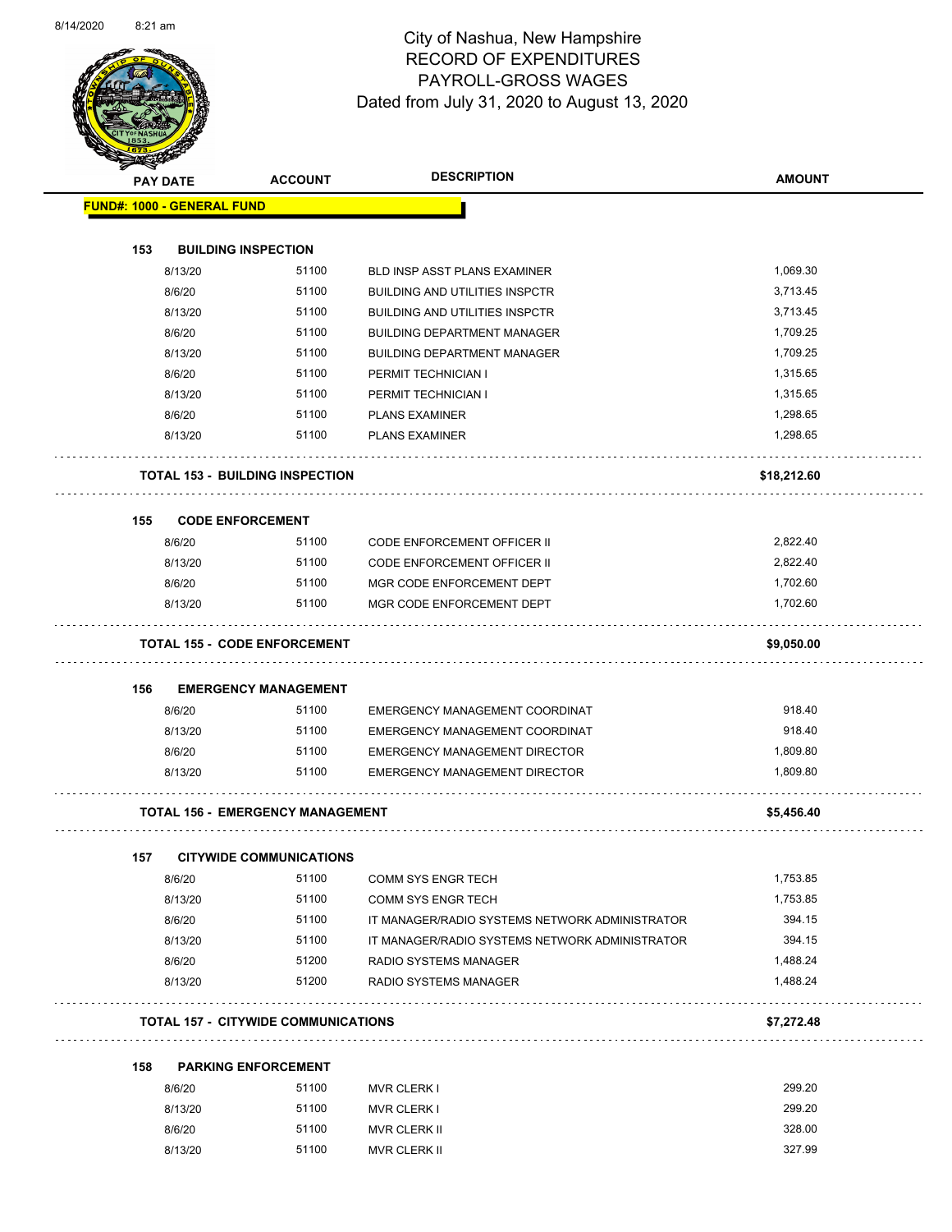Page 46 of 83

|                                   | <b>PAY DATE</b> | <b>ACCOUNT</b>                             | <b>DESCRIPTION</b>                             | <b>AMOUNT</b> |
|-----------------------------------|-----------------|--------------------------------------------|------------------------------------------------|---------------|
| <b>FUND#: 1000 - GENERAL FUND</b> |                 |                                            |                                                |               |
| 153                               |                 | <b>BUILDING INSPECTION</b>                 |                                                |               |
|                                   | 8/13/20         | 51100                                      | <b>BLD INSP ASST PLANS EXAMINER</b>            | 1,069.30      |
|                                   | 8/6/20          | 51100                                      | <b>BUILDING AND UTILITIES INSPCTR</b>          | 3,713.45      |
|                                   | 8/13/20         | 51100                                      | <b>BUILDING AND UTILITIES INSPCTR</b>          | 3,713.45      |
|                                   | 8/6/20          | 51100                                      | <b>BUILDING DEPARTMENT MANAGER</b>             | 1,709.25      |
|                                   | 8/13/20         | 51100                                      | <b>BUILDING DEPARTMENT MANAGER</b>             | 1,709.25      |
|                                   | 8/6/20          | 51100                                      | PERMIT TECHNICIAN I                            | 1,315.65      |
|                                   | 8/13/20         | 51100                                      | PERMIT TECHNICIAN I                            | 1,315.65      |
|                                   | 8/6/20          | 51100                                      | <b>PLANS EXAMINER</b>                          | 1,298.65      |
|                                   | 8/13/20         | 51100                                      | <b>PLANS EXAMINER</b>                          | 1,298.65      |
|                                   |                 | <b>TOTAL 153 - BUILDING INSPECTION</b>     |                                                | \$18,212.60   |
| 155                               |                 | <b>CODE ENFORCEMENT</b>                    |                                                |               |
|                                   | 8/6/20          | 51100                                      | <b>CODE ENFORCEMENT OFFICER II</b>             | 2,822.40      |
|                                   | 8/13/20         | 51100                                      | <b>CODE ENFORCEMENT OFFICER II</b>             | 2,822.40      |
|                                   | 8/6/20          | 51100                                      | MGR CODE ENFORCEMENT DEPT                      | 1,702.60      |
|                                   | 8/13/20         | 51100                                      | MGR CODE ENFORCEMENT DEPT                      | 1,702.60      |
|                                   |                 | <b>TOTAL 155 - CODE ENFORCEMENT</b>        |                                                | \$9,050.00    |
| 156                               |                 | <b>EMERGENCY MANAGEMENT</b>                |                                                |               |
|                                   | 8/6/20          | 51100                                      | EMERGENCY MANAGEMENT COORDINAT                 | 918.40        |
|                                   | 8/13/20         | 51100                                      | EMERGENCY MANAGEMENT COORDINAT                 | 918.40        |
|                                   | 8/6/20          | 51100                                      | <b>EMERGENCY MANAGEMENT DIRECTOR</b>           | 1,809.80      |
|                                   | 8/13/20         | 51100                                      | <b>EMERGENCY MANAGEMENT DIRECTOR</b>           | 1,809.80      |
|                                   |                 | <b>TOTAL 156 - EMERGENCY MANAGEMENT</b>    |                                                | \$5,456.40    |
| 157                               |                 | <b>CITYWIDE COMMUNICATIONS</b>             |                                                |               |
|                                   | 8/6/20          | 51100                                      | <b>COMM SYS ENGR TECH</b>                      | 1,753.85      |
|                                   | 8/13/20         | 51100                                      | COMM SYS ENGR TECH                             | 1,753.85      |
|                                   | 8/6/20          | 51100                                      | IT MANAGER/RADIO SYSTEMS NETWORK ADMINISTRATOR | 394.15        |
|                                   | 8/13/20         | 51100                                      | IT MANAGER/RADIO SYSTEMS NETWORK ADMINISTRATOR | 394.15        |
|                                   | 8/6/20          | 51200                                      | RADIO SYSTEMS MANAGER                          | 1,488.24      |
|                                   | 8/13/20         | 51200                                      | RADIO SYSTEMS MANAGER                          | 1,488.24      |
|                                   |                 | <b>TOTAL 157 - CITYWIDE COMMUNICATIONS</b> |                                                | \$7,272.48    |
| 158                               |                 | <b>PARKING ENFORCEMENT</b>                 |                                                |               |
|                                   | 8/6/20          | 51100                                      | <b>MVR CLERK I</b>                             | 299.20        |
|                                   | 8/13/20         | 51100                                      | <b>MVR CLERK I</b>                             | 299.20        |
|                                   | 8/6/20          | 51100                                      | MVR CLERK II                                   | 328.00        |
|                                   | 8/13/20         | 51100                                      | MVR CLERK II                                   | 327.99        |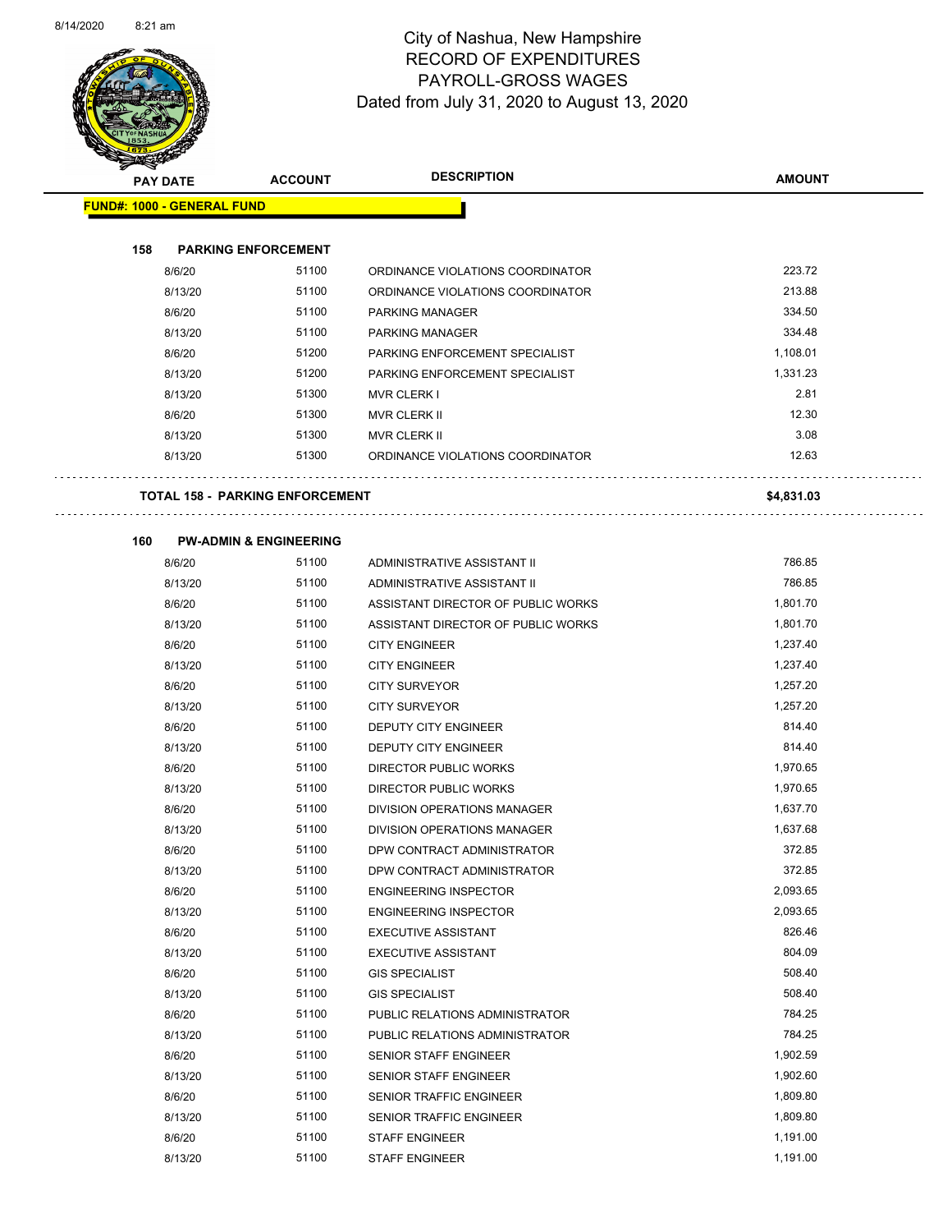

Page 47 of 83

| <b>PAY DATE</b>                   | <b>ACCOUNT</b>                         | <b>DESCRIPTION</b>                 | <b>AMOUNT</b> |
|-----------------------------------|----------------------------------------|------------------------------------|---------------|
| <b>FUND#: 1000 - GENERAL FUND</b> |                                        |                                    |               |
|                                   |                                        |                                    |               |
| 158                               | <b>PARKING ENFORCEMENT</b>             |                                    | 223.72        |
| 8/6/20                            | 51100                                  | ORDINANCE VIOLATIONS COORDINATOR   | 213.88        |
| 8/13/20                           | 51100                                  | ORDINANCE VIOLATIONS COORDINATOR   |               |
| 8/6/20                            | 51100                                  | PARKING MANAGER                    | 334.50        |
| 8/13/20                           | 51100                                  | <b>PARKING MANAGER</b>             | 334.48        |
| 8/6/20                            | 51200                                  | PARKING ENFORCEMENT SPECIALIST     | 1,108.01      |
| 8/13/20                           | 51200                                  | PARKING ENFORCEMENT SPECIALIST     | 1,331.23      |
| 8/13/20                           | 51300                                  | <b>MVR CLERK I</b>                 | 2.81          |
| 8/6/20                            | 51300                                  | <b>MVR CLERK II</b>                | 12.30         |
| 8/13/20                           | 51300                                  | <b>MVR CLERK II</b>                | 3.08          |
| 8/13/20                           | 51300                                  | ORDINANCE VIOLATIONS COORDINATOR   | 12.63         |
|                                   | <b>TOTAL 158 - PARKING ENFORCEMENT</b> |                                    | \$4,831.03    |
| 160                               | <b>PW-ADMIN &amp; ENGINEERING</b>      |                                    |               |
| 8/6/20                            | 51100                                  | ADMINISTRATIVE ASSISTANT II        | 786.85        |
| 8/13/20                           | 51100                                  | ADMINISTRATIVE ASSISTANT II        | 786.85        |
| 8/6/20                            | 51100                                  | ASSISTANT DIRECTOR OF PUBLIC WORKS | 1,801.70      |
| 8/13/20                           | 51100                                  | ASSISTANT DIRECTOR OF PUBLIC WORKS | 1,801.70      |
| 8/6/20                            | 51100                                  | <b>CITY ENGINEER</b>               | 1,237.40      |
| 8/13/20                           | 51100                                  | <b>CITY ENGINEER</b>               | 1,237.40      |
| 8/6/20                            | 51100                                  | <b>CITY SURVEYOR</b>               | 1,257.20      |
| 8/13/20                           | 51100                                  | <b>CITY SURVEYOR</b>               | 1,257.20      |
| 8/6/20                            | 51100                                  | DEPUTY CITY ENGINEER               | 814.40        |
| 8/13/20                           | 51100                                  | DEPUTY CITY ENGINEER               | 814.40        |
| 8/6/20                            | 51100                                  | <b>DIRECTOR PUBLIC WORKS</b>       | 1,970.65      |
| 8/13/20                           | 51100                                  | DIRECTOR PUBLIC WORKS              | 1,970.65      |
| 8/6/20                            | 51100                                  | DIVISION OPERATIONS MANAGER        | 1,637.70      |
| 8/13/20                           | 51100                                  | DIVISION OPERATIONS MANAGER        | 1,637.68      |
| 8/6/20                            | 51100                                  | DPW CONTRACT ADMINISTRATOR         | 372.85        |
| 8/13/20                           | 51100                                  | DPW CONTRACT ADMINISTRATOR         | 372.85        |
| 8/6/20                            | 51100                                  | <b>ENGINEERING INSPECTOR</b>       | 2,093.65      |
| 8/13/20                           | 51100                                  | <b>ENGINEERING INSPECTOR</b>       | 2,093.65      |
| 8/6/20                            | 51100                                  | <b>EXECUTIVE ASSISTANT</b>         | 826.46        |
| 8/13/20                           | 51100                                  | <b>EXECUTIVE ASSISTANT</b>         | 804.09        |
| 8/6/20                            | 51100                                  | <b>GIS SPECIALIST</b>              | 508.40        |
| 8/13/20                           | 51100                                  | <b>GIS SPECIALIST</b>              | 508.40        |
| 8/6/20                            | 51100                                  | PUBLIC RELATIONS ADMINISTRATOR     | 784.25        |
| 8/13/20                           | 51100                                  | PUBLIC RELATIONS ADMINISTRATOR     | 784.25        |
| 8/6/20                            | 51100                                  | SENIOR STAFF ENGINEER              | 1,902.59      |
| 8/13/20                           | 51100                                  | SENIOR STAFF ENGINEER              | 1,902.60      |
| 8/6/20                            | 51100                                  | SENIOR TRAFFIC ENGINEER            | 1,809.80      |
| 8/13/20                           | 51100                                  | SENIOR TRAFFIC ENGINEER            | 1,809.80      |
| 8/6/20                            | 51100                                  | <b>STAFF ENGINEER</b>              | 1,191.00      |
| 8/13/20                           | 51100                                  | <b>STAFF ENGINEER</b>              | 1,191.00      |
|                                   |                                        |                                    |               |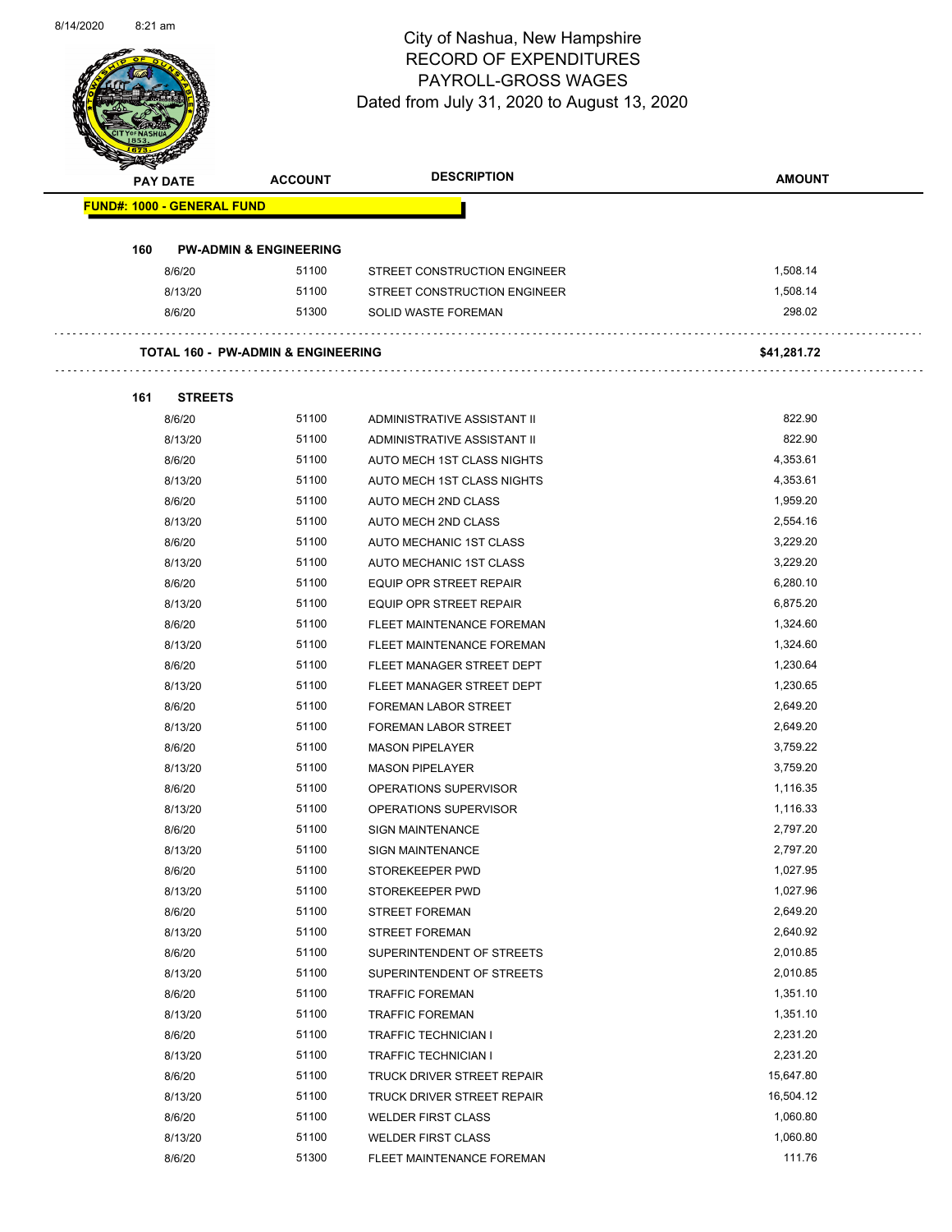

Page 48 of 83

|     | <b>PAY DATE</b>                   | <b>ACCOUNT</b>                                | <b>DESCRIPTION</b>           | <b>AMOUNT</b> |
|-----|-----------------------------------|-----------------------------------------------|------------------------------|---------------|
|     | <b>FUND#: 1000 - GENERAL FUND</b> |                                               |                              |               |
|     |                                   |                                               |                              |               |
| 160 |                                   | <b>PW-ADMIN &amp; ENGINEERING</b>             |                              |               |
|     | 8/6/20                            | 51100                                         | STREET CONSTRUCTION ENGINEER | 1,508.14      |
|     | 8/13/20                           | 51100                                         | STREET CONSTRUCTION ENGINEER | 1,508.14      |
|     | 8/6/20                            | 51300                                         | SOLID WASTE FOREMAN          | 298.02        |
|     |                                   | <b>TOTAL 160 - PW-ADMIN &amp; ENGINEERING</b> |                              | \$41,281.72   |
| 161 | <b>STREETS</b>                    |                                               |                              |               |
|     | 8/6/20                            | 51100                                         | ADMINISTRATIVE ASSISTANT II  | 822.90        |
|     | 8/13/20                           | 51100                                         | ADMINISTRATIVE ASSISTANT II  | 822.90        |
|     | 8/6/20                            | 51100                                         | AUTO MECH 1ST CLASS NIGHTS   | 4,353.61      |
|     | 8/13/20                           | 51100                                         | AUTO MECH 1ST CLASS NIGHTS   | 4,353.61      |
|     | 8/6/20                            | 51100                                         | AUTO MECH 2ND CLASS          | 1,959.20      |
|     | 8/13/20                           | 51100                                         | AUTO MECH 2ND CLASS          | 2,554.16      |
|     | 8/6/20                            | 51100                                         | AUTO MECHANIC 1ST CLASS      | 3,229.20      |
|     | 8/13/20                           | 51100                                         | AUTO MECHANIC 1ST CLASS      | 3,229.20      |
|     | 8/6/20                            | 51100                                         | EQUIP OPR STREET REPAIR      | 6,280.10      |
|     | 8/13/20                           | 51100                                         | EQUIP OPR STREET REPAIR      | 6,875.20      |
|     | 8/6/20                            | 51100                                         | FLEET MAINTENANCE FOREMAN    | 1,324.60      |
|     | 8/13/20                           | 51100                                         | FLEET MAINTENANCE FOREMAN    | 1,324.60      |
|     | 8/6/20                            | 51100                                         | FLEET MANAGER STREET DEPT    | 1,230.64      |
|     | 8/13/20                           | 51100                                         | FLEET MANAGER STREET DEPT    | 1,230.65      |
|     | 8/6/20                            | 51100                                         | <b>FOREMAN LABOR STREET</b>  | 2,649.20      |
|     | 8/13/20                           | 51100                                         | <b>FOREMAN LABOR STREET</b>  | 2,649.20      |
|     | 8/6/20                            | 51100                                         | <b>MASON PIPELAYER</b>       | 3,759.22      |
|     | 8/13/20                           | 51100                                         | <b>MASON PIPELAYER</b>       | 3,759.20      |
|     | 8/6/20                            | 51100                                         | OPERATIONS SUPERVISOR        | 1,116.35      |
|     | 8/13/20                           | 51100                                         | OPERATIONS SUPERVISOR        | 1,116.33      |
|     | 8/6/20                            | 51100                                         | <b>SIGN MAINTENANCE</b>      | 2,797.20      |
|     | 8/13/20                           | 51100                                         | <b>SIGN MAINTENANCE</b>      | 2,797.20      |
|     | 8/6/20                            | 51100                                         | STOREKEEPER PWD              | 1,027.95      |
|     | 8/13/20                           | 51100                                         | STOREKEEPER PWD              | 1,027.96      |
|     | 8/6/20                            | 51100                                         | <b>STREET FOREMAN</b>        | 2,649.20      |
|     | 8/13/20                           | 51100                                         | <b>STREET FOREMAN</b>        | 2,640.92      |
|     | 8/6/20                            | 51100                                         | SUPERINTENDENT OF STREETS    | 2,010.85      |
|     | 8/13/20                           | 51100                                         | SUPERINTENDENT OF STREETS    | 2,010.85      |
|     | 8/6/20                            | 51100                                         | <b>TRAFFIC FOREMAN</b>       | 1,351.10      |
|     | 8/13/20                           | 51100                                         | <b>TRAFFIC FOREMAN</b>       | 1,351.10      |
|     | 8/6/20                            | 51100                                         | TRAFFIC TECHNICIAN I         | 2,231.20      |
|     | 8/13/20                           | 51100                                         | TRAFFIC TECHNICIAN I         | 2,231.20      |
|     |                                   | 51100                                         |                              | 15,647.80     |
|     | 8/6/20                            | 51100                                         | TRUCK DRIVER STREET REPAIR   | 16,504.12     |
|     | 8/13/20                           |                                               | TRUCK DRIVER STREET REPAIR   |               |
|     | 8/6/20                            | 51100                                         | <b>WELDER FIRST CLASS</b>    | 1,060.80      |
|     | 8/13/20                           | 51100                                         | <b>WELDER FIRST CLASS</b>    | 1,060.80      |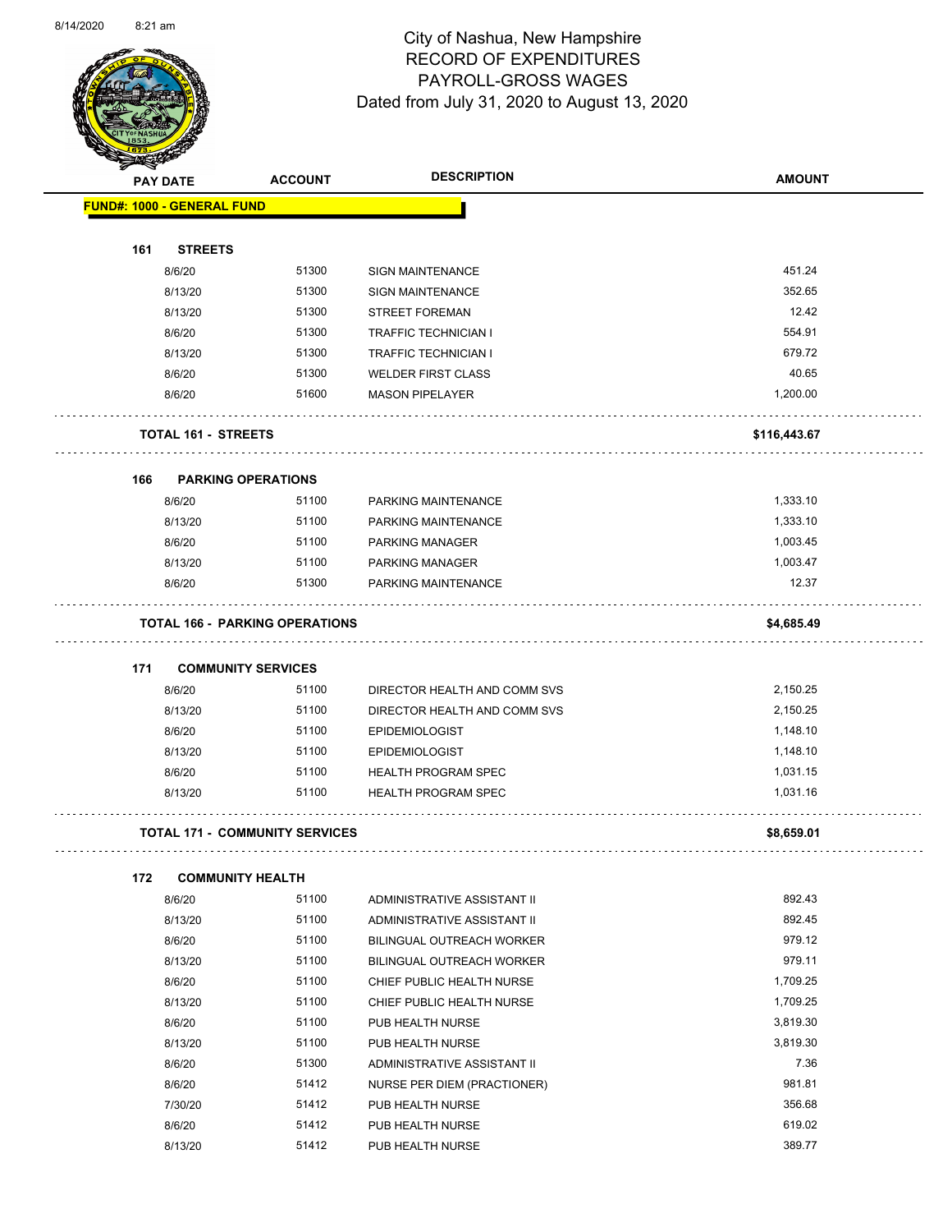

Page 49 of 83

|     | <b>PAY DATE</b>                   | <b>ACCOUNT</b>                        | <b>DESCRIPTION</b>                         | <b>AMOUNT</b> |
|-----|-----------------------------------|---------------------------------------|--------------------------------------------|---------------|
|     | <b>FUND#: 1000 - GENERAL FUND</b> |                                       |                                            |               |
| 161 | <b>STREETS</b>                    |                                       |                                            |               |
|     | 8/6/20                            | 51300                                 | <b>SIGN MAINTENANCE</b>                    | 451.24        |
|     | 8/13/20                           | 51300                                 | <b>SIGN MAINTENANCE</b>                    | 352.65        |
|     | 8/13/20                           | 51300                                 | <b>STREET FOREMAN</b>                      | 12.42         |
|     | 8/6/20                            | 51300                                 | <b>TRAFFIC TECHNICIAN I</b>                | 554.91        |
|     | 8/13/20                           | 51300                                 | <b>TRAFFIC TECHNICIAN I</b>                | 679.72        |
|     | 8/6/20                            | 51300                                 | <b>WELDER FIRST CLASS</b>                  | 40.65         |
|     | 8/6/20                            | 51600                                 | <b>MASON PIPELAYER</b>                     | 1,200.00      |
|     | <b>TOTAL 161 - STREETS</b>        |                                       |                                            | \$116,443.67  |
|     |                                   |                                       |                                            |               |
| 166 |                                   | <b>PARKING OPERATIONS</b><br>51100    |                                            | 1,333.10      |
|     | 8/6/20<br>8/13/20                 | 51100                                 | PARKING MAINTENANCE<br>PARKING MAINTENANCE | 1,333.10      |
|     | 8/6/20                            | 51100                                 | <b>PARKING MANAGER</b>                     | 1,003.45      |
|     | 8/13/20                           | 51100                                 | <b>PARKING MANAGER</b>                     | 1,003.47      |
|     | 8/6/20                            | 51300                                 | PARKING MAINTENANCE                        | 12.37         |
|     |                                   | <b>TOTAL 166 - PARKING OPERATIONS</b> |                                            | \$4,685.49    |
|     |                                   |                                       |                                            |               |
| 171 | 8/6/20                            | <b>COMMUNITY SERVICES</b><br>51100    | DIRECTOR HEALTH AND COMM SVS               | 2,150.25      |
|     | 8/13/20                           | 51100                                 | DIRECTOR HEALTH AND COMM SVS               | 2,150.25      |
|     | 8/6/20                            | 51100                                 | <b>EPIDEMIOLOGIST</b>                      | 1,148.10      |
|     | 8/13/20                           | 51100                                 | <b>EPIDEMIOLOGIST</b>                      | 1,148.10      |
|     | 8/6/20                            | 51100                                 | <b>HEALTH PROGRAM SPEC</b>                 | 1,031.15      |
|     | 8/13/20                           | 51100                                 | <b>HEALTH PROGRAM SPEC</b>                 | 1,031.16      |
|     |                                   |                                       |                                            |               |
|     |                                   | <b>TOTAL 171 - COMMUNITY SERVICES</b> |                                            | \$8,659.01    |
| 172 |                                   | <b>COMMUNITY HEALTH</b>               |                                            |               |
|     | 8/6/20                            | 51100                                 | ADMINISTRATIVE ASSISTANT II                | 892.43        |
|     | 8/13/20                           | 51100                                 | ADMINISTRATIVE ASSISTANT II                | 892.45        |
|     | 8/6/20                            | 51100                                 | BILINGUAL OUTREACH WORKER                  | 979.12        |
|     | 8/13/20                           | 51100                                 | BILINGUAL OUTREACH WORKER                  | 979.11        |
|     | 8/6/20                            | 51100                                 | CHIEF PUBLIC HEALTH NURSE                  | 1,709.25      |
|     | 8/13/20                           | 51100                                 | CHIEF PUBLIC HEALTH NURSE                  | 1,709.25      |
|     | 8/6/20                            | 51100                                 | PUB HEALTH NURSE                           | 3,819.30      |
|     | 8/13/20                           | 51100                                 | PUB HEALTH NURSE                           | 3,819.30      |
|     | 8/6/20                            | 51300                                 | ADMINISTRATIVE ASSISTANT II                | 7.36          |
|     | 8/6/20                            | 51412                                 | NURSE PER DIEM (PRACTIONER)                | 981.81        |
|     | 7/30/20                           | 51412                                 | PUB HEALTH NURSE                           | 356.68        |
|     | 8/6/20                            | 51412                                 | PUB HEALTH NURSE                           | 619.02        |

8/13/20 51412 PUB HEALTH NURSE 389.77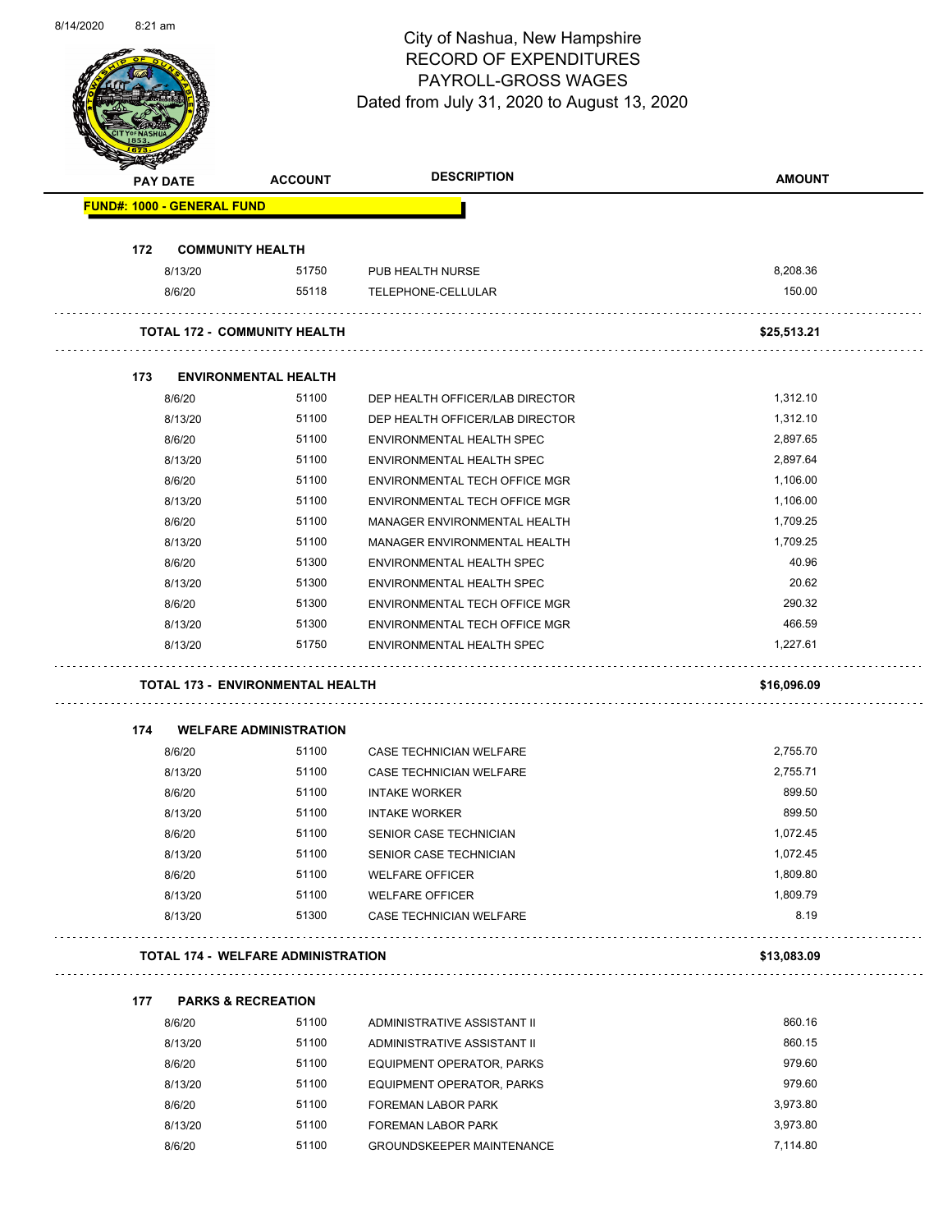Page 50 of 83

| <b>PAY DATE</b>                           |                                   | <b>ACCOUNT</b>                          | <b>DESCRIPTION</b>               | <b>AMOUNT</b> |
|-------------------------------------------|-----------------------------------|-----------------------------------------|----------------------------------|---------------|
|                                           | <b>FUND#: 1000 - GENERAL FUND</b> |                                         |                                  |               |
| 172                                       |                                   | <b>COMMUNITY HEALTH</b>                 |                                  |               |
|                                           | 8/13/20                           | 51750                                   | PUB HEALTH NURSE                 | 8,208.36      |
|                                           | 8/6/20                            | 55118                                   | TELEPHONE-CELLULAR               | 150.00        |
|                                           |                                   | <b>TOTAL 172 - COMMUNITY HEALTH</b>     |                                  | \$25,513.21   |
| 173                                       |                                   | <b>ENVIRONMENTAL HEALTH</b>             |                                  |               |
|                                           | 8/6/20                            | 51100                                   | DEP HEALTH OFFICER/LAB DIRECTOR  | 1,312.10      |
|                                           | 8/13/20                           | 51100                                   | DEP HEALTH OFFICER/LAB DIRECTOR  | 1,312.10      |
|                                           | 8/6/20                            | 51100                                   | ENVIRONMENTAL HEALTH SPEC        | 2,897.65      |
|                                           | 8/13/20                           | 51100                                   | ENVIRONMENTAL HEALTH SPEC        | 2,897.64      |
|                                           | 8/6/20                            | 51100                                   | ENVIRONMENTAL TECH OFFICE MGR    | 1,106.00      |
|                                           | 8/13/20                           | 51100                                   | ENVIRONMENTAL TECH OFFICE MGR    | 1,106.00      |
|                                           | 8/6/20                            | 51100                                   | MANAGER ENVIRONMENTAL HEALTH     | 1,709.25      |
|                                           | 8/13/20                           | 51100                                   | MANAGER ENVIRONMENTAL HEALTH     | 1,709.25      |
|                                           | 8/6/20                            | 51300                                   | <b>ENVIRONMENTAL HEALTH SPEC</b> | 40.96         |
|                                           | 8/13/20                           | 51300                                   | ENVIRONMENTAL HEALTH SPEC        | 20.62         |
|                                           | 8/6/20                            | 51300                                   | ENVIRONMENTAL TECH OFFICE MGR    | 290.32        |
|                                           | 8/13/20                           | 51300                                   | ENVIRONMENTAL TECH OFFICE MGR    | 466.59        |
|                                           | 8/13/20                           | 51750                                   | ENVIRONMENTAL HEALTH SPEC        | 1,227.61      |
|                                           |                                   | <b>TOTAL 173 - ENVIRONMENTAL HEALTH</b> |                                  | \$16,096.09   |
| 174                                       |                                   | <b>WELFARE ADMINISTRATION</b>           |                                  |               |
|                                           | 8/6/20                            | 51100                                   | <b>CASE TECHNICIAN WELFARE</b>   | 2,755.70      |
|                                           | 8/13/20                           | 51100                                   | CASE TECHNICIAN WELFARE          | 2,755.71      |
|                                           | 8/6/20                            | 51100                                   | <b>INTAKE WORKER</b>             | 899.50        |
|                                           | 8/13/20                           | 51100                                   | <b>INTAKE WORKER</b>             | 899.50        |
|                                           | 8/6/20                            | 51100                                   | SENIOR CASE TECHNICIAN           | 1,072.45      |
|                                           | 8/13/20                           | 51100                                   | SENIOR CASE TECHNICIAN           | 1,072.45      |
|                                           | 8/6/20                            | 51100                                   | <b>WELFARE OFFICER</b>           | 1,809.80      |
|                                           | 8/13/20                           | 51100                                   | <b>WELFARE OFFICER</b>           | 1,809.79      |
|                                           | 8/13/20                           | 51300                                   | CASE TECHNICIAN WELFARE          | 8.19          |
| <b>TOTAL 174 - WELFARE ADMINISTRATION</b> |                                   |                                         |                                  | \$13,083.09   |
| 177                                       |                                   | <b>PARKS &amp; RECREATION</b>           |                                  |               |
|                                           | 8/6/20                            | 51100                                   | ADMINISTRATIVE ASSISTANT II      | 860.16        |
|                                           | 8/13/20                           | 51100                                   | ADMINISTRATIVE ASSISTANT II      | 860.15        |
|                                           | 8/6/20                            | 51100                                   | EQUIPMENT OPERATOR, PARKS        | 979.60        |
|                                           | 8/13/20                           | 51100                                   | EQUIPMENT OPERATOR, PARKS        | 979.60        |
|                                           | 8/6/20                            | 51100                                   | FOREMAN LABOR PARK               | 3,973.80      |
|                                           | 8/13/20                           | 51100                                   | <b>FOREMAN LABOR PARK</b>        | 3,973.80      |
|                                           |                                   |                                         |                                  |               |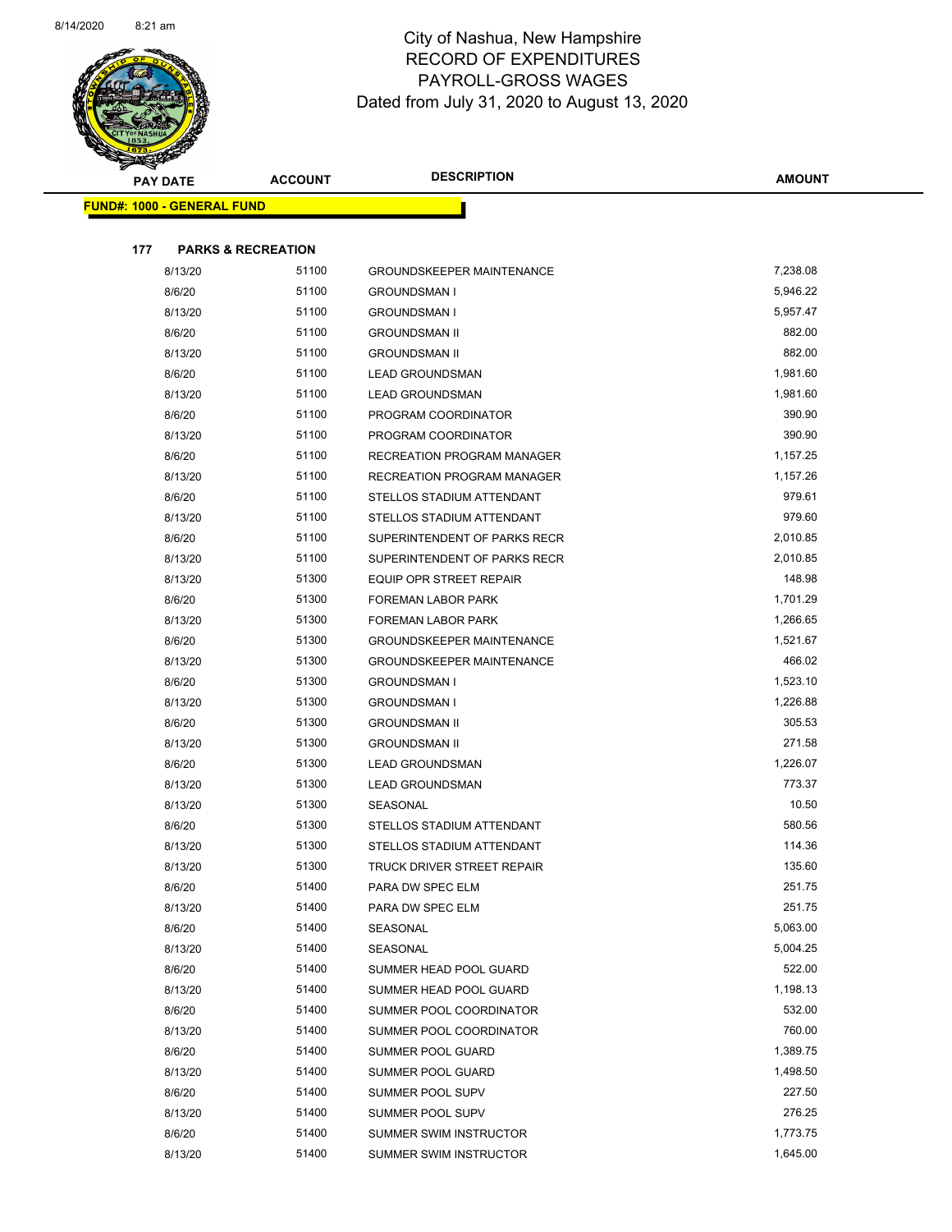

| <b>Contraction</b> |                                   |                |                                  |               |
|--------------------|-----------------------------------|----------------|----------------------------------|---------------|
|                    | <b>PAY DATE</b>                   | <b>ACCOUNT</b> | <b>DESCRIPTION</b>               | <b>AMOUNT</b> |
|                    | <b>FUND#: 1000 - GENERAL FUND</b> |                |                                  |               |
|                    |                                   |                |                                  |               |
| 177                | <b>PARKS &amp; RECREATION</b>     |                |                                  |               |
|                    | 8/13/20                           | 51100          | <b>GROUNDSKEEPER MAINTENANCE</b> | 7,238.08      |
|                    | 8/6/20                            | 51100          | <b>GROUNDSMAN I</b>              | 5,946.22      |
|                    | 8/13/20                           | 51100          | <b>GROUNDSMAN I</b>              | 5,957.47      |
|                    | 8/6/20                            | 51100          | <b>GROUNDSMAN II</b>             | 882.00        |
|                    | 8/13/20                           | 51100          | <b>GROUNDSMAN II</b>             | 882.00        |
|                    | 8/6/20                            | 51100          | <b>LEAD GROUNDSMAN</b>           | 1,981.60      |
|                    | 8/13/20                           | 51100          | <b>LEAD GROUNDSMAN</b>           | 1,981.60      |
|                    | 8/6/20                            | 51100          | PROGRAM COORDINATOR              | 390.90        |
|                    | 8/13/20                           | 51100          | PROGRAM COORDINATOR              | 390.90        |
|                    | 8/6/20                            | 51100          | RECREATION PROGRAM MANAGER       | 1,157.25      |
|                    | 8/13/20                           | 51100          | RECREATION PROGRAM MANAGER       | 1,157.26      |
|                    | 8/6/20                            | 51100          | STELLOS STADIUM ATTENDANT        | 979.61        |
|                    | 8/13/20                           | 51100          | STELLOS STADIUM ATTENDANT        | 979.60        |
|                    | 8/6/20                            | 51100          | SUPERINTENDENT OF PARKS RECR     | 2,010.85      |
|                    | 8/13/20                           | 51100          | SUPERINTENDENT OF PARKS RECR     | 2,010.85      |
|                    | 8/13/20                           | 51300          | EQUIP OPR STREET REPAIR          | 148.98        |
|                    | 8/6/20                            | 51300          | FOREMAN LABOR PARK               | 1,701.29      |
|                    | 8/13/20                           | 51300          | FOREMAN LABOR PARK               | 1,266.65      |
|                    | 8/6/20                            | 51300          | <b>GROUNDSKEEPER MAINTENANCE</b> | 1,521.67      |
|                    | 8/13/20                           | 51300          | <b>GROUNDSKEEPER MAINTENANCE</b> | 466.02        |
|                    | 8/6/20                            | 51300          | <b>GROUNDSMAN I</b>              | 1,523.10      |
|                    | 8/13/20                           | 51300          | <b>GROUNDSMAN I</b>              | 1,226.88      |
|                    | 8/6/20                            | 51300          | <b>GROUNDSMAN II</b>             | 305.53        |
|                    | 8/13/20                           | 51300          | <b>GROUNDSMAN II</b>             | 271.58        |
|                    | 8/6/20                            | 51300          | <b>LEAD GROUNDSMAN</b>           | 1,226.07      |
|                    | 8/13/20                           | 51300          | <b>LEAD GROUNDSMAN</b>           | 773.37        |
|                    | 8/13/20                           | 51300          | SEASONAL                         | 10.50         |
|                    | 8/6/20                            | 51300          | STELLOS STADIUM ATTENDANT        | 580.56        |
|                    | 8/13/20                           | 51300          | STELLOS STADIUM ATTENDANT        | 114.36        |
|                    | 8/13/20                           | 51300          | TRUCK DRIVER STREET REPAIR       | 135.60        |
|                    | 8/6/20                            | 51400          | PARA DW SPEC ELM                 | 251.75        |
|                    | 8/13/20                           | 51400          | PARA DW SPEC ELM                 | 251.75        |
|                    | 8/6/20                            | 51400          | SEASONAL                         | 5,063.00      |
|                    | 8/13/20                           | 51400          | SEASONAL                         | 5,004.25      |
|                    | 8/6/20                            | 51400          | SUMMER HEAD POOL GUARD           | 522.00        |
|                    | 8/13/20                           | 51400          | SUMMER HEAD POOL GUARD           | 1,198.13      |
|                    | 8/6/20                            | 51400          | SUMMER POOL COORDINATOR          | 532.00        |
|                    | 8/13/20                           | 51400          | SUMMER POOL COORDINATOR          | 760.00        |
|                    | 8/6/20                            | 51400          | SUMMER POOL GUARD                | 1,389.75      |
|                    | 8/13/20                           | 51400          | SUMMER POOL GUARD                | 1,498.50      |
|                    | 8/6/20                            | 51400          | SUMMER POOL SUPV                 | 227.50        |
|                    | 8/13/20                           | 51400          | SUMMER POOL SUPV                 | 276.25        |
|                    | 8/6/20                            | 51400          | SUMMER SWIM INSTRUCTOR           | 1,773.75      |
|                    | 8/13/20                           | 51400          | SUMMER SWIM INSTRUCTOR           | 1,645.00      |
|                    |                                   |                |                                  |               |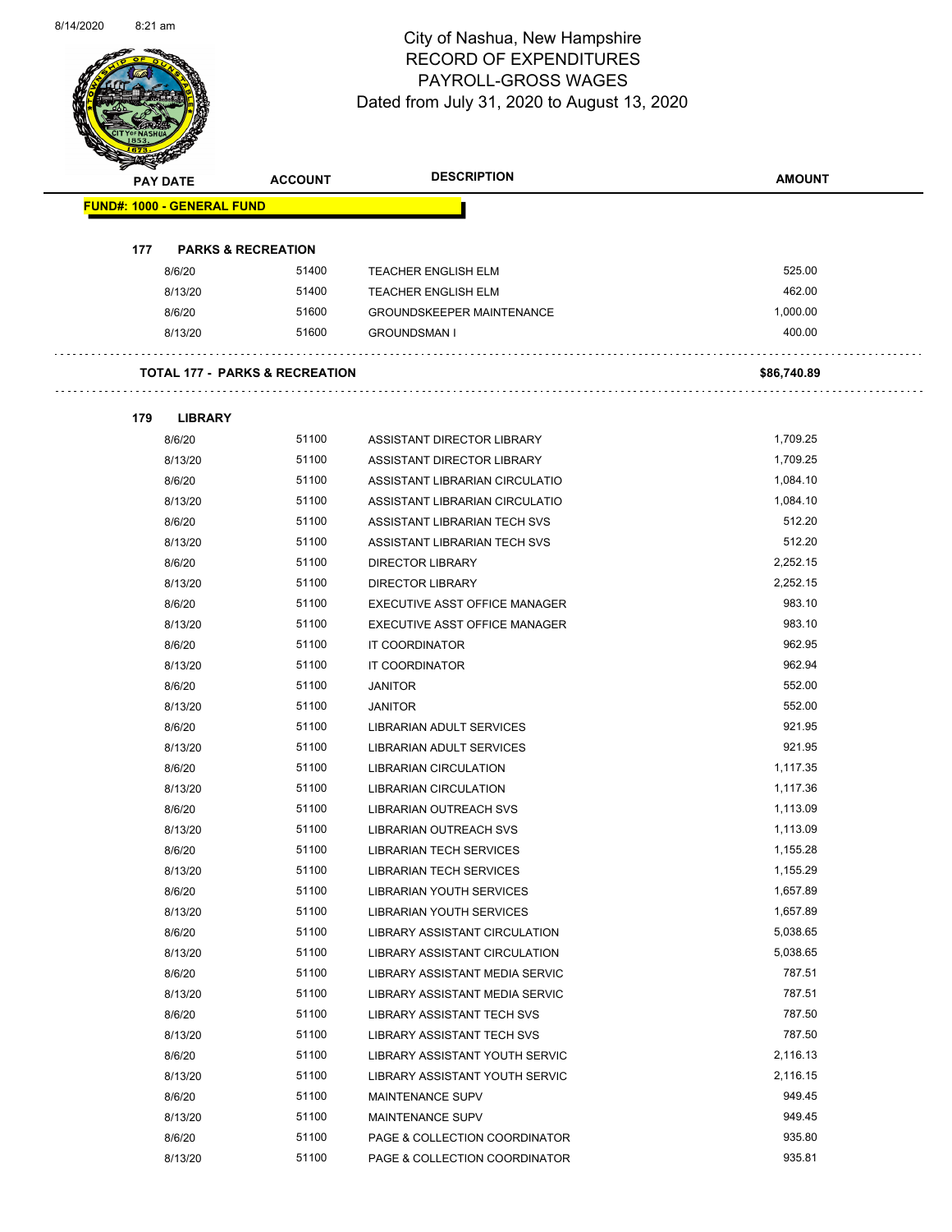Page 52 of 83

| <b>FUND#: 1000 - GENERAL FUND</b> |                                           |                                                                |                  |
|-----------------------------------|-------------------------------------------|----------------------------------------------------------------|------------------|
|                                   |                                           |                                                                |                  |
|                                   |                                           |                                                                |                  |
| 177                               | <b>PARKS &amp; RECREATION</b>             |                                                                |                  |
| 8/6/20                            | 51400                                     | <b>TEACHER ENGLISH ELM</b>                                     | 525.00           |
| 8/13/20                           | 51400                                     | TEACHER ENGLISH ELM                                            | 462.00           |
| 8/6/20                            | 51600                                     | <b>GROUNDSKEEPER MAINTENANCE</b>                               | 1,000.00         |
| 8/13/20                           | 51600                                     | <b>GROUNDSMAN I</b>                                            | 400.00           |
|                                   | <b>TOTAL 177 - PARKS &amp; RECREATION</b> |                                                                | \$86,740.89      |
| 179<br><b>LIBRARY</b>             |                                           |                                                                |                  |
| 8/6/20                            | 51100                                     | ASSISTANT DIRECTOR LIBRARY                                     | 1,709.25         |
| 8/13/20                           | 51100                                     | ASSISTANT DIRECTOR LIBRARY                                     | 1,709.25         |
| 8/6/20                            | 51100                                     | ASSISTANT LIBRARIAN CIRCULATIO                                 | 1,084.10         |
| 8/13/20                           | 51100                                     | ASSISTANT LIBRARIAN CIRCULATIO                                 | 1,084.10         |
| 8/6/20                            | 51100                                     | ASSISTANT LIBRARIAN TECH SVS                                   | 512.20           |
| 8/13/20                           | 51100                                     | ASSISTANT LIBRARIAN TECH SVS                                   | 512.20           |
| 8/6/20                            | 51100                                     | <b>DIRECTOR LIBRARY</b>                                        | 2,252.15         |
| 8/13/20                           | 51100                                     | <b>DIRECTOR LIBRARY</b>                                        | 2,252.15         |
| 8/6/20                            | 51100                                     | EXECUTIVE ASST OFFICE MANAGER                                  | 983.10           |
| 8/13/20                           | 51100                                     | EXECUTIVE ASST OFFICE MANAGER                                  | 983.10           |
| 8/6/20                            | 51100                                     | IT COORDINATOR                                                 | 962.95           |
| 8/13/20                           | 51100                                     | IT COORDINATOR                                                 | 962.94           |
| 8/6/20                            | 51100                                     | <b>JANITOR</b>                                                 | 552.00           |
| 8/13/20                           | 51100                                     | <b>JANITOR</b>                                                 | 552.00           |
| 8/6/20                            | 51100                                     | LIBRARIAN ADULT SERVICES                                       | 921.95           |
| 8/13/20                           | 51100                                     | LIBRARIAN ADULT SERVICES                                       | 921.95           |
| 8/6/20                            | 51100                                     | <b>LIBRARIAN CIRCULATION</b>                                   | 1,117.35         |
| 8/13/20                           | 51100                                     | <b>LIBRARIAN CIRCULATION</b>                                   | 1,117.36         |
| 8/6/20                            | 51100                                     | <b>LIBRARIAN OUTREACH SVS</b>                                  | 1,113.09         |
| 8/13/20                           | 51100                                     | LIBRARIAN OUTREACH SVS                                         | 1,113.09         |
| 8/6/20                            | 51100                                     | <b>LIBRARIAN TECH SERVICES</b>                                 | 1,155.28         |
| 8/13/20                           | 51100                                     | <b>LIBRARIAN TECH SERVICES</b>                                 | 1,155.29         |
| 8/6/20                            | 51100                                     | <b>LIBRARIAN YOUTH SERVICES</b>                                | 1,657.89         |
| 8/13/20                           | 51100                                     | <b>LIBRARIAN YOUTH SERVICES</b>                                | 1,657.89         |
| 8/6/20                            | 51100                                     | LIBRARY ASSISTANT CIRCULATION                                  | 5,038.65         |
| 8/13/20                           | 51100                                     | LIBRARY ASSISTANT CIRCULATION                                  | 5,038.65         |
| 8/6/20                            | 51100                                     | LIBRARY ASSISTANT MEDIA SERVIC                                 | 787.51           |
| 8/13/20                           | 51100                                     | LIBRARY ASSISTANT MEDIA SERVIC                                 | 787.51           |
| 8/6/20                            | 51100                                     | LIBRARY ASSISTANT TECH SVS                                     | 787.50           |
| 8/13/20                           | 51100                                     | LIBRARY ASSISTANT TECH SVS                                     | 787.50           |
| 8/6/20                            | 51100                                     | LIBRARY ASSISTANT YOUTH SERVIC                                 | 2,116.13         |
|                                   | 51100                                     |                                                                | 2,116.15         |
| 8/13/20                           | 51100                                     | LIBRARY ASSISTANT YOUTH SERVIC                                 | 949.45           |
| 8/6/20                            |                                           | <b>MAINTENANCE SUPV</b>                                        |                  |
| 8/13/20                           | 51100                                     | <b>MAINTENANCE SUPV</b>                                        | 949.45           |
| 8/6/20                            | 51100<br>51100                            | PAGE & COLLECTION COORDINATOR<br>PAGE & COLLECTION COORDINATOR | 935.80<br>935.81 |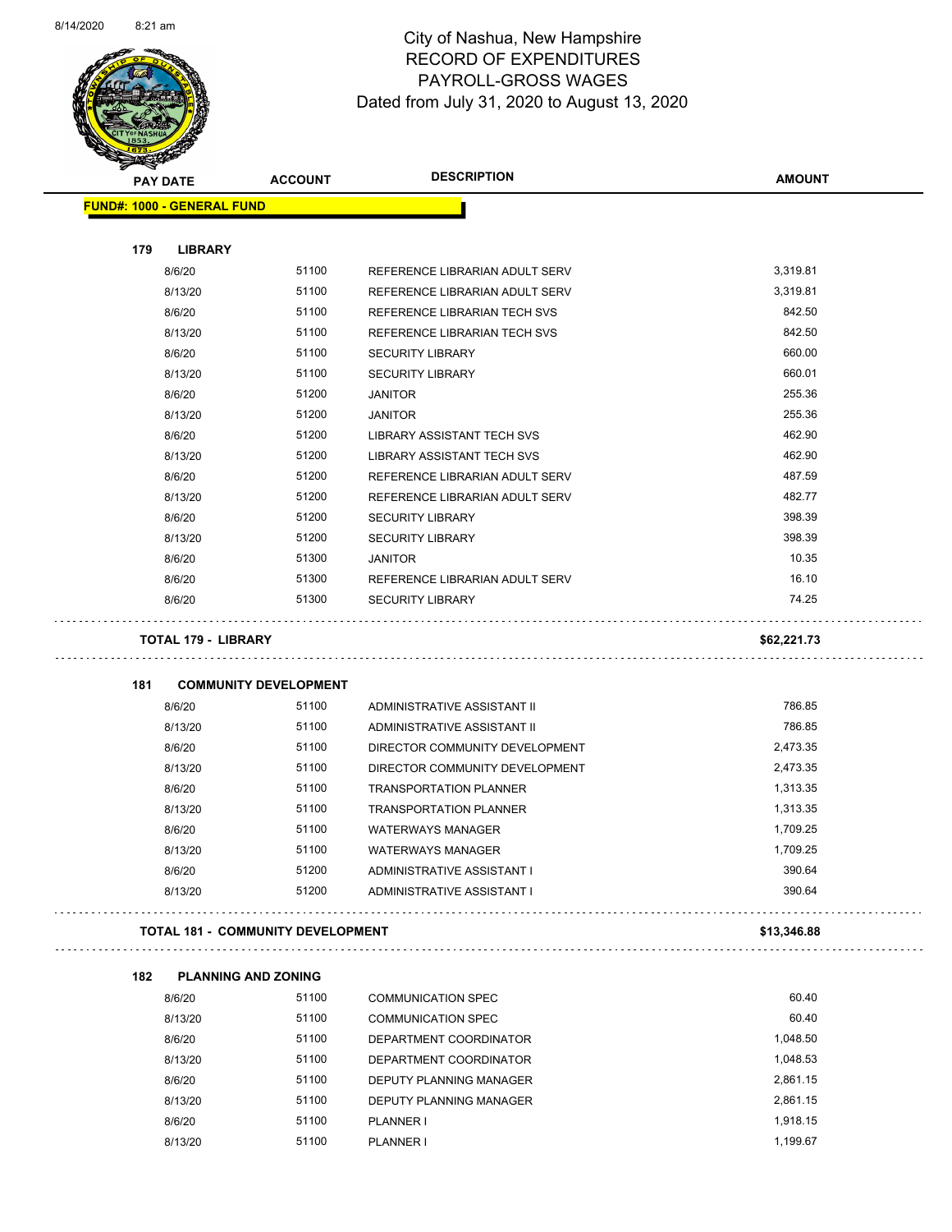

Page 53 of 83

|     | <b>PAY DATE</b>                          | <b>ACCOUNT</b>                        | <b>DESCRIPTION</b>                | <b>AMOUNT</b> |
|-----|------------------------------------------|---------------------------------------|-----------------------------------|---------------|
|     | <b>FUND#: 1000 - GENERAL FUND</b>        |                                       |                                   |               |
|     |                                          |                                       |                                   |               |
| 179 | <b>LIBRARY</b>                           |                                       |                                   |               |
|     | 8/6/20                                   | 51100                                 | REFERENCE LIBRARIAN ADULT SERV    | 3,319.81      |
|     | 8/13/20                                  | 51100                                 | REFERENCE LIBRARIAN ADULT SERV    | 3,319.81      |
|     | 8/6/20                                   | 51100                                 | REFERENCE LIBRARIAN TECH SVS      | 842.50        |
|     | 8/13/20                                  | 51100                                 | REFERENCE LIBRARIAN TECH SVS      | 842.50        |
|     | 8/6/20                                   | 51100                                 | <b>SECURITY LIBRARY</b>           | 660.00        |
|     | 8/13/20                                  | 51100                                 | <b>SECURITY LIBRARY</b>           | 660.01        |
|     | 8/6/20                                   | 51200                                 | <b>JANITOR</b>                    | 255.36        |
|     | 8/13/20                                  | 51200                                 | <b>JANITOR</b>                    | 255.36        |
|     | 8/6/20                                   | 51200                                 | LIBRARY ASSISTANT TECH SVS        | 462.90        |
|     | 8/13/20                                  | 51200                                 | <b>LIBRARY ASSISTANT TECH SVS</b> | 462.90        |
|     | 8/6/20                                   | 51200                                 | REFERENCE LIBRARIAN ADULT SERV    | 487.59        |
|     | 8/13/20                                  | 51200                                 | REFERENCE LIBRARIAN ADULT SERV    | 482.77        |
|     | 8/6/20                                   | 51200                                 | <b>SECURITY LIBRARY</b>           | 398.39        |
|     | 8/13/20                                  | 51200                                 | <b>SECURITY LIBRARY</b>           | 398.39        |
|     | 8/6/20                                   | 51300                                 | <b>JANITOR</b>                    | 10.35         |
|     | 8/6/20                                   | 51300                                 | REFERENCE LIBRARIAN ADULT SERV    | 16.10         |
|     | 8/6/20                                   | 51300                                 | <b>SECURITY LIBRARY</b>           | 74.25         |
|     | <b>TOTAL 179 - LIBRARY</b>               |                                       |                                   | \$62,221.73   |
|     |                                          |                                       |                                   |               |
| 181 |                                          | <b>COMMUNITY DEVELOPMENT</b><br>51100 |                                   | 786.85        |
|     | 8/6/20                                   |                                       | ADMINISTRATIVE ASSISTANT II       | 786.85        |
|     | 8/13/20                                  | 51100<br>51100                        | ADMINISTRATIVE ASSISTANT II       |               |
|     | 8/6/20                                   |                                       | DIRECTOR COMMUNITY DEVELOPMENT    | 2,473.35      |
|     | 8/13/20                                  | 51100                                 | DIRECTOR COMMUNITY DEVELOPMENT    | 2,473.35      |
|     | 8/6/20                                   | 51100                                 | <b>TRANSPORTATION PLANNER</b>     | 1,313.35      |
|     | 8/13/20                                  | 51100                                 | <b>TRANSPORTATION PLANNER</b>     | 1,313.35      |
|     | 8/6/20                                   | 51100                                 | <b>WATERWAYS MANAGER</b>          | 1,709.25      |
|     | 8/13/20                                  | 51100                                 | <b>WATERWAYS MANAGER</b>          | 1,709.25      |
|     | 8/6/20                                   | 51200                                 | ADMINISTRATIVE ASSISTANT I        | 390.64        |
|     | 8/13/20                                  | 51200                                 | ADMINISTRATIVE ASSISTANT I        | 390.64        |
|     | <b>TOTAL 181 - COMMUNITY DEVELOPMENT</b> |                                       |                                   | \$13,346.88   |
| 182 |                                          | <b>PLANNING AND ZONING</b>            |                                   |               |
|     | 8/6/20                                   | 51100                                 | <b>COMMUNICATION SPEC</b>         | 60.40         |
|     | 8/13/20                                  | 51100                                 | <b>COMMUNICATION SPEC</b>         | 60.40         |
|     | 8/6/20                                   | 51100                                 | DEPARTMENT COORDINATOR            | 1,048.50      |
|     |                                          | 51100                                 |                                   |               |
|     | 8/13/20                                  |                                       | DEPARTMENT COORDINATOR            | 1,048.53      |
|     | 8/6/20                                   | 51100                                 | DEPUTY PLANNING MANAGER           | 2,861.15      |
|     | 8/13/20                                  | 51100                                 | DEPUTY PLANNING MANAGER           | 2,861.15      |
|     | 8/6/20                                   | 51100                                 | PLANNER I                         | 1,918.15      |
|     | 8/13/20                                  | 51100                                 | PLANNER I                         | 1,199.67      |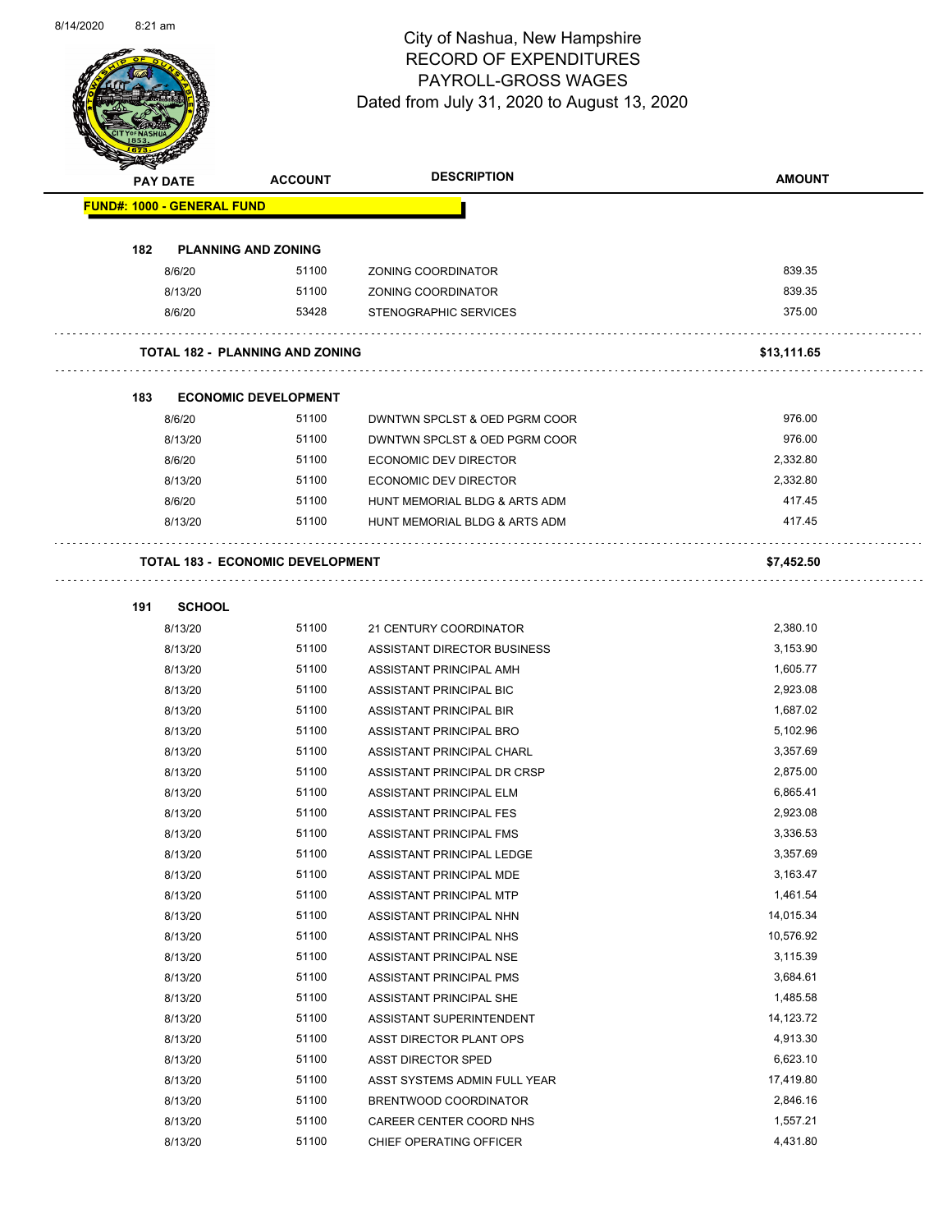

Page 54 of 83

|                                   | PAY DATE      | <b>ACCOUNT</b>                          | <b>DESCRIPTION</b>            | <b>AMOUNT</b> |
|-----------------------------------|---------------|-----------------------------------------|-------------------------------|---------------|
| <b>FUND#: 1000 - GENERAL FUND</b> |               |                                         |                               |               |
| 182                               |               | <b>PLANNING AND ZONING</b>              |                               |               |
|                                   | 8/6/20        | 51100                                   | ZONING COORDINATOR            | 839.35        |
|                                   | 8/13/20       | 51100                                   | ZONING COORDINATOR            | 839.35        |
|                                   | 8/6/20        | 53428                                   | STENOGRAPHIC SERVICES         | 375.00        |
|                                   |               | TOTAL 182 - PLANNING AND ZONING         |                               | \$13,111.65   |
| 183                               |               | <b>ECONOMIC DEVELOPMENT</b>             |                               |               |
|                                   | 8/6/20        | 51100                                   | DWNTWN SPCLST & OED PGRM COOR | 976.00        |
|                                   | 8/13/20       | 51100                                   | DWNTWN SPCLST & OED PGRM COOR | 976.00        |
|                                   | 8/6/20        | 51100                                   | ECONOMIC DEV DIRECTOR         | 2,332.80      |
|                                   | 8/13/20       | 51100                                   | <b>ECONOMIC DEV DIRECTOR</b>  | 2,332.80      |
|                                   | 8/6/20        | 51100                                   | HUNT MEMORIAL BLDG & ARTS ADM | 417.45        |
|                                   | 8/13/20       | 51100                                   | HUNT MEMORIAL BLDG & ARTS ADM | 417.45        |
|                                   |               | <b>TOTAL 183 - ECONOMIC DEVELOPMENT</b> |                               | \$7,452.50    |
| 191                               | <b>SCHOOL</b> |                                         |                               |               |
|                                   | 8/13/20       | 51100                                   | 21 CENTURY COORDINATOR        | 2,380.10      |
|                                   | 8/13/20       | 51100                                   | ASSISTANT DIRECTOR BUSINESS   | 3,153.90      |
|                                   | 8/13/20       | 51100                                   | ASSISTANT PRINCIPAL AMH       | 1,605.77      |
|                                   | 8/13/20       | 51100                                   | ASSISTANT PRINCIPAL BIC       | 2,923.08      |
|                                   | 8/13/20       | 51100                                   | ASSISTANT PRINCIPAL BIR       | 1,687.02      |
|                                   | 8/13/20       | 51100                                   | ASSISTANT PRINCIPAL BRO       | 5,102.96      |
|                                   | 8/13/20       | 51100                                   | ASSISTANT PRINCIPAL CHARL     | 3,357.69      |
|                                   | 8/13/20       | 51100                                   | ASSISTANT PRINCIPAL DR CRSP   | 2,875.00      |
|                                   | 8/13/20       | 51100                                   | ASSISTANT PRINCIPAL ELM       | 6,865.41      |
|                                   | 8/13/20       | 51100                                   | ASSISTANT PRINCIPAL FES       | 2,923.08      |
|                                   | 8/13/20       | 51100                                   | ASSISTANT PRINCIPAL FMS       | 3,336.53      |
|                                   | 8/13/20       | 51100                                   | ASSISTANT PRINCIPAL LEDGE     | 3,357.69      |
|                                   | 8/13/20       | 51100                                   | ASSISTANT PRINCIPAL MDE       | 3,163.47      |
|                                   | 8/13/20       | 51100                                   | ASSISTANT PRINCIPAL MTP       | 1,461.54      |
|                                   | 8/13/20       | 51100                                   | ASSISTANT PRINCIPAL NHN       | 14,015.34     |
|                                   | 8/13/20       | 51100                                   | ASSISTANT PRINCIPAL NHS       | 10,576.92     |
|                                   | 8/13/20       | 51100                                   | ASSISTANT PRINCIPAL NSE       | 3,115.39      |
|                                   | 8/13/20       | 51100                                   | ASSISTANT PRINCIPAL PMS       | 3,684.61      |
|                                   | 8/13/20       | 51100                                   | ASSISTANT PRINCIPAL SHE       | 1,485.58      |
|                                   | 8/13/20       | 51100                                   | ASSISTANT SUPERINTENDENT      | 14,123.72     |
|                                   | 8/13/20       | 51100                                   | ASST DIRECTOR PLANT OPS       | 4,913.30      |
|                                   | 8/13/20       | 51100                                   | ASST DIRECTOR SPED            | 6,623.10      |
|                                   | 8/13/20       | 51100                                   | ASST SYSTEMS ADMIN FULL YEAR  | 17,419.80     |
|                                   | 8/13/20       | 51100                                   | BRENTWOOD COORDINATOR         | 2,846.16      |
|                                   | 8/13/20       | 51100                                   | CAREER CENTER COORD NHS       | 1,557.21      |
|                                   | 8/13/20       | 51100                                   | CHIEF OPERATING OFFICER       | 4,431.80      |
|                                   |               |                                         |                               |               |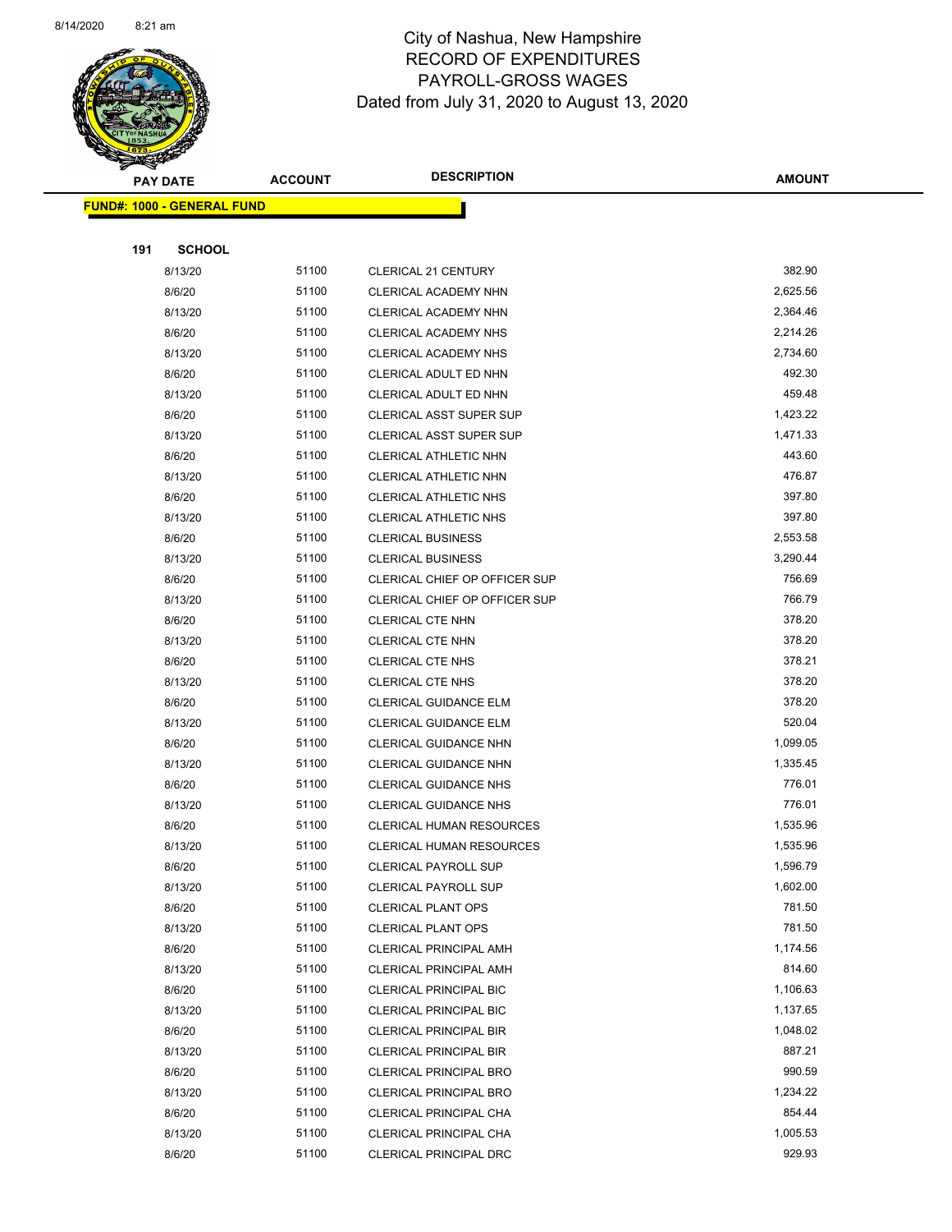

Page 55 of 83

| <b>STATERS</b>  |                                   |                |                                      |               |
|-----------------|-----------------------------------|----------------|--------------------------------------|---------------|
| <b>PAY DATE</b> |                                   | <b>ACCOUNT</b> | <b>DESCRIPTION</b>                   | <b>AMOUNT</b> |
|                 | <b>FUND#: 1000 - GENERAL FUND</b> |                |                                      |               |
|                 |                                   |                |                                      |               |
| 191             | <b>SCHOOL</b>                     |                |                                      |               |
|                 | 8/13/20                           | 51100          | CLERICAL 21 CENTURY                  | 382.90        |
|                 | 8/6/20                            | 51100          | CLERICAL ACADEMY NHN                 | 2,625.56      |
|                 | 8/13/20                           | 51100          | CLERICAL ACADEMY NHN                 | 2,364.46      |
|                 | 8/6/20                            | 51100          | <b>CLERICAL ACADEMY NHS</b>          | 2,214.26      |
|                 | 8/13/20                           | 51100          | CLERICAL ACADEMY NHS                 | 2,734.60      |
|                 | 8/6/20                            | 51100          | CLERICAL ADULT ED NHN                | 492.30        |
|                 | 8/13/20                           | 51100          | CLERICAL ADULT ED NHN                | 459.48        |
|                 | 8/6/20                            | 51100          | CLERICAL ASST SUPER SUP              | 1,423.22      |
|                 | 8/13/20                           | 51100          | CLERICAL ASST SUPER SUP              | 1,471.33      |
|                 | 8/6/20                            | 51100          | <b>CLERICAL ATHLETIC NHN</b>         | 443.60        |
|                 | 8/13/20                           | 51100          | <b>CLERICAL ATHLETIC NHN</b>         | 476.87        |
|                 | 8/6/20                            | 51100          | <b>CLERICAL ATHLETIC NHS</b>         | 397.80        |
|                 | 8/13/20                           | 51100          | <b>CLERICAL ATHLETIC NHS</b>         | 397.80        |
|                 | 8/6/20                            | 51100          | <b>CLERICAL BUSINESS</b>             | 2,553.58      |
|                 | 8/13/20                           | 51100          | <b>CLERICAL BUSINESS</b>             | 3,290.44      |
|                 | 8/6/20                            | 51100          | CLERICAL CHIEF OP OFFICER SUP        | 756.69        |
|                 | 8/13/20                           | 51100          | <b>CLERICAL CHIEF OP OFFICER SUP</b> | 766.79        |
|                 | 8/6/20                            | 51100          | CLERICAL CTE NHN                     | 378.20        |
|                 | 8/13/20                           | 51100          | <b>CLERICAL CTE NHN</b>              | 378.20        |
|                 | 8/6/20                            | 51100          | <b>CLERICAL CTE NHS</b>              | 378.21        |
|                 | 8/13/20                           | 51100          | <b>CLERICAL CTE NHS</b>              | 378.20        |
|                 | 8/6/20                            | 51100          | <b>CLERICAL GUIDANCE ELM</b>         | 378.20        |
|                 | 8/13/20                           | 51100          | <b>CLERICAL GUIDANCE ELM</b>         | 520.04        |
|                 | 8/6/20                            | 51100          | <b>CLERICAL GUIDANCE NHN</b>         | 1,099.05      |
|                 | 8/13/20                           | 51100          | CLERICAL GUIDANCE NHN                | 1,335.45      |
|                 | 8/6/20                            | 51100          | <b>CLERICAL GUIDANCE NHS</b>         | 776.01        |
|                 | 8/13/20                           | 51100          | <b>CLERICAL GUIDANCE NHS</b>         | 776.01        |
|                 | 8/6/20                            | 51100          | <b>CLERICAL HUMAN RESOURCES</b>      | 1,535.96      |
|                 | 8/13/20                           | 51100          | <b>CLERICAL HUMAN RESOURCES</b>      | 1,535.96      |
|                 | 8/6/20                            | 51100          | <b>CLERICAL PAYROLL SUP</b>          | 1,596.79      |
|                 | 8/13/20                           | 51100          | <b>CLERICAL PAYROLL SUP</b>          | 1,602.00      |
|                 | 8/6/20                            | 51100          | <b>CLERICAL PLANT OPS</b>            | 781.50        |
|                 | 8/13/20                           | 51100          | <b>CLERICAL PLANT OPS</b>            | 781.50        |
|                 | 8/6/20                            | 51100          | <b>CLERICAL PRINCIPAL AMH</b>        | 1,174.56      |
|                 | 8/13/20                           | 51100          | <b>CLERICAL PRINCIPAL AMH</b>        | 814.60        |
|                 | 8/6/20                            | 51100          | CLERICAL PRINCIPAL BIC               | 1,106.63      |
|                 | 8/13/20                           | 51100          | <b>CLERICAL PRINCIPAL BIC</b>        | 1,137.65      |
|                 | 8/6/20                            | 51100          | CLERICAL PRINCIPAL BIR               | 1,048.02      |
|                 | 8/13/20                           | 51100          | <b>CLERICAL PRINCIPAL BIR</b>        | 887.21        |
|                 | 8/6/20                            | 51100          | CLERICAL PRINCIPAL BRO               | 990.59        |
|                 | 8/13/20                           | 51100          | <b>CLERICAL PRINCIPAL BRO</b>        | 1,234.22      |
|                 | 8/6/20                            | 51100          | CLERICAL PRINCIPAL CHA               | 854.44        |
|                 | 8/13/20                           | 51100          | CLERICAL PRINCIPAL CHA               | 1,005.53      |
|                 | 8/6/20                            | 51100          | CLERICAL PRINCIPAL DRC               | 929.93        |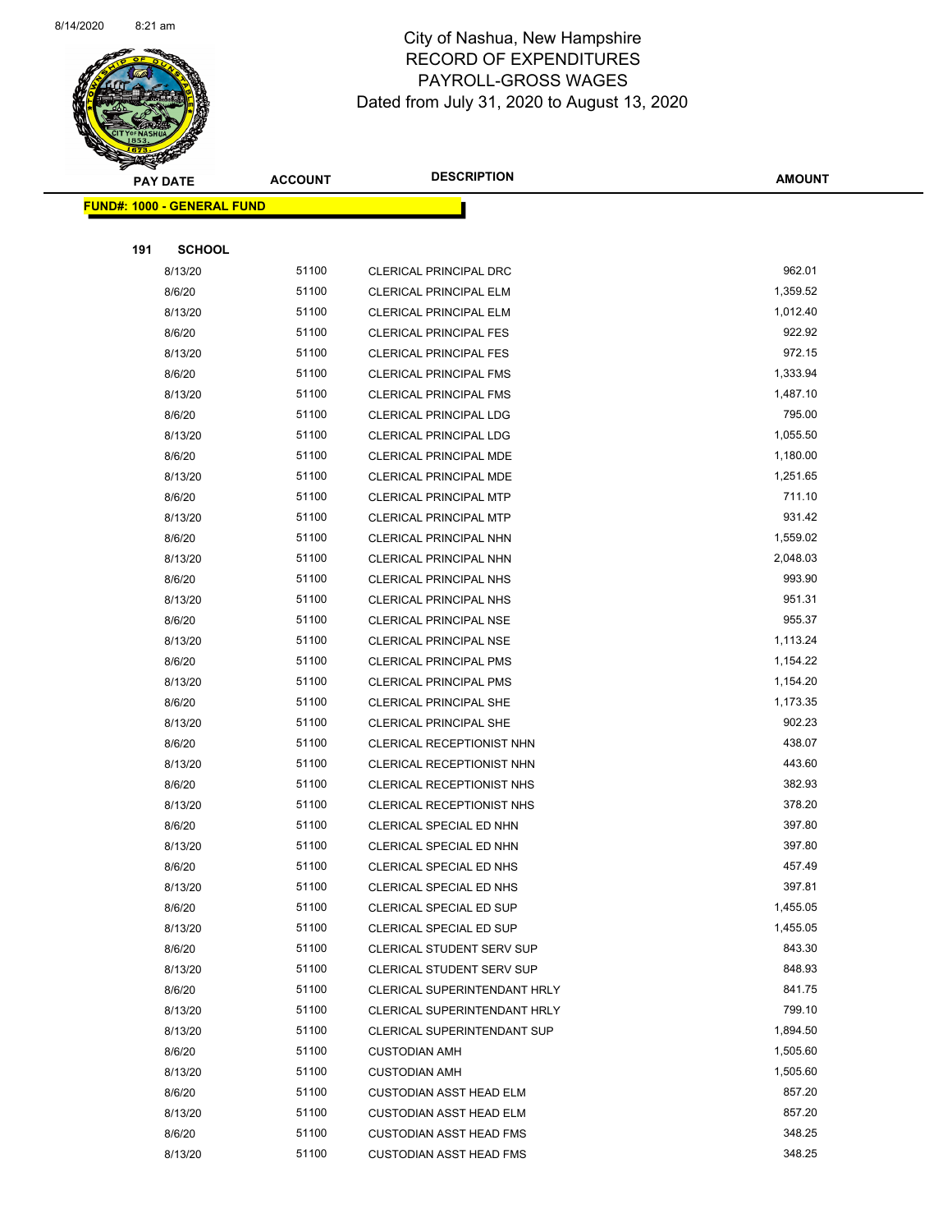

Page 56 of 83

| ॼ   | <b>PAY DATE</b>                   | <b>ACCOUNT</b> | <b>DESCRIPTION</b>                  | <b>AMOUNT</b> |
|-----|-----------------------------------|----------------|-------------------------------------|---------------|
|     | <b>FUND#: 1000 - GENERAL FUND</b> |                |                                     |               |
|     |                                   |                |                                     |               |
| 191 | <b>SCHOOL</b>                     |                |                                     |               |
|     | 8/13/20                           | 51100          | CLERICAL PRINCIPAL DRC              | 962.01        |
|     | 8/6/20                            | 51100          | CLERICAL PRINCIPAL ELM              | 1,359.52      |
|     | 8/13/20                           | 51100          | <b>CLERICAL PRINCIPAL ELM</b>       | 1,012.40      |
|     | 8/6/20                            | 51100          | <b>CLERICAL PRINCIPAL FES</b>       | 922.92        |
|     | 8/13/20                           | 51100          | <b>CLERICAL PRINCIPAL FES</b>       | 972.15        |
|     | 8/6/20                            | 51100          | CLERICAL PRINCIPAL FMS              | 1,333.94      |
|     | 8/13/20                           | 51100          | <b>CLERICAL PRINCIPAL FMS</b>       | 1,487.10      |
|     | 8/6/20                            | 51100          | <b>CLERICAL PRINCIPAL LDG</b>       | 795.00        |
|     | 8/13/20                           | 51100          | <b>CLERICAL PRINCIPAL LDG</b>       | 1,055.50      |
|     | 8/6/20                            | 51100          | <b>CLERICAL PRINCIPAL MDE</b>       | 1,180.00      |
|     | 8/13/20                           | 51100          | CLERICAL PRINCIPAL MDE              | 1,251.65      |
|     | 8/6/20                            | 51100          | <b>CLERICAL PRINCIPAL MTP</b>       | 711.10        |
|     | 8/13/20                           | 51100          | <b>CLERICAL PRINCIPAL MTP</b>       | 931.42        |
|     | 8/6/20                            | 51100          | CLERICAL PRINCIPAL NHN              | 1,559.02      |
|     | 8/13/20                           | 51100          | <b>CLERICAL PRINCIPAL NHN</b>       | 2,048.03      |
|     | 8/6/20                            | 51100          | CLERICAL PRINCIPAL NHS              | 993.90        |
|     | 8/13/20                           | 51100          | CLERICAL PRINCIPAL NHS              | 951.31        |
|     | 8/6/20                            | 51100          | <b>CLERICAL PRINCIPAL NSE</b>       | 955.37        |
|     | 8/13/20                           | 51100          | <b>CLERICAL PRINCIPAL NSE</b>       | 1,113.24      |
|     | 8/6/20                            | 51100          | <b>CLERICAL PRINCIPAL PMS</b>       | 1,154.22      |
|     | 8/13/20                           | 51100          | <b>CLERICAL PRINCIPAL PMS</b>       | 1,154.20      |
|     | 8/6/20                            | 51100          | CLERICAL PRINCIPAL SHE              | 1,173.35      |
|     | 8/13/20                           | 51100          | <b>CLERICAL PRINCIPAL SHE</b>       | 902.23        |
|     | 8/6/20                            | 51100          | CLERICAL RECEPTIONIST NHN           | 438.07        |
|     | 8/13/20                           | 51100          | CLERICAL RECEPTIONIST NHN           | 443.60        |
|     | 8/6/20                            | 51100          | CLERICAL RECEPTIONIST NHS           | 382.93        |
|     | 8/13/20                           | 51100          | CLERICAL RECEPTIONIST NHS           | 378.20        |
|     | 8/6/20                            | 51100          | CLERICAL SPECIAL ED NHN             | 397.80        |
|     | 8/13/20                           | 51100          | CLERICAL SPECIAL ED NHN             | 397.80        |
|     | 8/6/20                            | 51100          | CLERICAL SPECIAL ED NHS             | 457.49        |
|     | 8/13/20                           | 51100          | CLERICAL SPECIAL ED NHS             | 397.81        |
|     | 8/6/20                            | 51100          | CLERICAL SPECIAL ED SUP             | 1,455.05      |
|     | 8/13/20                           | 51100          | CLERICAL SPECIAL ED SUP             | 1,455.05      |
|     | 8/6/20                            | 51100          | <b>CLERICAL STUDENT SERV SUP</b>    | 843.30        |
|     | 8/13/20                           | 51100          | <b>CLERICAL STUDENT SERV SUP</b>    | 848.93        |
|     | 8/6/20                            | 51100          | CLERICAL SUPERINTENDANT HRLY        | 841.75        |
|     | 8/13/20                           | 51100          | <b>CLERICAL SUPERINTENDANT HRLY</b> | 799.10        |
|     | 8/13/20                           | 51100          | CLERICAL SUPERINTENDANT SUP         | 1,894.50      |
|     | 8/6/20                            | 51100          | <b>CUSTODIAN AMH</b>                | 1,505.60      |
|     | 8/13/20                           | 51100          | <b>CUSTODIAN AMH</b>                | 1,505.60      |
|     | 8/6/20                            | 51100          | <b>CUSTODIAN ASST HEAD ELM</b>      | 857.20        |
|     | 8/13/20                           | 51100          | <b>CUSTODIAN ASST HEAD ELM</b>      | 857.20        |
|     | 8/6/20                            | 51100          | <b>CUSTODIAN ASST HEAD FMS</b>      | 348.25        |
|     | 8/13/20                           | 51100          | <b>CUSTODIAN ASST HEAD FMS</b>      | 348.25        |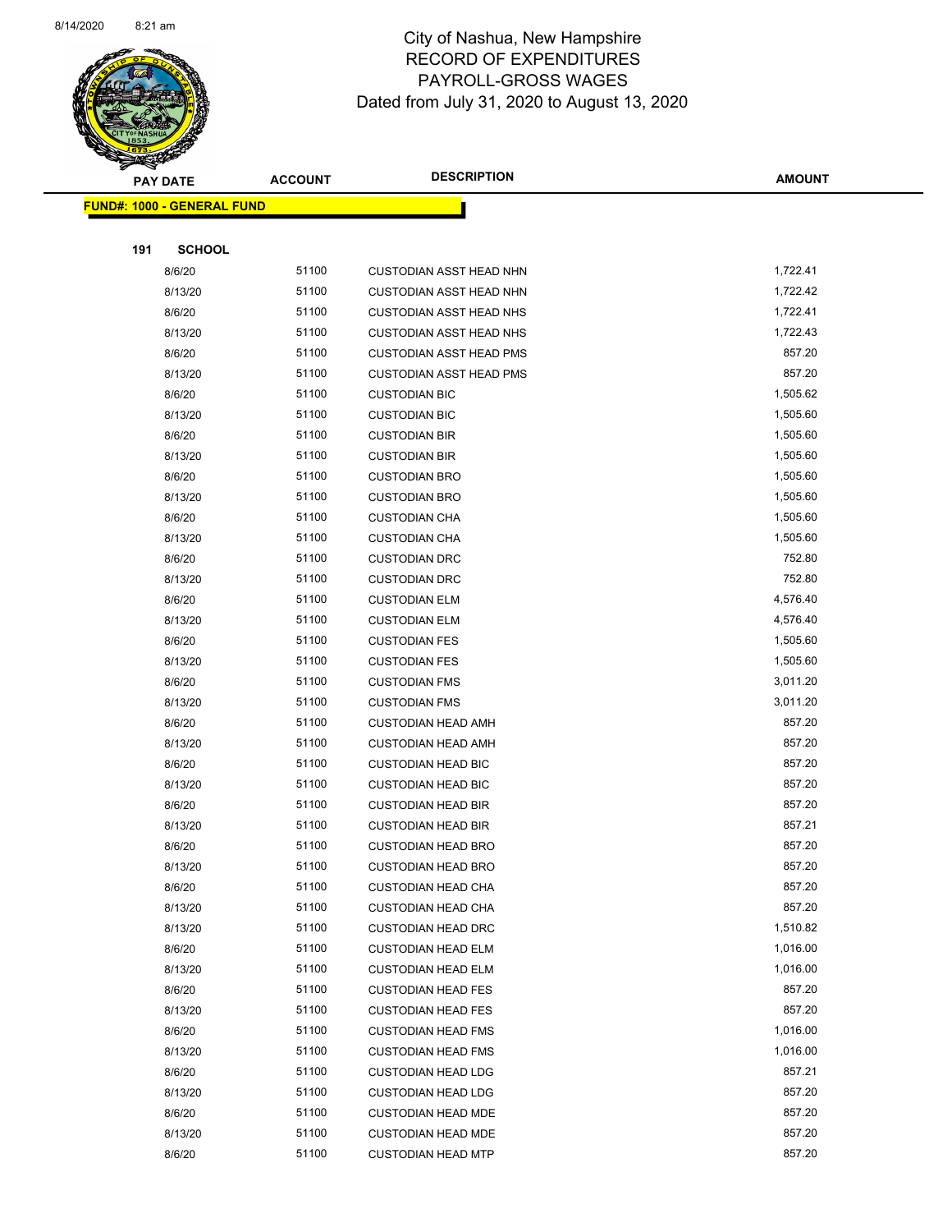

Page 57 of 83

| <b>Anton</b><br><b>PAY DATE</b> |                                   | <b>ACCOUNT</b> | <b>DESCRIPTION</b>             | <b>AMOUNT</b> |
|---------------------------------|-----------------------------------|----------------|--------------------------------|---------------|
|                                 | <b>FUND#: 1000 - GENERAL FUND</b> |                |                                |               |
|                                 |                                   |                |                                |               |
| 191                             | <b>SCHOOL</b>                     |                |                                |               |
|                                 | 8/6/20                            | 51100          | <b>CUSTODIAN ASST HEAD NHN</b> | 1,722.41      |
|                                 | 8/13/20                           | 51100          | <b>CUSTODIAN ASST HEAD NHN</b> | 1,722.42      |
|                                 | 8/6/20                            | 51100          | <b>CUSTODIAN ASST HEAD NHS</b> | 1,722.41      |
|                                 | 8/13/20                           | 51100          | <b>CUSTODIAN ASST HEAD NHS</b> | 1,722.43      |
|                                 | 8/6/20                            | 51100          | <b>CUSTODIAN ASST HEAD PMS</b> | 857.20        |
|                                 | 8/13/20                           | 51100          | <b>CUSTODIAN ASST HEAD PMS</b> | 857.20        |
|                                 | 8/6/20                            | 51100          | <b>CUSTODIAN BIC</b>           | 1,505.62      |
|                                 | 8/13/20                           | 51100          | <b>CUSTODIAN BIC</b>           | 1,505.60      |
|                                 | 8/6/20                            | 51100          | <b>CUSTODIAN BIR</b>           | 1,505.60      |
|                                 | 8/13/20                           | 51100          | <b>CUSTODIAN BIR</b>           | 1,505.60      |
|                                 | 8/6/20                            | 51100          | <b>CUSTODIAN BRO</b>           | 1,505.60      |
|                                 | 8/13/20                           | 51100          | <b>CUSTODIAN BRO</b>           | 1,505.60      |
|                                 | 8/6/20                            | 51100          | <b>CUSTODIAN CHA</b>           | 1,505.60      |
|                                 | 8/13/20                           | 51100          | <b>CUSTODIAN CHA</b>           | 1,505.60      |
|                                 | 8/6/20                            | 51100          | <b>CUSTODIAN DRC</b>           | 752.80        |
|                                 | 8/13/20                           | 51100          | <b>CUSTODIAN DRC</b>           | 752.80        |
|                                 | 8/6/20                            | 51100          | <b>CUSTODIAN ELM</b>           | 4,576.40      |
|                                 | 8/13/20                           | 51100          | <b>CUSTODIAN ELM</b>           | 4,576.40      |
|                                 | 8/6/20                            | 51100          | <b>CUSTODIAN FES</b>           | 1,505.60      |
|                                 | 8/13/20                           | 51100          | <b>CUSTODIAN FES</b>           | 1,505.60      |
|                                 | 8/6/20                            | 51100          | <b>CUSTODIAN FMS</b>           | 3,011.20      |
|                                 | 8/13/20                           | 51100          | <b>CUSTODIAN FMS</b>           | 3,011.20      |
|                                 | 8/6/20                            | 51100          | <b>CUSTODIAN HEAD AMH</b>      | 857.20        |
|                                 | 8/13/20                           | 51100          | <b>CUSTODIAN HEAD AMH</b>      | 857.20        |
|                                 | 8/6/20                            | 51100          | <b>CUSTODIAN HEAD BIC</b>      | 857.20        |
|                                 | 8/13/20                           | 51100          | <b>CUSTODIAN HEAD BIC</b>      | 857.20        |
|                                 | 8/6/20                            | 51100          | <b>CUSTODIAN HEAD BIR</b>      | 857.20        |
|                                 | 8/13/20                           | 51100          | <b>CUSTODIAN HEAD BIR</b>      | 857.21        |
|                                 | 8/6/20                            | 51100          | <b>CUSTODIAN HEAD BRO</b>      | 857.20        |
|                                 | 8/13/20                           | 51100          | <b>CUSTODIAN HEAD BRO</b>      | 857.20        |
|                                 | 8/6/20                            | 51100          | <b>CUSTODIAN HEAD CHA</b>      | 857.20        |
|                                 | 8/13/20                           | 51100          | <b>CUSTODIAN HEAD CHA</b>      | 857.20        |
|                                 | 8/13/20                           | 51100          | <b>CUSTODIAN HEAD DRC</b>      | 1,510.82      |
|                                 | 8/6/20                            | 51100          | <b>CUSTODIAN HEAD ELM</b>      | 1,016.00      |
|                                 | 8/13/20                           | 51100          | <b>CUSTODIAN HEAD ELM</b>      | 1,016.00      |
|                                 | 8/6/20                            | 51100          | <b>CUSTODIAN HEAD FES</b>      | 857.20        |
|                                 | 8/13/20                           | 51100          | <b>CUSTODIAN HEAD FES</b>      | 857.20        |
|                                 | 8/6/20                            | 51100          | <b>CUSTODIAN HEAD FMS</b>      | 1,016.00      |
|                                 | 8/13/20                           | 51100          | <b>CUSTODIAN HEAD FMS</b>      | 1,016.00      |
|                                 | 8/6/20                            | 51100          | <b>CUSTODIAN HEAD LDG</b>      | 857.21        |
|                                 | 8/13/20                           | 51100          | <b>CUSTODIAN HEAD LDG</b>      | 857.20        |
|                                 | 8/6/20                            | 51100          | <b>CUSTODIAN HEAD MDE</b>      | 857.20        |
|                                 | 8/13/20                           | 51100          | <b>CUSTODIAN HEAD MDE</b>      | 857.20        |
|                                 | 8/6/20                            | 51100          | <b>CUSTODIAN HEAD MTP</b>      | 857.20        |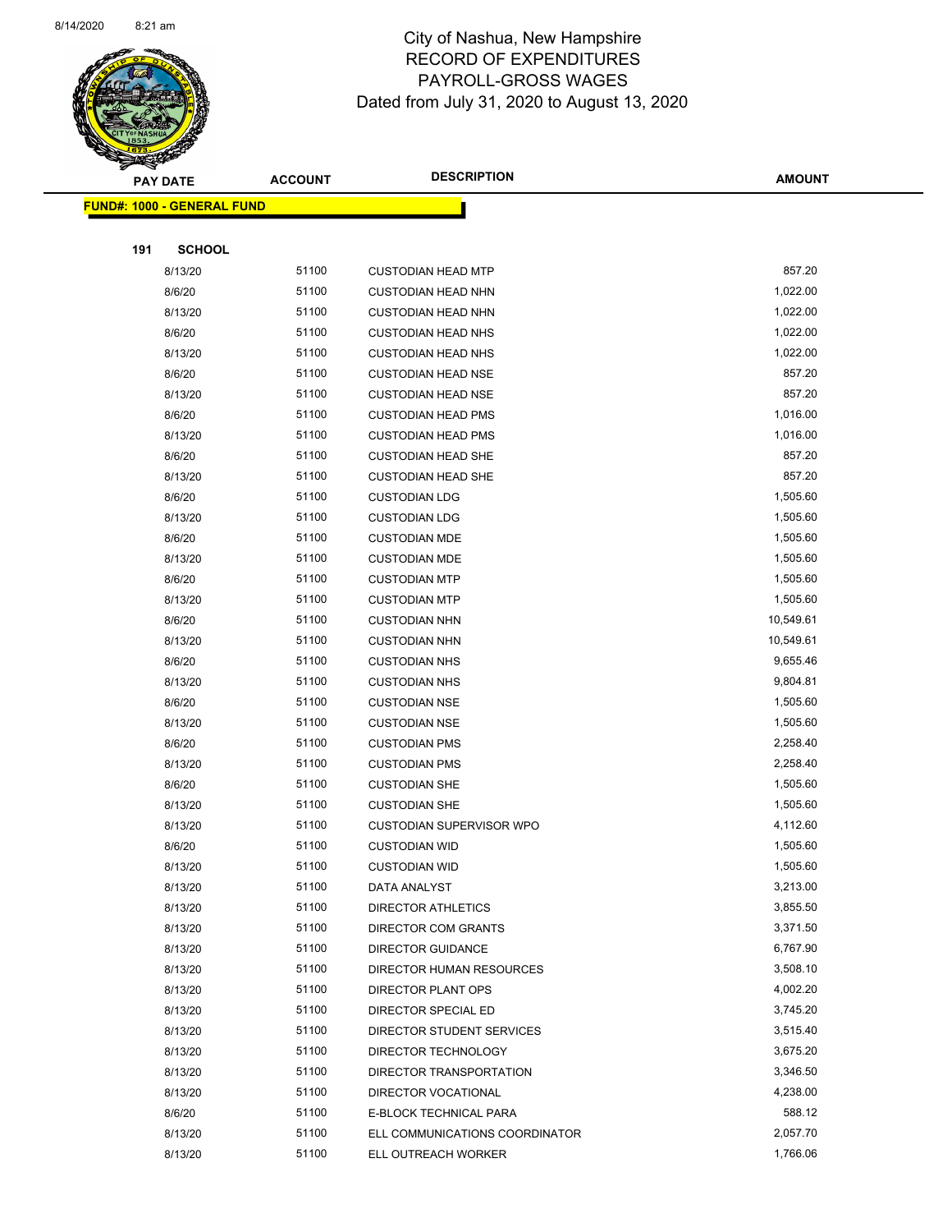

Page 58 of 83

| $\tilde{\phantom{a}}$ | <b>PAY DATE</b>                   | <b>ACCOUNT</b> | <b>DESCRIPTION</b>                        | <b>AMOUNT</b>        |
|-----------------------|-----------------------------------|----------------|-------------------------------------------|----------------------|
|                       | <b>FUND#: 1000 - GENERAL FUND</b> |                |                                           |                      |
|                       |                                   |                |                                           |                      |
| 191                   | <b>SCHOOL</b>                     |                |                                           |                      |
|                       | 8/13/20                           | 51100          | <b>CUSTODIAN HEAD MTP</b>                 | 857.20               |
|                       | 8/6/20                            | 51100          | <b>CUSTODIAN HEAD NHN</b>                 | 1,022.00             |
|                       | 8/13/20                           | 51100          | <b>CUSTODIAN HEAD NHN</b>                 | 1,022.00             |
|                       | 8/6/20                            | 51100          | <b>CUSTODIAN HEAD NHS</b>                 | 1,022.00             |
|                       | 8/13/20                           | 51100          | <b>CUSTODIAN HEAD NHS</b>                 | 1,022.00             |
|                       | 8/6/20                            | 51100          | <b>CUSTODIAN HEAD NSE</b>                 | 857.20               |
|                       | 8/13/20                           | 51100          | <b>CUSTODIAN HEAD NSE</b>                 | 857.20               |
|                       | 8/6/20                            | 51100          | <b>CUSTODIAN HEAD PMS</b>                 | 1,016.00             |
|                       | 8/13/20                           | 51100          | <b>CUSTODIAN HEAD PMS</b>                 | 1,016.00             |
|                       | 8/6/20                            | 51100          | <b>CUSTODIAN HEAD SHE</b>                 | 857.20               |
|                       | 8/13/20                           | 51100          | <b>CUSTODIAN HEAD SHE</b>                 | 857.20               |
|                       | 8/6/20                            | 51100          | <b>CUSTODIAN LDG</b>                      | 1,505.60             |
|                       | 8/13/20                           | 51100          | <b>CUSTODIAN LDG</b>                      | 1,505.60             |
|                       | 8/6/20                            | 51100          | <b>CUSTODIAN MDE</b>                      | 1,505.60             |
|                       | 8/13/20                           | 51100          | <b>CUSTODIAN MDE</b>                      | 1,505.60             |
|                       | 8/6/20                            | 51100          | <b>CUSTODIAN MTP</b>                      | 1,505.60             |
|                       | 8/13/20                           | 51100          | <b>CUSTODIAN MTP</b>                      | 1,505.60             |
|                       | 8/6/20                            | 51100          | <b>CUSTODIAN NHN</b>                      | 10,549.61            |
|                       | 8/13/20                           | 51100          | <b>CUSTODIAN NHN</b>                      | 10,549.61            |
|                       | 8/6/20                            | 51100          | <b>CUSTODIAN NHS</b>                      | 9,655.46             |
|                       | 8/13/20                           | 51100          | <b>CUSTODIAN NHS</b>                      | 9,804.81             |
|                       | 8/6/20                            | 51100          | <b>CUSTODIAN NSE</b>                      | 1,505.60             |
|                       | 8/13/20                           | 51100          | <b>CUSTODIAN NSE</b>                      | 1,505.60             |
|                       | 8/6/20                            | 51100          | <b>CUSTODIAN PMS</b>                      | 2,258.40             |
|                       | 8/13/20                           | 51100          | <b>CUSTODIAN PMS</b>                      | 2,258.40             |
|                       | 8/6/20                            | 51100          | <b>CUSTODIAN SHE</b>                      | 1,505.60             |
|                       | 8/13/20                           | 51100          | <b>CUSTODIAN SHE</b>                      | 1,505.60             |
|                       | 8/13/20                           | 51100          | <b>CUSTODIAN SUPERVISOR WPO</b>           | 4,112.60             |
|                       | 8/6/20                            | 51100          | <b>CUSTODIAN WID</b>                      | 1,505.60             |
|                       | 8/13/20                           | 51100          | <b>CUSTODIAN WID</b>                      | 1,505.60             |
|                       | 8/13/20                           | 51100          | DATA ANALYST                              | 3,213.00             |
|                       | 8/13/20                           | 51100          | <b>DIRECTOR ATHLETICS</b>                 | 3,855.50             |
|                       | 8/13/20                           | 51100          | DIRECTOR COM GRANTS                       | 3,371.50             |
|                       | 8/13/20                           | 51100          | <b>DIRECTOR GUIDANCE</b>                  | 6,767.90             |
|                       | 8/13/20                           | 51100<br>51100 | DIRECTOR HUMAN RESOURCES                  | 3,508.10<br>4,002.20 |
|                       | 8/13/20                           | 51100          | DIRECTOR PLANT OPS<br>DIRECTOR SPECIAL ED | 3,745.20             |
|                       | 8/13/20                           | 51100          | DIRECTOR STUDENT SERVICES                 | 3,515.40             |
|                       | 8/13/20<br>8/13/20                | 51100          | DIRECTOR TECHNOLOGY                       | 3,675.20             |
|                       | 8/13/20                           | 51100          | DIRECTOR TRANSPORTATION                   | 3,346.50             |
|                       | 8/13/20                           | 51100          | DIRECTOR VOCATIONAL                       | 4,238.00             |
|                       | 8/6/20                            | 51100          | E-BLOCK TECHNICAL PARA                    | 588.12               |
|                       | 8/13/20                           | 51100          | ELL COMMUNICATIONS COORDINATOR            | 2,057.70             |
|                       | 8/13/20                           | 51100          | ELL OUTREACH WORKER                       | 1,766.06             |
|                       |                                   |                |                                           |                      |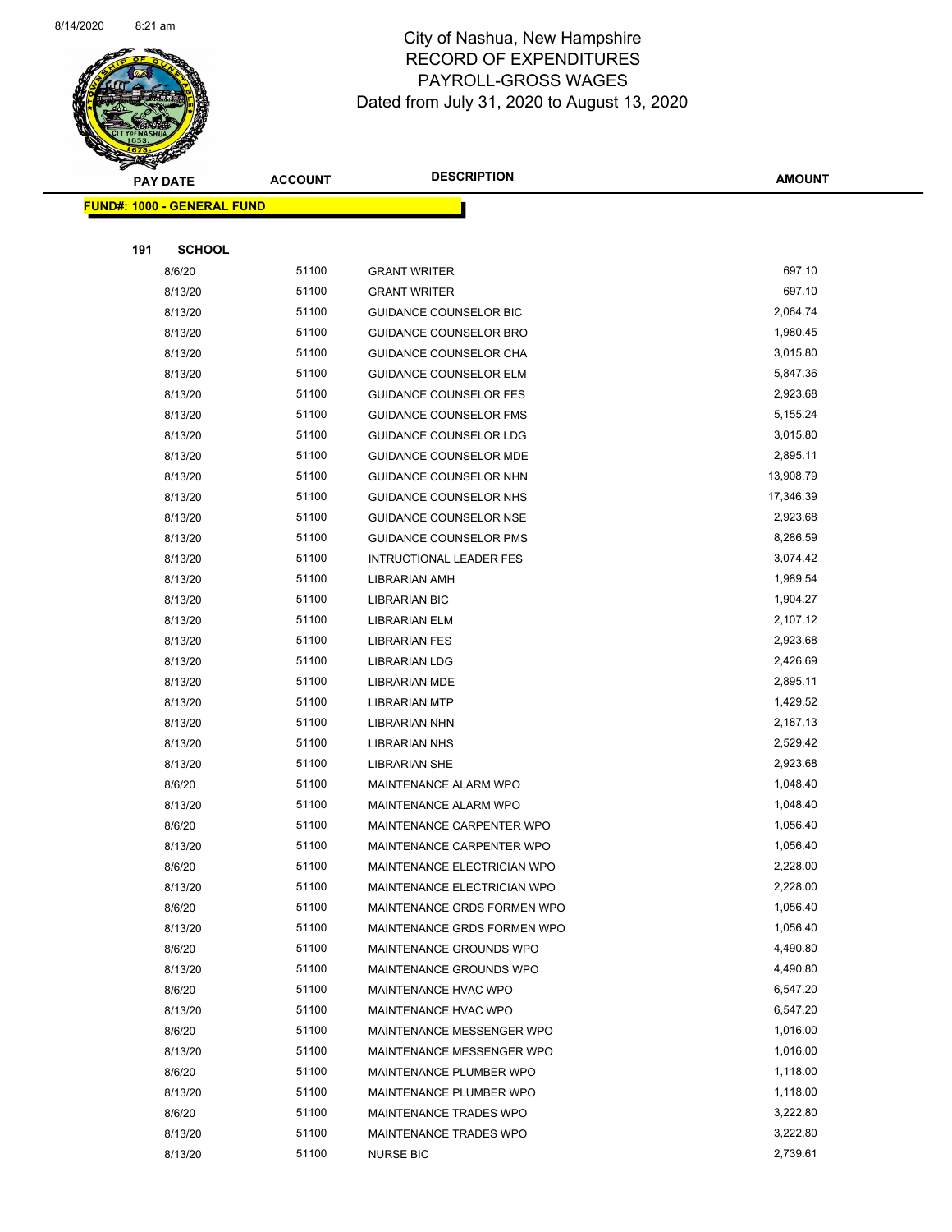

Page 59 of 83

|     | <b>PAY DATE</b>                   | <b>ACCOUNT</b> | <b>DESCRIPTION</b>             | <b>AMOUNT</b> |
|-----|-----------------------------------|----------------|--------------------------------|---------------|
|     | <b>FUND#: 1000 - GENERAL FUND</b> |                |                                |               |
|     |                                   |                |                                |               |
| 191 | <b>SCHOOL</b>                     |                |                                |               |
|     | 8/6/20                            | 51100          | <b>GRANT WRITER</b>            | 697.10        |
|     | 8/13/20                           | 51100          | <b>GRANT WRITER</b>            | 697.10        |
|     | 8/13/20                           | 51100          | <b>GUIDANCE COUNSELOR BIC</b>  | 2,064.74      |
|     | 8/13/20                           | 51100          | <b>GUIDANCE COUNSELOR BRO</b>  | 1,980.45      |
|     | 8/13/20                           | 51100          | GUIDANCE COUNSELOR CHA         | 3,015.80      |
|     | 8/13/20                           | 51100          | <b>GUIDANCE COUNSELOR ELM</b>  | 5,847.36      |
|     | 8/13/20                           | 51100          | <b>GUIDANCE COUNSELOR FES</b>  | 2,923.68      |
|     | 8/13/20                           | 51100          | <b>GUIDANCE COUNSELOR FMS</b>  | 5,155.24      |
|     | 8/13/20                           | 51100          | <b>GUIDANCE COUNSELOR LDG</b>  | 3,015.80      |
|     | 8/13/20                           | 51100          | <b>GUIDANCE COUNSELOR MDE</b>  | 2,895.11      |
|     | 8/13/20                           | 51100          | GUIDANCE COUNSELOR NHN         | 13,908.79     |
|     | 8/13/20                           | 51100          | <b>GUIDANCE COUNSELOR NHS</b>  | 17,346.39     |
|     | 8/13/20                           | 51100          | GUIDANCE COUNSELOR NSE         | 2,923.68      |
|     | 8/13/20                           | 51100          | GUIDANCE COUNSELOR PMS         | 8,286.59      |
|     | 8/13/20                           | 51100          | <b>INTRUCTIONAL LEADER FES</b> | 3,074.42      |
|     | 8/13/20                           | 51100          | LIBRARIAN AMH                  | 1,989.54      |
|     | 8/13/20                           | 51100          | <b>LIBRARIAN BIC</b>           | 1,904.27      |
|     | 8/13/20                           | 51100          | <b>LIBRARIAN ELM</b>           | 2,107.12      |
|     | 8/13/20                           | 51100          | <b>LIBRARIAN FES</b>           | 2,923.68      |
|     | 8/13/20                           | 51100          | <b>LIBRARIAN LDG</b>           | 2,426.69      |
|     | 8/13/20                           | 51100          | <b>LIBRARIAN MDE</b>           | 2,895.11      |
|     | 8/13/20                           | 51100          | <b>LIBRARIAN MTP</b>           | 1,429.52      |
|     | 8/13/20                           | 51100          | LIBRARIAN NHN                  | 2,187.13      |
|     | 8/13/20                           | 51100          | <b>LIBRARIAN NHS</b>           | 2,529.42      |
|     | 8/13/20                           | 51100          | <b>LIBRARIAN SHE</b>           | 2,923.68      |
|     | 8/6/20                            | 51100          | MAINTENANCE ALARM WPO          | 1,048.40      |
|     | 8/13/20                           | 51100          | <b>MAINTENANCE ALARM WPO</b>   | 1,048.40      |
|     | 8/6/20                            | 51100          | MAINTENANCE CARPENTER WPO      | 1,056.40      |
|     | 8/13/20                           | 51100          | MAINTENANCE CARPENTER WPO      | 1,056.40      |
|     | 8/6/20                            | 51100          | MAINTENANCE ELECTRICIAN WPO    | 2,228.00      |
|     | 8/13/20                           | 51100          | MAINTENANCE ELECTRICIAN WPO    | 2,228.00      |
|     | 8/6/20                            | 51100          | MAINTENANCE GRDS FORMEN WPO    | 1,056.40      |
|     | 8/13/20                           | 51100          | MAINTENANCE GRDS FORMEN WPO    | 1,056.40      |
|     | 8/6/20                            | 51100          | MAINTENANCE GROUNDS WPO        | 4,490.80      |
|     | 8/13/20                           | 51100          | MAINTENANCE GROUNDS WPO        | 4,490.80      |
|     | 8/6/20                            | 51100          | MAINTENANCE HVAC WPO           | 6,547.20      |
|     | 8/13/20                           | 51100          | MAINTENANCE HVAC WPO           | 6,547.20      |
|     | 8/6/20                            | 51100          | MAINTENANCE MESSENGER WPO      | 1,016.00      |
|     | 8/13/20                           | 51100          | MAINTENANCE MESSENGER WPO      | 1,016.00      |
|     | 8/6/20                            | 51100          | MAINTENANCE PLUMBER WPO        | 1,118.00      |
|     | 8/13/20                           | 51100          | MAINTENANCE PLUMBER WPO        | 1,118.00      |
|     | 8/6/20                            | 51100          | MAINTENANCE TRADES WPO         | 3,222.80      |
|     | 8/13/20                           | 51100          | MAINTENANCE TRADES WPO         | 3,222.80      |
|     | 8/13/20                           | 51100          | <b>NURSE BIC</b>               | 2,739.61      |
|     |                                   |                |                                |               |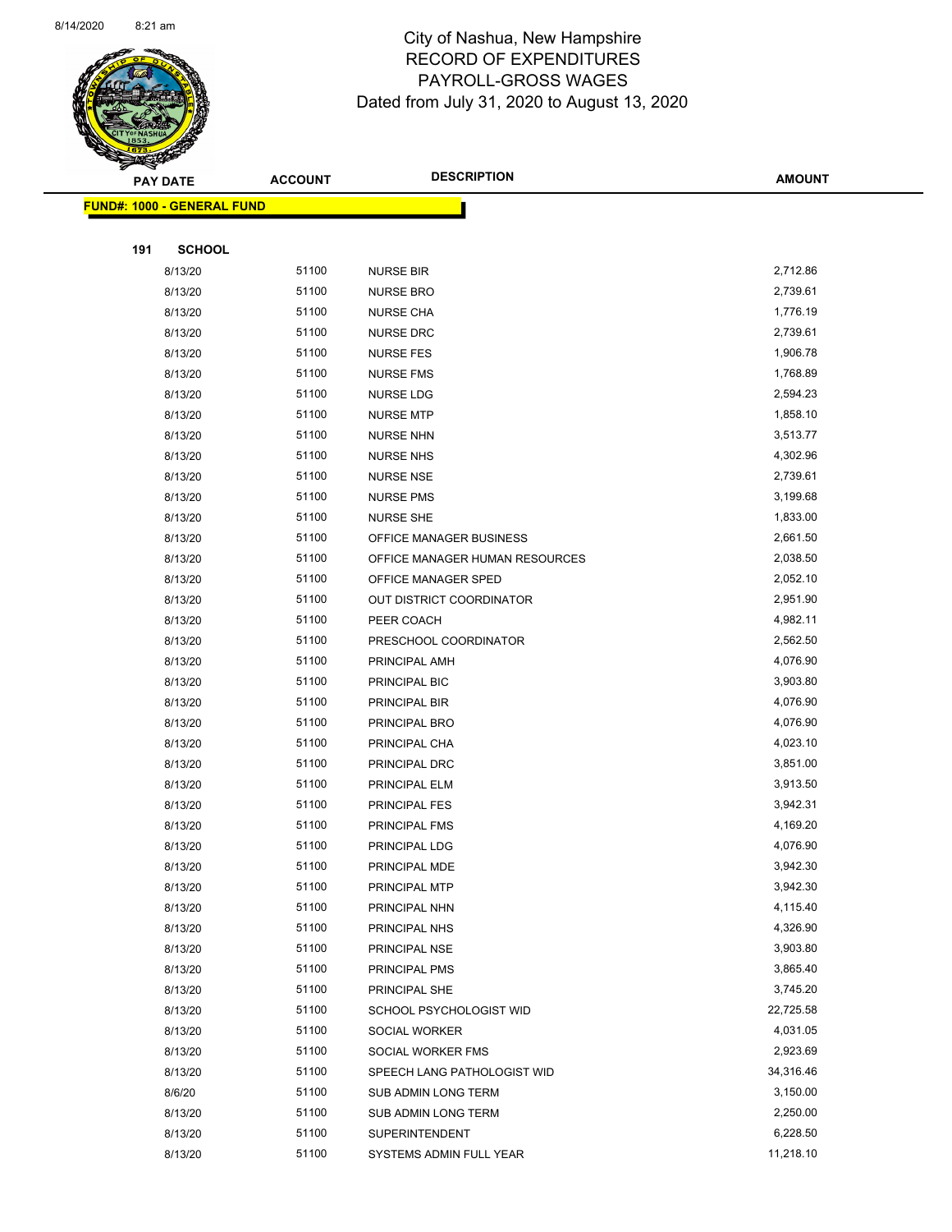

Page 60 of 83

|     | <b>PAY DATE</b>                   | <b>ACCOUNT</b> | <b>DESCRIPTION</b>             | <b>AMOUNT</b> |
|-----|-----------------------------------|----------------|--------------------------------|---------------|
|     | <b>FUND#: 1000 - GENERAL FUND</b> |                |                                |               |
|     |                                   |                |                                |               |
| 191 | <b>SCHOOL</b>                     |                |                                |               |
|     | 8/13/20                           | 51100          | <b>NURSE BIR</b>               | 2,712.86      |
|     | 8/13/20                           | 51100          | <b>NURSE BRO</b>               | 2,739.61      |
|     | 8/13/20                           | 51100          | <b>NURSE CHA</b>               | 1,776.19      |
|     | 8/13/20                           | 51100          | <b>NURSE DRC</b>               | 2,739.61      |
|     | 8/13/20                           | 51100          | <b>NURSE FES</b>               | 1,906.78      |
|     | 8/13/20                           | 51100          | <b>NURSE FMS</b>               | 1,768.89      |
|     | 8/13/20                           | 51100          | <b>NURSE LDG</b>               | 2,594.23      |
|     | 8/13/20                           | 51100          | <b>NURSE MTP</b>               | 1,858.10      |
|     | 8/13/20                           | 51100          | <b>NURSE NHN</b>               | 3,513.77      |
|     | 8/13/20                           | 51100          | <b>NURSE NHS</b>               | 4,302.96      |
|     | 8/13/20                           | 51100          | <b>NURSE NSE</b>               | 2,739.61      |
|     | 8/13/20                           | 51100          | <b>NURSE PMS</b>               | 3,199.68      |
|     | 8/13/20                           | 51100          | <b>NURSE SHE</b>               | 1,833.00      |
|     | 8/13/20                           | 51100          | OFFICE MANAGER BUSINESS        | 2,661.50      |
|     | 8/13/20                           | 51100          | OFFICE MANAGER HUMAN RESOURCES | 2,038.50      |
|     | 8/13/20                           | 51100          | OFFICE MANAGER SPED            | 2,052.10      |
|     | 8/13/20                           | 51100          | OUT DISTRICT COORDINATOR       | 2,951.90      |
|     | 8/13/20                           | 51100          | PEER COACH                     | 4,982.11      |
|     | 8/13/20                           | 51100          | PRESCHOOL COORDINATOR          | 2,562.50      |
|     | 8/13/20                           | 51100          | PRINCIPAL AMH                  | 4,076.90      |
|     | 8/13/20                           | 51100          | PRINCIPAL BIC                  | 3,903.80      |
|     | 8/13/20                           | 51100          | PRINCIPAL BIR                  | 4,076.90      |
|     | 8/13/20                           | 51100          | PRINCIPAL BRO                  | 4,076.90      |
|     | 8/13/20                           | 51100          | PRINCIPAL CHA                  | 4,023.10      |
|     | 8/13/20                           | 51100          | PRINCIPAL DRC                  | 3,851.00      |
|     | 8/13/20                           | 51100          | PRINCIPAL ELM                  | 3,913.50      |
|     | 8/13/20                           | 51100          | PRINCIPAL FES                  | 3,942.31      |
|     | 8/13/20                           | 51100          | PRINCIPAL FMS                  | 4,169.20      |
|     | 8/13/20                           | 51100          | PRINCIPAL LDG                  | 4,076.90      |
|     | 8/13/20                           | 51100          | PRINCIPAL MDE                  | 3,942.30      |
|     | 8/13/20                           | 51100          | PRINCIPAL MTP                  | 3,942.30      |
|     | 8/13/20                           | 51100          | PRINCIPAL NHN                  | 4,115.40      |
|     | 8/13/20                           | 51100          | PRINCIPAL NHS                  | 4,326.90      |
|     | 8/13/20                           | 51100          | PRINCIPAL NSE                  | 3,903.80      |
|     | 8/13/20                           | 51100          | PRINCIPAL PMS                  | 3,865.40      |
|     | 8/13/20                           | 51100          | PRINCIPAL SHE                  | 3,745.20      |
|     | 8/13/20                           | 51100          | SCHOOL PSYCHOLOGIST WID        | 22,725.58     |
|     | 8/13/20                           | 51100          | <b>SOCIAL WORKER</b>           | 4,031.05      |
|     | 8/13/20                           | 51100          | SOCIAL WORKER FMS              | 2,923.69      |
|     | 8/13/20                           | 51100          | SPEECH LANG PATHOLOGIST WID    | 34,316.46     |
|     | 8/6/20                            | 51100          | SUB ADMIN LONG TERM            | 3,150.00      |
|     | 8/13/20                           | 51100          | SUB ADMIN LONG TERM            | 2,250.00      |
|     | 8/13/20                           | 51100          | SUPERINTENDENT                 | 6,228.50      |
|     | 8/13/20                           | 51100          | SYSTEMS ADMIN FULL YEAR        | 11,218.10     |
|     |                                   |                |                                |               |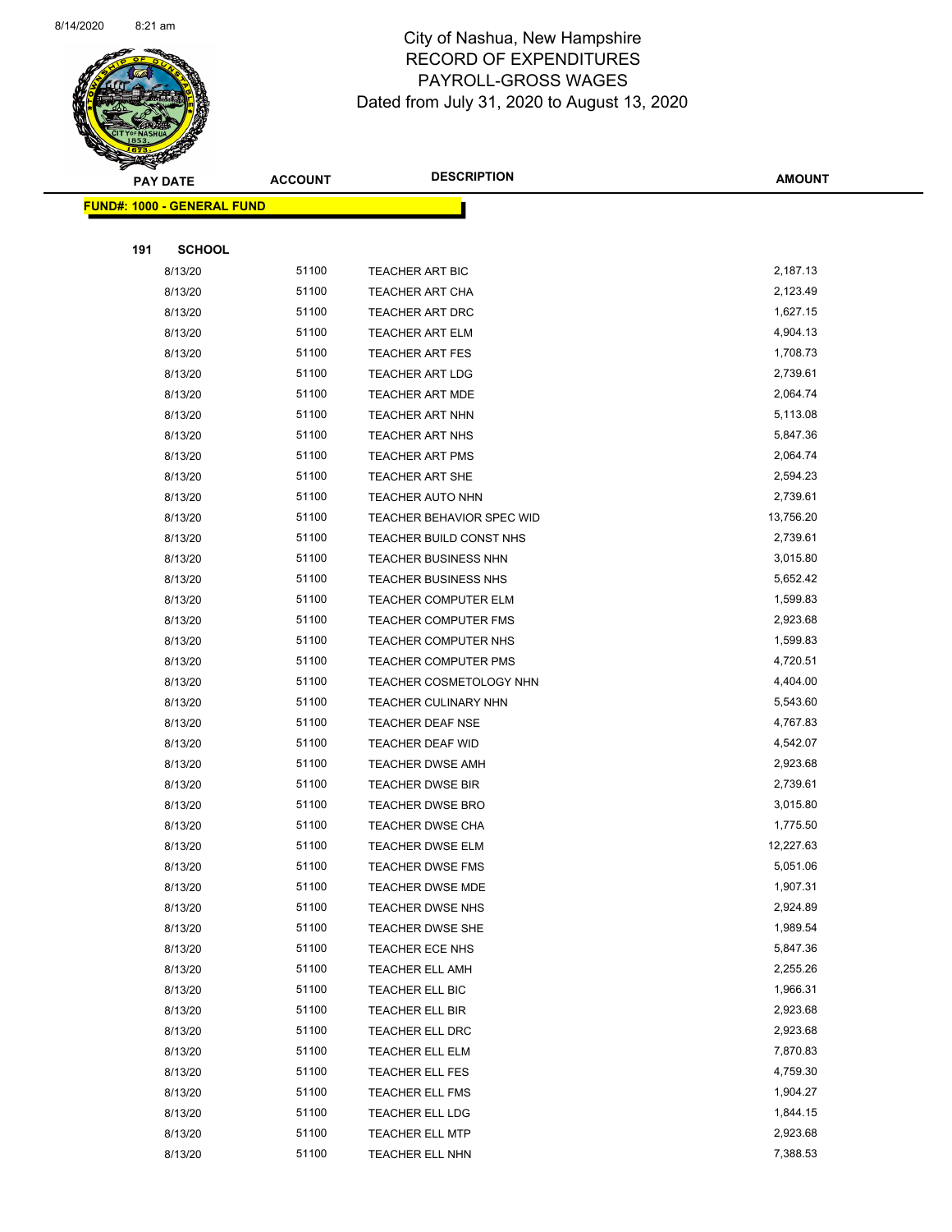

Page 61 of 83

| <b>PAY DATE</b>                   | <b>ACCOUNT</b> | <b>DESCRIPTION</b>          | <b>AMOUNT</b> |
|-----------------------------------|----------------|-----------------------------|---------------|
| <b>FUND#: 1000 - GENERAL FUND</b> |                |                             |               |
|                                   |                |                             |               |
| 191<br><b>SCHOOL</b>              |                |                             |               |
| 8/13/20                           | 51100          | TEACHER ART BIC             | 2,187.13      |
| 8/13/20                           | 51100          | <b>TEACHER ART CHA</b>      | 2,123.49      |
| 8/13/20                           | 51100          | <b>TEACHER ART DRC</b>      | 1,627.15      |
| 8/13/20                           | 51100          | <b>TEACHER ART ELM</b>      | 4,904.13      |
| 8/13/20                           | 51100          | <b>TEACHER ART FES</b>      | 1,708.73      |
| 8/13/20                           | 51100          | <b>TEACHER ART LDG</b>      | 2,739.61      |
| 8/13/20                           | 51100          | <b>TEACHER ART MDE</b>      | 2,064.74      |
| 8/13/20                           | 51100          | <b>TEACHER ART NHN</b>      | 5,113.08      |
| 8/13/20                           | 51100          | <b>TEACHER ART NHS</b>      | 5,847.36      |
| 8/13/20                           | 51100          | TEACHER ART PMS             | 2,064.74      |
| 8/13/20                           | 51100          | <b>TEACHER ART SHE</b>      | 2,594.23      |
| 8/13/20                           | 51100          | TEACHER AUTO NHN            | 2,739.61      |
| 8/13/20                           | 51100          | TEACHER BEHAVIOR SPEC WID   | 13,756.20     |
| 8/13/20                           | 51100          | TEACHER BUILD CONST NHS     | 2,739.61      |
| 8/13/20                           | 51100          | <b>TEACHER BUSINESS NHN</b> | 3,015.80      |
| 8/13/20                           | 51100          | <b>TEACHER BUSINESS NHS</b> | 5,652.42      |
| 8/13/20                           | 51100          | <b>TEACHER COMPUTER ELM</b> | 1,599.83      |
| 8/13/20                           | 51100          | TEACHER COMPUTER FMS        | 2,923.68      |
| 8/13/20                           | 51100          | TEACHER COMPUTER NHS        | 1,599.83      |
| 8/13/20                           | 51100          | TEACHER COMPUTER PMS        | 4,720.51      |
| 8/13/20                           | 51100          | TEACHER COSMETOLOGY NHN     | 4,404.00      |
| 8/13/20                           | 51100          | TEACHER CULINARY NHN        | 5,543.60      |
| 8/13/20                           | 51100          | TEACHER DEAF NSE            | 4,767.83      |
| 8/13/20                           | 51100          | <b>TEACHER DEAF WID</b>     | 4,542.07      |
| 8/13/20                           | 51100          | <b>TEACHER DWSE AMH</b>     | 2,923.68      |
| 8/13/20                           | 51100          | <b>TEACHER DWSE BIR</b>     | 2,739.61      |
| 8/13/20                           | 51100          | <b>TEACHER DWSE BRO</b>     | 3,015.80      |
| 8/13/20                           | 51100          | TEACHER DWSE CHA            | 1,775.50      |
| 8/13/20                           | 51100          | TEACHER DWSE ELM            | 12,227.63     |
| 8/13/20                           | 51100          | TEACHER DWSE FMS            | 5,051.06      |
| 8/13/20                           | 51100          | TEACHER DWSE MDE            | 1,907.31      |
| 8/13/20                           | 51100          | TEACHER DWSE NHS            | 2,924.89      |
| 8/13/20                           | 51100          | TEACHER DWSE SHE            | 1,989.54      |
| 8/13/20                           | 51100          | TEACHER ECE NHS             | 5,847.36      |
| 8/13/20                           | 51100          | <b>TEACHER ELL AMH</b>      | 2,255.26      |
| 8/13/20                           | 51100          | TEACHER ELL BIC             | 1,966.31      |
| 8/13/20                           | 51100          | TEACHER ELL BIR             | 2,923.68      |
| 8/13/20                           | 51100          | TEACHER ELL DRC             | 2,923.68      |
| 8/13/20                           | 51100          | TEACHER ELL ELM             | 7,870.83      |
| 8/13/20                           | 51100          | <b>TEACHER ELL FES</b>      | 4,759.30      |
| 8/13/20                           | 51100          | TEACHER ELL FMS             | 1,904.27      |
| 8/13/20                           | 51100          | TEACHER ELL LDG             | 1,844.15      |
| 8/13/20                           | 51100          | <b>TEACHER ELL MTP</b>      | 2,923.68      |
| 8/13/20                           | 51100          | TEACHER ELL NHN             | 7,388.53      |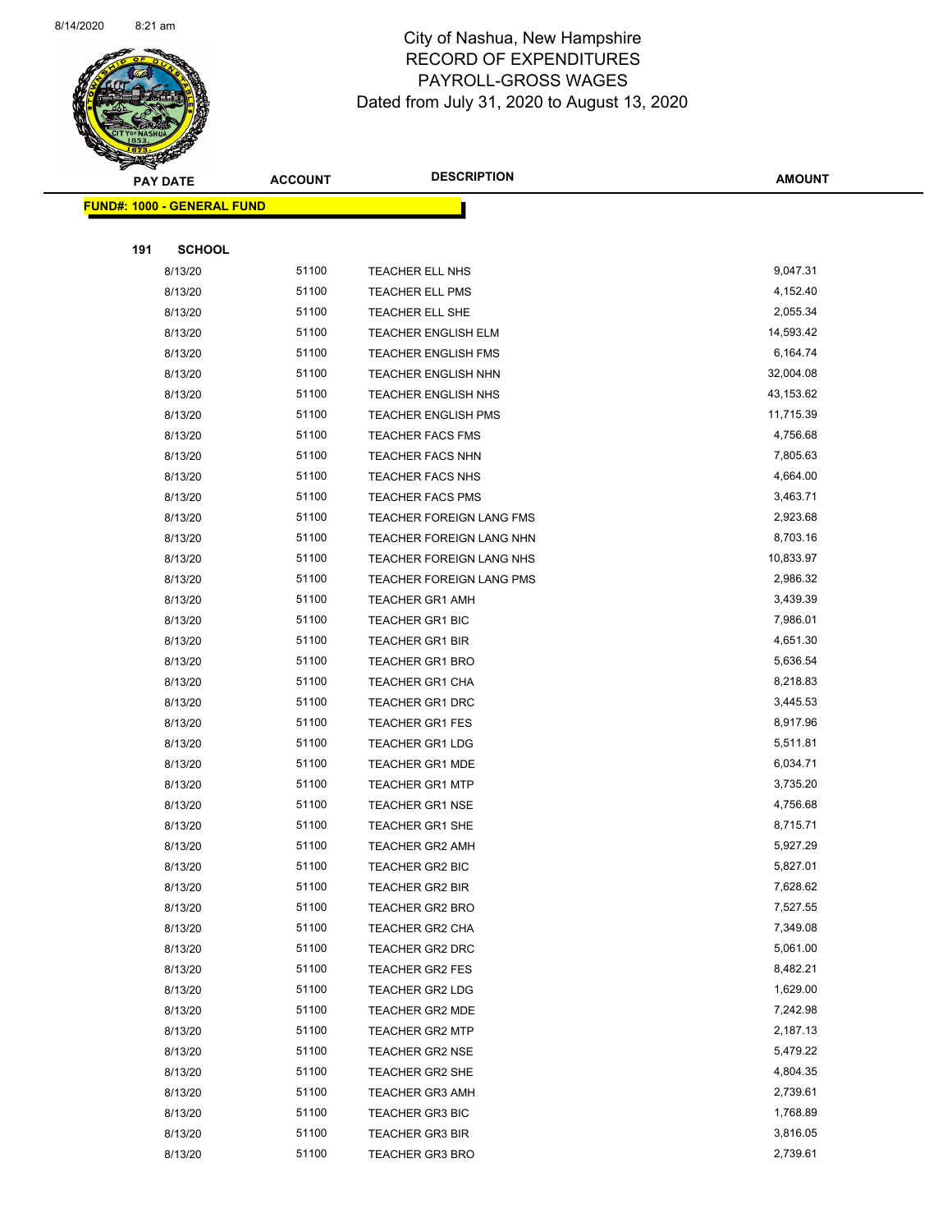

Page 62 of 83

| Ð<br>B. | <b>PAY DATE</b>                   | <b>ACCOUNT</b> | <b>DESCRIPTION</b>         | <b>AMOUNT</b> |
|---------|-----------------------------------|----------------|----------------------------|---------------|
|         | <b>FUND#: 1000 - GENERAL FUND</b> |                |                            |               |
|         |                                   |                |                            |               |
| 191     | <b>SCHOOL</b>                     |                |                            |               |
|         | 8/13/20                           | 51100          | TEACHER ELL NHS            | 9,047.31      |
|         | 8/13/20                           | 51100          | TEACHER ELL PMS            | 4,152.40      |
|         | 8/13/20                           | 51100          | TEACHER ELL SHE            | 2,055.34      |
|         | 8/13/20                           | 51100          | <b>TEACHER ENGLISH ELM</b> | 14,593.42     |
|         | 8/13/20                           | 51100          | <b>TEACHER ENGLISH FMS</b> | 6,164.74      |
|         | 8/13/20                           | 51100          | TEACHER ENGLISH NHN        | 32,004.08     |
|         | 8/13/20                           | 51100          | TEACHER ENGLISH NHS        | 43,153.62     |
|         | 8/13/20                           | 51100          | <b>TEACHER ENGLISH PMS</b> | 11,715.39     |
|         | 8/13/20                           | 51100          | <b>TEACHER FACS FMS</b>    | 4,756.68      |
|         | 8/13/20                           | 51100          | TEACHER FACS NHN           | 7,805.63      |
|         | 8/13/20                           | 51100          | TEACHER FACS NHS           | 4,664.00      |
|         | 8/13/20                           | 51100          | <b>TEACHER FACS PMS</b>    | 3,463.71      |
|         | 8/13/20                           | 51100          | TEACHER FOREIGN LANG FMS   | 2,923.68      |
|         | 8/13/20                           | 51100          | TEACHER FOREIGN LANG NHN   | 8,703.16      |
|         | 8/13/20                           | 51100          | TEACHER FOREIGN LANG NHS   | 10,833.97     |
|         | 8/13/20                           | 51100          | TEACHER FOREIGN LANG PMS   | 2,986.32      |
|         | 8/13/20                           | 51100          | <b>TEACHER GR1 AMH</b>     | 3,439.39      |
|         | 8/13/20                           | 51100          | <b>TEACHER GR1 BIC</b>     | 7,986.01      |
|         | 8/13/20                           | 51100          | <b>TEACHER GR1 BIR</b>     | 4,651.30      |
|         | 8/13/20                           | 51100          | TEACHER GR1 BRO            | 5,636.54      |
|         | 8/13/20                           | 51100          | TEACHER GR1 CHA            | 8,218.83      |
|         | 8/13/20                           | 51100          | TEACHER GR1 DRC            | 3,445.53      |
|         | 8/13/20                           | 51100          | <b>TEACHER GR1 FES</b>     | 8,917.96      |
|         | 8/13/20                           | 51100          | <b>TEACHER GR1 LDG</b>     | 5,511.81      |
|         | 8/13/20                           | 51100          | <b>TEACHER GR1 MDE</b>     | 6,034.71      |
|         | 8/13/20                           | 51100          | <b>TEACHER GR1 MTP</b>     | 3,735.20      |
|         | 8/13/20                           | 51100          | <b>TEACHER GR1 NSE</b>     | 4,756.68      |
|         | 8/13/20                           | 51100          | TEACHER GR1 SHE            | 8,715.71      |
|         | 8/13/20                           | 51100          | TEACHER GR2 AMH            | 5,927.29      |
|         | 8/13/20                           | 51100          | TEACHER GR2 BIC            | 5,827.01      |
|         | 8/13/20                           | 51100          | <b>TEACHER GR2 BIR</b>     | 7,628.62      |
|         | 8/13/20                           | 51100          | TEACHER GR2 BRO            | 7,527.55      |
|         | 8/13/20                           | 51100          | TEACHER GR2 CHA            | 7,349.08      |
|         | 8/13/20                           | 51100          | TEACHER GR2 DRC            | 5,061.00      |
|         | 8/13/20                           | 51100          | <b>TEACHER GR2 FES</b>     | 8,482.21      |
|         | 8/13/20                           | 51100          | <b>TEACHER GR2 LDG</b>     | 1,629.00      |
|         | 8/13/20                           | 51100          | TEACHER GR2 MDE            | 7,242.98      |
|         | 8/13/20                           | 51100          | <b>TEACHER GR2 MTP</b>     | 2,187.13      |
|         | 8/13/20                           | 51100          | <b>TEACHER GR2 NSE</b>     | 5,479.22      |
|         | 8/13/20                           | 51100          | TEACHER GR2 SHE            | 4,804.35      |
|         | 8/13/20                           | 51100          | <b>TEACHER GR3 AMH</b>     | 2,739.61      |
|         | 8/13/20                           | 51100          | <b>TEACHER GR3 BIC</b>     | 1,768.89      |
|         | 8/13/20                           | 51100          | <b>TEACHER GR3 BIR</b>     | 3,816.05      |
|         | 8/13/20                           | 51100          | <b>TEACHER GR3 BRO</b>     | 2,739.61      |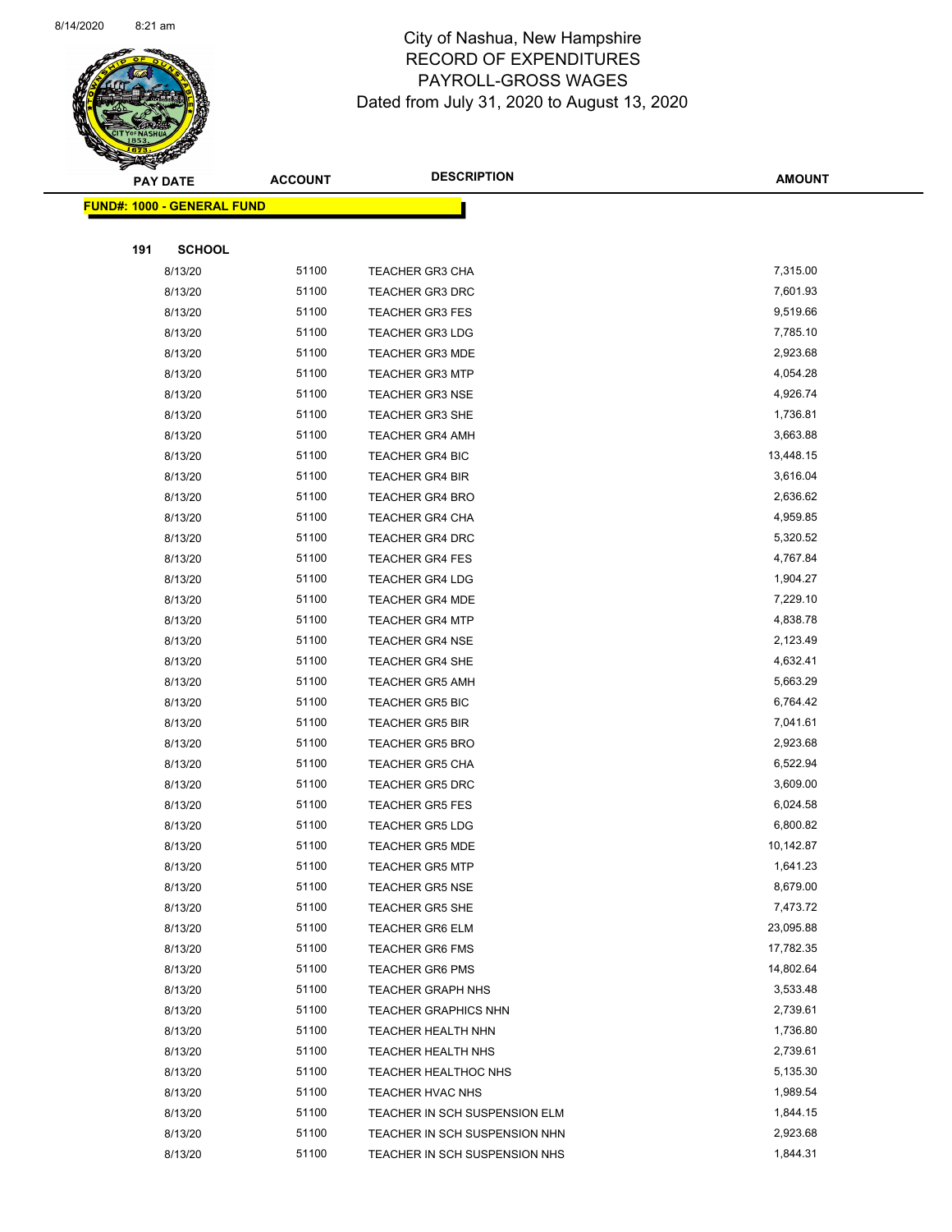

Page 63 of 83

|     | <b>PAY DATE</b>                   | <b>ACCOUNT</b> | <b>DESCRIPTION</b>                                             | <b>AMOUNT</b>        |
|-----|-----------------------------------|----------------|----------------------------------------------------------------|----------------------|
|     | <b>FUND#: 1000 - GENERAL FUND</b> |                |                                                                |                      |
|     |                                   |                |                                                                |                      |
| 191 | <b>SCHOOL</b>                     |                |                                                                |                      |
|     | 8/13/20                           | 51100          | <b>TEACHER GR3 CHA</b>                                         | 7,315.00             |
|     | 8/13/20                           | 51100          | <b>TEACHER GR3 DRC</b>                                         | 7,601.93             |
|     | 8/13/20                           | 51100          | <b>TEACHER GR3 FES</b>                                         | 9,519.66             |
|     | 8/13/20                           | 51100          | <b>TEACHER GR3 LDG</b>                                         | 7,785.10             |
|     | 8/13/20                           | 51100          | <b>TEACHER GR3 MDE</b>                                         | 2,923.68             |
|     | 8/13/20                           | 51100          | <b>TEACHER GR3 MTP</b>                                         | 4,054.28             |
|     | 8/13/20                           | 51100          | <b>TEACHER GR3 NSE</b>                                         | 4,926.74             |
|     | 8/13/20                           | 51100          | <b>TEACHER GR3 SHE</b>                                         | 1,736.81             |
|     | 8/13/20                           | 51100          | <b>TEACHER GR4 AMH</b>                                         | 3,663.88             |
|     | 8/13/20                           | 51100          | <b>TEACHER GR4 BIC</b>                                         | 13,448.15            |
|     | 8/13/20                           | 51100          | <b>TEACHER GR4 BIR</b>                                         | 3,616.04             |
|     | 8/13/20                           | 51100          | <b>TEACHER GR4 BRO</b>                                         | 2,636.62             |
|     | 8/13/20                           | 51100          | <b>TEACHER GR4 CHA</b>                                         | 4,959.85             |
|     | 8/13/20                           | 51100          | TEACHER GR4 DRC                                                | 5,320.52             |
|     | 8/13/20                           | 51100          | <b>TEACHER GR4 FES</b>                                         | 4,767.84             |
|     | 8/13/20                           | 51100          | <b>TEACHER GR4 LDG</b>                                         | 1,904.27             |
|     | 8/13/20                           | 51100          | <b>TEACHER GR4 MDE</b>                                         | 7,229.10             |
|     | 8/13/20                           | 51100          | <b>TEACHER GR4 MTP</b>                                         | 4,838.78             |
|     | 8/13/20                           | 51100          | <b>TEACHER GR4 NSE</b>                                         | 2,123.49             |
|     | 8/13/20                           | 51100          | <b>TEACHER GR4 SHE</b>                                         | 4,632.41             |
|     | 8/13/20                           | 51100          | <b>TEACHER GR5 AMH</b>                                         | 5,663.29             |
|     | 8/13/20                           | 51100          | <b>TEACHER GR5 BIC</b>                                         | 6,764.42             |
|     | 8/13/20                           | 51100          | <b>TEACHER GR5 BIR</b>                                         | 7,041.61             |
|     | 8/13/20                           | 51100          | <b>TEACHER GR5 BRO</b>                                         | 2,923.68             |
|     | 8/13/20                           | 51100          | <b>TEACHER GR5 CHA</b>                                         | 6,522.94             |
|     | 8/13/20                           | 51100          | <b>TEACHER GR5 DRC</b>                                         | 3,609.00             |
|     | 8/13/20                           | 51100          | <b>TEACHER GR5 FES</b>                                         | 6,024.58             |
|     | 8/13/20                           | 51100          | <b>TEACHER GR5 LDG</b>                                         | 6,800.82             |
|     | 8/13/20                           | 51100          | <b>TEACHER GR5 MDE</b>                                         | 10,142.87            |
|     | 8/13/20                           | 51100          | TEACHER GR5 MTP                                                | 1,641.23             |
|     | 8/13/20                           | 51100          | <b>TEACHER GR5 NSE</b>                                         | 8,679.00             |
|     | 8/13/20                           | 51100          | <b>TEACHER GR5 SHE</b>                                         | 7,473.72             |
|     | 8/13/20                           | 51100          | <b>TEACHER GR6 ELM</b>                                         | 23,095.88            |
|     | 8/13/20                           | 51100          | <b>TEACHER GR6 FMS</b>                                         | 17,782.35            |
|     | 8/13/20                           | 51100          | <b>TEACHER GR6 PMS</b>                                         | 14,802.64            |
|     | 8/13/20                           | 51100          | <b>TEACHER GRAPH NHS</b>                                       | 3,533.48             |
|     | 8/13/20                           | 51100          | <b>TEACHER GRAPHICS NHN</b>                                    | 2,739.61             |
|     | 8/13/20                           | 51100          | TEACHER HEALTH NHN                                             | 1,736.80             |
|     | 8/13/20                           | 51100<br>51100 | <b>TEACHER HEALTH NHS</b>                                      | 2,739.61<br>5,135.30 |
|     | 8/13/20                           | 51100          | <b>TEACHER HEALTHOC NHS</b>                                    | 1,989.54             |
|     | 8/13/20<br>8/13/20                | 51100          | TEACHER HVAC NHS                                               | 1,844.15             |
|     | 8/13/20                           | 51100          | TEACHER IN SCH SUSPENSION ELM<br>TEACHER IN SCH SUSPENSION NHN | 2,923.68             |
|     | 8/13/20                           | 51100          | TEACHER IN SCH SUSPENSION NHS                                  | 1,844.31             |
|     |                                   |                |                                                                |                      |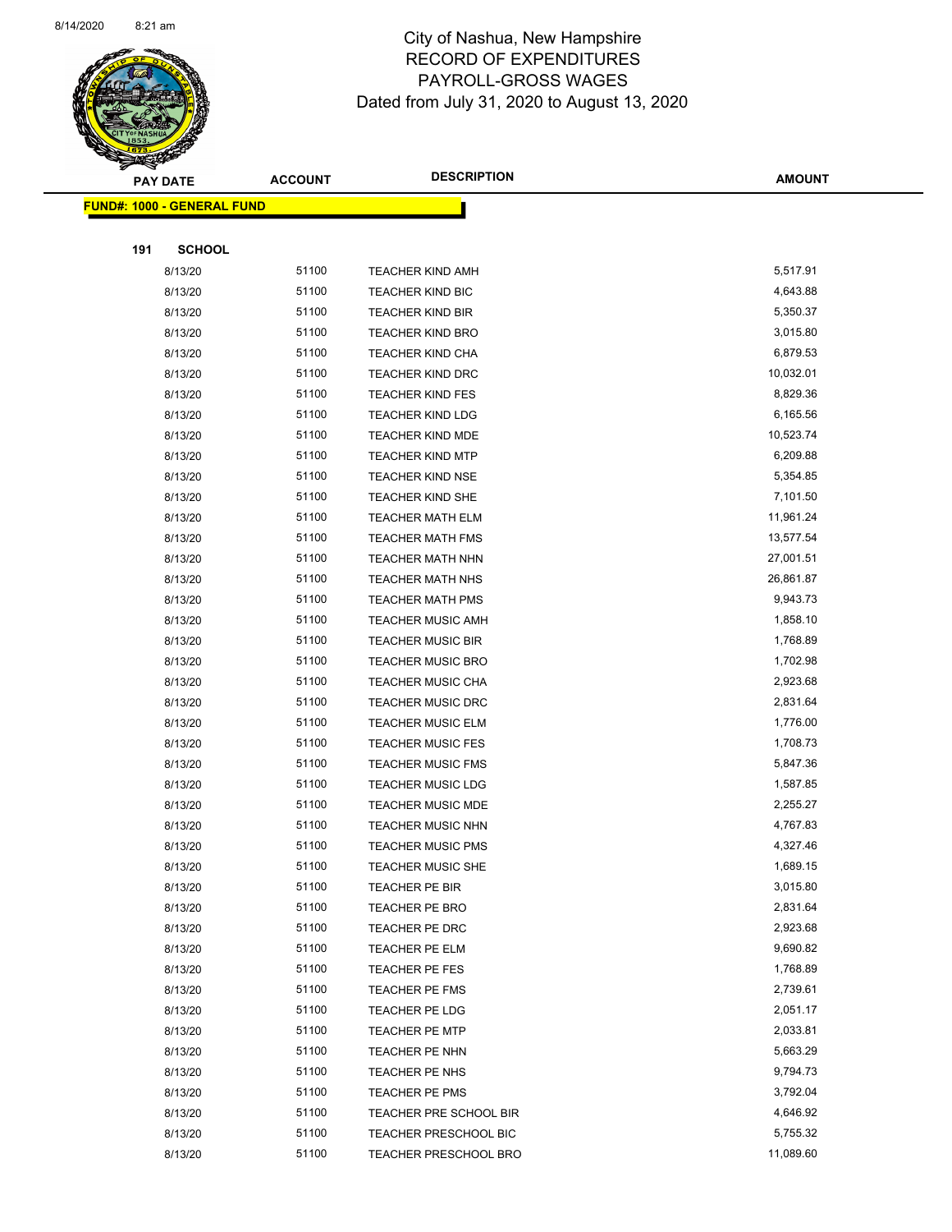

Page 64 of 83

|     | <b>PAY DATE</b>                   | <b>ACCOUNT</b> | <b>DESCRIPTION</b>           | <b>AMOUNT</b> |
|-----|-----------------------------------|----------------|------------------------------|---------------|
|     | <b>FUND#: 1000 - GENERAL FUND</b> |                |                              |               |
|     |                                   |                |                              |               |
| 191 | <b>SCHOOL</b>                     |                |                              |               |
|     | 8/13/20                           | 51100          | <b>TEACHER KIND AMH</b>      | 5,517.91      |
|     | 8/13/20                           | 51100          | TEACHER KIND BIC             | 4,643.88      |
|     | 8/13/20                           | 51100          | <b>TEACHER KIND BIR</b>      | 5,350.37      |
|     | 8/13/20                           | 51100          | <b>TEACHER KIND BRO</b>      | 3,015.80      |
|     | 8/13/20                           | 51100          | TEACHER KIND CHA             | 6,879.53      |
|     | 8/13/20                           | 51100          | <b>TEACHER KIND DRC</b>      | 10,032.01     |
|     | 8/13/20                           | 51100          | <b>TEACHER KIND FES</b>      | 8,829.36      |
|     | 8/13/20                           | 51100          | <b>TEACHER KIND LDG</b>      | 6,165.56      |
|     | 8/13/20                           | 51100          | <b>TEACHER KIND MDE</b>      | 10,523.74     |
|     | 8/13/20                           | 51100          | <b>TEACHER KIND MTP</b>      | 6,209.88      |
|     | 8/13/20                           | 51100          | <b>TEACHER KIND NSE</b>      | 5,354.85      |
|     | 8/13/20                           | 51100          | <b>TEACHER KIND SHE</b>      | 7,101.50      |
|     | 8/13/20                           | 51100          | <b>TEACHER MATH ELM</b>      | 11,961.24     |
|     | 8/13/20                           | 51100          | <b>TEACHER MATH FMS</b>      | 13,577.54     |
|     | 8/13/20                           | 51100          | TEACHER MATH NHN             | 27,001.51     |
|     | 8/13/20                           | 51100          | <b>TEACHER MATH NHS</b>      | 26,861.87     |
|     | 8/13/20                           | 51100          | <b>TEACHER MATH PMS</b>      | 9,943.73      |
|     | 8/13/20                           | 51100          | <b>TEACHER MUSIC AMH</b>     | 1,858.10      |
|     | 8/13/20                           | 51100          | <b>TEACHER MUSIC BIR</b>     | 1,768.89      |
|     | 8/13/20                           | 51100          | <b>TEACHER MUSIC BRO</b>     | 1,702.98      |
|     | 8/13/20                           | 51100          | <b>TEACHER MUSIC CHA</b>     | 2,923.68      |
|     | 8/13/20                           | 51100          | <b>TEACHER MUSIC DRC</b>     | 2,831.64      |
|     | 8/13/20                           | 51100          | <b>TEACHER MUSIC ELM</b>     | 1,776.00      |
|     | 8/13/20                           | 51100          | <b>TEACHER MUSIC FES</b>     | 1,708.73      |
|     | 8/13/20                           | 51100          | <b>TEACHER MUSIC FMS</b>     | 5,847.36      |
|     | 8/13/20                           | 51100          | <b>TEACHER MUSIC LDG</b>     | 1,587.85      |
|     | 8/13/20                           | 51100          | <b>TEACHER MUSIC MDE</b>     | 2,255.27      |
|     | 8/13/20                           | 51100          | <b>TEACHER MUSIC NHN</b>     | 4,767.83      |
|     | 8/13/20                           | 51100          | <b>TEACHER MUSIC PMS</b>     | 4,327.46      |
|     | 8/13/20                           | 51100          | TEACHER MUSIC SHE            | 1,689.15      |
|     | 8/13/20                           | 51100          | TEACHER PE BIR               | 3,015.80      |
|     | 8/13/20                           | 51100          | <b>TEACHER PE BRO</b>        | 2,831.64      |
|     | 8/13/20                           | 51100          | TEACHER PE DRC               | 2,923.68      |
|     | 8/13/20                           | 51100          | TEACHER PE ELM               | 9,690.82      |
|     | 8/13/20                           | 51100          | TEACHER PE FES               | 1,768.89      |
|     | 8/13/20                           | 51100          | <b>TEACHER PE FMS</b>        | 2,739.61      |
|     | 8/13/20                           | 51100          | <b>TEACHER PE LDG</b>        | 2,051.17      |
|     | 8/13/20                           | 51100          | TEACHER PE MTP               | 2,033.81      |
|     | 8/13/20                           | 51100          | TEACHER PE NHN               | 5,663.29      |
|     | 8/13/20                           | 51100          | TEACHER PE NHS               | 9,794.73      |
|     | 8/13/20                           | 51100          | <b>TEACHER PE PMS</b>        | 3,792.04      |
|     | 8/13/20                           | 51100<br>51100 | TEACHER PRE SCHOOL BIR       | 4,646.92      |
|     | 8/13/20                           |                | TEACHER PRESCHOOL BIC        | 5,755.32      |
|     | 8/13/20                           | 51100          | <b>TEACHER PRESCHOOL BRO</b> | 11,089.60     |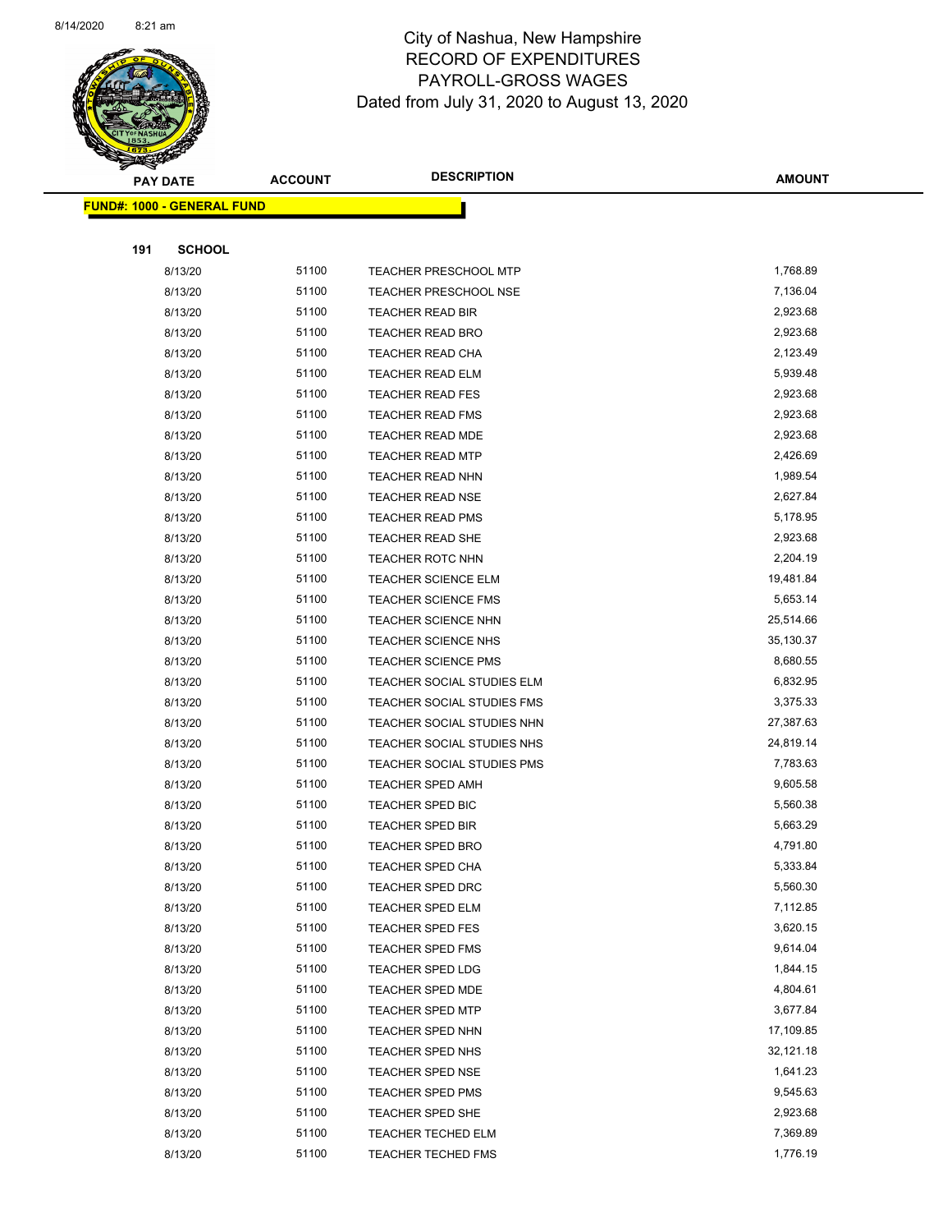

Page 65 of 83

|     | <b>PAY DATE</b>                   | <b>ACCOUNT</b> | <b>DESCRIPTION</b>                          | <b>AMOUNT</b>        |
|-----|-----------------------------------|----------------|---------------------------------------------|----------------------|
|     | <b>FUND#: 1000 - GENERAL FUND</b> |                |                                             |                      |
|     |                                   |                |                                             |                      |
| 191 | <b>SCHOOL</b>                     |                |                                             |                      |
|     | 8/13/20                           | 51100          | <b>TEACHER PRESCHOOL MTP</b>                | 1,768.89             |
|     | 8/13/20                           | 51100          | <b>TEACHER PRESCHOOL NSE</b>                | 7,136.04             |
|     | 8/13/20                           | 51100          | TEACHER READ BIR                            | 2,923.68             |
|     | 8/13/20                           | 51100          | <b>TEACHER READ BRO</b>                     | 2,923.68             |
|     | 8/13/20                           | 51100          | TEACHER READ CHA                            | 2,123.49             |
|     | 8/13/20                           | 51100          | TEACHER READ ELM                            | 5,939.48             |
|     | 8/13/20                           | 51100          | <b>TEACHER READ FES</b>                     | 2,923.68             |
|     | 8/13/20                           | 51100          | <b>TEACHER READ FMS</b>                     | 2,923.68             |
|     | 8/13/20                           | 51100          | <b>TEACHER READ MDE</b>                     | 2,923.68             |
|     | 8/13/20                           | 51100          | <b>TEACHER READ MTP</b>                     | 2,426.69             |
|     | 8/13/20                           | 51100          | TEACHER READ NHN                            | 1,989.54             |
|     | 8/13/20                           | 51100          | <b>TEACHER READ NSE</b>                     | 2,627.84             |
|     | 8/13/20                           | 51100          | <b>TEACHER READ PMS</b>                     | 5,178.95             |
|     | 8/13/20                           | 51100          | TEACHER READ SHE                            | 2,923.68             |
|     | 8/13/20                           | 51100          | <b>TEACHER ROTC NHN</b>                     | 2,204.19             |
|     | 8/13/20                           | 51100          | <b>TEACHER SCIENCE ELM</b>                  | 19,481.84            |
|     | 8/13/20                           | 51100          | TEACHER SCIENCE FMS                         | 5,653.14             |
|     | 8/13/20                           | 51100          | <b>TEACHER SCIENCE NHN</b>                  | 25,514.66            |
|     | 8/13/20                           | 51100          | <b>TEACHER SCIENCE NHS</b>                  | 35,130.37            |
|     | 8/13/20                           | 51100          | <b>TEACHER SCIENCE PMS</b>                  | 8,680.55             |
|     | 8/13/20                           | 51100          | TEACHER SOCIAL STUDIES ELM                  | 6,832.95             |
|     | 8/13/20                           | 51100          | TEACHER SOCIAL STUDIES FMS                  | 3,375.33             |
|     | 8/13/20                           | 51100          | TEACHER SOCIAL STUDIES NHN                  | 27,387.63            |
|     | 8/13/20                           | 51100          | TEACHER SOCIAL STUDIES NHS                  | 24,819.14            |
|     | 8/13/20                           | 51100          | TEACHER SOCIAL STUDIES PMS                  | 7,783.63             |
|     | 8/13/20                           | 51100          | TEACHER SPED AMH                            | 9,605.58             |
|     | 8/13/20                           | 51100          | TEACHER SPED BIC                            | 5,560.38             |
|     | 8/13/20                           | 51100          | TEACHER SPED BIR                            | 5,663.29             |
|     | 8/13/20                           | 51100          | <b>TEACHER SPED BRO</b>                     | 4,791.80             |
|     | 8/13/20                           | 51100          | TEACHER SPED CHA                            | 5,333.84             |
|     | 8/13/20                           | 51100          | <b>TEACHER SPED DRC</b>                     | 5,560.30             |
|     | 8/13/20                           | 51100          | TEACHER SPED ELM                            | 7,112.85             |
|     | 8/13/20                           | 51100          | <b>TEACHER SPED FES</b>                     | 3,620.15             |
|     | 8/13/20                           | 51100          | <b>TEACHER SPED FMS</b>                     | 9,614.04             |
|     | 8/13/20                           | 51100          | TEACHER SPED LDG                            | 1,844.15             |
|     | 8/13/20                           | 51100<br>51100 | TEACHER SPED MDE                            | 4,804.61<br>3,677.84 |
|     | 8/13/20                           |                | <b>TEACHER SPED MTP</b>                     | 17,109.85            |
|     | 8/13/20<br>8/13/20                | 51100<br>51100 | <b>TEACHER SPED NHN</b>                     | 32,121.18            |
|     |                                   |                | <b>TEACHER SPED NHS</b>                     |                      |
|     | 8/13/20<br>8/13/20                | 51100<br>51100 | <b>TEACHER SPED NSE</b><br>TEACHER SPED PMS | 1,641.23<br>9,545.63 |
|     | 8/13/20                           | 51100          | TEACHER SPED SHE                            | 2,923.68             |
|     | 8/13/20                           | 51100          | <b>TEACHER TECHED ELM</b>                   | 7,369.89             |
|     | 8/13/20                           | 51100          | TEACHER TECHED FMS                          | 1,776.19             |
|     |                                   |                |                                             |                      |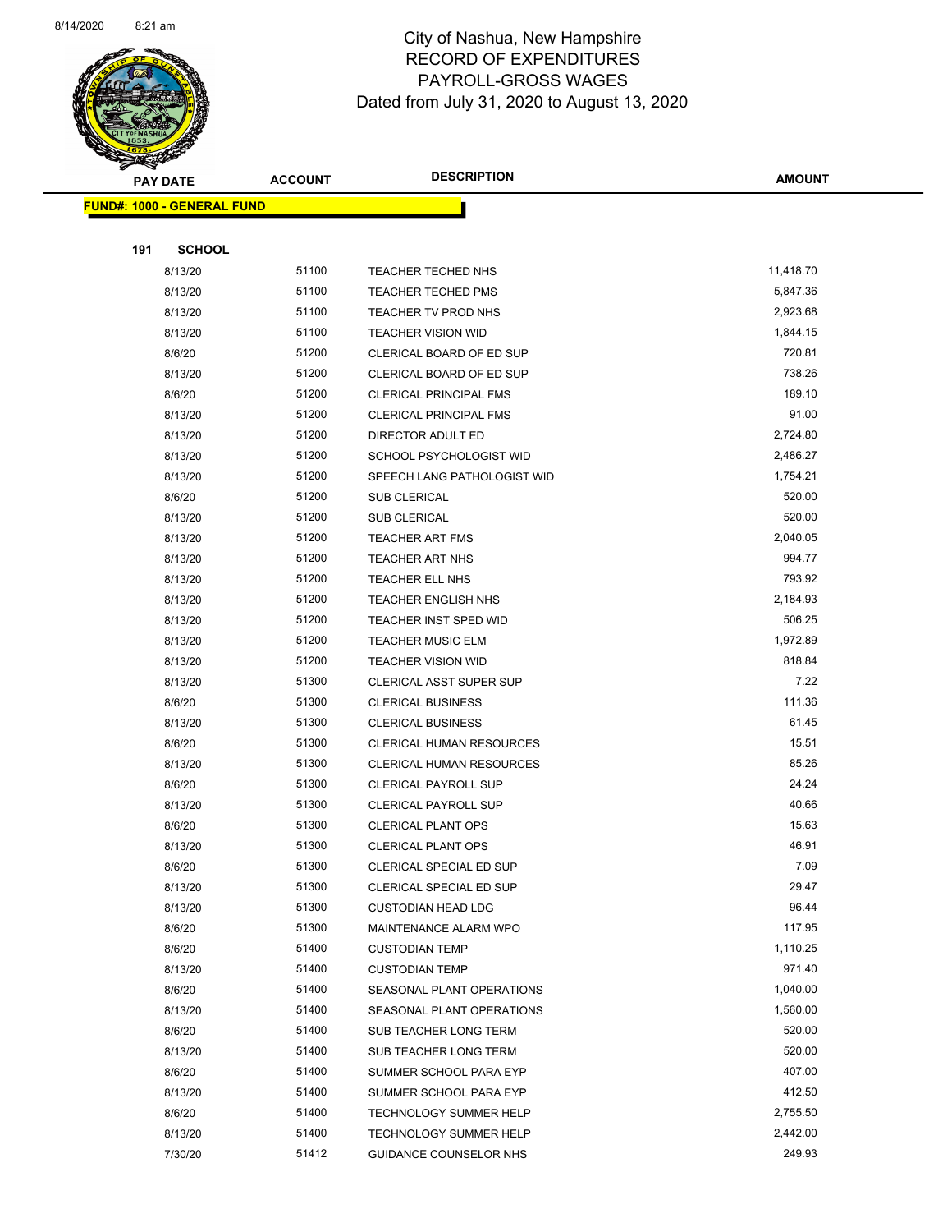

Page 66 of 83

|     | PAY DATE                          | <b>ACCOUNT</b> | <b>DESCRIPTION</b>                                 | <b>AMOUNT</b>      |
|-----|-----------------------------------|----------------|----------------------------------------------------|--------------------|
|     | <b>FUND#: 1000 - GENERAL FUND</b> |                |                                                    |                    |
|     |                                   |                |                                                    |                    |
| 191 | <b>SCHOOL</b>                     |                |                                                    |                    |
|     | 8/13/20                           | 51100          | TEACHER TECHED NHS                                 | 11,418.70          |
|     | 8/13/20                           | 51100          | <b>TEACHER TECHED PMS</b>                          | 5,847.36           |
|     | 8/13/20                           | 51100          | TEACHER TV PROD NHS                                | 2,923.68           |
|     | 8/13/20                           | 51100          | <b>TEACHER VISION WID</b>                          | 1,844.15           |
|     | 8/6/20                            | 51200          | CLERICAL BOARD OF ED SUP                           | 720.81             |
|     | 8/13/20                           | 51200          | CLERICAL BOARD OF ED SUP                           | 738.26             |
|     | 8/6/20                            | 51200          | <b>CLERICAL PRINCIPAL FMS</b>                      | 189.10             |
|     | 8/13/20                           | 51200          | <b>CLERICAL PRINCIPAL FMS</b>                      | 91.00              |
|     | 8/13/20                           | 51200          | DIRECTOR ADULT ED                                  | 2,724.80           |
|     | 8/13/20                           | 51200          | SCHOOL PSYCHOLOGIST WID                            | 2,486.27           |
|     | 8/13/20                           | 51200          | SPEECH LANG PATHOLOGIST WID                        | 1,754.21           |
|     | 8/6/20                            | 51200          | <b>SUB CLERICAL</b>                                | 520.00             |
|     | 8/13/20                           | 51200          | <b>SUB CLERICAL</b>                                | 520.00             |
|     | 8/13/20                           | 51200          | <b>TEACHER ART FMS</b>                             | 2,040.05           |
|     | 8/13/20                           | 51200          | TEACHER ART NHS                                    | 994.77             |
|     | 8/13/20                           | 51200          | TEACHER ELL NHS                                    | 793.92             |
|     | 8/13/20                           | 51200          | <b>TEACHER ENGLISH NHS</b>                         | 2,184.93           |
|     | 8/13/20                           | 51200          | <b>TEACHER INST SPED WID</b>                       | 506.25             |
|     | 8/13/20                           | 51200          | <b>TEACHER MUSIC ELM</b>                           | 1,972.89           |
|     | 8/13/20                           | 51200          | <b>TEACHER VISION WID</b>                          | 818.84             |
|     | 8/13/20                           | 51300          | CLERICAL ASST SUPER SUP                            | 7.22               |
|     | 8/6/20                            | 51300          | <b>CLERICAL BUSINESS</b>                           | 111.36             |
|     | 8/13/20                           | 51300          | <b>CLERICAL BUSINESS</b>                           | 61.45              |
|     | 8/6/20                            | 51300          | CLERICAL HUMAN RESOURCES                           | 15.51              |
|     | 8/13/20                           | 51300          | CLERICAL HUMAN RESOURCES                           | 85.26              |
|     | 8/6/20                            | 51300          | <b>CLERICAL PAYROLL SUP</b>                        | 24.24              |
|     | 8/13/20                           | 51300          | <b>CLERICAL PAYROLL SUP</b>                        | 40.66              |
|     | 8/6/20                            | 51300          | <b>CLERICAL PLANT OPS</b>                          | 15.63              |
|     | 8/13/20                           | 51300          | <b>CLERICAL PLANT OPS</b>                          | 46.91              |
|     | 8/6/20                            | 51300          | <b>CLERICAL SPECIAL ED SUP</b>                     | 7.09               |
|     | 8/13/20                           | 51300          | CLERICAL SPECIAL ED SUP                            | 29.47              |
|     | 8/13/20                           | 51300          | <b>CUSTODIAN HEAD LDG</b>                          | 96.44              |
|     | 8/6/20                            | 51300          | MAINTENANCE ALARM WPO                              | 117.95             |
|     | 8/6/20                            | 51400<br>51400 | <b>CUSTODIAN TEMP</b>                              | 1,110.25<br>971.40 |
|     | 8/13/20<br>8/6/20                 | 51400          | <b>CUSTODIAN TEMP</b><br>SEASONAL PLANT OPERATIONS | 1,040.00           |
|     | 8/13/20                           | 51400          | SEASONAL PLANT OPERATIONS                          | 1,560.00           |
|     | 8/6/20                            | 51400          | SUB TEACHER LONG TERM                              | 520.00             |
|     | 8/13/20                           | 51400          | SUB TEACHER LONG TERM                              | 520.00             |
|     | 8/6/20                            | 51400          | SUMMER SCHOOL PARA EYP                             | 407.00             |
|     | 8/13/20                           | 51400          | SUMMER SCHOOL PARA EYP                             | 412.50             |
|     | 8/6/20                            | 51400          | TECHNOLOGY SUMMER HELP                             | 2,755.50           |
|     | 8/13/20                           | 51400          | <b>TECHNOLOGY SUMMER HELP</b>                      | 2,442.00           |
|     | 7/30/20                           | 51412          | GUIDANCE COUNSELOR NHS                             | 249.93             |
|     |                                   |                |                                                    |                    |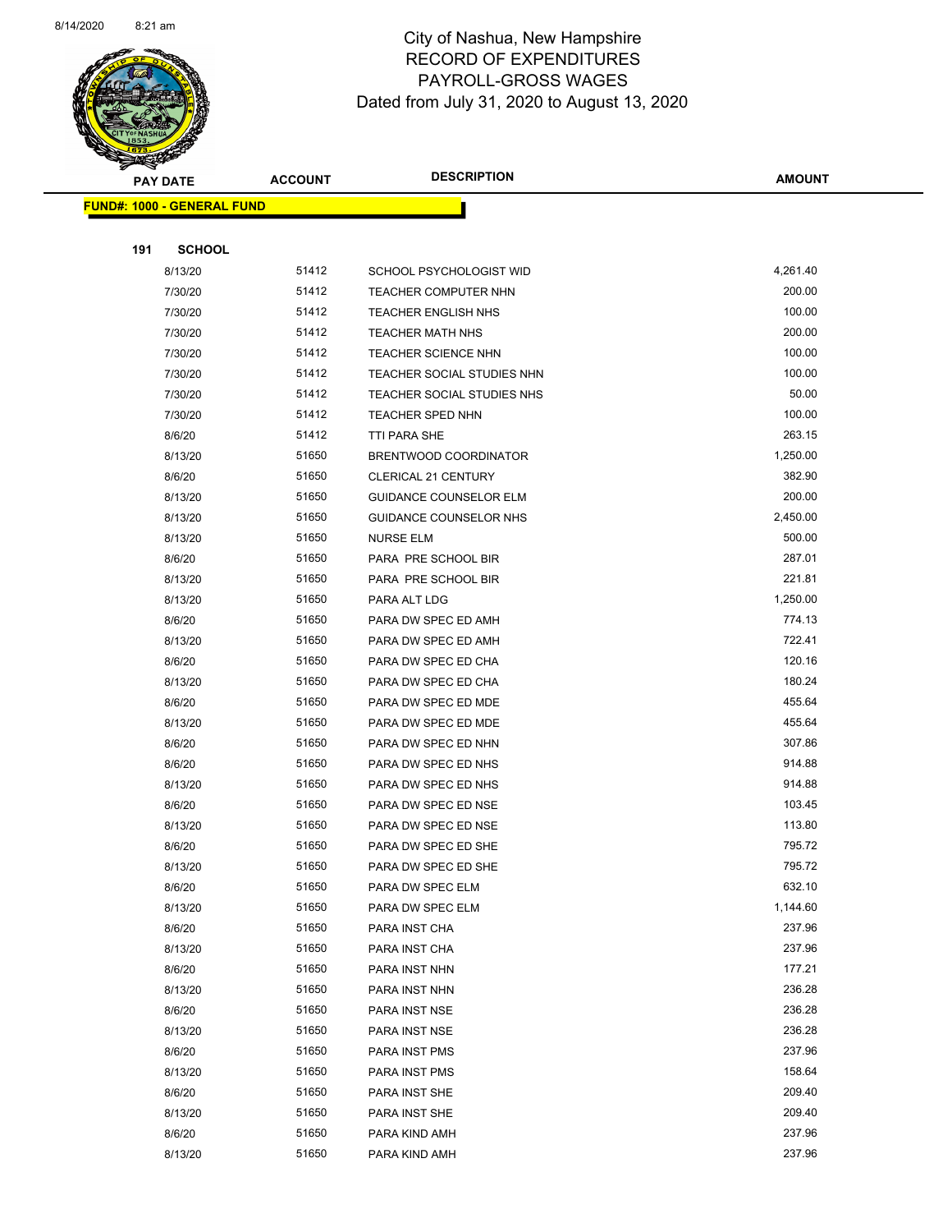

Page 67 of 83

| <b>PAY DATE</b>                   | <b>ACCOUNT</b> | <b>DESCRIPTION</b>            | AMOUNT   |
|-----------------------------------|----------------|-------------------------------|----------|
| <b>FUND#: 1000 - GENERAL FUND</b> |                |                               |          |
|                                   |                |                               |          |
| 191<br><b>SCHOOL</b>              |                |                               |          |
| 8/13/20                           | 51412          | SCHOOL PSYCHOLOGIST WID       | 4,261.40 |
| 7/30/20                           | 51412          | TEACHER COMPUTER NHN          | 200.00   |
| 7/30/20                           | 51412          | <b>TEACHER ENGLISH NHS</b>    | 100.00   |
| 7/30/20                           | 51412          | <b>TEACHER MATH NHS</b>       | 200.00   |
| 7/30/20                           | 51412          | <b>TEACHER SCIENCE NHN</b>    | 100.00   |
| 7/30/20                           | 51412          | TEACHER SOCIAL STUDIES NHN    | 100.00   |
| 7/30/20                           | 51412          | TEACHER SOCIAL STUDIES NHS    | 50.00    |
| 7/30/20                           | 51412          | TEACHER SPED NHN              | 100.00   |
| 8/6/20                            | 51412          | TTI PARA SHE                  | 263.15   |
| 8/13/20                           | 51650          | BRENTWOOD COORDINATOR         | 1,250.00 |
| 8/6/20                            | 51650          | <b>CLERICAL 21 CENTURY</b>    | 382.90   |
| 8/13/20                           | 51650          | <b>GUIDANCE COUNSELOR ELM</b> | 200.00   |
| 8/13/20                           | 51650          | GUIDANCE COUNSELOR NHS        | 2,450.00 |
| 8/13/20                           | 51650          | <b>NURSE ELM</b>              | 500.00   |
| 8/6/20                            | 51650          | PARA PRE SCHOOL BIR           | 287.01   |
| 8/13/20                           | 51650          | PARA PRE SCHOOL BIR           | 221.81   |
| 8/13/20                           | 51650          | PARA ALT LDG                  | 1,250.00 |
| 8/6/20                            | 51650          | PARA DW SPEC ED AMH           | 774.13   |
| 8/13/20                           | 51650          | PARA DW SPEC ED AMH           | 722.41   |
| 8/6/20                            | 51650          | PARA DW SPEC ED CHA           | 120.16   |
| 8/13/20                           | 51650          | PARA DW SPEC ED CHA           | 180.24   |
| 8/6/20                            | 51650          | PARA DW SPEC ED MDE           | 455.64   |
| 8/13/20                           | 51650          | PARA DW SPEC ED MDE           | 455.64   |
| 8/6/20                            | 51650          | PARA DW SPEC ED NHN           | 307.86   |
| 8/6/20                            | 51650          | PARA DW SPEC ED NHS           | 914.88   |
| 8/13/20                           | 51650          | PARA DW SPEC ED NHS           | 914.88   |
| 8/6/20                            | 51650          | PARA DW SPEC ED NSE           | 103.45   |
| 8/13/20                           | 51650          | PARA DW SPEC ED NSE           | 113.80   |
| 8/6/20                            | 51650          | PARA DW SPEC ED SHE           | 795.72   |
| 8/13/20                           | 51650          | PARA DW SPEC ED SHE           | 795.72   |
| 8/6/20                            | 51650          | PARA DW SPEC ELM              | 632.10   |
| 8/13/20                           | 51650          | PARA DW SPEC ELM              | 1,144.60 |
| 8/6/20                            | 51650          | PARA INST CHA                 | 237.96   |
| 8/13/20                           | 51650          | PARA INST CHA                 | 237.96   |
| 8/6/20                            | 51650          | PARA INST NHN                 | 177.21   |
| 8/13/20                           | 51650          | PARA INST NHN                 | 236.28   |
| 8/6/20                            | 51650          | PARA INST NSE                 | 236.28   |
| 8/13/20                           | 51650          | PARA INST NSE                 | 236.28   |
| 8/6/20                            | 51650          | PARA INST PMS                 | 237.96   |
| 8/13/20                           | 51650          | PARA INST PMS                 | 158.64   |
| 8/6/20                            | 51650          | PARA INST SHE                 | 209.40   |
| 8/13/20                           | 51650          | PARA INST SHE                 | 209.40   |
| 8/6/20                            | 51650          | PARA KIND AMH                 | 237.96   |
| 8/13/20                           | 51650          | PARA KIND AMH                 | 237.96   |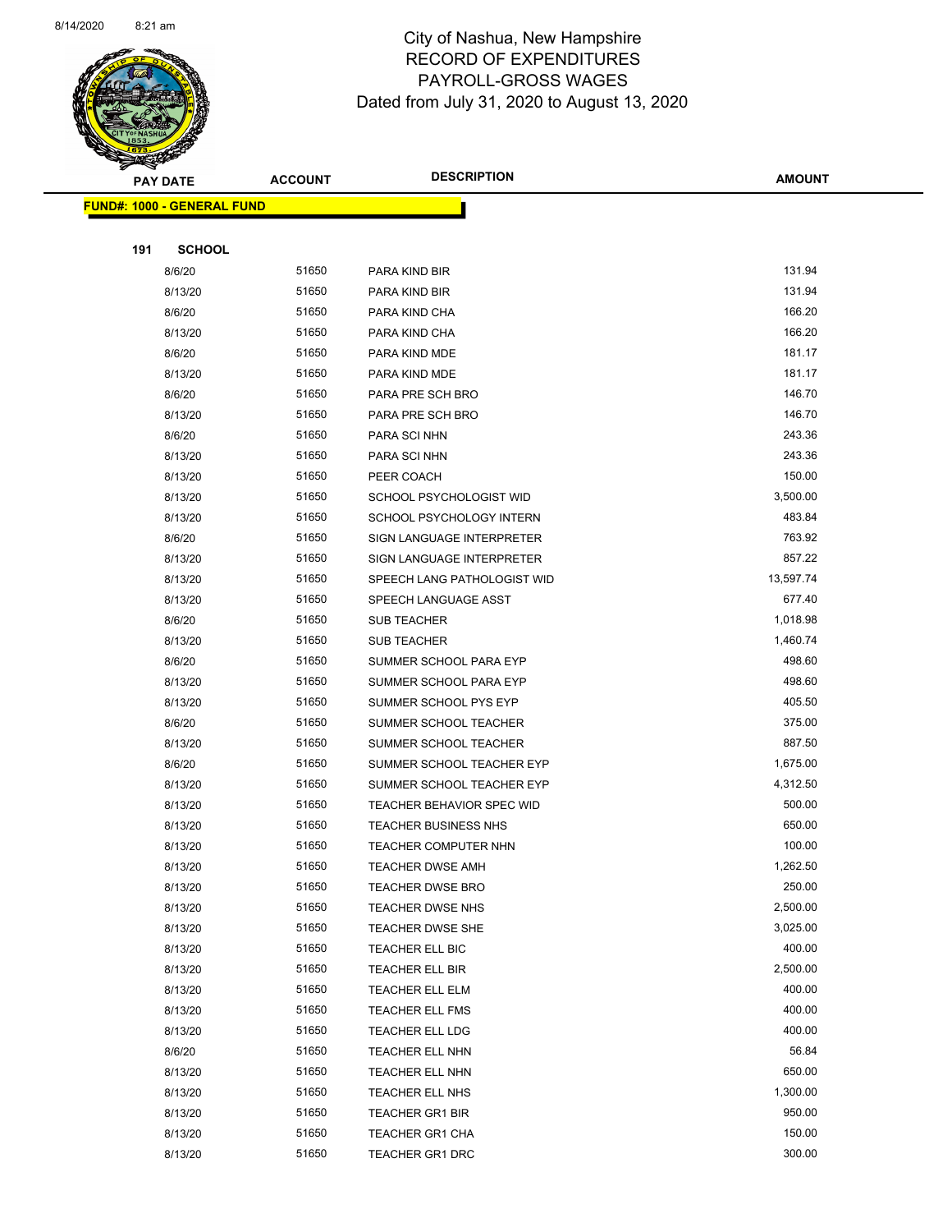

Page 68 of 83

| <b>STARBOOKS</b>                  |                |                                  |               |
|-----------------------------------|----------------|----------------------------------|---------------|
| <b>PAY DATE</b>                   | <b>ACCOUNT</b> | <b>DESCRIPTION</b>               | <b>AMOUNT</b> |
| <b>FUND#: 1000 - GENERAL FUND</b> |                |                                  |               |
|                                   |                |                                  |               |
| 191<br><b>SCHOOL</b>              |                |                                  |               |
| 8/6/20                            | 51650          | PARA KIND BIR                    | 131.94        |
| 8/13/20                           | 51650          | PARA KIND BIR                    | 131.94        |
| 8/6/20                            | 51650          | PARA KIND CHA                    | 166.20        |
| 8/13/20                           | 51650          | PARA KIND CHA                    | 166.20        |
| 8/6/20                            | 51650          | PARA KIND MDE                    | 181.17        |
| 8/13/20                           | 51650          | PARA KIND MDE                    | 181.17        |
| 8/6/20                            | 51650          | PARA PRE SCH BRO                 | 146.70        |
| 8/13/20                           | 51650          | PARA PRE SCH BRO                 | 146.70        |
| 8/6/20                            | 51650          | PARA SCI NHN                     | 243.36        |
| 8/13/20                           | 51650          | PARA SCI NHN                     | 243.36        |
| 8/13/20                           | 51650          | PEER COACH                       | 150.00        |
| 8/13/20                           | 51650          | SCHOOL PSYCHOLOGIST WID          | 3,500.00      |
| 8/13/20                           | 51650          | SCHOOL PSYCHOLOGY INTERN         | 483.84        |
| 8/6/20                            | 51650          | SIGN LANGUAGE INTERPRETER        | 763.92        |
| 8/13/20                           | 51650          | SIGN LANGUAGE INTERPRETER        | 857.22        |
| 8/13/20                           | 51650          | SPEECH LANG PATHOLOGIST WID      | 13,597.74     |
| 8/13/20                           | 51650          | SPEECH LANGUAGE ASST             | 677.40        |
| 8/6/20                            | 51650          | <b>SUB TEACHER</b>               | 1,018.98      |
| 8/13/20                           | 51650          | <b>SUB TEACHER</b>               | 1,460.74      |
| 8/6/20                            | 51650          | SUMMER SCHOOL PARA EYP           | 498.60        |
| 8/13/20                           | 51650          | SUMMER SCHOOL PARA EYP           | 498.60        |
| 8/13/20                           | 51650          | SUMMER SCHOOL PYS EYP            | 405.50        |
| 8/6/20                            | 51650          | SUMMER SCHOOL TEACHER            | 375.00        |
| 8/13/20                           | 51650          | SUMMER SCHOOL TEACHER            | 887.50        |
| 8/6/20                            | 51650          | SUMMER SCHOOL TEACHER EYP        | 1,675.00      |
| 8/13/20                           | 51650          | SUMMER SCHOOL TEACHER EYP        | 4,312.50      |
| 8/13/20                           | 51650          | <b>TEACHER BEHAVIOR SPEC WID</b> | 500.00        |
| 8/13/20                           | 51650          | <b>TEACHER BUSINESS NHS</b>      | 650.00        |
| 8/13/20                           | 51650          | TEACHER COMPUTER NHN             | 100.00        |
| 8/13/20                           | 51650          | TEACHER DWSE AMH                 | 1,262.50      |
| 8/13/20                           | 51650          | <b>TEACHER DWSE BRO</b>          | 250.00        |
| 8/13/20                           | 51650          | <b>TEACHER DWSE NHS</b>          | 2,500.00      |
| 8/13/20                           | 51650          | TEACHER DWSE SHE                 | 3,025.00      |
| 8/13/20                           | 51650          | TEACHER ELL BIC                  | 400.00        |
| 8/13/20                           | 51650          | TEACHER ELL BIR                  | 2,500.00      |
| 8/13/20                           | 51650          | TEACHER ELL ELM                  | 400.00        |
| 8/13/20                           | 51650          | TEACHER ELL FMS                  | 400.00        |
| 8/13/20                           | 51650          | <b>TEACHER ELL LDG</b>           | 400.00        |
| 8/6/20                            | 51650          | TEACHER ELL NHN                  | 56.84         |
| 8/13/20                           | 51650          | TEACHER ELL NHN                  | 650.00        |
| 8/13/20                           | 51650          | TEACHER ELL NHS                  | 1,300.00      |
| 8/13/20                           | 51650          | TEACHER GR1 BIR                  | 950.00        |
| 8/13/20                           | 51650          | <b>TEACHER GR1 CHA</b>           | 150.00        |
| 8/13/20                           | 51650          | TEACHER GR1 DRC                  | 300.00        |
|                                   |                |                                  |               |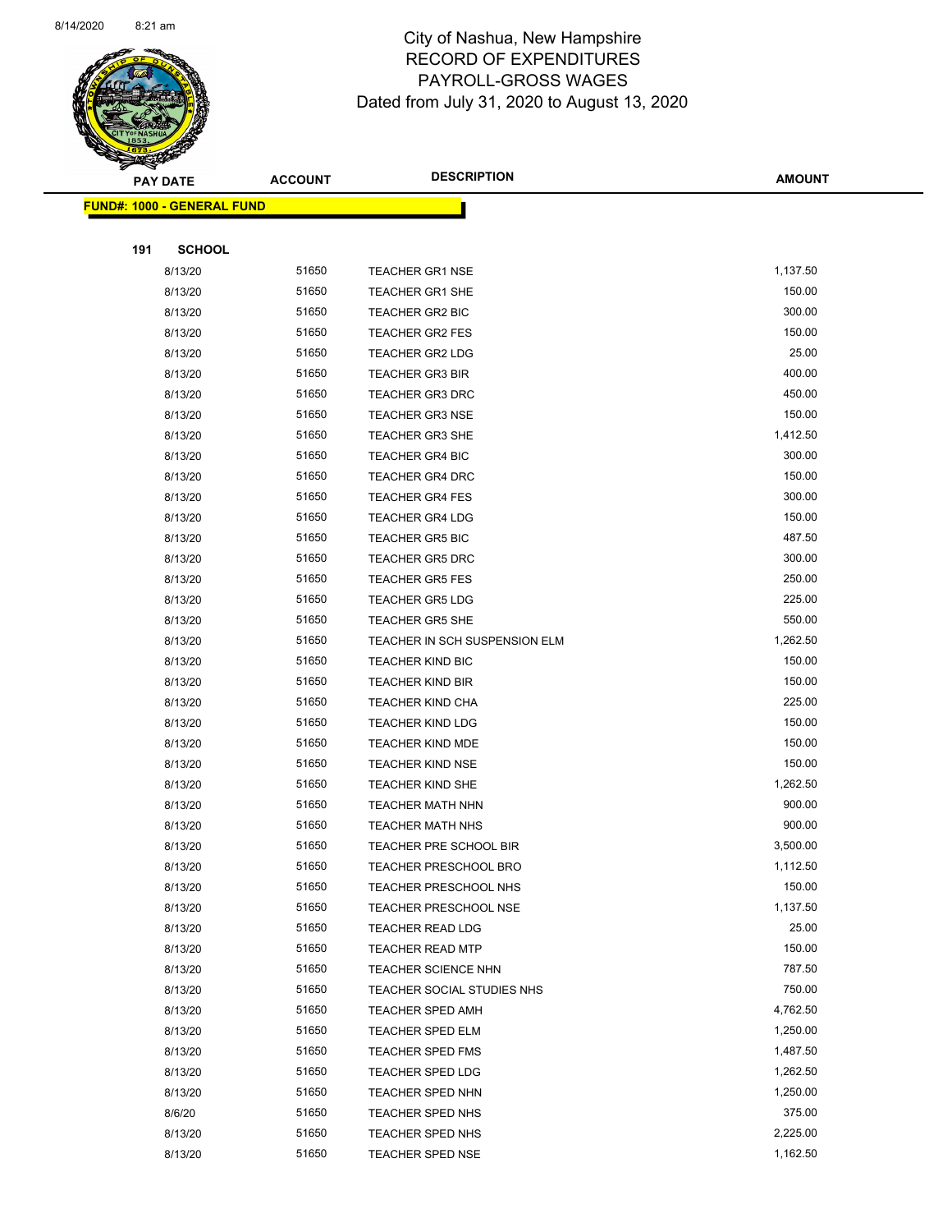

Page 69 of 83

|     | <b>PAY DATE</b>                   | <b>ACCOUNT</b> | <b>DESCRIPTION</b>                                      | <b>AMOUNT</b>      |
|-----|-----------------------------------|----------------|---------------------------------------------------------|--------------------|
|     | <b>FUND#: 1000 - GENERAL FUND</b> |                |                                                         |                    |
|     |                                   |                |                                                         |                    |
| 191 | <b>SCHOOL</b>                     |                |                                                         |                    |
|     | 8/13/20                           | 51650          | <b>TEACHER GR1 NSE</b>                                  | 1,137.50           |
|     | 8/13/20                           | 51650          | <b>TEACHER GR1 SHE</b>                                  | 150.00             |
|     | 8/13/20                           | 51650          | TEACHER GR2 BIC                                         | 300.00             |
|     | 8/13/20                           | 51650          | <b>TEACHER GR2 FES</b>                                  | 150.00             |
|     | 8/13/20                           | 51650          | <b>TEACHER GR2 LDG</b>                                  | 25.00              |
|     | 8/13/20                           | 51650          | <b>TEACHER GR3 BIR</b>                                  | 400.00             |
|     | 8/13/20                           | 51650          | <b>TEACHER GR3 DRC</b>                                  | 450.00             |
|     | 8/13/20                           | 51650          | <b>TEACHER GR3 NSE</b>                                  | 150.00             |
|     | 8/13/20                           | 51650          | <b>TEACHER GR3 SHE</b>                                  | 1,412.50           |
|     | 8/13/20                           | 51650          | <b>TEACHER GR4 BIC</b>                                  | 300.00             |
|     | 8/13/20                           | 51650          | <b>TEACHER GR4 DRC</b>                                  | 150.00             |
|     | 8/13/20                           | 51650          | <b>TEACHER GR4 FES</b>                                  | 300.00             |
|     | 8/13/20                           | 51650          | <b>TEACHER GR4 LDG</b>                                  | 150.00             |
|     | 8/13/20                           | 51650          | <b>TEACHER GR5 BIC</b>                                  | 487.50             |
|     | 8/13/20                           | 51650          | <b>TEACHER GR5 DRC</b>                                  | 300.00             |
|     | 8/13/20                           | 51650          | <b>TEACHER GR5 FES</b>                                  | 250.00             |
|     | 8/13/20                           | 51650          | <b>TEACHER GR5 LDG</b>                                  | 225.00             |
|     | 8/13/20                           | 51650          | <b>TEACHER GR5 SHE</b>                                  | 550.00             |
|     | 8/13/20                           | 51650          | TEACHER IN SCH SUSPENSION ELM                           | 1,262.50           |
|     | 8/13/20                           | 51650          | <b>TEACHER KIND BIC</b>                                 | 150.00             |
|     | 8/13/20                           | 51650          | <b>TEACHER KIND BIR</b>                                 | 150.00             |
|     | 8/13/20                           | 51650          | <b>TEACHER KIND CHA</b>                                 | 225.00             |
|     | 8/13/20                           | 51650          | <b>TEACHER KIND LDG</b>                                 | 150.00             |
|     | 8/13/20                           | 51650          | <b>TEACHER KIND MDE</b>                                 | 150.00             |
|     | 8/13/20                           | 51650          | <b>TEACHER KIND NSE</b>                                 | 150.00             |
|     | 8/13/20                           | 51650          | TEACHER KIND SHE                                        | 1,262.50           |
|     | 8/13/20                           | 51650          | <b>TEACHER MATH NHN</b>                                 | 900.00             |
|     | 8/13/20                           | 51650          | TEACHER MATH NHS                                        | 900.00             |
|     | 8/13/20                           | 51650          | TEACHER PRE SCHOOL BIR                                  | 3,500.00           |
|     | 8/13/20                           | 51650          | TEACHER PRESCHOOL BRO                                   | 1,112.50           |
|     | 8/13/20                           | 51650<br>51650 | TEACHER PRESCHOOL NHS                                   | 150.00<br>1,137.50 |
|     | 8/13/20<br>8/13/20                | 51650          | <b>TEACHER PRESCHOOL NSE</b><br><b>TEACHER READ LDG</b> | 25.00              |
|     | 8/13/20                           | 51650          | <b>TEACHER READ MTP</b>                                 | 150.00             |
|     | 8/13/20                           | 51650          | <b>TEACHER SCIENCE NHN</b>                              | 787.50             |
|     | 8/13/20                           | 51650          | TEACHER SOCIAL STUDIES NHS                              | 750.00             |
|     | 8/13/20                           | 51650          | <b>TEACHER SPED AMH</b>                                 | 4,762.50           |
|     | 8/13/20                           | 51650          | <b>TEACHER SPED ELM</b>                                 | 1,250.00           |
|     | 8/13/20                           | 51650          | <b>TEACHER SPED FMS</b>                                 | 1,487.50           |
|     | 8/13/20                           | 51650          | TEACHER SPED LDG                                        | 1,262.50           |
|     | 8/13/20                           | 51650          | TEACHER SPED NHN                                        | 1,250.00           |
|     | 8/6/20                            | 51650          | TEACHER SPED NHS                                        | 375.00             |
|     | 8/13/20                           | 51650          | <b>TEACHER SPED NHS</b>                                 | 2,225.00           |
|     | 8/13/20                           | 51650          | TEACHER SPED NSE                                        | 1,162.50           |
|     |                                   |                |                                                         |                    |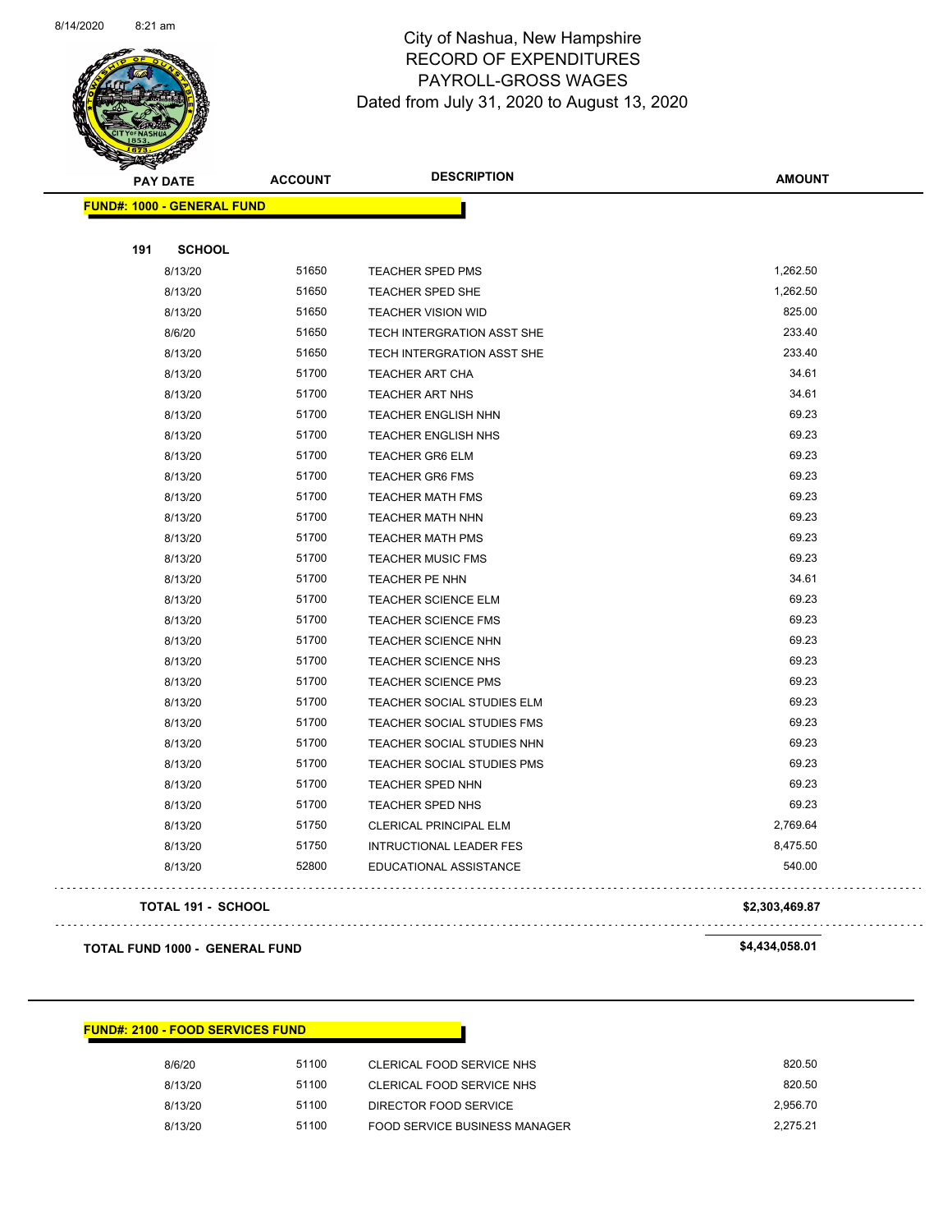

Page 70 of 83

|     | <b>PAY DATE</b>                   | <b>ACCOUNT</b> | <b>DESCRIPTION</b>                | <b>AMOUNT</b> |
|-----|-----------------------------------|----------------|-----------------------------------|---------------|
|     | <b>FUND#: 1000 - GENERAL FUND</b> |                |                                   |               |
|     |                                   |                |                                   |               |
| 191 | <b>SCHOOL</b>                     |                |                                   |               |
|     | 8/13/20                           | 51650          | <b>TEACHER SPED PMS</b>           | 1,262.50      |
|     | 8/13/20                           | 51650          | TEACHER SPED SHE                  | 1,262.50      |
|     | 8/13/20                           | 51650          | <b>TEACHER VISION WID</b>         | 825.00        |
|     | 8/6/20                            | 51650          | TECH INTERGRATION ASST SHE        | 233.40        |
|     | 8/13/20                           | 51650          | TECH INTERGRATION ASST SHE        | 233.40        |
|     | 8/13/20                           | 51700          | <b>TEACHER ART CHA</b>            | 34.61         |
|     | 8/13/20                           | 51700          | TEACHER ART NHS                   | 34.61         |
|     | 8/13/20                           | 51700          | TEACHER ENGLISH NHN               | 69.23         |
|     | 8/13/20                           | 51700          | TEACHER ENGLISH NHS               | 69.23         |
|     | 8/13/20                           | 51700          | <b>TEACHER GR6 ELM</b>            | 69.23         |
|     | 8/13/20                           | 51700          | <b>TEACHER GR6 FMS</b>            | 69.23         |
|     | 8/13/20                           | 51700          | <b>TEACHER MATH FMS</b>           | 69.23         |
|     | 8/13/20                           | 51700          | <b>TEACHER MATH NHN</b>           | 69.23         |
|     | 8/13/20                           | 51700          | <b>TEACHER MATH PMS</b>           | 69.23         |
|     | 8/13/20                           | 51700          | <b>TEACHER MUSIC FMS</b>          | 69.23         |
|     | 8/13/20                           | 51700          | TEACHER PE NHN                    | 34.61         |
|     | 8/13/20                           | 51700          | <b>TEACHER SCIENCE ELM</b>        | 69.23         |
|     | 8/13/20                           | 51700          | <b>TEACHER SCIENCE FMS</b>        | 69.23         |
|     | 8/13/20                           | 51700          | TEACHER SCIENCE NHN               | 69.23         |
|     | 8/13/20                           | 51700          | TEACHER SCIENCE NHS               | 69.23         |
|     | 8/13/20                           | 51700          | <b>TEACHER SCIENCE PMS</b>        | 69.23         |
|     | 8/13/20                           | 51700          | TEACHER SOCIAL STUDIES ELM        | 69.23         |
|     | 8/13/20                           | 51700          | TEACHER SOCIAL STUDIES FMS        | 69.23         |
|     | 8/13/20                           | 51700          | TEACHER SOCIAL STUDIES NHN        | 69.23         |
|     | 8/13/20                           | 51700          | <b>TEACHER SOCIAL STUDIES PMS</b> | 69.23         |
|     | 8/13/20                           | 51700          | TEACHER SPED NHN                  | 69.23         |
|     | 8/13/20                           | 51700          | TEACHER SPED NHS                  | 69.23         |
|     | 8/13/20                           | 51750          | CLERICAL PRINCIPAL ELM            | 2,769.64      |
|     | 8/13/20                           | 51750          | INTRUCTIONAL LEADER FES           | 8,475.50      |
|     | 8/13/20                           | 52800          | EDUCATIONAL ASSISTANCE            | 540.00        |
|     |                                   |                |                                   |               |

#### **TOTAL 191 - SCHOOL \$2,303,469.87**

 $\mathbb{R}^2$ 

. . . . . . . . .

**TOTAL FUND 1000 - GENERAL FUND \$4,434,058.01** 

#### **FUND#: 2100 - FOOD SERVICES FUND**

| 8/6/20  | 51100 | CLERICAL FOOD SERVICE NHS     | 820.50   |
|---------|-------|-------------------------------|----------|
| 8/13/20 | 51100 | CLERICAL FOOD SERVICE NHS     | 820.50   |
| 8/13/20 | 51100 | DIRECTOR FOOD SERVICE         | 2.956.70 |
| 8/13/20 | 51100 | FOOD SERVICE BUSINESS MANAGER | 2.275.21 |

. . . . . . . . . . . . . . . . .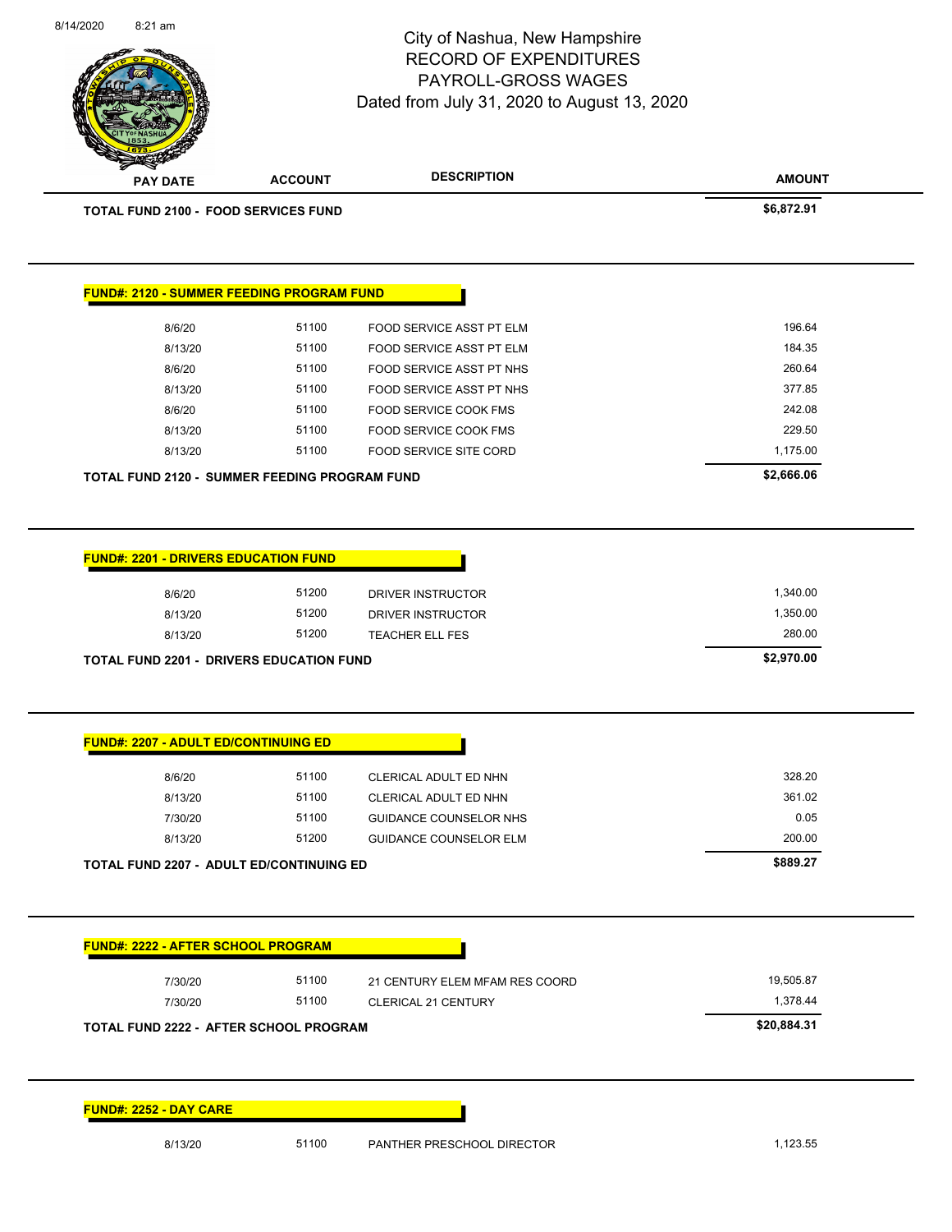|                                                                                                                                                                                                                                                          |                | City of Nashua, New Hampshire<br><b>RECORD OF EXPENDITURES</b><br>PAYROLL-GROSS WAGES<br>Dated from July 31, 2020 to August 13, 2020 | Page 71 of 83 |
|----------------------------------------------------------------------------------------------------------------------------------------------------------------------------------------------------------------------------------------------------------|----------------|--------------------------------------------------------------------------------------------------------------------------------------|---------------|
| <b>PAY DATE</b>                                                                                                                                                                                                                                          | <b>ACCOUNT</b> | <b>DESCRIPTION</b>                                                                                                                   | <b>AMOUNT</b> |
| <b>TOTAL FUND 2100 - FOOD SERVICES FUND</b>                                                                                                                                                                                                              |                |                                                                                                                                      | \$6,872.91    |
| <b>FUND#: 2120 - SUMMER FEEDING PROGRAM FUND</b>                                                                                                                                                                                                         |                |                                                                                                                                      |               |
| 8/6/20                                                                                                                                                                                                                                                   | 51100          | FOOD SERVICE ASST PT ELM                                                                                                             | 196.64        |
| 8/13/20                                                                                                                                                                                                                                                  | 51100          | FOOD SERVICE ASST PT ELM                                                                                                             | 184.35        |
| 8/6/20                                                                                                                                                                                                                                                   | 51100          | FOOD SERVICE ASST PT NHS                                                                                                             | 260.64        |
| 8/13/20                                                                                                                                                                                                                                                  | 51100          | FOOD SERVICE ASST PT NHS                                                                                                             | 377.85        |
| 8/6/20                                                                                                                                                                                                                                                   | 51100          | FOOD SERVICE COOK FMS                                                                                                                | 242.08        |
| 8/13/20                                                                                                                                                                                                                                                  | 51100          | FOOD SERVICE COOK FMS                                                                                                                | 229.50        |
| 8/13/20                                                                                                                                                                                                                                                  | 51100          | <b>FOOD SERVICE SITE CORD</b>                                                                                                        | 1,175.00      |
| <b>TOTAL FUND 2120 - SUMMER FEEDING PROGRAM FUND</b>                                                                                                                                                                                                     |                |                                                                                                                                      | \$2,666.06    |
|                                                                                                                                                                                                                                                          |                |                                                                                                                                      |               |
|                                                                                                                                                                                                                                                          | 51200          |                                                                                                                                      | 1,340.00      |
| 8/6/20<br>8/13/20                                                                                                                                                                                                                                        | 51200          | DRIVER INSTRUCTOR<br>DRIVER INSTRUCTOR                                                                                               | 1,350.00      |
| 8/13/20                                                                                                                                                                                                                                                  | 51200          | <b>TEACHER ELL FES</b>                                                                                                               | 280.00        |
|                                                                                                                                                                                                                                                          |                |                                                                                                                                      | \$2,970.00    |
|                                                                                                                                                                                                                                                          |                |                                                                                                                                      |               |
| 8/6/20                                                                                                                                                                                                                                                   | 51100          | CLERICAL ADULT ED NHN                                                                                                                | 328.20        |
| 8/13/20                                                                                                                                                                                                                                                  | 51100          | CLERICAL ADULT ED NHN                                                                                                                | 361.02        |
| 7/30/20                                                                                                                                                                                                                                                  | 51100          | <b>GUIDANCE COUNSELOR NHS</b>                                                                                                        | 0.05          |
| 8/13/20                                                                                                                                                                                                                                                  | 51200          | <b>GUIDANCE COUNSELOR ELM</b>                                                                                                        | 200.00        |
|                                                                                                                                                                                                                                                          |                |                                                                                                                                      | \$889.27      |
|                                                                                                                                                                                                                                                          |                |                                                                                                                                      |               |
| 7/30/20                                                                                                                                                                                                                                                  | 51100          | 21 CENTURY ELEM MFAM RES COORD                                                                                                       | 19,505.87     |
| <b>FUND#: 2201 - DRIVERS EDUCATION FUND</b><br><b>TOTAL FUND 2201 - DRIVERS EDUCATION FUND</b><br><b>FUND#: 2207 - ADULT ED/CONTINUING ED</b><br><b>TOTAL FUND 2207 - ADULT ED/CONTINUING ED</b><br><b>FUND#: 2222 - AFTER SCHOOL PROGRAM</b><br>7/30/20 | 51100          | <b>CLERICAL 21 CENTURY</b>                                                                                                           | 1,378.44      |

**FUND#: 2252 - DAY CARE**

I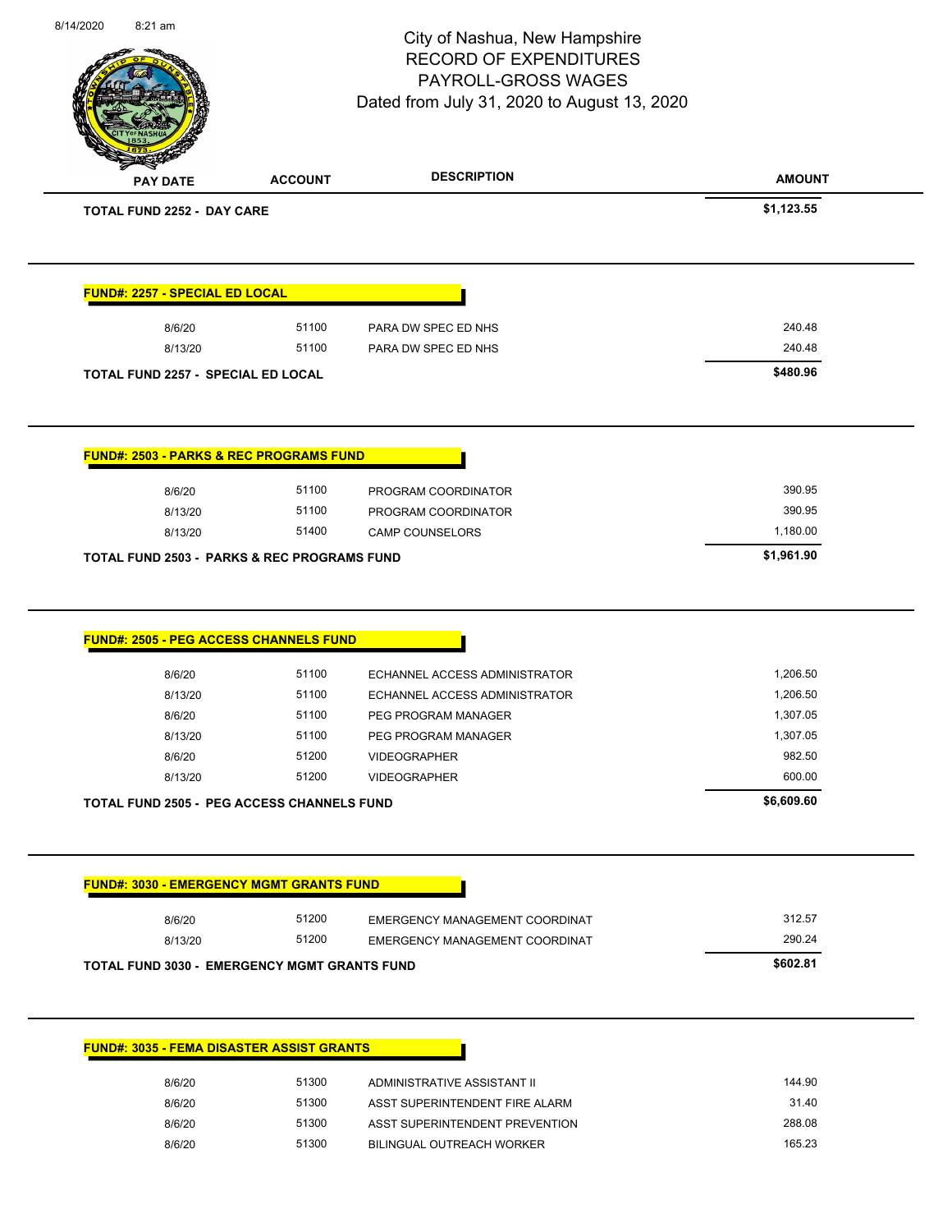| 8/14/2020 | 8:21 am                                   |                                                        | City of Nashua, New Hampshire<br><b>RECORD OF EXPENDITURES</b>   | Page 72 of 83   |
|-----------|-------------------------------------------|--------------------------------------------------------|------------------------------------------------------------------|-----------------|
|           |                                           |                                                        | PAYROLL-GROSS WAGES                                              |                 |
|           |                                           |                                                        | Dated from July 31, 2020 to August 13, 2020                      |                 |
|           |                                           |                                                        |                                                                  |                 |
|           |                                           |                                                        |                                                                  |                 |
|           | <b>PAY DATE</b>                           | <b>ACCOUNT</b>                                         | <b>DESCRIPTION</b>                                               | <b>AMOUNT</b>   |
|           | <b>TOTAL FUND 2252 - DAY CARE</b>         |                                                        |                                                                  | \$1,123.55      |
|           |                                           |                                                        |                                                                  |                 |
|           | FUND#: 2257 - SPECIAL ED LOCAL            |                                                        |                                                                  |                 |
|           | 8/6/20                                    | 51100                                                  | PARA DW SPEC ED NHS                                              | 240.48          |
|           | 8/13/20                                   | 51100                                                  | PARA DW SPEC ED NHS                                              | 240.48          |
|           | <b>TOTAL FUND 2257 - SPECIAL ED LOCAL</b> |                                                        |                                                                  | \$480.96        |
|           |                                           |                                                        |                                                                  |                 |
|           |                                           | <b>FUND#: 2503 - PARKS &amp; REC PROGRAMS FUND</b>     |                                                                  |                 |
|           | 8/6/20                                    | 51100                                                  | PROGRAM COORDINATOR                                              | 390.95          |
|           | 8/13/20                                   | 51100                                                  | PROGRAM COORDINATOR                                              | 390.95          |
|           | 8/13/20                                   | 51400                                                  | <b>CAMP COUNSELORS</b>                                           | 1,180.00        |
|           |                                           | <b>TOTAL FUND 2503 - PARKS &amp; REC PROGRAMS FUND</b> |                                                                  | \$1,961.90      |
|           |                                           | FUND#: 2505 - PEG ACCESS CHANNELS FUND                 |                                                                  |                 |
|           | 8/6/20                                    | 51100                                                  | ECHANNEL ACCESS ADMINISTRATOR                                    | 1,206.50        |
|           | 8/13/20                                   | 51100                                                  | ECHANNEL ACCESS ADMINISTRATOR                                    | 1,206.50        |
|           | 8/6/20                                    | 51100                                                  | PEG PROGRAM MANAGER                                              | 1,307.05        |
|           | 8/13/20                                   | 51100                                                  | PEG PROGRAM MANAGER                                              | 1,307.05        |
|           | 8/6/20                                    | 51200                                                  | <b>VIDEOGRAPHER</b>                                              | 982.50          |
|           | 8/13/20                                   | 51200                                                  | <b>VIDEOGRAPHER</b>                                              | 600.00          |
|           |                                           | <b>TOTAL FUND 2505 - PEG ACCESS CHANNELS FUND</b>      |                                                                  | \$6,609.60      |
|           |                                           | <b>FUND#: 3030 - EMERGENCY MGMT GRANTS FUND</b>        |                                                                  |                 |
|           |                                           | 51200                                                  | EMERGENCY MANAGEMENT COORDINAT                                   | 312.57          |
|           | 8/6/20<br>8/13/20                         | 51200                                                  | EMERGENCY MANAGEMENT COORDINAT                                   | 290.24          |
|           |                                           |                                                        |                                                                  |                 |
|           |                                           | <b>TOTAL FUND 3030 - EMERGENCY MGMT GRANTS FUND</b>    |                                                                  | \$602.81        |
|           |                                           | <b>FUND#: 3035 - FEMA DISASTER ASSIST GRANTS</b>       |                                                                  |                 |
|           |                                           |                                                        |                                                                  |                 |
|           | 8/6/20                                    | 51300                                                  | ADMINISTRATIVE ASSISTANT II                                      | 144.90          |
|           |                                           |                                                        |                                                                  |                 |
|           | 8/6/20<br>8/6/20                          | 51300<br>51300                                         | ASST SUPERINTENDENT FIRE ALARM<br>ASST SUPERINTENDENT PREVENTION | 31.40<br>288.08 |

8/6/20 51300 BILINGUAL OUTREACH WORKER

8/14/2020 8:21 am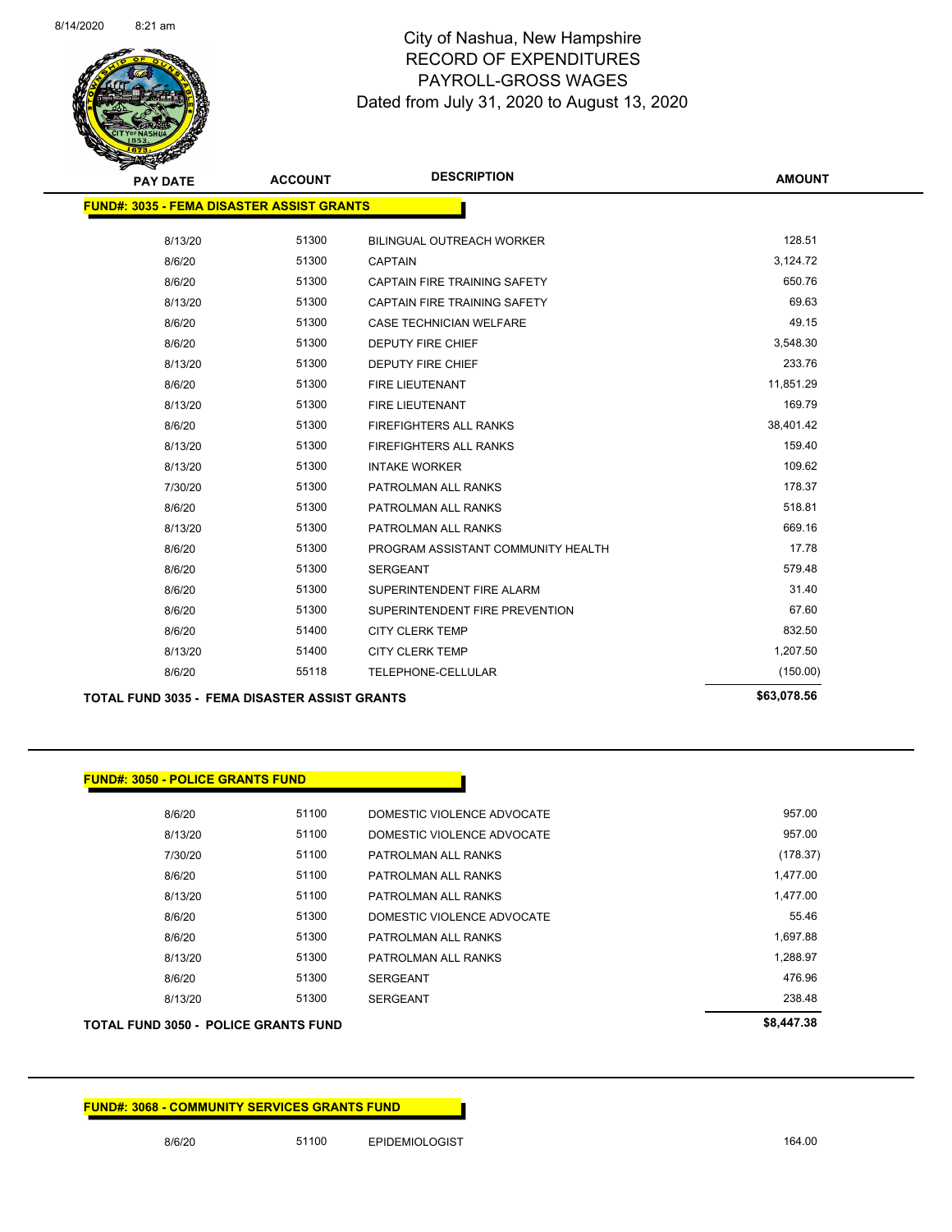

| <b>PAY DATE</b>                                      | <b>ACCOUNT</b> | <b>DESCRIPTION</b>                  | <b>AMOUNT</b> |
|------------------------------------------------------|----------------|-------------------------------------|---------------|
| <b>FUND#: 3035 - FEMA DISASTER ASSIST GRANTS</b>     |                |                                     |               |
| 8/13/20                                              | 51300          | <b>BILINGUAL OUTREACH WORKER</b>    | 128.51        |
| 8/6/20                                               | 51300          | <b>CAPTAIN</b>                      | 3,124.72      |
| 8/6/20                                               | 51300          | CAPTAIN FIRE TRAINING SAFETY        | 650.76        |
| 8/13/20                                              | 51300          | <b>CAPTAIN FIRE TRAINING SAFETY</b> | 69.63         |
| 8/6/20                                               | 51300          | <b>CASE TECHNICIAN WELFARE</b>      | 49.15         |
| 8/6/20                                               | 51300          | DEPUTY FIRE CHIEF                   | 3,548.30      |
| 8/13/20                                              | 51300          | <b>DEPUTY FIRE CHIEF</b>            | 233.76        |
| 8/6/20                                               | 51300          | <b>FIRE LIEUTENANT</b>              | 11,851.29     |
| 8/13/20                                              | 51300          | FIRE LIEUTENANT                     | 169.79        |
| 8/6/20                                               | 51300          | <b>FIREFIGHTERS ALL RANKS</b>       | 38,401.42     |
| 8/13/20                                              | 51300          | <b>FIREFIGHTERS ALL RANKS</b>       | 159.40        |
| 8/13/20                                              | 51300          | <b>INTAKE WORKER</b>                | 109.62        |
| 7/30/20                                              | 51300          | PATROLMAN ALL RANKS                 | 178.37        |
| 8/6/20                                               | 51300          | PATROLMAN ALL RANKS                 | 518.81        |
| 8/13/20                                              | 51300          | PATROLMAN ALL RANKS                 | 669.16        |
| 8/6/20                                               | 51300          | PROGRAM ASSISTANT COMMUNITY HEALTH  | 17.78         |
| 8/6/20                                               | 51300          | <b>SERGEANT</b>                     | 579.48        |
| 8/6/20                                               | 51300          | SUPERINTENDENT FIRE ALARM           | 31.40         |
| 8/6/20                                               | 51300          | SUPERINTENDENT FIRE PREVENTION      | 67.60         |
| 8/6/20                                               | 51400          | <b>CITY CLERK TEMP</b>              | 832.50        |
| 8/13/20                                              | 51400          | <b>CITY CLERK TEMP</b>              | 1,207.50      |
| 8/6/20                                               | 55118          | TELEPHONE-CELLULAR                  | (150.00)      |
| <b>TOTAL FUND 3035 - FEMA DISASTER ASSIST GRANTS</b> |                |                                     | \$63,078.56   |

#### **FUND#: 3050 - POLICE GRANTS FUND**

| <b>TOTAL FUND 3050 - POLICE GRANTS FUND</b> |       |                            | \$8,447.38 |
|---------------------------------------------|-------|----------------------------|------------|
| 8/13/20                                     | 51300 | <b>SERGEANT</b>            | 238.48     |
| 8/6/20                                      | 51300 | <b>SERGEANT</b>            | 476.96     |
| 8/13/20                                     | 51300 | PATROLMAN ALL RANKS        | 1,288.97   |
| 8/6/20                                      | 51300 | PATROLMAN ALL RANKS        | 1.697.88   |
| 8/6/20                                      | 51300 | DOMESTIC VIOLENCE ADVOCATE | 55.46      |
| 8/13/20                                     | 51100 | PATROLMAN ALL RANKS        | 1,477.00   |
| 8/6/20                                      | 51100 | PATROLMAN ALL RANKS        | 1,477.00   |
| 7/30/20                                     | 51100 | PATROLMAN ALL RANKS        | (178.37)   |
| 8/13/20                                     | 51100 | DOMESTIC VIOLENCE ADVOCATE | 957.00     |
| 8/6/20                                      | 51100 | DOMESTIC VIOLENCE ADVOCATE | 957.00     |
|                                             |       |                            |            |

#### **FUND#: 3068 - COMMUNITY SERVICES GRANTS FUND**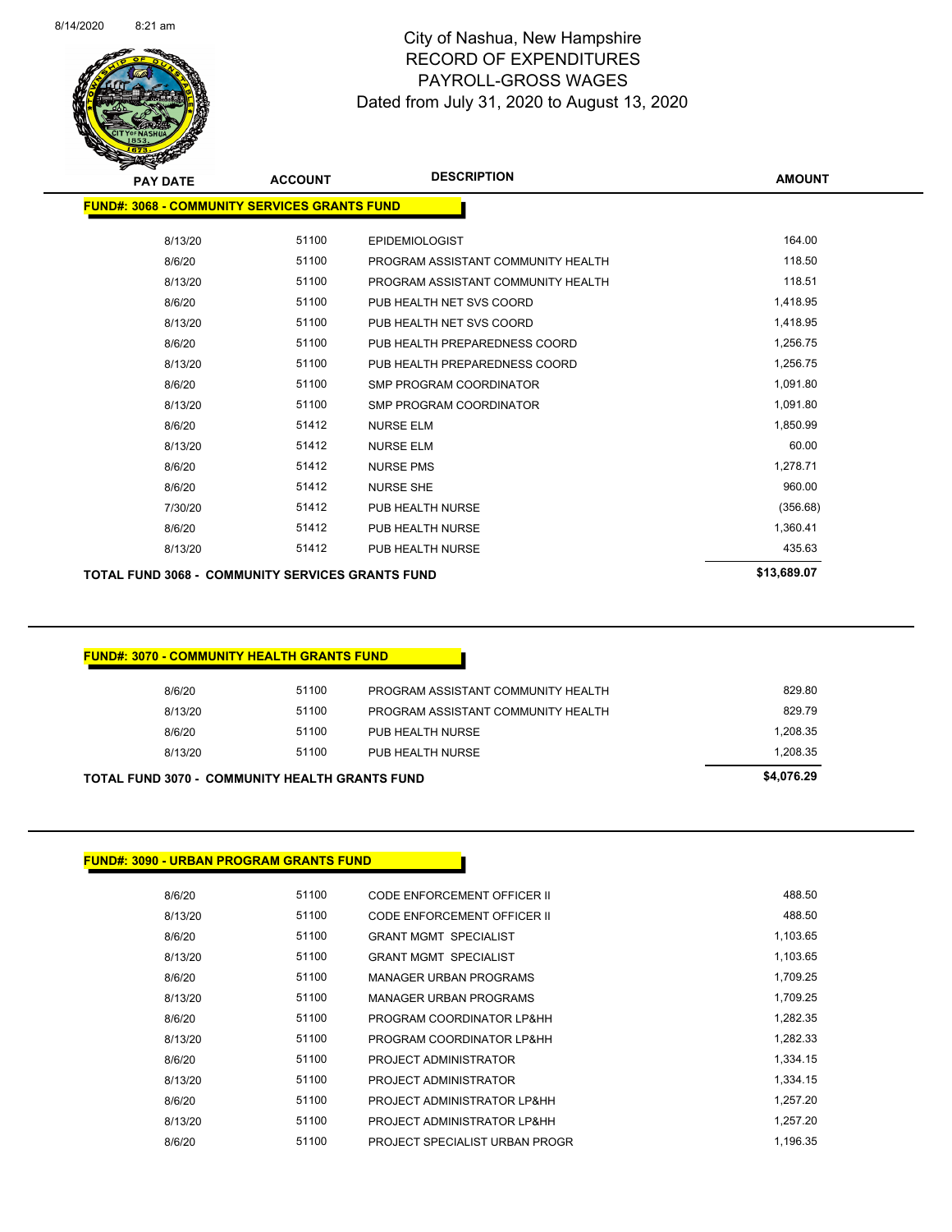

Page 74 of 83

| <b>PAY DATE</b>                                         | <b>ACCOUNT</b> | <b>DESCRIPTION</b>                 | <b>AMOUNT</b> |
|---------------------------------------------------------|----------------|------------------------------------|---------------|
| <b>FUND#: 3068 - COMMUNITY SERVICES GRANTS FUND</b>     |                |                                    |               |
| 8/13/20                                                 | 51100          | <b>EPIDEMIOLOGIST</b>              | 164.00        |
| 8/6/20                                                  | 51100          | PROGRAM ASSISTANT COMMUNITY HEALTH | 118.50        |
| 8/13/20                                                 | 51100          | PROGRAM ASSISTANT COMMUNITY HEALTH | 118.51        |
| 8/6/20                                                  | 51100          | PUB HEALTH NET SVS COORD           | 1,418.95      |
| 8/13/20                                                 | 51100          | PUB HEALTH NET SVS COORD           | 1,418.95      |
| 8/6/20                                                  | 51100          | PUB HEALTH PREPAREDNESS COORD      | 1,256.75      |
| 8/13/20                                                 | 51100          | PUB HEALTH PREPAREDNESS COORD      | 1,256.75      |
| 8/6/20                                                  | 51100          | SMP PROGRAM COORDINATOR            | 1,091.80      |
| 8/13/20                                                 | 51100          | SMP PROGRAM COORDINATOR            | 1,091.80      |
| 8/6/20                                                  | 51412          | <b>NURSE ELM</b>                   | 1,850.99      |
| 8/13/20                                                 | 51412          | <b>NURSE ELM</b>                   | 60.00         |
| 8/6/20                                                  | 51412          | <b>NURSE PMS</b>                   | 1,278.71      |
| 8/6/20                                                  | 51412          | <b>NURSE SHE</b>                   | 960.00        |
| 7/30/20                                                 | 51412          | PUB HEALTH NURSE                   | (356.68)      |
| 8/6/20                                                  | 51412          | PUB HEALTH NURSE                   | 1,360.41      |
| 8/13/20                                                 | 51412          | PUB HEALTH NURSE                   | 435.63        |
| <b>TOTAL FUND 3068 - COMMUNITY SERVICES GRANTS FUND</b> |                |                                    | \$13,689.07   |

#### **FUND#: 3070 - COMMUNITY HEALTH GRANTS FUND**

| 1.208.35<br>1.208.35 |
|----------------------|
|                      |
|                      |
| 829.79               |
| 829.80               |
|                      |

### **FUND#: 3090 - URBAN PROGRAM GRANTS FUND**

| 8/6/20  | 51100 | CODE ENFORCEMENT OFFICER II    | 488.50   |
|---------|-------|--------------------------------|----------|
| 8/13/20 | 51100 | CODE ENFORCEMENT OFFICER II    | 488.50   |
| 8/6/20  | 51100 | <b>GRANT MGMT SPECIALIST</b>   | 1,103.65 |
| 8/13/20 | 51100 | <b>GRANT MGMT SPECIALIST</b>   | 1,103.65 |
| 8/6/20  | 51100 | <b>MANAGER URBAN PROGRAMS</b>  | 1,709.25 |
| 8/13/20 | 51100 | <b>MANAGER URBAN PROGRAMS</b>  | 1,709.25 |
| 8/6/20  | 51100 | PROGRAM COORDINATOR LP&HH      | 1,282.35 |
| 8/13/20 | 51100 | PROGRAM COORDINATOR LP&HH      | 1.282.33 |
| 8/6/20  | 51100 | PROJECT ADMINISTRATOR          | 1.334.15 |
| 8/13/20 | 51100 | PROJECT ADMINISTRATOR          | 1,334.15 |
| 8/6/20  | 51100 | PROJECT ADMINISTRATOR LP&HH    | 1.257.20 |
| 8/13/20 | 51100 | PROJECT ADMINISTRATOR LP&HH    | 1.257.20 |
| 8/6/20  | 51100 | PROJECT SPECIALIST URBAN PROGR | 1.196.35 |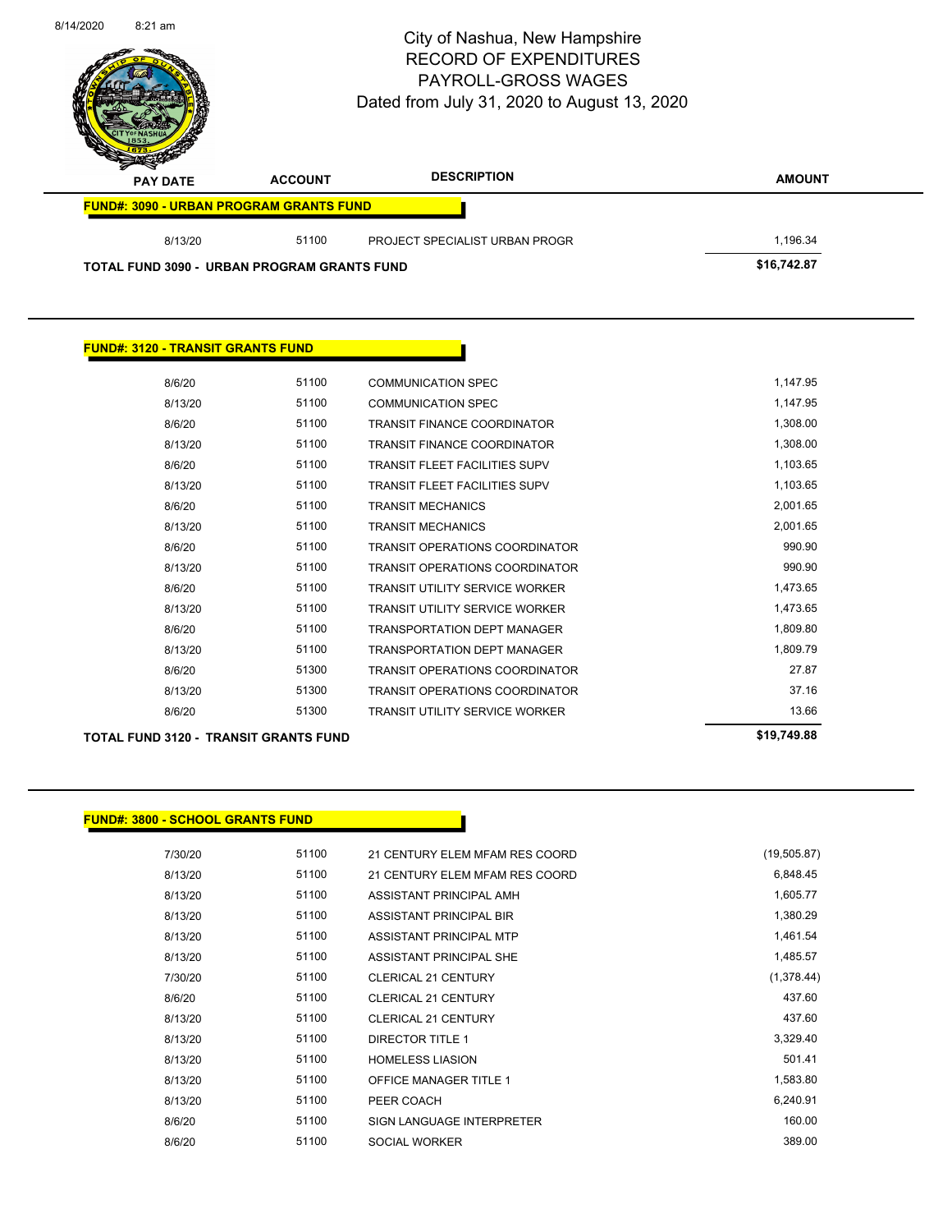| 8/14/2020 | $8:21$ am                                      |                | City of Nashua, New Hampshire<br><b>RECORD OF EXPENDITURES</b><br>PAYROLL-GROSS WAGES<br>Dated from July 31, 2020 to August 13, 2020 | Page 75 of 83 |
|-----------|------------------------------------------------|----------------|--------------------------------------------------------------------------------------------------------------------------------------|---------------|
|           | <b>PAY DATE</b>                                | <b>ACCOUNT</b> | <b>DESCRIPTION</b>                                                                                                                   | <b>AMOUNT</b> |
|           | <b>FUND#: 3090 - URBAN PROGRAM GRANTS FUND</b> |                |                                                                                                                                      |               |
|           | 8/13/20                                        | 51100          | PROJECT SPECIALIST URBAN PROGR                                                                                                       | 1,196.34      |
|           | TOTAL FUND 3090 - URBAN PROGRAM GRANTS FUND    |                |                                                                                                                                      | \$16,742.87   |
|           |                                                |                |                                                                                                                                      |               |

| 8/6/20                                       | 51100 | <b>COMMUNICATION SPEC</b>             | 1,147.95    |
|----------------------------------------------|-------|---------------------------------------|-------------|
| 8/13/20                                      | 51100 | <b>COMMUNICATION SPEC</b>             | 1,147.95    |
| 8/6/20                                       | 51100 | <b>TRANSIT FINANCE COORDINATOR</b>    | 1,308.00    |
| 8/13/20                                      | 51100 | <b>TRANSIT FINANCE COORDINATOR</b>    | 1,308.00    |
| 8/6/20                                       | 51100 | <b>TRANSIT FLEET FACILITIES SUPV</b>  | 1,103.65    |
| 8/13/20                                      | 51100 | <b>TRANSIT FLEET FACILITIES SUPV</b>  | 1,103.65    |
| 8/6/20                                       | 51100 | <b>TRANSIT MECHANICS</b>              | 2,001.65    |
| 8/13/20                                      | 51100 | <b>TRANSIT MECHANICS</b>              | 2,001.65    |
| 8/6/20                                       | 51100 | <b>TRANSIT OPERATIONS COORDINATOR</b> | 990.90      |
| 8/13/20                                      | 51100 | <b>TRANSIT OPERATIONS COORDINATOR</b> | 990.90      |
| 8/6/20                                       | 51100 | <b>TRANSIT UTILITY SERVICE WORKER</b> | 1,473.65    |
| 8/13/20                                      | 51100 | <b>TRANSIT UTILITY SERVICE WORKER</b> | 1,473.65    |
| 8/6/20                                       | 51100 | <b>TRANSPORTATION DEPT MANAGER</b>    | 1,809.80    |
| 8/13/20                                      | 51100 | <b>TRANSPORTATION DEPT MANAGER</b>    | 1,809.79    |
| 8/6/20                                       | 51300 | <b>TRANSIT OPERATIONS COORDINATOR</b> | 27.87       |
| 8/13/20                                      | 51300 | TRANSIT OPERATIONS COORDINATOR        | 37.16       |
| 8/6/20                                       | 51300 | <b>TRANSIT UTILITY SERVICE WORKER</b> | 13.66       |
| <b>TOTAL FUND 3120 - TRANSIT GRANTS FUND</b> |       |                                       | \$19,749.88 |

h

**FUND#: 3120 - TRANSIT GRANTS FUND**

## **FUND#: 3800 - SCHOOL GRANTS FUND**

| 7/30/20 | 51100 | 21 CENTURY ELEM MFAM RES COORD   | (19,505.87) |
|---------|-------|----------------------------------|-------------|
| 8/13/20 | 51100 | 21 CENTURY ELEM MFAM RES COORD   | 6,848.45    |
| 8/13/20 | 51100 | ASSISTANT PRINCIPAL AMH          | 1,605.77    |
| 8/13/20 | 51100 | ASSISTANT PRINCIPAL BIR          | 1,380.29    |
| 8/13/20 | 51100 | ASSISTANT PRINCIPAL MTP          | 1,461.54    |
| 8/13/20 | 51100 | ASSISTANT PRINCIPAL SHE          | 1,485.57    |
| 7/30/20 | 51100 | <b>CLERICAL 21 CENTURY</b>       | (1,378.44)  |
| 8/6/20  | 51100 | <b>CLERICAL 21 CENTURY</b>       | 437.60      |
| 8/13/20 | 51100 | <b>CLERICAL 21 CENTURY</b>       | 437.60      |
| 8/13/20 | 51100 | <b>DIRECTOR TITLE 1</b>          | 3,329.40    |
| 8/13/20 | 51100 | <b>HOMELESS LIASION</b>          | 501.41      |
| 8/13/20 | 51100 | <b>OFFICE MANAGER TITLE 1</b>    | 1,583.80    |
| 8/13/20 | 51100 | PEER COACH                       | 6,240.91    |
| 8/6/20  | 51100 | <b>SIGN LANGUAGE INTERPRETER</b> | 160.00      |
| 8/6/20  | 51100 | <b>SOCIAL WORKER</b>             | 389.00      |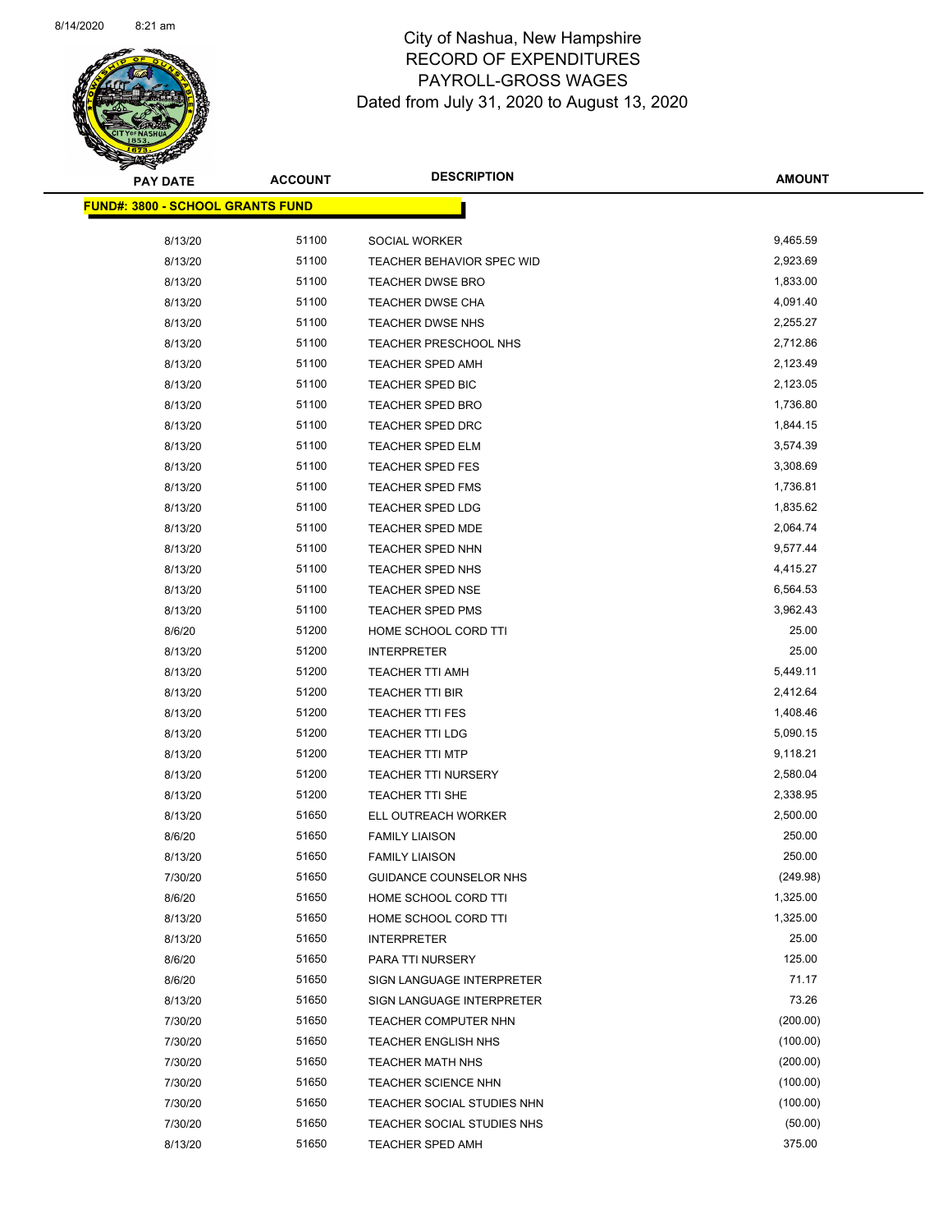

| <b>PAY DATE</b>                          | <b>ACCOUNT</b> | <b>DESCRIPTION</b>               | <b>AMOUNT</b> |
|------------------------------------------|----------------|----------------------------------|---------------|
| <u> FUND#: 3800 - SCHOOL GRANTS FUND</u> |                |                                  |               |
|                                          |                |                                  |               |
| 8/13/20                                  | 51100          | SOCIAL WORKER                    | 9,465.59      |
| 8/13/20                                  | 51100          | <b>TEACHER BEHAVIOR SPEC WID</b> | 2,923.69      |
| 8/13/20                                  | 51100          | <b>TEACHER DWSE BRO</b>          | 1,833.00      |
| 8/13/20                                  | 51100          | <b>TEACHER DWSE CHA</b>          | 4,091.40      |
| 8/13/20                                  | 51100          | TEACHER DWSE NHS                 | 2,255.27      |
| 8/13/20                                  | 51100          | TEACHER PRESCHOOL NHS            | 2,712.86      |
| 8/13/20                                  | 51100          | <b>TEACHER SPED AMH</b>          | 2,123.49      |
| 8/13/20                                  | 51100          | TEACHER SPED BIC                 | 2,123.05      |
| 8/13/20                                  | 51100          | <b>TEACHER SPED BRO</b>          | 1,736.80      |
| 8/13/20                                  | 51100          | <b>TEACHER SPED DRC</b>          | 1,844.15      |
| 8/13/20                                  | 51100          | TEACHER SPED ELM                 | 3,574.39      |
| 8/13/20                                  | 51100          | <b>TEACHER SPED FES</b>          | 3,308.69      |
| 8/13/20                                  | 51100          | <b>TEACHER SPED FMS</b>          | 1,736.81      |
| 8/13/20                                  | 51100          | TEACHER SPED LDG                 | 1,835.62      |
| 8/13/20                                  | 51100          | TEACHER SPED MDE                 | 2,064.74      |
| 8/13/20                                  | 51100          | TEACHER SPED NHN                 | 9,577.44      |
| 8/13/20                                  | 51100          | <b>TEACHER SPED NHS</b>          | 4,415.27      |
| 8/13/20                                  | 51100          | <b>TEACHER SPED NSE</b>          | 6,564.53      |
| 8/13/20                                  | 51100          | <b>TEACHER SPED PMS</b>          | 3,962.43      |
| 8/6/20                                   | 51200          | HOME SCHOOL CORD TTI             | 25.00         |
| 8/13/20                                  | 51200          | <b>INTERPRETER</b>               | 25.00         |
| 8/13/20                                  | 51200          | <b>TEACHER TTI AMH</b>           | 5,449.11      |
| 8/13/20                                  | 51200          | <b>TEACHER TTI BIR</b>           | 2,412.64      |
| 8/13/20                                  | 51200          | TEACHER TTI FES                  | 1,408.46      |
| 8/13/20                                  | 51200          | TEACHER TTI LDG                  | 5,090.15      |
| 8/13/20                                  | 51200          | <b>TEACHER TTI MTP</b>           | 9,118.21      |
| 8/13/20                                  | 51200          | <b>TEACHER TTI NURSERY</b>       | 2,580.04      |
| 8/13/20                                  | 51200          | <b>TEACHER TTI SHE</b>           | 2,338.95      |
| 8/13/20                                  | 51650          | ELL OUTREACH WORKER              | 2,500.00      |
| 8/6/20                                   | 51650          | <b>FAMILY LIAISON</b>            | 250.00        |
| 8/13/20                                  | 51650          | <b>FAMILY LIAISON</b>            | 250.00        |
| 7/30/20                                  | 51650          | GUIDANCE COUNSELOR NHS           | (249.98)      |
| 8/6/20                                   | 51650          | HOME SCHOOL CORD TTI             | 1,325.00      |
| 8/13/20                                  | 51650          | HOME SCHOOL CORD TTI             | 1,325.00      |
| 8/13/20                                  | 51650          | <b>INTERPRETER</b>               | 25.00         |
| 8/6/20                                   | 51650          | PARA TTI NURSERY                 | 125.00        |
| 8/6/20                                   | 51650          | SIGN LANGUAGE INTERPRETER        | 71.17         |
| 8/13/20                                  | 51650          | SIGN LANGUAGE INTERPRETER        | 73.26         |
| 7/30/20                                  | 51650          | TEACHER COMPUTER NHN             | (200.00)      |
| 7/30/20                                  | 51650          | <b>TEACHER ENGLISH NHS</b>       | (100.00)      |
| 7/30/20                                  | 51650          | TEACHER MATH NHS                 | (200.00)      |
| 7/30/20                                  | 51650          | <b>TEACHER SCIENCE NHN</b>       | (100.00)      |
| 7/30/20                                  | 51650          | TEACHER SOCIAL STUDIES NHN       | (100.00)      |
| 7/30/20                                  | 51650          | TEACHER SOCIAL STUDIES NHS       | (50.00)       |
| 8/13/20                                  | 51650          | <b>TEACHER SPED AMH</b>          | 375.00        |
|                                          |                |                                  |               |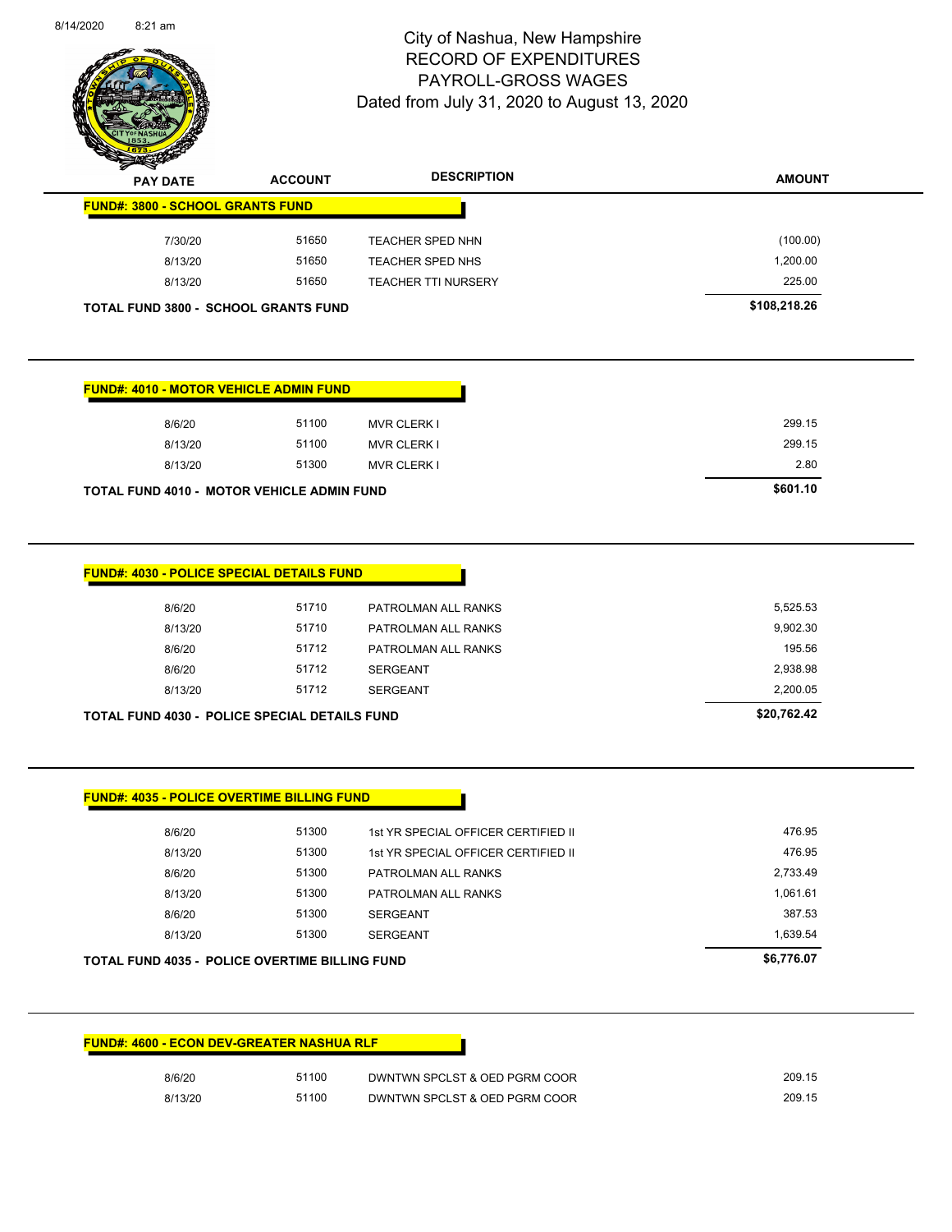

Page 77 of 83

| <b>Allen</b> | <b>PAY DATE</b>                         | <b>ACCOUNT</b>                              | <b>DESCRIPTION</b>         | <b>AMOUNT</b> |
|--------------|-----------------------------------------|---------------------------------------------|----------------------------|---------------|
|              | <b>FUND#: 3800 - SCHOOL GRANTS FUND</b> |                                             |                            |               |
|              | 7/30/20                                 | 51650                                       | <b>TEACHER SPED NHN</b>    | (100.00)      |
|              | 8/13/20                                 | 51650                                       | TEACHER SPED NHS           | 1,200.00      |
|              | 8/13/20                                 | 51650                                       | <b>TEACHER TTI NURSERY</b> | 225.00        |
|              |                                         | <b>TOTAL FUND 3800 - SCHOOL GRANTS FUND</b> |                            | \$108,218.26  |

| <b>FUND#: 4010 - MOTOR VEHICLE ADMIN FUND</b>     |       |                    |          |
|---------------------------------------------------|-------|--------------------|----------|
| 8/6/20                                            | 51100 | <b>MVR CLERK I</b> | 299.15   |
| 8/13/20                                           | 51100 | <b>MVR CLERK I</b> | 299.15   |
| 8/13/20                                           | 51300 | <b>MVR CLERK I</b> | 2.80     |
| <b>TOTAL FUND 4010 - MOTOR VEHICLE ADMIN FUND</b> |       |                    | \$601.10 |

| 8/6/20  | 51710 | PATROLMAN ALL RANKS | 5,525.53 |
|---------|-------|---------------------|----------|
| 8/13/20 | 51710 | PATROLMAN ALL RANKS | 9,902.30 |
| 8/6/20  | 51712 | PATROLMAN ALL RANKS | 195.56   |
| 8/6/20  | 51712 | <b>SERGEANT</b>     | 2,938.98 |
| 8/13/20 | 51712 | <b>SERGEANT</b>     | 2,200.05 |

| 8/6/20  | 51300 | 1st YR SPECIAL OFFICER CERTIFIED II | 476.95   |
|---------|-------|-------------------------------------|----------|
| 8/13/20 | 51300 | 1st YR SPECIAL OFFICER CERTIFIED II | 476.95   |
| 8/6/20  | 51300 | PATROLMAN ALL RANKS                 | 2,733.49 |
| 8/13/20 | 51300 | PATROLMAN ALL RANKS                 | 1.061.61 |
| 8/6/20  | 51300 | <b>SERGEANT</b>                     | 387.53   |
| 8/13/20 | 51300 | <b>SERGEANT</b>                     | 1,639.54 |

| <b>FUND#: 4600 - ECON DEV-GREATER NASHUA RLF</b> |       |                               |  |
|--------------------------------------------------|-------|-------------------------------|--|
| 8/6/20                                           | 51100 | DWNTWN SPCLST & OED PGRM COOR |  |
| 8/13/20                                          | 51100 | DWNTWN SPCLST & OED PGRM COOR |  |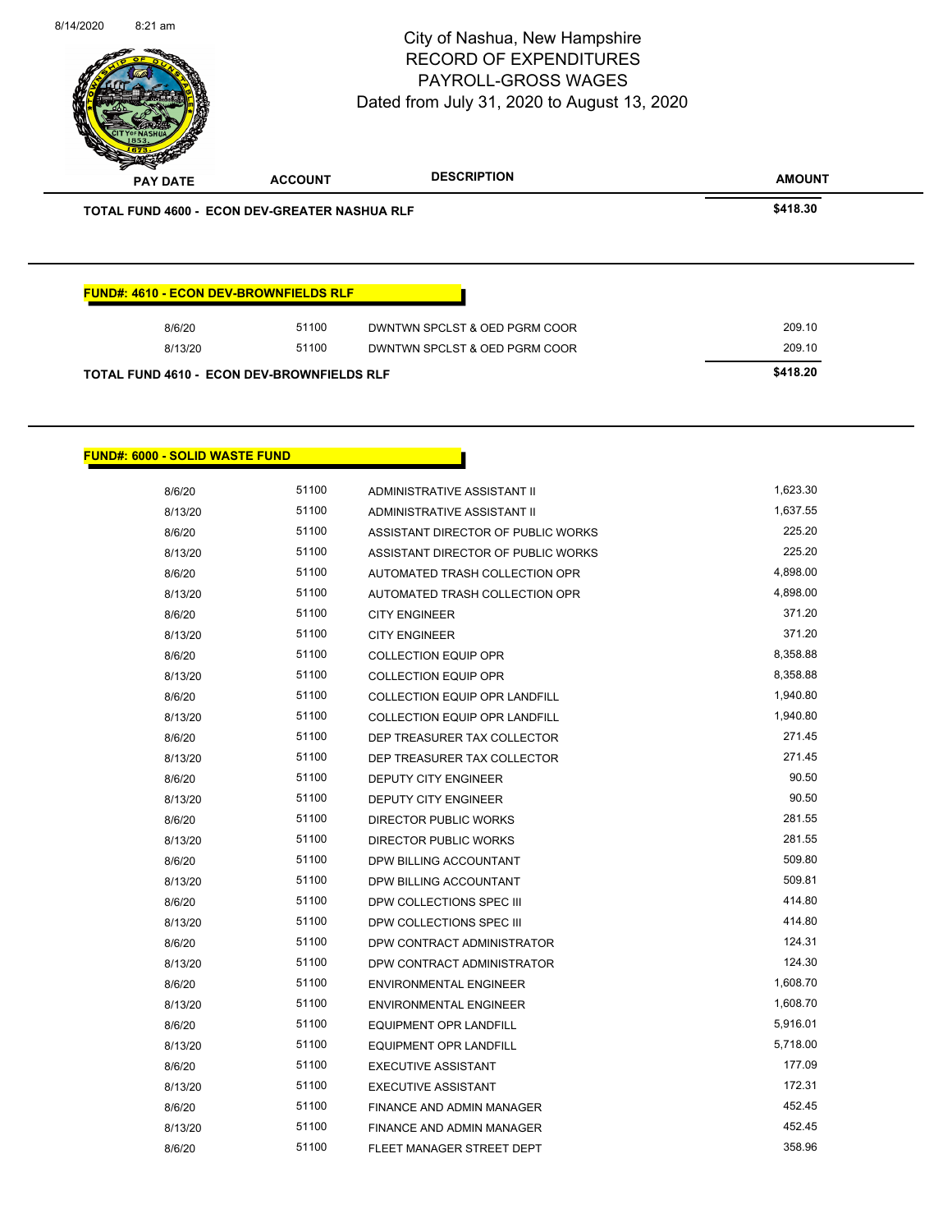| 8/6/20  | 51100 | DWNTWN SPCLST & OED PGRM COOR | 209.10 |
|---------|-------|-------------------------------|--------|
| 8/13/20 | 51100 | DWNTWN SPCLST & OED PGRM COOR | 209.10 |

### **FUND#: 6000 - SOLID WASTE FUND**

| 8/6/20  | 51100 | ADMINISTRATIVE ASSISTANT II          | 1,623.30 |
|---------|-------|--------------------------------------|----------|
| 8/13/20 | 51100 | ADMINISTRATIVE ASSISTANT II          | 1,637.55 |
| 8/6/20  | 51100 | ASSISTANT DIRECTOR OF PUBLIC WORKS   | 225.20   |
| 8/13/20 | 51100 | ASSISTANT DIRECTOR OF PUBLIC WORKS   | 225.20   |
| 8/6/20  | 51100 | AUTOMATED TRASH COLLECTION OPR       | 4,898.00 |
| 8/13/20 | 51100 | AUTOMATED TRASH COLLECTION OPR       | 4,898.00 |
| 8/6/20  | 51100 | <b>CITY ENGINEER</b>                 | 371.20   |
| 8/13/20 | 51100 | <b>CITY ENGINEER</b>                 | 371.20   |
| 8/6/20  | 51100 | <b>COLLECTION EQUIP OPR</b>          | 8,358.88 |
| 8/13/20 | 51100 | <b>COLLECTION EQUIP OPR</b>          | 8,358.88 |
| 8/6/20  | 51100 | COLLECTION EQUIP OPR LANDFILL        | 1,940.80 |
| 8/13/20 | 51100 | <b>COLLECTION EQUIP OPR LANDFILL</b> | 1,940.80 |
| 8/6/20  | 51100 | DEP TREASURER TAX COLLECTOR          | 271.45   |
| 8/13/20 | 51100 | DEP TREASURER TAX COLLECTOR          | 271.45   |
| 8/6/20  | 51100 | <b>DEPUTY CITY ENGINEER</b>          | 90.50    |
| 8/13/20 | 51100 | <b>DEPUTY CITY ENGINEER</b>          | 90.50    |
| 8/6/20  | 51100 | <b>DIRECTOR PUBLIC WORKS</b>         | 281.55   |
| 8/13/20 | 51100 | <b>DIRECTOR PUBLIC WORKS</b>         | 281.55   |
| 8/6/20  | 51100 | DPW BILLING ACCOUNTANT               | 509.80   |
| 8/13/20 | 51100 | DPW BILLING ACCOUNTANT               | 509.81   |
| 8/6/20  | 51100 | DPW COLLECTIONS SPEC III             | 414.80   |
| 8/13/20 | 51100 | DPW COLLECTIONS SPEC III             | 414.80   |
| 8/6/20  | 51100 | DPW CONTRACT ADMINISTRATOR           | 124.31   |
| 8/13/20 | 51100 | DPW CONTRACT ADMINISTRATOR           | 124.30   |
| 8/6/20  | 51100 | <b>ENVIRONMENTAL ENGINEER</b>        | 1,608.70 |
| 8/13/20 | 51100 | <b>ENVIRONMENTAL ENGINEER</b>        | 1,608.70 |
| 8/6/20  | 51100 | <b>EQUIPMENT OPR LANDFILL</b>        | 5,916.01 |
| 8/13/20 | 51100 | <b>EQUIPMENT OPR LANDFILL</b>        | 5,718.00 |
| 8/6/20  | 51100 | <b>EXECUTIVE ASSISTANT</b>           | 177.09   |
| 8/13/20 | 51100 | <b>EXECUTIVE ASSISTANT</b>           | 172.31   |
| 8/6/20  | 51100 | FINANCE AND ADMIN MANAGER            | 452.45   |
| 8/13/20 | 51100 | FINANCE AND ADMIN MANAGER            | 452.45   |
| 8/6/20  | 51100 | FLEET MANAGER STREET DEPT            | 358.96   |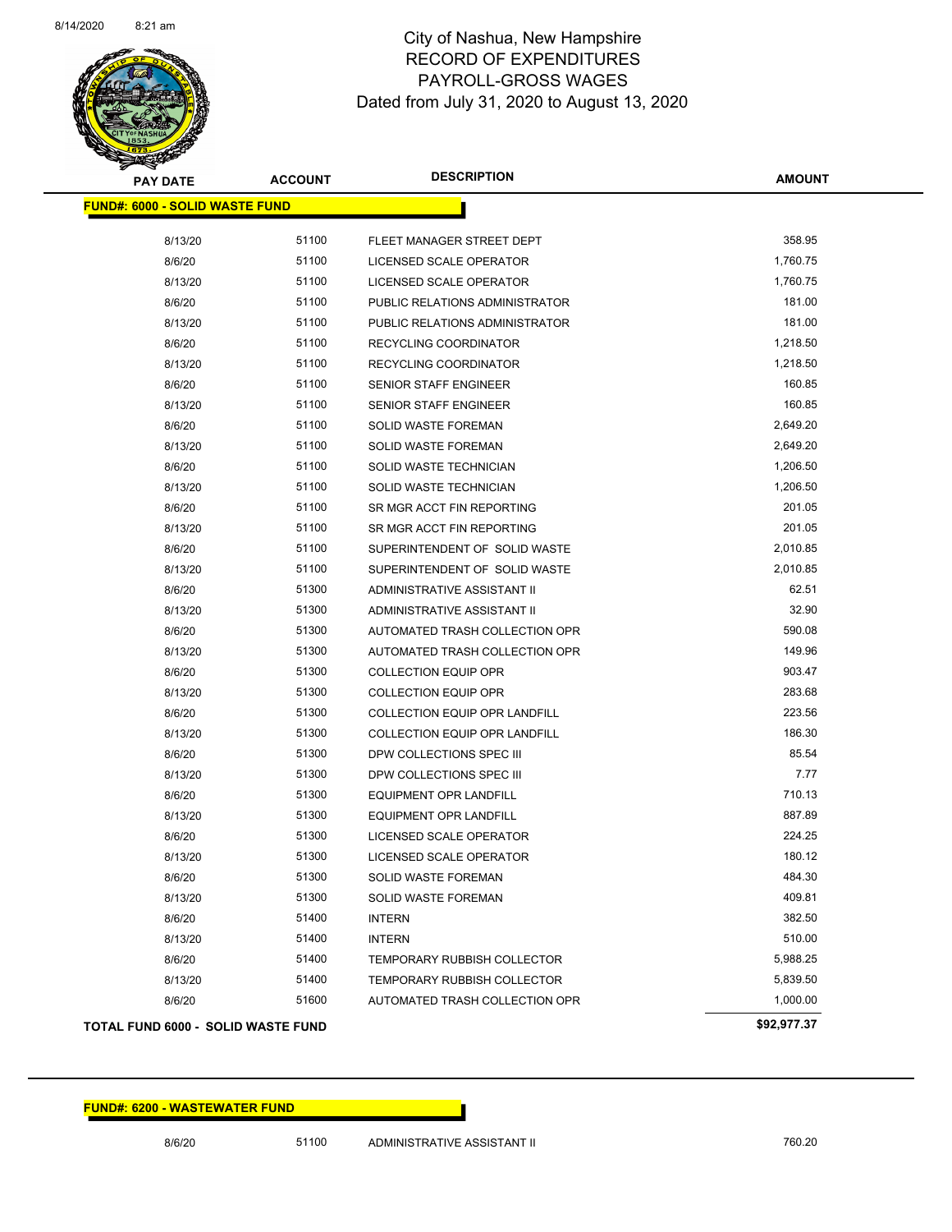

| <b>PAY DATE</b>                       | <b>ACCOUNT</b> | <b>DESCRIPTION</b>                   | AMOUNT      |
|---------------------------------------|----------------|--------------------------------------|-------------|
| <b>FUND#: 6000 - SOLID WASTE FUND</b> |                |                                      |             |
| 8/13/20                               | 51100          | FLEET MANAGER STREET DEPT            | 358.95      |
| 8/6/20                                | 51100          | LICENSED SCALE OPERATOR              | 1,760.75    |
| 8/13/20                               | 51100          | LICENSED SCALE OPERATOR              | 1,760.75    |
| 8/6/20                                | 51100          | PUBLIC RELATIONS ADMINISTRATOR       | 181.00      |
| 8/13/20                               | 51100          | PUBLIC RELATIONS ADMINISTRATOR       | 181.00      |
| 8/6/20                                | 51100          | RECYCLING COORDINATOR                | 1,218.50    |
| 8/13/20                               | 51100          | RECYCLING COORDINATOR                | 1,218.50    |
| 8/6/20                                | 51100          | SENIOR STAFF ENGINEER                | 160.85      |
| 8/13/20                               | 51100          | SENIOR STAFF ENGINEER                | 160.85      |
| 8/6/20                                | 51100          | <b>SOLID WASTE FOREMAN</b>           | 2,649.20    |
| 8/13/20                               | 51100          | <b>SOLID WASTE FOREMAN</b>           | 2,649.20    |
| 8/6/20                                | 51100          | SOLID WASTE TECHNICIAN               | 1,206.50    |
| 8/13/20                               | 51100          | SOLID WASTE TECHNICIAN               | 1,206.50    |
| 8/6/20                                | 51100          | SR MGR ACCT FIN REPORTING            | 201.05      |
| 8/13/20                               | 51100          | SR MGR ACCT FIN REPORTING            | 201.05      |
| 8/6/20                                | 51100          | SUPERINTENDENT OF SOLID WASTE        | 2,010.85    |
| 8/13/20                               | 51100          | SUPERINTENDENT OF SOLID WASTE        | 2,010.85    |
| 8/6/20                                | 51300          | ADMINISTRATIVE ASSISTANT II          | 62.51       |
| 8/13/20                               | 51300          | ADMINISTRATIVE ASSISTANT II          | 32.90       |
| 8/6/20                                | 51300          | AUTOMATED TRASH COLLECTION OPR       | 590.08      |
| 8/13/20                               | 51300          | AUTOMATED TRASH COLLECTION OPR       | 149.96      |
| 8/6/20                                | 51300          | <b>COLLECTION EQUIP OPR</b>          | 903.47      |
| 8/13/20                               | 51300          | <b>COLLECTION EQUIP OPR</b>          | 283.68      |
| 8/6/20                                | 51300          | COLLECTION EQUIP OPR LANDFILL        | 223.56      |
| 8/13/20                               | 51300          | <b>COLLECTION EQUIP OPR LANDFILL</b> | 186.30      |
| 8/6/20                                | 51300          | DPW COLLECTIONS SPEC III             | 85.54       |
| 8/13/20                               | 51300          | DPW COLLECTIONS SPEC III             | 7.77        |
| 8/6/20                                | 51300          | EQUIPMENT OPR LANDFILL               | 710.13      |
| 8/13/20                               | 51300          | <b>EQUIPMENT OPR LANDFILL</b>        | 887.89      |
| 8/6/20                                | 51300          | LICENSED SCALE OPERATOR              | 224.25      |
| 8/13/20                               | 51300          | LICENSED SCALE OPERATOR              | 180.12      |
| 8/6/20                                | 51300          | <b>SOLID WASTE FOREMAN</b>           | 484.30      |
| 8/13/20                               | 51300          | <b>SOLID WASTE FOREMAN</b>           | 409.81      |
| 8/6/20                                | 51400          | <b>INTERN</b>                        | 382.50      |
| 8/13/20                               | 51400          | <b>INTERN</b>                        | 510.00      |
| 8/6/20                                | 51400          | <b>TEMPORARY RUBBISH COLLECTOR</b>   | 5,988.25    |
| 8/13/20                               | 51400          | TEMPORARY RUBBISH COLLECTOR          | 5,839.50    |
| 8/6/20                                | 51600          | AUTOMATED TRASH COLLECTION OPR       | 1,000.00    |
| TOTAL FUND 6000 - SOLID WASTE FUND    |                |                                      | \$92,977.37 |

### **FUND#: 6200 - WASTEWATER FUND**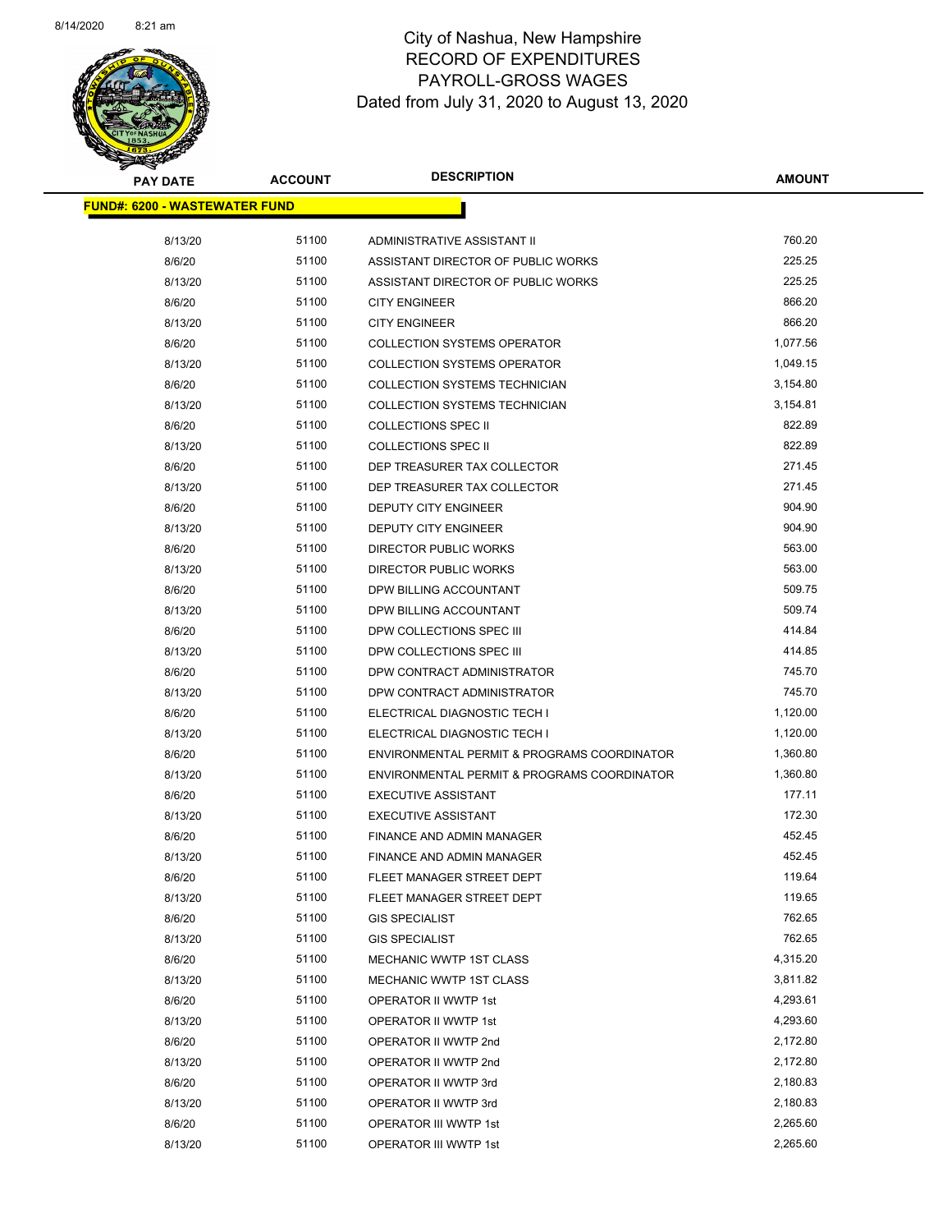

Page 80 of 83

| <b>PAY DATE</b>                      | <b>ACCOUNT</b> | <b>DESCRIPTION</b>                          | <b>AMOUNT</b> |
|--------------------------------------|----------------|---------------------------------------------|---------------|
| <b>FUND#: 6200 - WASTEWATER FUND</b> |                |                                             |               |
|                                      |                |                                             | 760.20        |
| 8/13/20                              | 51100          | ADMINISTRATIVE ASSISTANT II                 | 225.25        |
| 8/6/20                               | 51100<br>51100 | ASSISTANT DIRECTOR OF PUBLIC WORKS          | 225.25        |
| 8/13/20                              |                | ASSISTANT DIRECTOR OF PUBLIC WORKS          |               |
| 8/6/20                               | 51100          | <b>CITY ENGINEER</b>                        | 866.20        |
| 8/13/20                              | 51100          | <b>CITY ENGINEER</b>                        | 866.20        |
| 8/6/20                               | 51100          | <b>COLLECTION SYSTEMS OPERATOR</b>          | 1,077.56      |
| 8/13/20                              | 51100          | <b>COLLECTION SYSTEMS OPERATOR</b>          | 1,049.15      |
| 8/6/20                               | 51100          | COLLECTION SYSTEMS TECHNICIAN               | 3,154.80      |
| 8/13/20                              | 51100          | COLLECTION SYSTEMS TECHNICIAN               | 3,154.81      |
| 8/6/20                               | 51100          | <b>COLLECTIONS SPEC II</b>                  | 822.89        |
| 8/13/20                              | 51100          | <b>COLLECTIONS SPEC II</b>                  | 822.89        |
| 8/6/20                               | 51100          | DEP TREASURER TAX COLLECTOR                 | 271.45        |
| 8/13/20                              | 51100          | DEP TREASURER TAX COLLECTOR                 | 271.45        |
| 8/6/20                               | 51100          | DEPUTY CITY ENGINEER                        | 904.90        |
| 8/13/20                              | 51100          | DEPUTY CITY ENGINEER                        | 904.90        |
| 8/6/20                               | 51100          | DIRECTOR PUBLIC WORKS                       | 563.00        |
| 8/13/20                              | 51100          | DIRECTOR PUBLIC WORKS                       | 563.00        |
| 8/6/20                               | 51100          | DPW BILLING ACCOUNTANT                      | 509.75        |
| 8/13/20                              | 51100          | DPW BILLING ACCOUNTANT                      | 509.74        |
| 8/6/20                               | 51100          | DPW COLLECTIONS SPEC III                    | 414.84        |
| 8/13/20                              | 51100          | DPW COLLECTIONS SPEC III                    | 414.85        |
| 8/6/20                               | 51100          | DPW CONTRACT ADMINISTRATOR                  | 745.70        |
| 8/13/20                              | 51100          | DPW CONTRACT ADMINISTRATOR                  | 745.70        |
| 8/6/20                               | 51100          | ELECTRICAL DIAGNOSTIC TECH I                | 1,120.00      |
| 8/13/20                              | 51100          | ELECTRICAL DIAGNOSTIC TECH I                | 1,120.00      |
| 8/6/20                               | 51100          | ENVIRONMENTAL PERMIT & PROGRAMS COORDINATOR | 1,360.80      |
| 8/13/20                              | 51100          | ENVIRONMENTAL PERMIT & PROGRAMS COORDINATOR | 1,360.80      |
| 8/6/20                               | 51100          | <b>EXECUTIVE ASSISTANT</b>                  | 177.11        |
| 8/13/20                              | 51100          | <b>EXECUTIVE ASSISTANT</b>                  | 172.30        |
| 8/6/20                               | 51100          | FINANCE AND ADMIN MANAGER                   | 452.45        |
| 8/13/20                              | 51100          | <b>FINANCE AND ADMIN MANAGER</b>            | 452.45        |
| 8/6/20                               | 51100          | FLEET MANAGER STREET DEPT                   | 119.64        |
| 8/13/20                              | 51100          | FLEET MANAGER STREET DEPT                   | 119.65        |
| 8/6/20                               | 51100          | <b>GIS SPECIALIST</b>                       | 762.65        |
| 8/13/20                              | 51100          | <b>GIS SPECIALIST</b>                       | 762.65        |
| 8/6/20                               | 51100          | MECHANIC WWTP 1ST CLASS                     | 4,315.20      |
| 8/13/20                              | 51100          | MECHANIC WWTP 1ST CLASS                     | 3,811.82      |
| 8/6/20                               | 51100          | <b>OPERATOR II WWTP 1st</b>                 | 4,293.61      |
| 8/13/20                              | 51100          | OPERATOR II WWTP 1st                        | 4,293.60      |
| 8/6/20                               | 51100          | OPERATOR II WWTP 2nd                        | 2,172.80      |
| 8/13/20                              | 51100          | OPERATOR II WWTP 2nd                        | 2,172.80      |
| 8/6/20                               | 51100          | OPERATOR II WWTP 3rd                        | 2,180.83      |
| 8/13/20                              | 51100          | OPERATOR II WWTP 3rd                        | 2,180.83      |
| 8/6/20                               | 51100          | OPERATOR III WWTP 1st                       | 2,265.60      |
| 8/13/20                              | 51100          | OPERATOR III WWTP 1st                       | 2,265.60      |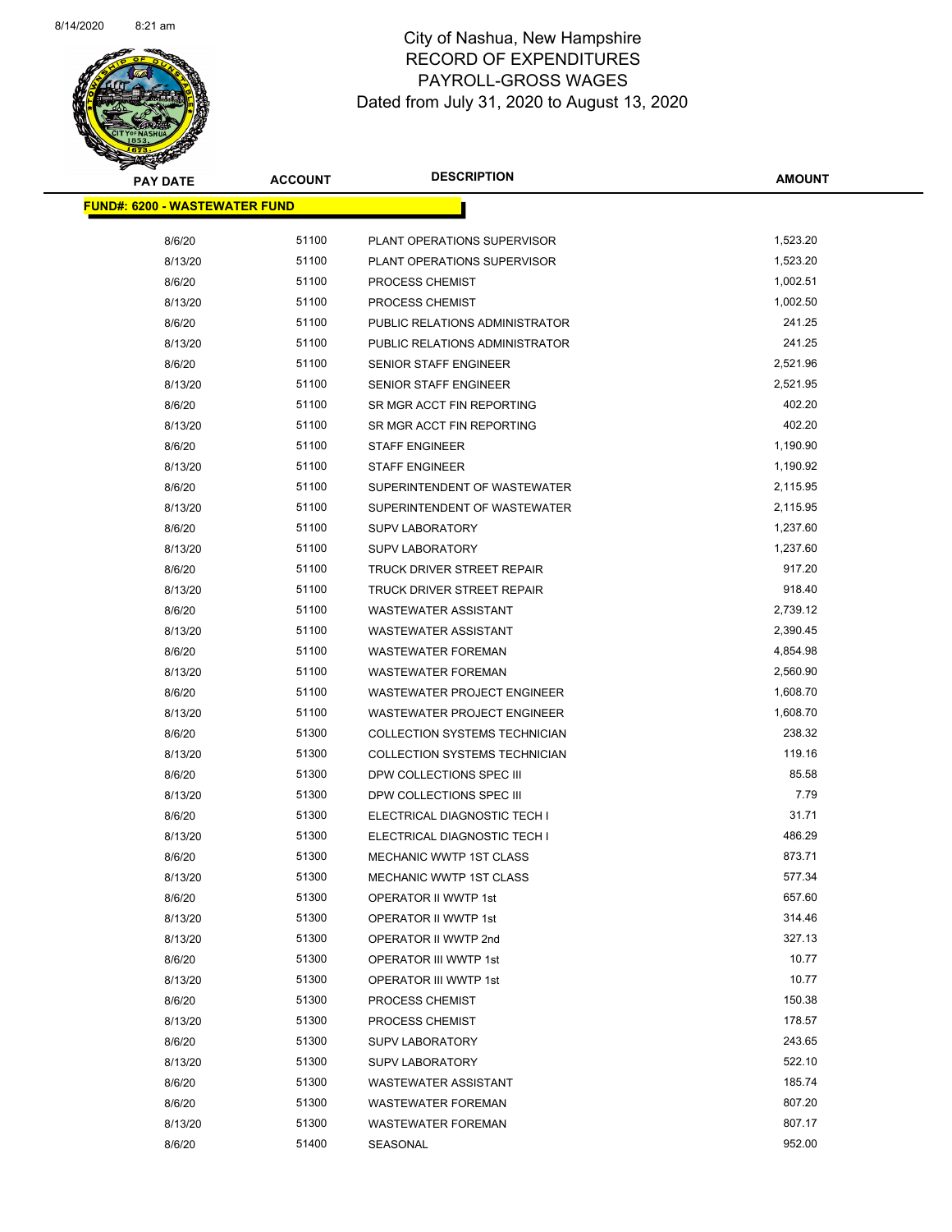

| <b>PAY DATE</b>                      | <b>ACCOUNT</b> | <b>DESCRIPTION</b>                   | AMOUNT   |
|--------------------------------------|----------------|--------------------------------------|----------|
| <b>FUND#: 6200 - WASTEWATER FUND</b> |                |                                      |          |
| 8/6/20                               | 51100          | PLANT OPERATIONS SUPERVISOR          | 1,523.20 |
| 8/13/20                              | 51100          | PLANT OPERATIONS SUPERVISOR          | 1,523.20 |
| 8/6/20                               | 51100          | PROCESS CHEMIST                      | 1,002.51 |
| 8/13/20                              | 51100          | PROCESS CHEMIST                      | 1,002.50 |
| 8/6/20                               | 51100          | PUBLIC RELATIONS ADMINISTRATOR       | 241.25   |
| 8/13/20                              | 51100          | PUBLIC RELATIONS ADMINISTRATOR       | 241.25   |
| 8/6/20                               | 51100          | <b>SENIOR STAFF ENGINEER</b>         | 2,521.96 |
| 8/13/20                              | 51100          | SENIOR STAFF ENGINEER                | 2,521.95 |
| 8/6/20                               | 51100          | SR MGR ACCT FIN REPORTING            | 402.20   |
| 8/13/20                              | 51100          | SR MGR ACCT FIN REPORTING            | 402.20   |
| 8/6/20                               | 51100          | <b>STAFF ENGINEER</b>                | 1,190.90 |
| 8/13/20                              | 51100          | <b>STAFF ENGINEER</b>                | 1,190.92 |
| 8/6/20                               | 51100          | SUPERINTENDENT OF WASTEWATER         | 2,115.95 |
| 8/13/20                              | 51100          | SUPERINTENDENT OF WASTEWATER         | 2,115.95 |
| 8/6/20                               | 51100          | <b>SUPV LABORATORY</b>               | 1,237.60 |
| 8/13/20                              | 51100          | <b>SUPV LABORATORY</b>               | 1,237.60 |
| 8/6/20                               | 51100          | TRUCK DRIVER STREET REPAIR           | 917.20   |
| 8/13/20                              | 51100          | TRUCK DRIVER STREET REPAIR           | 918.40   |
| 8/6/20                               | 51100          | <b>WASTEWATER ASSISTANT</b>          | 2,739.12 |
| 8/13/20                              | 51100          | WASTEWATER ASSISTANT                 | 2,390.45 |
| 8/6/20                               | 51100          | <b>WASTEWATER FOREMAN</b>            | 4,854.98 |
| 8/13/20                              | 51100          | <b>WASTEWATER FOREMAN</b>            | 2,560.90 |
| 8/6/20                               | 51100          | WASTEWATER PROJECT ENGINEER          | 1,608.70 |
| 8/13/20                              | 51100          | <b>WASTEWATER PROJECT ENGINEER</b>   | 1,608.70 |
| 8/6/20                               | 51300          | <b>COLLECTION SYSTEMS TECHNICIAN</b> | 238.32   |
| 8/13/20                              | 51300          | COLLECTION SYSTEMS TECHNICIAN        | 119.16   |
| 8/6/20                               | 51300          | DPW COLLECTIONS SPEC III             | 85.58    |
| 8/13/20                              | 51300          | DPW COLLECTIONS SPEC III             | 7.79     |
| 8/6/20                               | 51300          | ELECTRICAL DIAGNOSTIC TECH I         | 31.71    |
| 8/13/20                              | 51300          | ELECTRICAL DIAGNOSTIC TECH I         | 486.29   |
| 8/6/20                               | 51300          | MECHANIC WWTP 1ST CLASS              | 873.71   |
| 8/13/20                              | 51300          | MECHANIC WWTP 1ST CLASS              | 577.34   |
| 8/6/20                               | 51300          | <b>OPERATOR II WWTP 1st</b>          | 657.60   |
| 8/13/20                              | 51300          | OPERATOR II WWTP 1st                 | 314.46   |
| 8/13/20                              | 51300          | OPERATOR II WWTP 2nd                 | 327.13   |
| 8/6/20                               | 51300          | OPERATOR III WWTP 1st                | 10.77    |
| 8/13/20                              | 51300          | OPERATOR III WWTP 1st                | 10.77    |
| 8/6/20                               | 51300          | PROCESS CHEMIST                      | 150.38   |
| 8/13/20                              | 51300          | PROCESS CHEMIST                      | 178.57   |
| 8/6/20                               | 51300          | <b>SUPV LABORATORY</b>               | 243.65   |
| 8/13/20                              | 51300          | <b>SUPV LABORATORY</b>               | 522.10   |
| 8/6/20                               | 51300          | <b>WASTEWATER ASSISTANT</b>          | 185.74   |
| 8/6/20                               | 51300          | <b>WASTEWATER FOREMAN</b>            | 807.20   |
| 8/13/20                              | 51300          | <b>WASTEWATER FOREMAN</b>            | 807.17   |
| 8/6/20                               | 51400          | SEASONAL                             | 952.00   |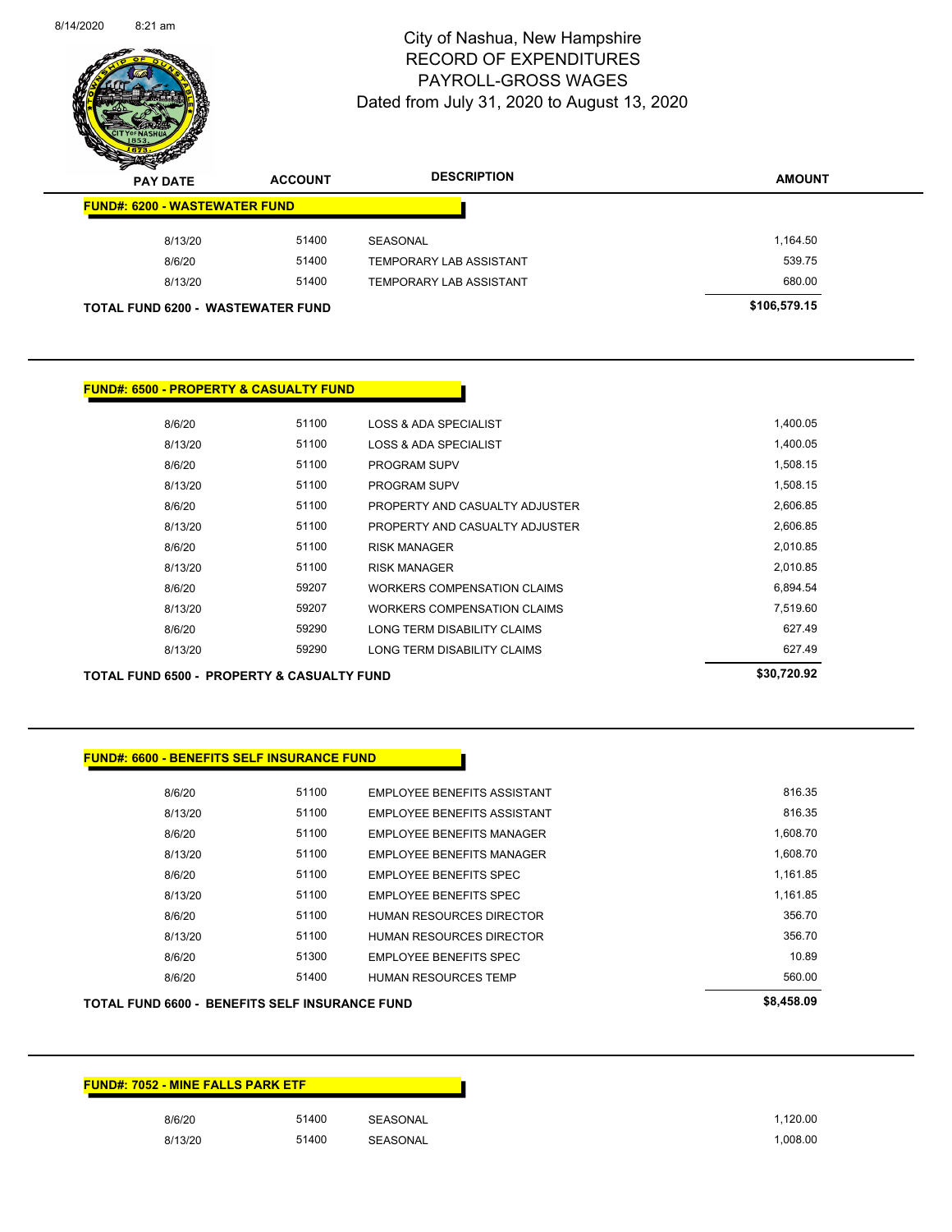

Page 82 of 83

| $\sum_{i=1}^n$<br><b>ACCOUNT</b><br><b>PAY DATE</b> |                                          | <b>DESCRIPTION</b>             | <b>AMOUNT</b> |
|-----------------------------------------------------|------------------------------------------|--------------------------------|---------------|
| <b>FUND#: 6200 - WASTEWATER FUND</b>                |                                          |                                |               |
| 8/13/20                                             | 51400                                    | SEASONAL                       | 1,164.50      |
| 8/6/20                                              | 51400                                    | <b>TEMPORARY LAB ASSISTANT</b> | 539.75        |
| 8/13/20                                             | 51400                                    | TEMPORARY LAB ASSISTANT        | 680.00        |
|                                                     | <b>TOTAL FUND 6200 - WASTEWATER FUND</b> |                                | \$106,579.15  |

## **FUND#: 6500 - PROPERTY & CASUALTY FUND**

| 8/6/20  | 51100 | LOSS & ADA SPECIALIST          | 1.400.05 |
|---------|-------|--------------------------------|----------|
| 8/13/20 | 51100 | LOSS & ADA SPECIALIST          | 1.400.05 |
| 8/6/20  | 51100 | <b>PROGRAM SUPV</b>            | 1.508.15 |
| 8/13/20 | 51100 | <b>PROGRAM SUPV</b>            | 1.508.15 |
| 8/6/20  | 51100 | PROPERTY AND CASUALTY ADJUSTER | 2,606.85 |
| 8/13/20 | 51100 | PROPERTY AND CASUALTY ADJUSTER | 2.606.85 |
| 8/6/20  | 51100 | <b>RISK MANAGER</b>            | 2.010.85 |
| 8/13/20 | 51100 | <b>RISK MANAGER</b>            | 2,010.85 |
| 8/6/20  | 59207 | WORKERS COMPENSATION CLAIMS    | 6.894.54 |
| 8/13/20 | 59207 | WORKERS COMPENSATION CLAIMS    | 7,519.60 |
| 8/6/20  | 59290 | LONG TERM DISABILITY CLAIMS    | 627.49   |
| 8/13/20 | 59290 | LONG TERM DISABILITY CLAIMS    | 627.49   |
|         |       |                                |          |

TOTAL FUND 6500 - PROPERTY & CASUALTY FUND<br>
\$30,720.92

### **FUND#: 6600 - BENEFITS SELF INSURANCE FUND**

| 8/6/20  | 51100 | <b>EMPLOYEE BENEFITS ASSISTANT</b> | 816.35   |
|---------|-------|------------------------------------|----------|
| 8/13/20 | 51100 | <b>EMPLOYEE BENEFITS ASSISTANT</b> | 816.35   |
| 8/6/20  | 51100 | EMPLOYEE BENEFITS MANAGER          | 1.608.70 |
| 8/13/20 | 51100 | <b>EMPLOYEE BENEFITS MANAGER</b>   | 1.608.70 |
| 8/6/20  | 51100 | EMPLOYEE BENEFITS SPEC             | 1.161.85 |
| 8/13/20 | 51100 | <b>EMPLOYEE BENEFITS SPEC</b>      | 1.161.85 |
| 8/6/20  | 51100 | HUMAN RESOURCES DIRECTOR           | 356.70   |
| 8/13/20 | 51100 | HUMAN RESOURCES DIRECTOR           | 356.70   |
| 8/6/20  | 51300 | <b>EMPLOYEE BENEFITS SPEC</b>      | 10.89    |
| 8/6/20  | 51400 | <b>HUMAN RESOURCES TEMP</b>        | 560.00   |
|         |       |                                    |          |

| <b>TOTAL FUND 6600 - BENEFITS SELF INSURANCE FUND</b> | \$8,458.09 |
|-------------------------------------------------------|------------|
|                                                       |            |
|                                                       |            |

| <b>FUND#: 7052 - MINE FALLS PARK ETF</b> |       |                 |
|------------------------------------------|-------|-----------------|
| 8/6/20                                   | 51400 | SEASONAL        |
| 8/13/20                                  | 51400 | <b>SEASONAL</b> |